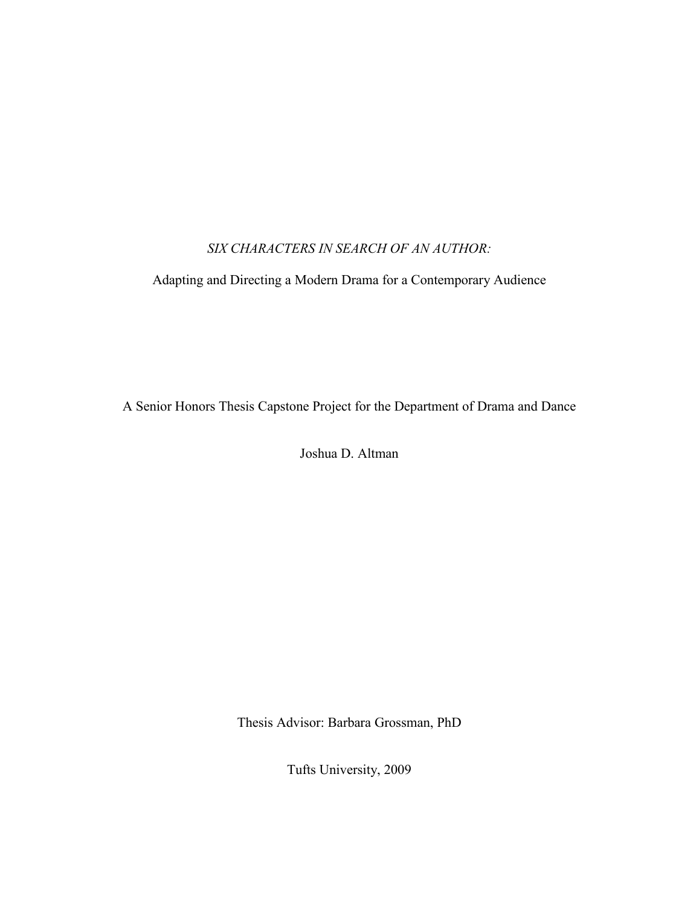## *SIX CHARACTERS IN SEARCH OF AN AUTHOR:*

Adapting and Directing a Modern Drama for a Contemporary Audience

A Senior Honors Thesis Capstone Project for the Department of Drama and Dance

Joshua D. Altman

Thesis Advisor: Barbara Grossman, PhD

Tufts University, 2009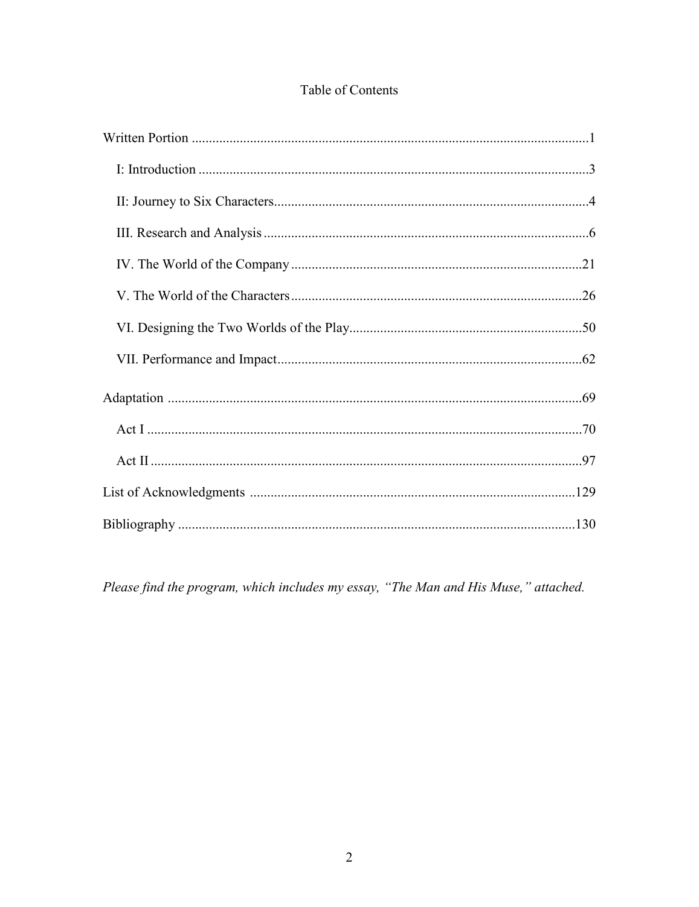# Table of Contents

Please find the program, which includes my essay, "The Man and His Muse," attached.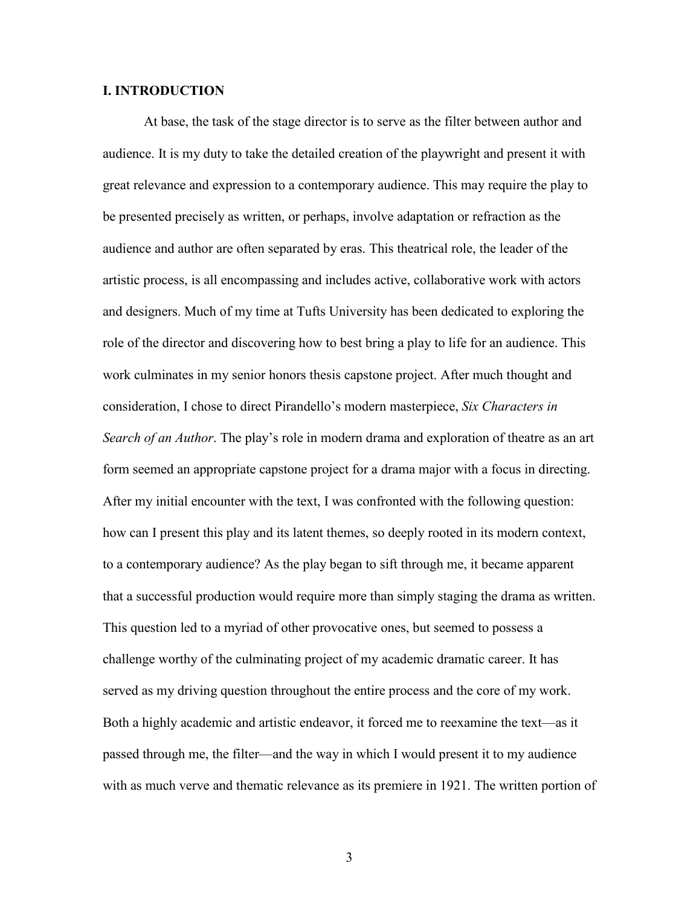### **I. INTRODUCTION**

At base, the task of the stage director is to serve as the filter between author and audience. It is my duty to take the detailed creation of the playwright and present it with great relevance and expression to a contemporary audience. This may require the play to be presented precisely as written, or perhaps, involve adaptation or refraction as the audience and author are often separated by eras. This theatrical role, the leader of the artistic process, is all encompassing and includes active, collaborative work with actors and designers. Much of my time at Tufts University has been dedicated to exploring the role of the director and discovering how to best bring a play to life for an audience. This work culminates in my senior honors thesis capstone project. After much thought and consideration, I chose to direct Pirandello's modern masterpiece, *Six Characters in Search of an Author*. The play's role in modern drama and exploration of theatre as an art form seemed an appropriate capstone project for a drama major with a focus in directing. After my initial encounter with the text, I was confronted with the following question: how can I present this play and its latent themes, so deeply rooted in its modern context, to a contemporary audience? As the play began to sift through me, it became apparent that a successful production would require more than simply staging the drama as written. This question led to a myriad of other provocative ones, but seemed to possess a challenge worthy of the culminating project of my academic dramatic career. It has served as my driving question throughout the entire process and the core of my work. Both a highly academic and artistic endeavor, it forced me to reexamine the text—as it passed through me, the filter—and the way in which I would present it to my audience with as much verve and thematic relevance as its premiere in 1921. The written portion of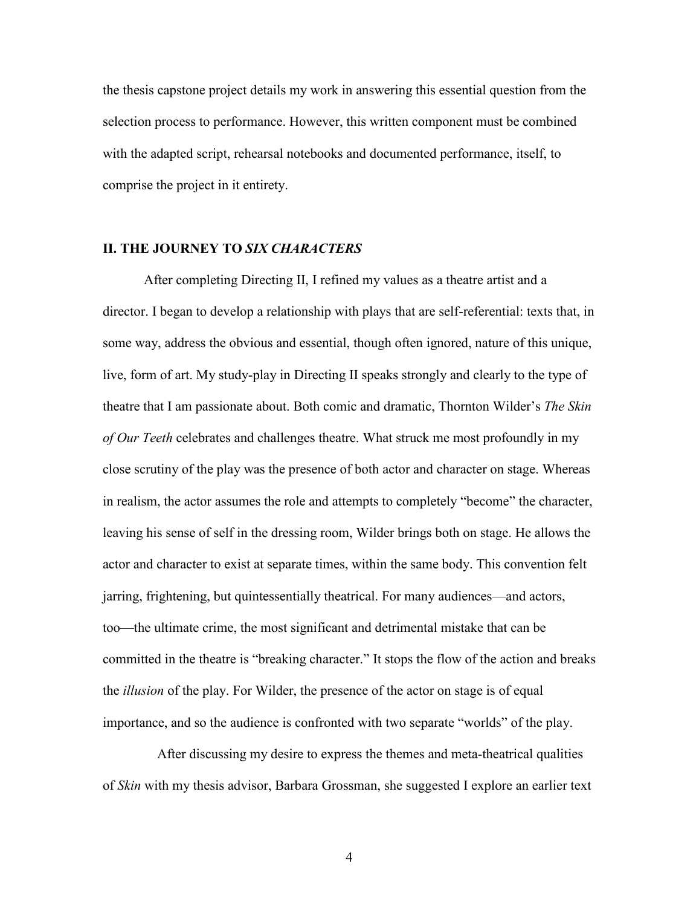the thesis capstone project details my work in answering this essential question from the selection process to performance. However, this written component must be combined with the adapted script, rehearsal notebooks and documented performance, itself, to comprise the project in it entirety.

### **II. THE JOURNEY TO** *SIX CHARACTERS*

After completing Directing II, I refined my values as a theatre artist and a director. I began to develop a relationship with plays that are self-referential: texts that, in some way, address the obvious and essential, though often ignored, nature of this unique, live, form of art. My study-play in Directing II speaks strongly and clearly to the type of theatre that I am passionate about. Both comic and dramatic, Thornton Wilder's *The Skin of Our Teeth* celebrates and challenges theatre. What struck me most profoundly in my close scrutiny of the play was the presence of both actor and character on stage. Whereas in realism, the actor assumes the role and attempts to completely "become" the character, leaving his sense of self in the dressing room, Wilder brings both on stage. He allows the actor and character to exist at separate times, within the same body. This convention felt jarring, frightening, but quintessentially theatrical. For many audiences—and actors, too—the ultimate crime, the most significant and detrimental mistake that can be committed in the theatre is "breaking character." It stops the flow of the action and breaks the *illusion* of the play. For Wilder, the presence of the actor on stage is of equal importance, and so the audience is confronted with two separate "worlds" of the play.

After discussing my desire to express the themes and meta-theatrical qualities of *Skin* with my thesis advisor, Barbara Grossman, she suggested I explore an earlier text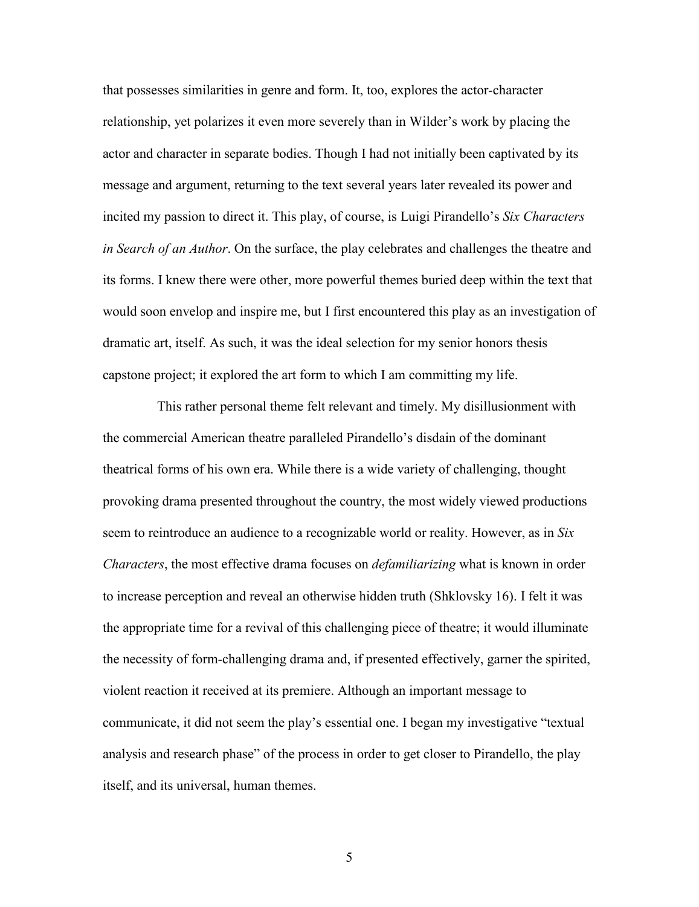that possesses similarities in genre and form. It, too, explores the actor-character relationship, yet polarizes it even more severely than in Wilder's work by placing the actor and character in separate bodies. Though I had not initially been captivated by its message and argument, returning to the text several years later revealed its power and incited my passion to direct it. This play, of course, is Luigi Pirandello's *Six Characters in Search of an Author*. On the surface, the play celebrates and challenges the theatre and its forms. I knew there were other, more powerful themes buried deep within the text that would soon envelop and inspire me, but I first encountered this play as an investigation of dramatic art, itself. As such, it was the ideal selection for my senior honors thesis capstone project; it explored the art form to which I am committing my life.

This rather personal theme felt relevant and timely. My disillusionment with the commercial American theatre paralleled Pirandello's disdain of the dominant theatrical forms of his own era. While there is a wide variety of challenging, thought provoking drama presented throughout the country, the most widely viewed productions seem to reintroduce an audience to a recognizable world or reality. However, as in *Six Characters*, the most effective drama focuses on *defamiliarizing* what is known in order to increase perception and reveal an otherwise hidden truth (Shklovsky 16). I felt it was the appropriate time for a revival of this challenging piece of theatre; it would illuminate the necessity of form-challenging drama and, if presented effectively, garner the spirited, violent reaction it received at its premiere. Although an important message to communicate, it did not seem the play's essential one. I began my investigative "textual analysis and research phase" of the process in order to get closer to Pirandello, the play itself, and its universal, human themes.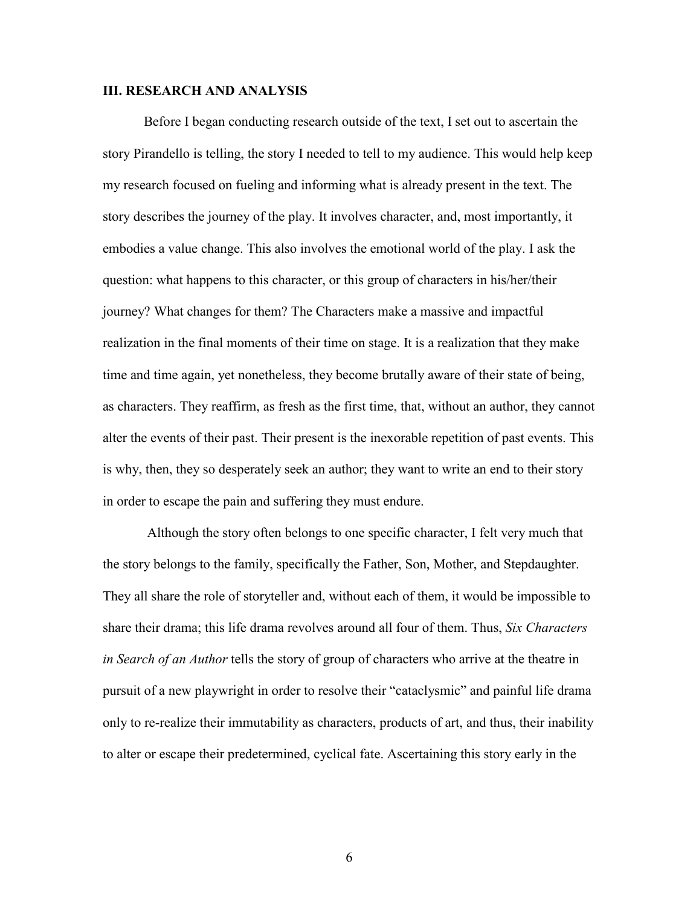#### **III. RESEARCH AND ANALYSIS**

Before I began conducting research outside of the text, I set out to ascertain the story Pirandello is telling, the story I needed to tell to my audience. This would help keep my research focused on fueling and informing what is already present in the text. The story describes the journey of the play. It involves character, and, most importantly, it embodies a value change. This also involves the emotional world of the play. I ask the question: what happens to this character, or this group of characters in his/her/their journey? What changes for them? The Characters make a massive and impactful realization in the final moments of their time on stage. It is a realization that they make time and time again, yet nonetheless, they become brutally aware of their state of being, as characters. They reaffirm, as fresh as the first time, that, without an author, they cannot alter the events of their past. Their present is the inexorable repetition of past events. This is why, then, they so desperately seek an author; they want to write an end to their story in order to escape the pain and suffering they must endure.

 Although the story often belongs to one specific character, I felt very much that the story belongs to the family, specifically the Father, Son, Mother, and Stepdaughter. They all share the role of storyteller and, without each of them, it would be impossible to share their drama; this life drama revolves around all four of them. Thus, *Six Characters in Search of an Author* tells the story of group of characters who arrive at the theatre in pursuit of a new playwright in order to resolve their "cataclysmic" and painful life drama only to re-realize their immutability as characters, products of art, and thus, their inability to alter or escape their predetermined, cyclical fate. Ascertaining this story early in the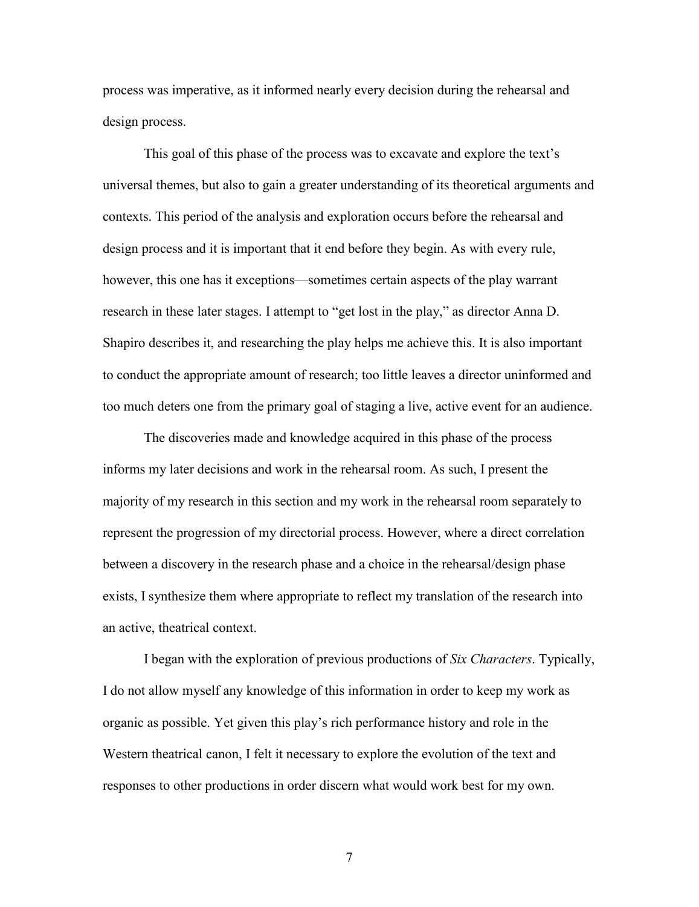process was imperative, as it informed nearly every decision during the rehearsal and design process.

This goal of this phase of the process was to excavate and explore the text's universal themes, but also to gain a greater understanding of its theoretical arguments and contexts. This period of the analysis and exploration occurs before the rehearsal and design process and it is important that it end before they begin. As with every rule, however, this one has it exceptions—sometimes certain aspects of the play warrant research in these later stages. I attempt to "get lost in the play," as director Anna D. Shapiro describes it, and researching the play helps me achieve this. It is also important to conduct the appropriate amount of research; too little leaves a director uninformed and too much deters one from the primary goal of staging a live, active event for an audience.

The discoveries made and knowledge acquired in this phase of the process informs my later decisions and work in the rehearsal room. As such, I present the majority of my research in this section and my work in the rehearsal room separately to represent the progression of my directorial process. However, where a direct correlation between a discovery in the research phase and a choice in the rehearsal/design phase exists, I synthesize them where appropriate to reflect my translation of the research into an active, theatrical context.

I began with the exploration of previous productions of *Six Characters*. Typically, I do not allow myself any knowledge of this information in order to keep my work as organic as possible. Yet given this play's rich performance history and role in the Western theatrical canon, I felt it necessary to explore the evolution of the text and responses to other productions in order discern what would work best for my own.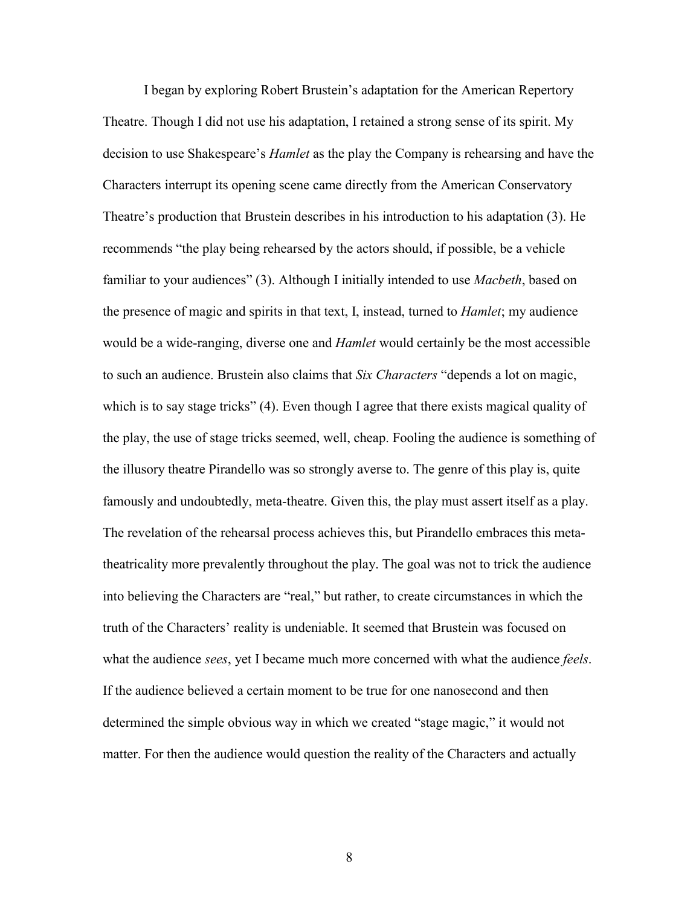I began by exploring Robert Brustein's adaptation for the American Repertory Theatre. Though I did not use his adaptation, I retained a strong sense of its spirit. My decision to use Shakespeare's *Hamlet* as the play the Company is rehearsing and have the Characters interrupt its opening scene came directly from the American Conservatory Theatre's production that Brustein describes in his introduction to his adaptation (3). He recommends "the play being rehearsed by the actors should, if possible, be a vehicle familiar to your audiences" (3). Although I initially intended to use *Macbeth*, based on the presence of magic and spirits in that text, I, instead, turned to *Hamlet*; my audience would be a wide-ranging, diverse one and *Hamlet* would certainly be the most accessible to such an audience. Brustein also claims that *Six Characters* "depends a lot on magic, which is to say stage tricks" (4). Even though I agree that there exists magical quality of the play, the use of stage tricks seemed, well, cheap. Fooling the audience is something of the illusory theatre Pirandello was so strongly averse to. The genre of this play is, quite famously and undoubtedly, meta-theatre. Given this, the play must assert itself as a play. The revelation of the rehearsal process achieves this, but Pirandello embraces this metatheatricality more prevalently throughout the play. The goal was not to trick the audience into believing the Characters are "real," but rather, to create circumstances in which the truth of the Characters' reality is undeniable. It seemed that Brustein was focused on what the audience *sees*, yet I became much more concerned with what the audience *feels*. If the audience believed a certain moment to be true for one nanosecond and then determined the simple obvious way in which we created "stage magic," it would not matter. For then the audience would question the reality of the Characters and actually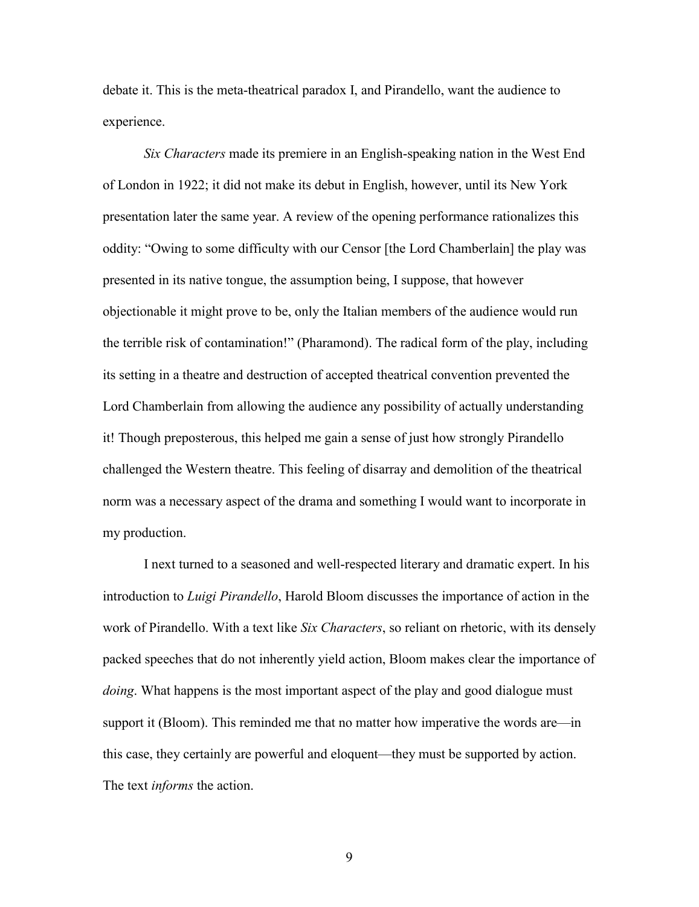debate it. This is the meta-theatrical paradox I, and Pirandello, want the audience to experience.

*Six Characters* made its premiere in an English-speaking nation in the West End of London in 1922; it did not make its debut in English, however, until its New York presentation later the same year. A review of the opening performance rationalizes this oddity: "Owing to some difficulty with our Censor [the Lord Chamberlain] the play was presented in its native tongue, the assumption being, I suppose, that however objectionable it might prove to be, only the Italian members of the audience would run the terrible risk of contamination!" (Pharamond). The radical form of the play, including its setting in a theatre and destruction of accepted theatrical convention prevented the Lord Chamberlain from allowing the audience any possibility of actually understanding it! Though preposterous, this helped me gain a sense of just how strongly Pirandello challenged the Western theatre. This feeling of disarray and demolition of the theatrical norm was a necessary aspect of the drama and something I would want to incorporate in my production.

I next turned to a seasoned and well-respected literary and dramatic expert. In his introduction to *Luigi Pirandello*, Harold Bloom discusses the importance of action in the work of Pirandello. With a text like *Six Characters*, so reliant on rhetoric, with its densely packed speeches that do not inherently yield action, Bloom makes clear the importance of *doing*. What happens is the most important aspect of the play and good dialogue must support it (Bloom). This reminded me that no matter how imperative the words are—in this case, they certainly are powerful and eloquent—they must be supported by action. The text *informs* the action.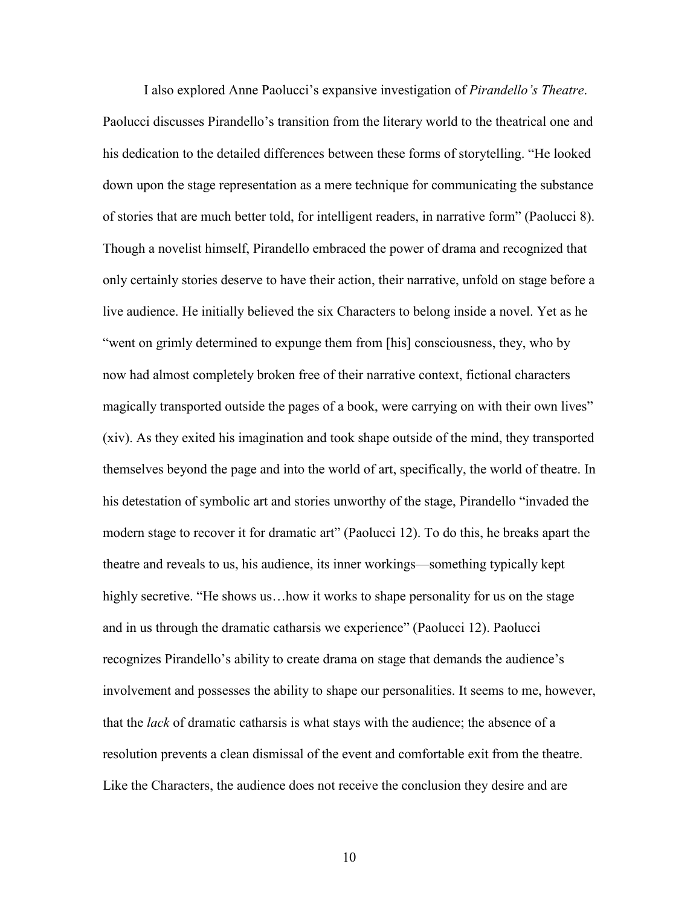I also explored Anne Paolucci's expansive investigation of *Pirandello's Theatre*. Paolucci discusses Pirandello's transition from the literary world to the theatrical one and his dedication to the detailed differences between these forms of storytelling. "He looked down upon the stage representation as a mere technique for communicating the substance of stories that are much better told, for intelligent readers, in narrative form" (Paolucci 8). Though a novelist himself, Pirandello embraced the power of drama and recognized that only certainly stories deserve to have their action, their narrative, unfold on stage before a live audience. He initially believed the six Characters to belong inside a novel. Yet as he "went on grimly determined to expunge them from [his] consciousness, they, who by now had almost completely broken free of their narrative context, fictional characters magically transported outside the pages of a book, were carrying on with their own lives" (xiv). As they exited his imagination and took shape outside of the mind, they transported themselves beyond the page and into the world of art, specifically, the world of theatre. In his detestation of symbolic art and stories unworthy of the stage, Pirandello "invaded the modern stage to recover it for dramatic art" (Paolucci 12). To do this, he breaks apart the theatre and reveals to us, his audience, its inner workings—something typically kept highly secretive. "He shows us... how it works to shape personality for us on the stage and in us through the dramatic catharsis we experience" (Paolucci 12). Paolucci recognizes Pirandello's ability to create drama on stage that demands the audience's involvement and possesses the ability to shape our personalities. It seems to me, however, that the *lack* of dramatic catharsis is what stays with the audience; the absence of a resolution prevents a clean dismissal of the event and comfortable exit from the theatre. Like the Characters, the audience does not receive the conclusion they desire and are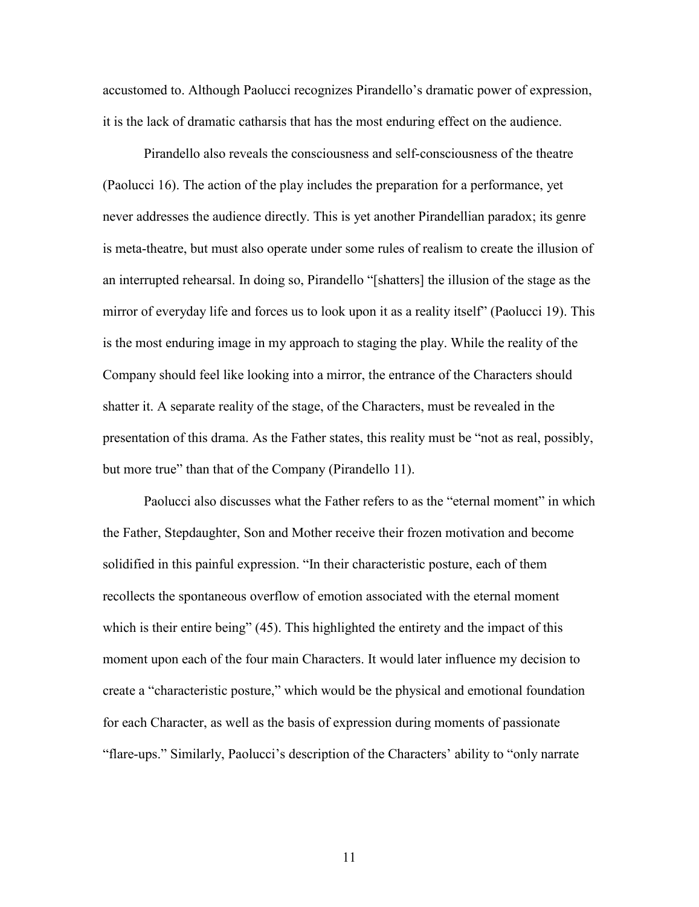accustomed to. Although Paolucci recognizes Pirandello's dramatic power of expression, it is the lack of dramatic catharsis that has the most enduring effect on the audience.

Pirandello also reveals the consciousness and self-consciousness of the theatre (Paolucci 16). The action of the play includes the preparation for a performance, yet never addresses the audience directly. This is yet another Pirandellian paradox; its genre is meta-theatre, but must also operate under some rules of realism to create the illusion of an interrupted rehearsal. In doing so, Pirandello "[shatters] the illusion of the stage as the mirror of everyday life and forces us to look upon it as a reality itself" (Paolucci 19). This is the most enduring image in my approach to staging the play. While the reality of the Company should feel like looking into a mirror, the entrance of the Characters should shatter it. A separate reality of the stage, of the Characters, must be revealed in the presentation of this drama. As the Father states, this reality must be "not as real, possibly, but more true" than that of the Company (Pirandello 11).

Paolucci also discusses what the Father refers to as the "eternal moment" in which the Father, Stepdaughter, Son and Mother receive their frozen motivation and become solidified in this painful expression. "In their characteristic posture, each of them recollects the spontaneous overflow of emotion associated with the eternal moment which is their entire being" (45). This highlighted the entirety and the impact of this moment upon each of the four main Characters. It would later influence my decision to create a "characteristic posture," which would be the physical and emotional foundation for each Character, as well as the basis of expression during moments of passionate "flare-ups." Similarly, Paolucci's description of the Characters' ability to "only narrate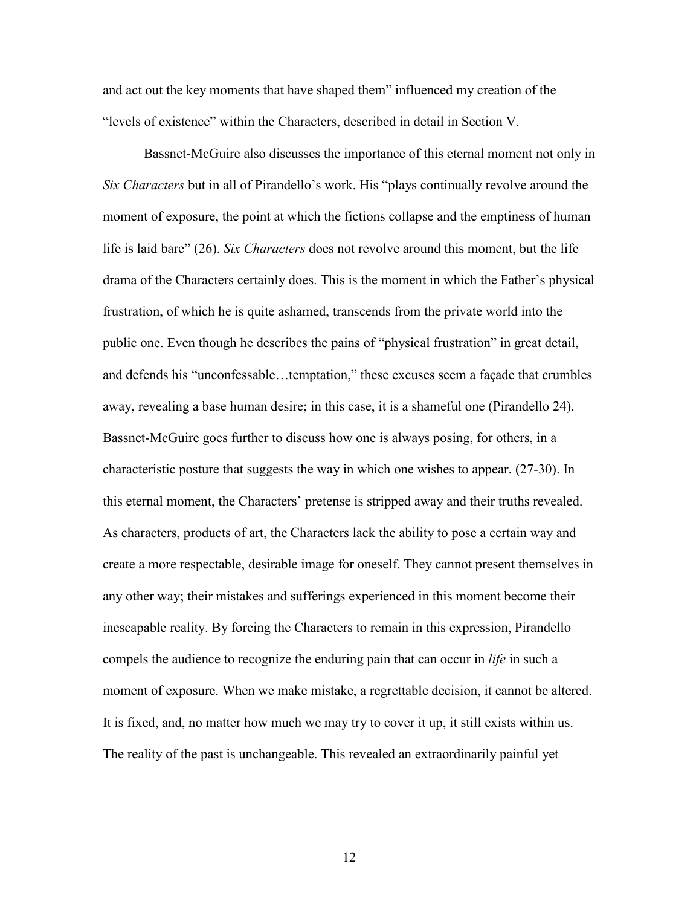and act out the key moments that have shaped them" influenced my creation of the "levels of existence" within the Characters, described in detail in Section V.

Bassnet-McGuire also discusses the importance of this eternal moment not only in *Six Characters* but in all of Pirandello's work. His "plays continually revolve around the moment of exposure, the point at which the fictions collapse and the emptiness of human life is laid bare" (26). *Six Characters* does not revolve around this moment, but the life drama of the Characters certainly does. This is the moment in which the Father's physical frustration, of which he is quite ashamed, transcends from the private world into the public one. Even though he describes the pains of "physical frustration" in great detail, and defends his "unconfessable…temptation," these excuses seem a façade that crumbles away, revealing a base human desire; in this case, it is a shameful one (Pirandello 24). Bassnet-McGuire goes further to discuss how one is always posing, for others, in a characteristic posture that suggests the way in which one wishes to appear. (27-30). In this eternal moment, the Characters' pretense is stripped away and their truths revealed. As characters, products of art, the Characters lack the ability to pose a certain way and create a more respectable, desirable image for oneself. They cannot present themselves in any other way; their mistakes and sufferings experienced in this moment become their inescapable reality. By forcing the Characters to remain in this expression, Pirandello compels the audience to recognize the enduring pain that can occur in *life* in such a moment of exposure. When we make mistake, a regrettable decision, it cannot be altered. It is fixed, and, no matter how much we may try to cover it up, it still exists within us. The reality of the past is unchangeable. This revealed an extraordinarily painful yet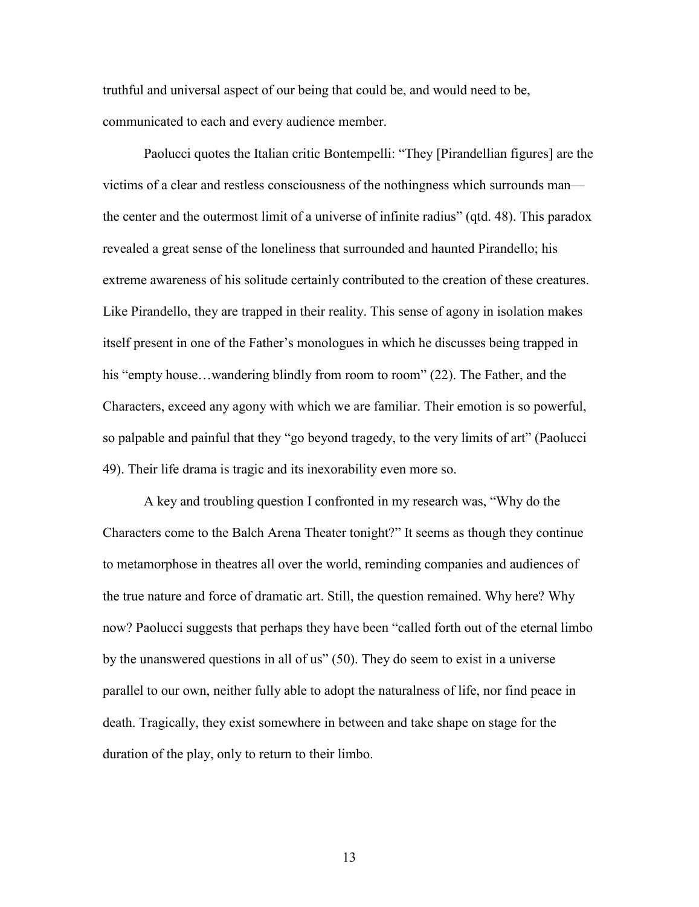truthful and universal aspect of our being that could be, and would need to be, communicated to each and every audience member.

Paolucci quotes the Italian critic Bontempelli: "They [Pirandellian figures] are the victims of a clear and restless consciousness of the nothingness which surrounds man the center and the outermost limit of a universe of infinite radius" (qtd. 48). This paradox revealed a great sense of the loneliness that surrounded and haunted Pirandello; his extreme awareness of his solitude certainly contributed to the creation of these creatures. Like Pirandello, they are trapped in their reality. This sense of agony in isolation makes itself present in one of the Father's monologues in which he discusses being trapped in his "empty house...wandering blindly from room to room" (22). The Father, and the Characters, exceed any agony with which we are familiar. Their emotion is so powerful, so palpable and painful that they "go beyond tragedy, to the very limits of art" (Paolucci 49). Their life drama is tragic and its inexorability even more so.

A key and troubling question I confronted in my research was, "Why do the Characters come to the Balch Arena Theater tonight?" It seems as though they continue to metamorphose in theatres all over the world, reminding companies and audiences of the true nature and force of dramatic art. Still, the question remained. Why here? Why now? Paolucci suggests that perhaps they have been "called forth out of the eternal limbo by the unanswered questions in all of us" (50). They do seem to exist in a universe parallel to our own, neither fully able to adopt the naturalness of life, nor find peace in death. Tragically, they exist somewhere in between and take shape on stage for the duration of the play, only to return to their limbo.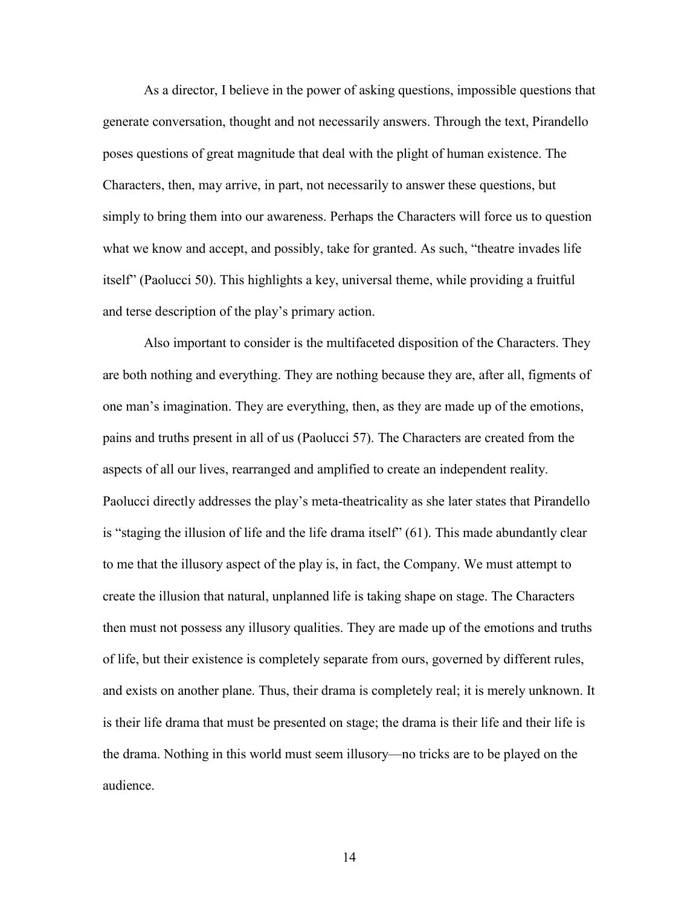As a director, I believe in the power of asking questions, impossible questions that generate conversation, thought and not necessarily answers. Through the text, Pirandello poses questions of great magnitude that deal with the plight of human existence. The Characters, then, may arrive, in part, not necessarily to answer these questions, but simply to bring them into our awareness. Perhaps the Characters will force us to question what we know and accept, and possibly, take for granted. As such, "theatre invades life" itself" (Paolucci 50). This highlights a key, universal theme, while providing a fruitful and terse description of the play's primary action.

Also important to consider is the multifaceted disposition of the Characters. They are both nothing and everything. They are nothing because they are, after all, figments of one man's imagination. They are everything, then, as they are made up of the emotions, pains and truths present in all of us (Paolucci 57). The Characters are created from the aspects of all our lives, rearranged and amplified to create an independent reality. Paolucci directly addresses the play's meta-theatricality as she later states that Pirandello is "staging the illusion of life and the life drama itself" (61). This made abundantly clear to me that the illusory aspect of the play is, in fact, the Company. We must attempt to create the illusion that natural, unplanned life is taking shape on stage. The Characters then must not possess any illusory qualities. They are made up of the emotions and truths of life, but their existence is completely separate from ours, governed by different rules, and exists on another plane. Thus, their drama is completely real; it is merely unknown. It is their life drama that must be presented on stage; the drama is their life and their life is the drama. Nothing in this world must seem illusory—no tricks are to be played on the audience.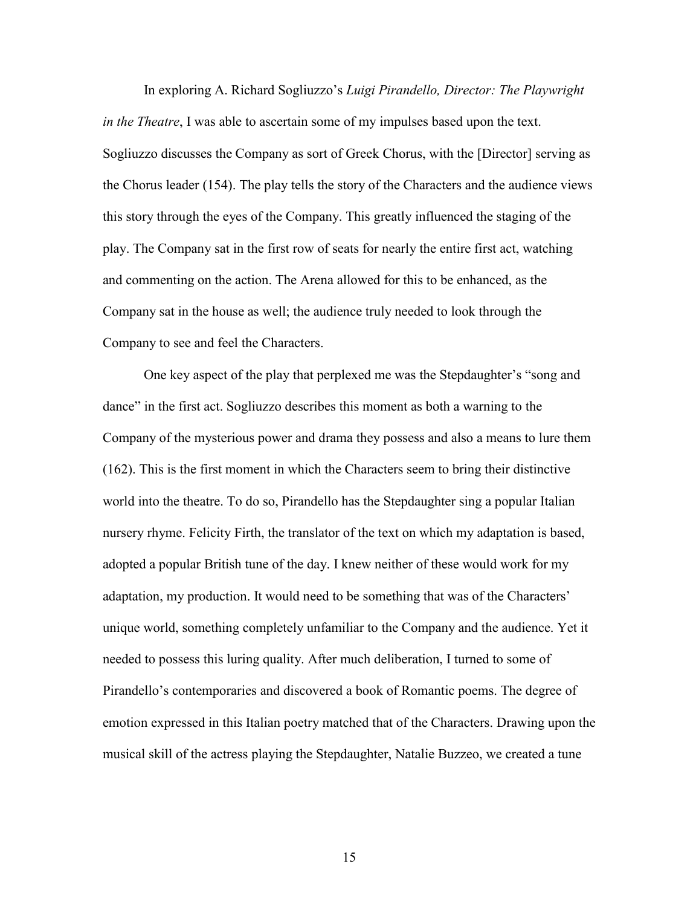In exploring A. Richard Sogliuzzo's *Luigi Pirandello, Director: The Playwright in the Theatre*, I was able to ascertain some of my impulses based upon the text. Sogliuzzo discusses the Company as sort of Greek Chorus, with the [Director] serving as the Chorus leader (154). The play tells the story of the Characters and the audience views this story through the eyes of the Company. This greatly influenced the staging of the play. The Company sat in the first row of seats for nearly the entire first act, watching and commenting on the action. The Arena allowed for this to be enhanced, as the Company sat in the house as well; the audience truly needed to look through the Company to see and feel the Characters.

One key aspect of the play that perplexed me was the Stepdaughter's "song and dance" in the first act. Sogliuzzo describes this moment as both a warning to the Company of the mysterious power and drama they possess and also a means to lure them (162). This is the first moment in which the Characters seem to bring their distinctive world into the theatre. To do so, Pirandello has the Stepdaughter sing a popular Italian nursery rhyme. Felicity Firth, the translator of the text on which my adaptation is based, adopted a popular British tune of the day. I knew neither of these would work for my adaptation, my production. It would need to be something that was of the Characters' unique world, something completely unfamiliar to the Company and the audience. Yet it needed to possess this luring quality. After much deliberation, I turned to some of Pirandello's contemporaries and discovered a book of Romantic poems. The degree of emotion expressed in this Italian poetry matched that of the Characters. Drawing upon the musical skill of the actress playing the Stepdaughter, Natalie Buzzeo, we created a tune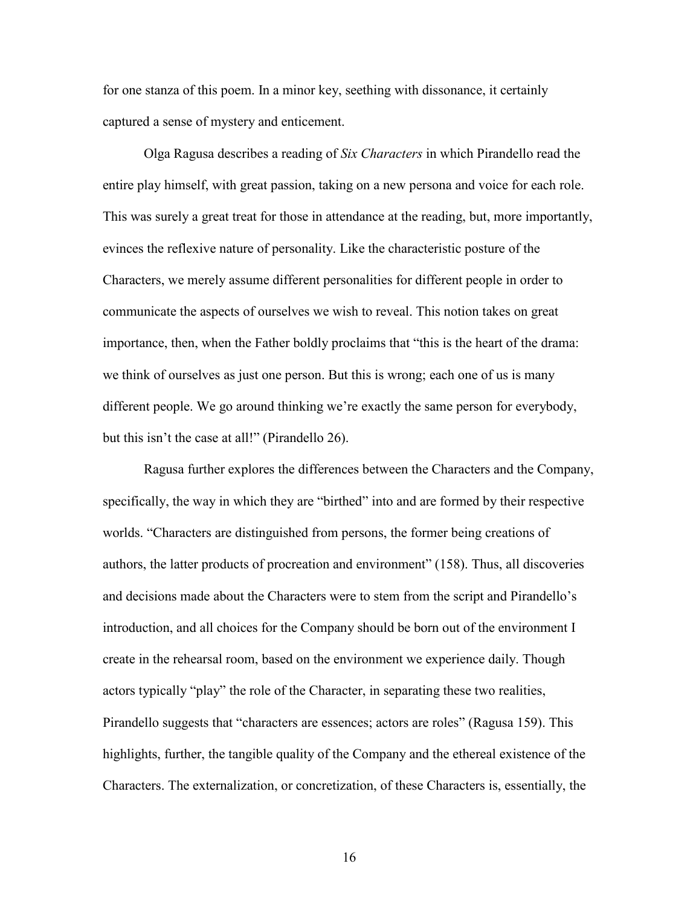for one stanza of this poem. In a minor key, seething with dissonance, it certainly captured a sense of mystery and enticement.

Olga Ragusa describes a reading of *Six Characters* in which Pirandello read the entire play himself, with great passion, taking on a new persona and voice for each role. This was surely a great treat for those in attendance at the reading, but, more importantly, evinces the reflexive nature of personality. Like the characteristic posture of the Characters, we merely assume different personalities for different people in order to communicate the aspects of ourselves we wish to reveal. This notion takes on great importance, then, when the Father boldly proclaims that "this is the heart of the drama: we think of ourselves as just one person. But this is wrong; each one of us is many different people. We go around thinking we're exactly the same person for everybody, but this isn't the case at all!" (Pirandello 26).

Ragusa further explores the differences between the Characters and the Company, specifically, the way in which they are "birthed" into and are formed by their respective worlds. "Characters are distinguished from persons, the former being creations of authors, the latter products of procreation and environment" (158). Thus, all discoveries and decisions made about the Characters were to stem from the script and Pirandello's introduction, and all choices for the Company should be born out of the environment I create in the rehearsal room, based on the environment we experience daily. Though actors typically "play" the role of the Character, in separating these two realities, Pirandello suggests that "characters are essences; actors are roles" (Ragusa 159). This highlights, further, the tangible quality of the Company and the ethereal existence of the Characters. The externalization, or concretization, of these Characters is, essentially, the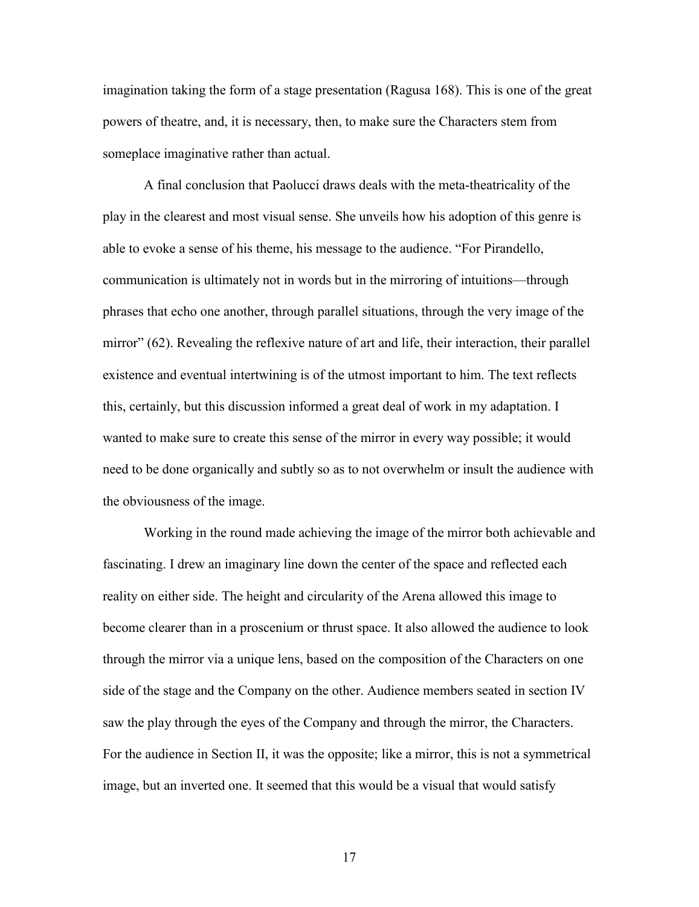imagination taking the form of a stage presentation (Ragusa 168). This is one of the great powers of theatre, and, it is necessary, then, to make sure the Characters stem from someplace imaginative rather than actual.

A final conclusion that Paolucci draws deals with the meta-theatricality of the play in the clearest and most visual sense. She unveils how his adoption of this genre is able to evoke a sense of his theme, his message to the audience. "For Pirandello, communication is ultimately not in words but in the mirroring of intuitions—through phrases that echo one another, through parallel situations, through the very image of the mirror" (62). Revealing the reflexive nature of art and life, their interaction, their parallel existence and eventual intertwining is of the utmost important to him. The text reflects this, certainly, but this discussion informed a great deal of work in my adaptation. I wanted to make sure to create this sense of the mirror in every way possible; it would need to be done organically and subtly so as to not overwhelm or insult the audience with the obviousness of the image.

Working in the round made achieving the image of the mirror both achievable and fascinating. I drew an imaginary line down the center of the space and reflected each reality on either side. The height and circularity of the Arena allowed this image to become clearer than in a proscenium or thrust space. It also allowed the audience to look through the mirror via a unique lens, based on the composition of the Characters on one side of the stage and the Company on the other. Audience members seated in section IV saw the play through the eyes of the Company and through the mirror, the Characters. For the audience in Section II, it was the opposite; like a mirror, this is not a symmetrical image, but an inverted one. It seemed that this would be a visual that would satisfy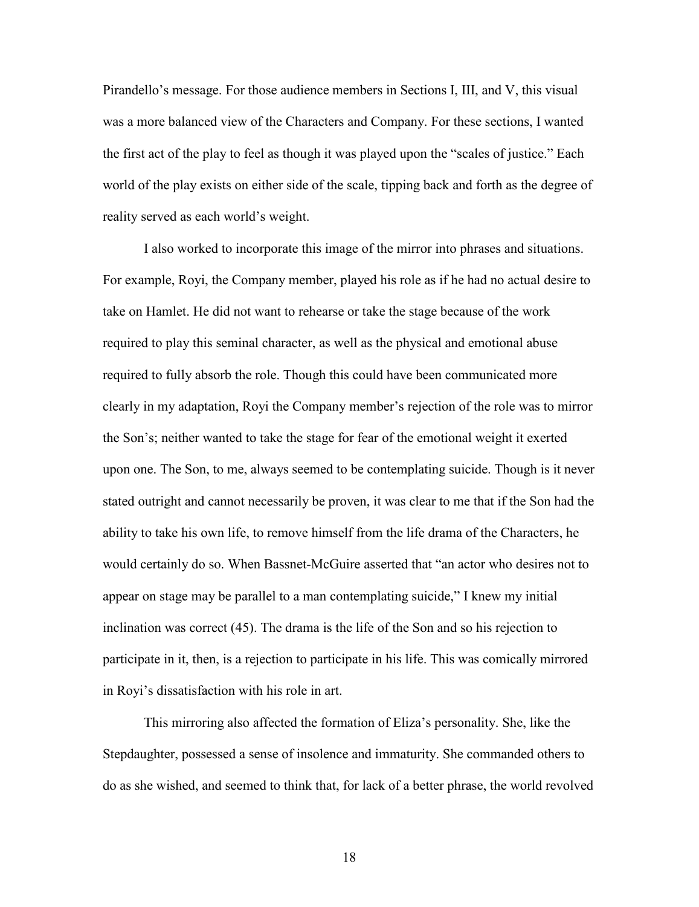Pirandello's message. For those audience members in Sections I, III, and V, this visual was a more balanced view of the Characters and Company. For these sections, I wanted the first act of the play to feel as though it was played upon the "scales of justice." Each world of the play exists on either side of the scale, tipping back and forth as the degree of reality served as each world's weight.

I also worked to incorporate this image of the mirror into phrases and situations. For example, Royi, the Company member, played his role as if he had no actual desire to take on Hamlet. He did not want to rehearse or take the stage because of the work required to play this seminal character, as well as the physical and emotional abuse required to fully absorb the role. Though this could have been communicated more clearly in my adaptation, Royi the Company member's rejection of the role was to mirror the Son's; neither wanted to take the stage for fear of the emotional weight it exerted upon one. The Son, to me, always seemed to be contemplating suicide. Though is it never stated outright and cannot necessarily be proven, it was clear to me that if the Son had the ability to take his own life, to remove himself from the life drama of the Characters, he would certainly do so. When Bassnet-McGuire asserted that "an actor who desires not to appear on stage may be parallel to a man contemplating suicide," I knew my initial inclination was correct (45). The drama is the life of the Son and so his rejection to participate in it, then, is a rejection to participate in his life. This was comically mirrored in Royi's dissatisfaction with his role in art.

This mirroring also affected the formation of Eliza's personality. She, like the Stepdaughter, possessed a sense of insolence and immaturity. She commanded others to do as she wished, and seemed to think that, for lack of a better phrase, the world revolved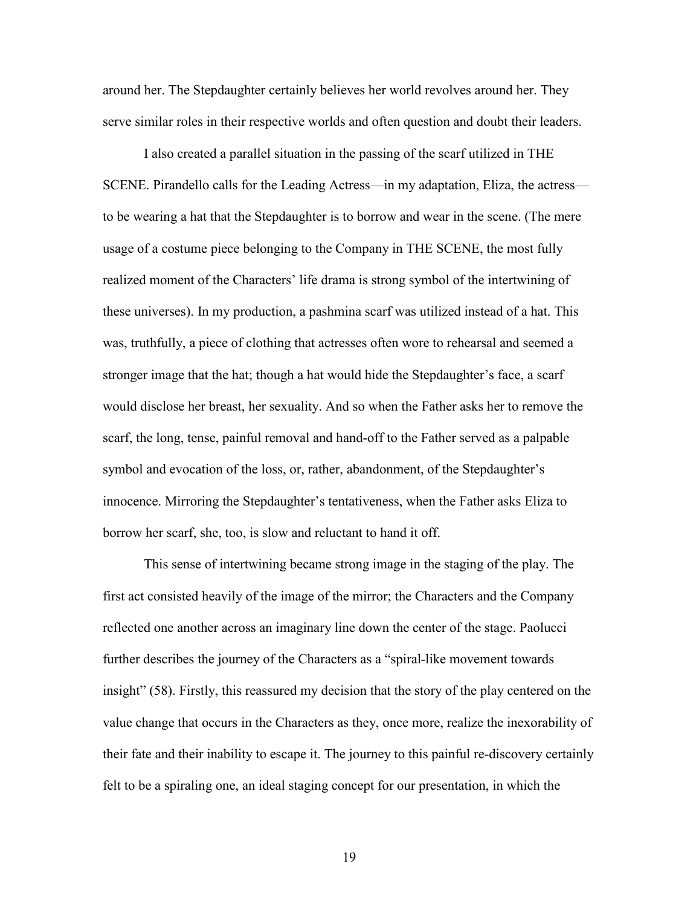around her. The Stepdaughter certainly believes her world revolves around her. They serve similar roles in their respective worlds and often question and doubt their leaders.

I also created a parallel situation in the passing of the scarf utilized in THE SCENE. Pirandello calls for the Leading Actress—in my adaptation, Eliza, the actress to be wearing a hat that the Stepdaughter is to borrow and wear in the scene. (The mere usage of a costume piece belonging to the Company in THE SCENE, the most fully realized moment of the Characters' life drama is strong symbol of the intertwining of these universes). In my production, a pashmina scarf was utilized instead of a hat. This was, truthfully, a piece of clothing that actresses often wore to rehearsal and seemed a stronger image that the hat; though a hat would hide the Stepdaughter's face, a scarf would disclose her breast, her sexuality. And so when the Father asks her to remove the scarf, the long, tense, painful removal and hand-off to the Father served as a palpable symbol and evocation of the loss, or, rather, abandonment, of the Stepdaughter's innocence. Mirroring the Stepdaughter's tentativeness, when the Father asks Eliza to borrow her scarf, she, too, is slow and reluctant to hand it off.

This sense of intertwining became strong image in the staging of the play. The first act consisted heavily of the image of the mirror; the Characters and the Company reflected one another across an imaginary line down the center of the stage. Paolucci further describes the journey of the Characters as a "spiral-like movement towards insight" (58). Firstly, this reassured my decision that the story of the play centered on the value change that occurs in the Characters as they, once more, realize the inexorability of their fate and their inability to escape it. The journey to this painful re-discovery certainly felt to be a spiraling one, an ideal staging concept for our presentation, in which the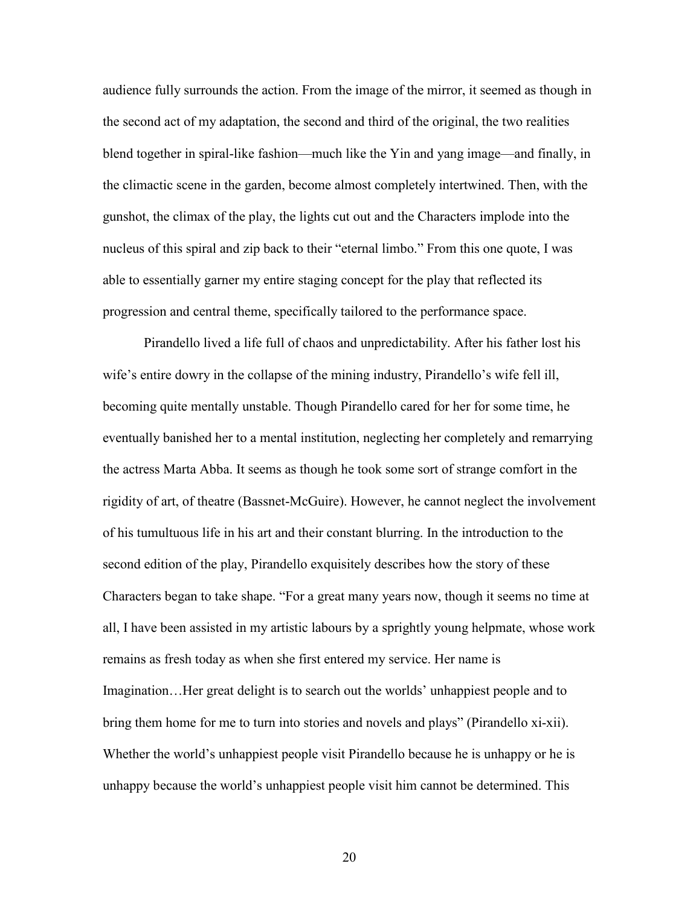audience fully surrounds the action. From the image of the mirror, it seemed as though in the second act of my adaptation, the second and third of the original, the two realities blend together in spiral-like fashion—much like the Yin and yang image—and finally, in the climactic scene in the garden, become almost completely intertwined. Then, with the gunshot, the climax of the play, the lights cut out and the Characters implode into the nucleus of this spiral and zip back to their "eternal limbo." From this one quote, I was able to essentially garner my entire staging concept for the play that reflected its progression and central theme, specifically tailored to the performance space.

Pirandello lived a life full of chaos and unpredictability. After his father lost his wife's entire dowry in the collapse of the mining industry, Pirandello's wife fell ill, becoming quite mentally unstable. Though Pirandello cared for her for some time, he eventually banished her to a mental institution, neglecting her completely and remarrying the actress Marta Abba. It seems as though he took some sort of strange comfort in the rigidity of art, of theatre (Bassnet-McGuire). However, he cannot neglect the involvement of his tumultuous life in his art and their constant blurring. In the introduction to the second edition of the play, Pirandello exquisitely describes how the story of these Characters began to take shape. "For a great many years now, though it seems no time at all, I have been assisted in my artistic labours by a sprightly young helpmate, whose work remains as fresh today as when she first entered my service. Her name is Imagination…Her great delight is to search out the worlds' unhappiest people and to bring them home for me to turn into stories and novels and plays" (Pirandello xi-xii). Whether the world's unhappiest people visit Pirandello because he is unhappy or he is unhappy because the world's unhappiest people visit him cannot be determined. This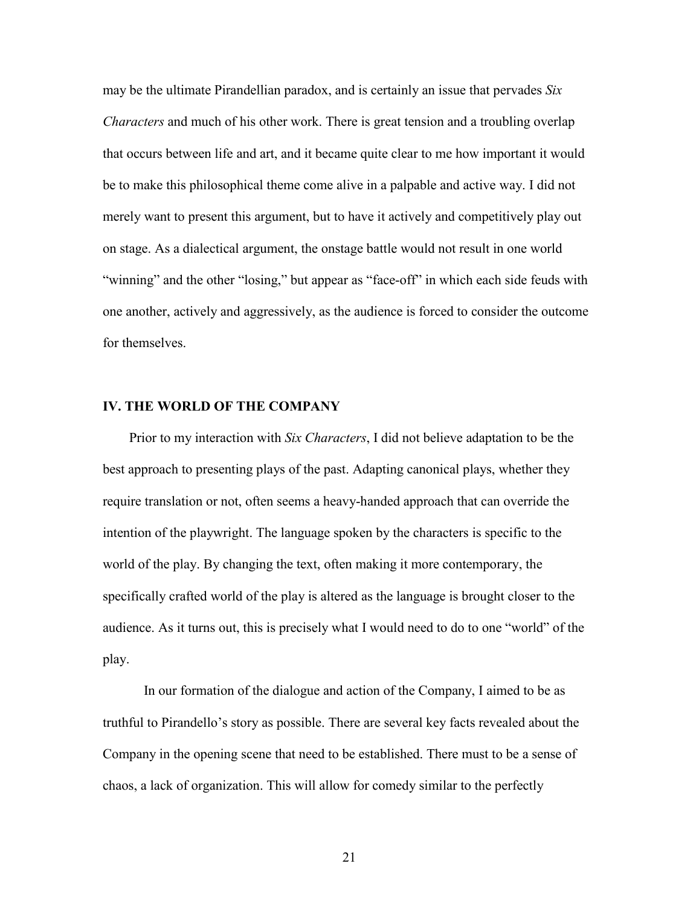may be the ultimate Pirandellian paradox, and is certainly an issue that pervades *Six Characters* and much of his other work. There is great tension and a troubling overlap that occurs between life and art, and it became quite clear to me how important it would be to make this philosophical theme come alive in a palpable and active way. I did not merely want to present this argument, but to have it actively and competitively play out on stage. As a dialectical argument, the onstage battle would not result in one world "winning" and the other "losing," but appear as "face-off" in which each side feuds with one another, actively and aggressively, as the audience is forced to consider the outcome for themselves.

#### **IV. THE WORLD OF THE COMPANY**

Prior to my interaction with *Six Characters*, I did not believe adaptation to be the best approach to presenting plays of the past. Adapting canonical plays, whether they require translation or not, often seems a heavy-handed approach that can override the intention of the playwright. The language spoken by the characters is specific to the world of the play. By changing the text, often making it more contemporary, the specifically crafted world of the play is altered as the language is brought closer to the audience. As it turns out, this is precisely what I would need to do to one "world" of the play.

In our formation of the dialogue and action of the Company, I aimed to be as truthful to Pirandello's story as possible. There are several key facts revealed about the Company in the opening scene that need to be established. There must to be a sense of chaos, a lack of organization. This will allow for comedy similar to the perfectly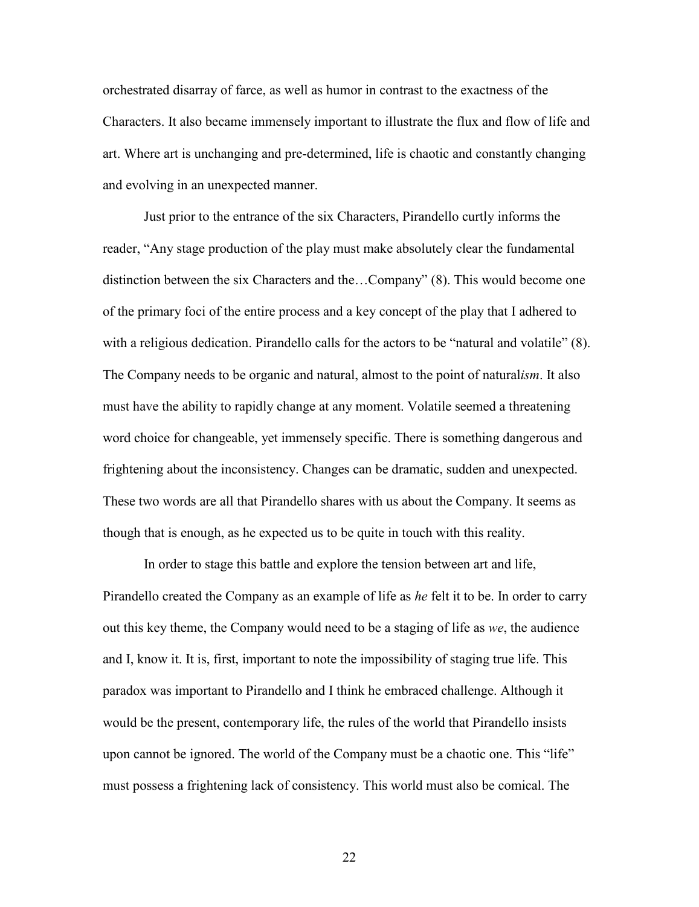orchestrated disarray of farce, as well as humor in contrast to the exactness of the Characters. It also became immensely important to illustrate the flux and flow of life and art. Where art is unchanging and pre-determined, life is chaotic and constantly changing and evolving in an unexpected manner.

Just prior to the entrance of the six Characters, Pirandello curtly informs the reader, "Any stage production of the play must make absolutely clear the fundamental distinction between the six Characters and the…Company" (8). This would become one of the primary foci of the entire process and a key concept of the play that I adhered to with a religious dedication. Pirandello calls for the actors to be "natural and volatile" (8). The Company needs to be organic and natural, almost to the point of natural*ism*. It also must have the ability to rapidly change at any moment. Volatile seemed a threatening word choice for changeable, yet immensely specific. There is something dangerous and frightening about the inconsistency. Changes can be dramatic, sudden and unexpected. These two words are all that Pirandello shares with us about the Company. It seems as though that is enough, as he expected us to be quite in touch with this reality.

In order to stage this battle and explore the tension between art and life, Pirandello created the Company as an example of life as *he* felt it to be. In order to carry out this key theme, the Company would need to be a staging of life as *we*, the audience and I, know it. It is, first, important to note the impossibility of staging true life. This paradox was important to Pirandello and I think he embraced challenge. Although it would be the present, contemporary life, the rules of the world that Pirandello insists upon cannot be ignored. The world of the Company must be a chaotic one. This "life" must possess a frightening lack of consistency. This world must also be comical. The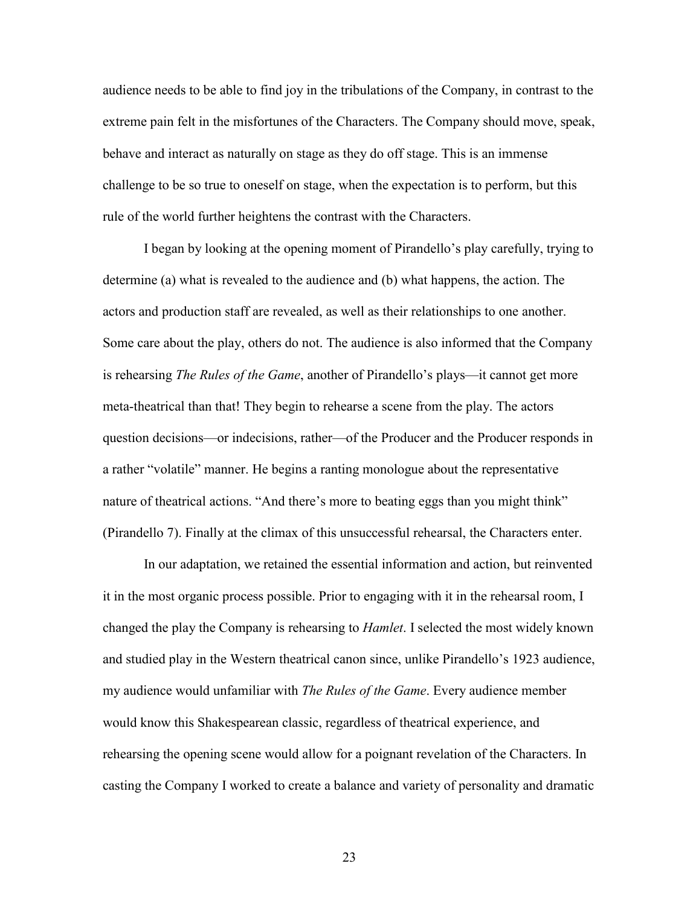audience needs to be able to find joy in the tribulations of the Company, in contrast to the extreme pain felt in the misfortunes of the Characters. The Company should move, speak, behave and interact as naturally on stage as they do off stage. This is an immense challenge to be so true to oneself on stage, when the expectation is to perform, but this rule of the world further heightens the contrast with the Characters.

I began by looking at the opening moment of Pirandello's play carefully, trying to determine (a) what is revealed to the audience and (b) what happens, the action. The actors and production staff are revealed, as well as their relationships to one another. Some care about the play, others do not. The audience is also informed that the Company is rehearsing *The Rules of the Game*, another of Pirandello's plays—it cannot get more meta-theatrical than that! They begin to rehearse a scene from the play. The actors question decisions—or indecisions, rather—of the Producer and the Producer responds in a rather "volatile" manner. He begins a ranting monologue about the representative nature of theatrical actions. "And there's more to beating eggs than you might think" (Pirandello 7). Finally at the climax of this unsuccessful rehearsal, the Characters enter.

In our adaptation, we retained the essential information and action, but reinvented it in the most organic process possible. Prior to engaging with it in the rehearsal room, I changed the play the Company is rehearsing to *Hamlet*. I selected the most widely known and studied play in the Western theatrical canon since, unlike Pirandello's 1923 audience, my audience would unfamiliar with *The Rules of the Game*. Every audience member would know this Shakespearean classic, regardless of theatrical experience, and rehearsing the opening scene would allow for a poignant revelation of the Characters. In casting the Company I worked to create a balance and variety of personality and dramatic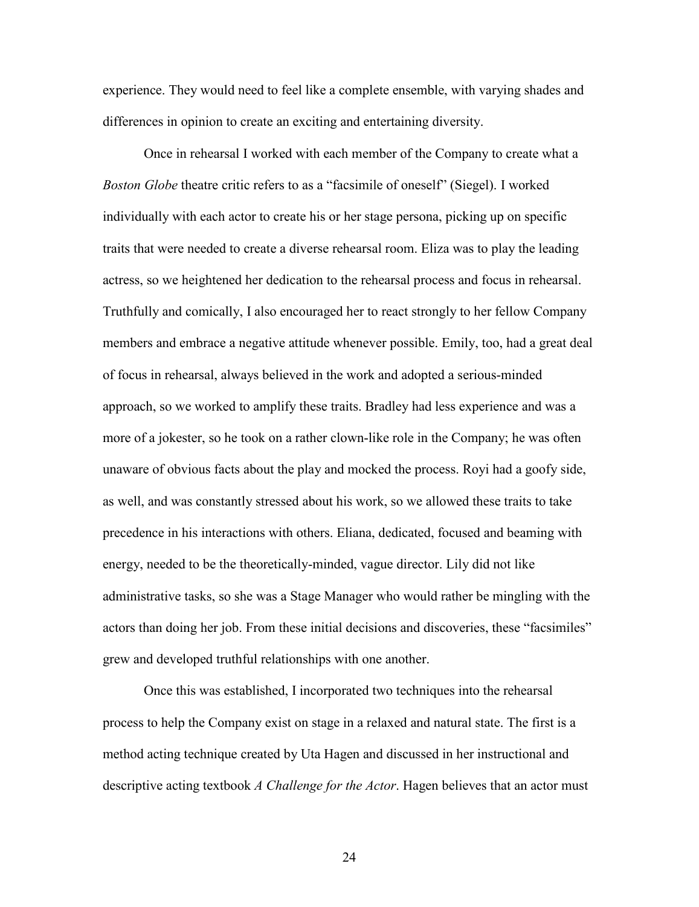experience. They would need to feel like a complete ensemble, with varying shades and differences in opinion to create an exciting and entertaining diversity.

Once in rehearsal I worked with each member of the Company to create what a *Boston Globe* theatre critic refers to as a "facsimile of oneself" (Siegel). I worked individually with each actor to create his or her stage persona, picking up on specific traits that were needed to create a diverse rehearsal room. Eliza was to play the leading actress, so we heightened her dedication to the rehearsal process and focus in rehearsal. Truthfully and comically, I also encouraged her to react strongly to her fellow Company members and embrace a negative attitude whenever possible. Emily, too, had a great deal of focus in rehearsal, always believed in the work and adopted a serious-minded approach, so we worked to amplify these traits. Bradley had less experience and was a more of a jokester, so he took on a rather clown-like role in the Company; he was often unaware of obvious facts about the play and mocked the process. Royi had a goofy side, as well, and was constantly stressed about his work, so we allowed these traits to take precedence in his interactions with others. Eliana, dedicated, focused and beaming with energy, needed to be the theoretically-minded, vague director. Lily did not like administrative tasks, so she was a Stage Manager who would rather be mingling with the actors than doing her job. From these initial decisions and discoveries, these "facsimiles" grew and developed truthful relationships with one another.

Once this was established, I incorporated two techniques into the rehearsal process to help the Company exist on stage in a relaxed and natural state. The first is a method acting technique created by Uta Hagen and discussed in her instructional and descriptive acting textbook *A Challenge for the Actor*. Hagen believes that an actor must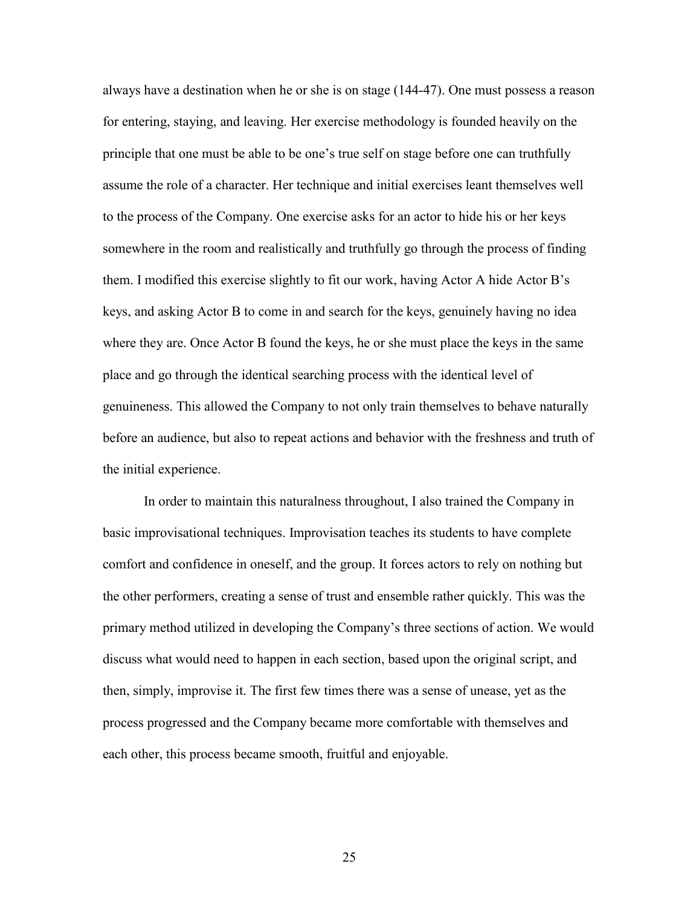always have a destination when he or she is on stage (144-47). One must possess a reason for entering, staying, and leaving. Her exercise methodology is founded heavily on the principle that one must be able to be one's true self on stage before one can truthfully assume the role of a character. Her technique and initial exercises leant themselves well to the process of the Company. One exercise asks for an actor to hide his or her keys somewhere in the room and realistically and truthfully go through the process of finding them. I modified this exercise slightly to fit our work, having Actor A hide Actor B's keys, and asking Actor B to come in and search for the keys, genuinely having no idea where they are. Once Actor B found the keys, he or she must place the keys in the same place and go through the identical searching process with the identical level of genuineness. This allowed the Company to not only train themselves to behave naturally before an audience, but also to repeat actions and behavior with the freshness and truth of the initial experience.

In order to maintain this naturalness throughout, I also trained the Company in basic improvisational techniques. Improvisation teaches its students to have complete comfort and confidence in oneself, and the group. It forces actors to rely on nothing but the other performers, creating a sense of trust and ensemble rather quickly. This was the primary method utilized in developing the Company's three sections of action. We would discuss what would need to happen in each section, based upon the original script, and then, simply, improvise it. The first few times there was a sense of unease, yet as the process progressed and the Company became more comfortable with themselves and each other, this process became smooth, fruitful and enjoyable.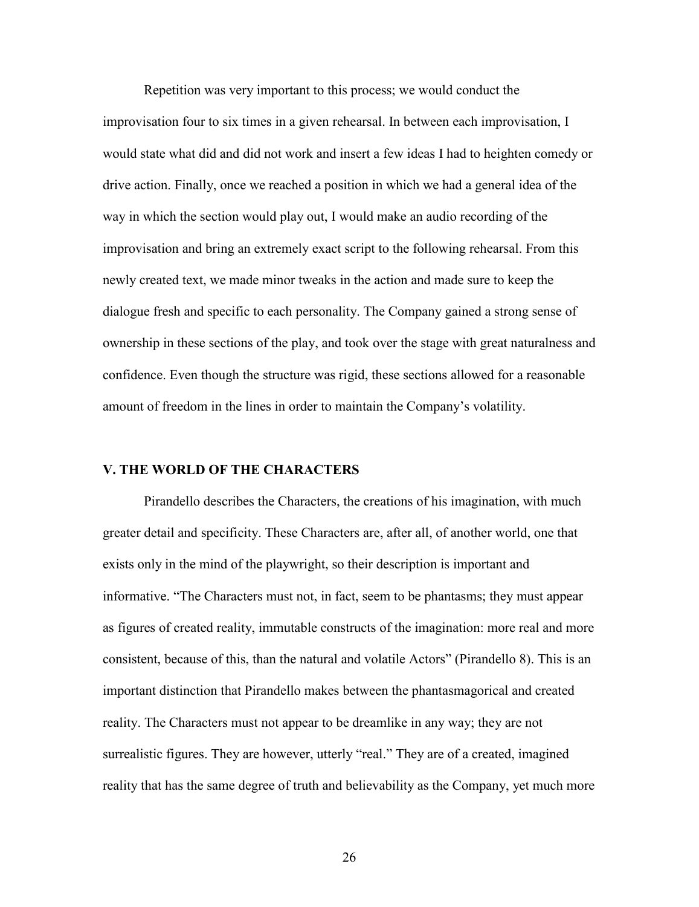Repetition was very important to this process; we would conduct the improvisation four to six times in a given rehearsal. In between each improvisation, I would state what did and did not work and insert a few ideas I had to heighten comedy or drive action. Finally, once we reached a position in which we had a general idea of the way in which the section would play out, I would make an audio recording of the improvisation and bring an extremely exact script to the following rehearsal. From this newly created text, we made minor tweaks in the action and made sure to keep the dialogue fresh and specific to each personality. The Company gained a strong sense of ownership in these sections of the play, and took over the stage with great naturalness and confidence. Even though the structure was rigid, these sections allowed for a reasonable amount of freedom in the lines in order to maintain the Company's volatility.

### **V. THE WORLD OF THE CHARACTERS**

Pirandello describes the Characters, the creations of his imagination, with much greater detail and specificity. These Characters are, after all, of another world, one that exists only in the mind of the playwright, so their description is important and informative. "The Characters must not, in fact, seem to be phantasms; they must appear as figures of created reality, immutable constructs of the imagination: more real and more consistent, because of this, than the natural and volatile Actors" (Pirandello 8). This is an important distinction that Pirandello makes between the phantasmagorical and created reality. The Characters must not appear to be dreamlike in any way; they are not surrealistic figures. They are however, utterly "real." They are of a created, imagined reality that has the same degree of truth and believability as the Company, yet much more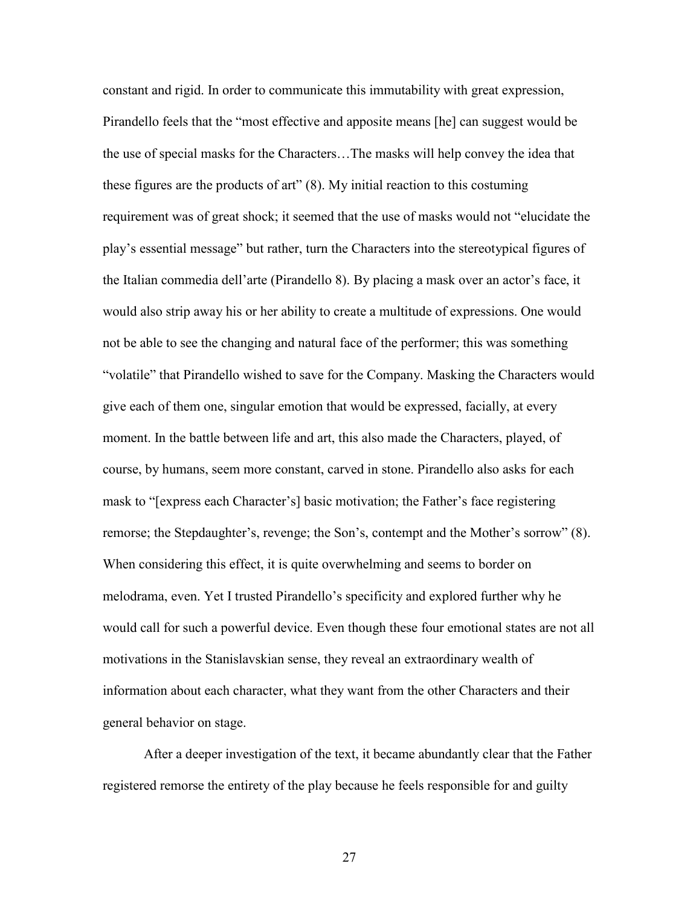constant and rigid. In order to communicate this immutability with great expression, Pirandello feels that the "most effective and apposite means [he] can suggest would be the use of special masks for the Characters…The masks will help convey the idea that these figures are the products of art" (8). My initial reaction to this costuming requirement was of great shock; it seemed that the use of masks would not "elucidate the play's essential message" but rather, turn the Characters into the stereotypical figures of the Italian commedia dell'arte (Pirandello 8). By placing a mask over an actor's face, it would also strip away his or her ability to create a multitude of expressions. One would not be able to see the changing and natural face of the performer; this was something "volatile" that Pirandello wished to save for the Company. Masking the Characters would give each of them one, singular emotion that would be expressed, facially, at every moment. In the battle between life and art, this also made the Characters, played, of course, by humans, seem more constant, carved in stone. Pirandello also asks for each mask to "[express each Character's] basic motivation; the Father's face registering remorse; the Stepdaughter's, revenge; the Son's, contempt and the Mother's sorrow" (8). When considering this effect, it is quite overwhelming and seems to border on melodrama, even. Yet I trusted Pirandello's specificity and explored further why he would call for such a powerful device. Even though these four emotional states are not all motivations in the Stanislavskian sense, they reveal an extraordinary wealth of information about each character, what they want from the other Characters and their general behavior on stage.

After a deeper investigation of the text, it became abundantly clear that the Father registered remorse the entirety of the play because he feels responsible for and guilty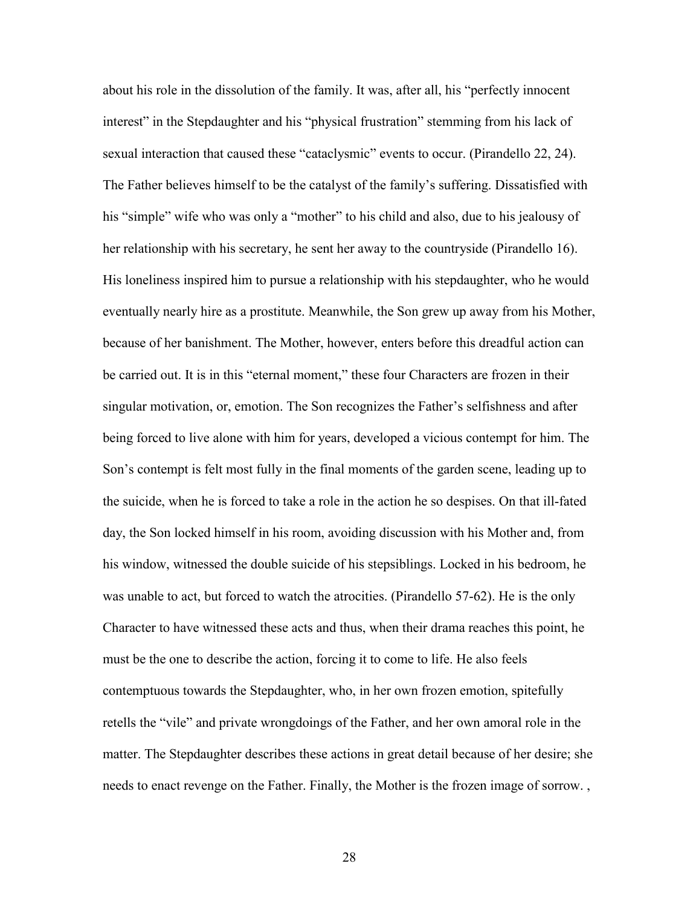about his role in the dissolution of the family. It was, after all, his "perfectly innocent interest" in the Stepdaughter and his "physical frustration" stemming from his lack of sexual interaction that caused these "cataclysmic" events to occur. (Pirandello 22, 24). The Father believes himself to be the catalyst of the family's suffering. Dissatisfied with his "simple" wife who was only a "mother" to his child and also, due to his jealousy of her relationship with his secretary, he sent her away to the countryside (Pirandello 16). His loneliness inspired him to pursue a relationship with his stepdaughter, who he would eventually nearly hire as a prostitute. Meanwhile, the Son grew up away from his Mother, because of her banishment. The Mother, however, enters before this dreadful action can be carried out. It is in this "eternal moment," these four Characters are frozen in their singular motivation, or, emotion. The Son recognizes the Father's selfishness and after being forced to live alone with him for years, developed a vicious contempt for him. The Son's contempt is felt most fully in the final moments of the garden scene, leading up to the suicide, when he is forced to take a role in the action he so despises. On that ill-fated day, the Son locked himself in his room, avoiding discussion with his Mother and, from his window, witnessed the double suicide of his stepsiblings. Locked in his bedroom, he was unable to act, but forced to watch the atrocities. (Pirandello 57-62). He is the only Character to have witnessed these acts and thus, when their drama reaches this point, he must be the one to describe the action, forcing it to come to life. He also feels contemptuous towards the Stepdaughter, who, in her own frozen emotion, spitefully retells the "vile" and private wrongdoings of the Father, and her own amoral role in the matter. The Stepdaughter describes these actions in great detail because of her desire; she needs to enact revenge on the Father. Finally, the Mother is the frozen image of sorrow. ,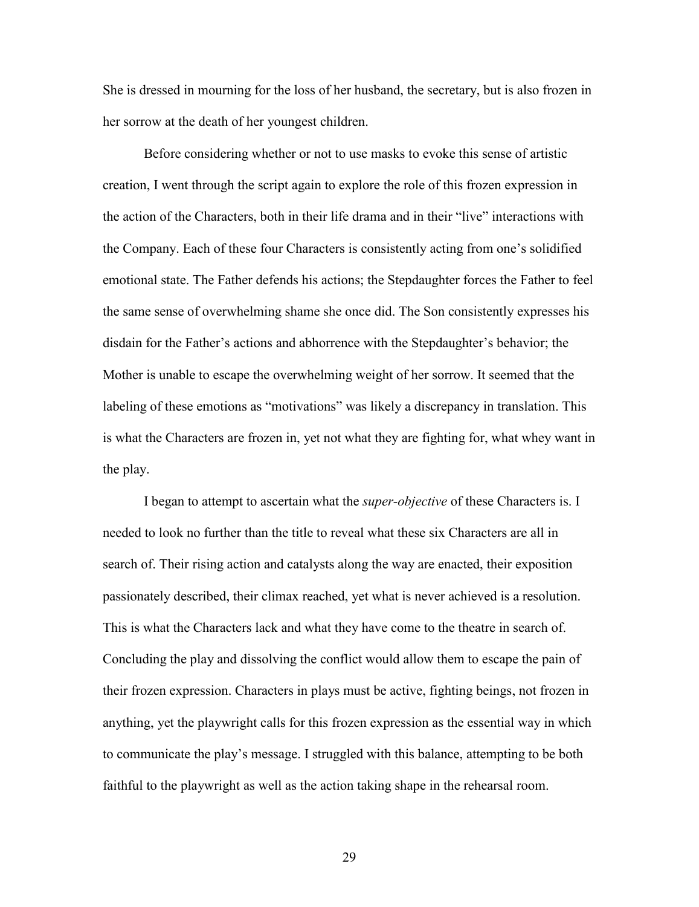She is dressed in mourning for the loss of her husband, the secretary, but is also frozen in her sorrow at the death of her youngest children.

Before considering whether or not to use masks to evoke this sense of artistic creation, I went through the script again to explore the role of this frozen expression in the action of the Characters, both in their life drama and in their "live" interactions with the Company. Each of these four Characters is consistently acting from one's solidified emotional state. The Father defends his actions; the Stepdaughter forces the Father to feel the same sense of overwhelming shame she once did. The Son consistently expresses his disdain for the Father's actions and abhorrence with the Stepdaughter's behavior; the Mother is unable to escape the overwhelming weight of her sorrow. It seemed that the labeling of these emotions as "motivations" was likely a discrepancy in translation. This is what the Characters are frozen in, yet not what they are fighting for, what whey want in the play.

I began to attempt to ascertain what the *super-objective* of these Characters is. I needed to look no further than the title to reveal what these six Characters are all in search of. Their rising action and catalysts along the way are enacted, their exposition passionately described, their climax reached, yet what is never achieved is a resolution. This is what the Characters lack and what they have come to the theatre in search of. Concluding the play and dissolving the conflict would allow them to escape the pain of their frozen expression. Characters in plays must be active, fighting beings, not frozen in anything, yet the playwright calls for this frozen expression as the essential way in which to communicate the play's message. I struggled with this balance, attempting to be both faithful to the playwright as well as the action taking shape in the rehearsal room.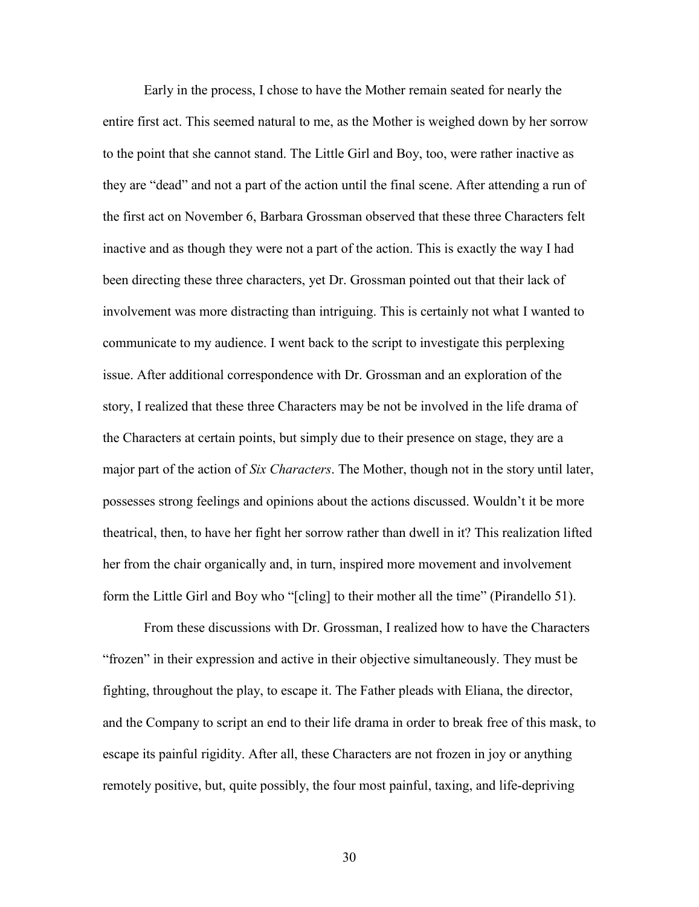Early in the process, I chose to have the Mother remain seated for nearly the entire first act. This seemed natural to me, as the Mother is weighed down by her sorrow to the point that she cannot stand. The Little Girl and Boy, too, were rather inactive as they are "dead" and not a part of the action until the final scene. After attending a run of the first act on November 6, Barbara Grossman observed that these three Characters felt inactive and as though they were not a part of the action. This is exactly the way I had been directing these three characters, yet Dr. Grossman pointed out that their lack of involvement was more distracting than intriguing. This is certainly not what I wanted to communicate to my audience. I went back to the script to investigate this perplexing issue. After additional correspondence with Dr. Grossman and an exploration of the story, I realized that these three Characters may be not be involved in the life drama of the Characters at certain points, but simply due to their presence on stage, they are a major part of the action of *Six Characters*. The Mother, though not in the story until later, possesses strong feelings and opinions about the actions discussed. Wouldn't it be more theatrical, then, to have her fight her sorrow rather than dwell in it? This realization lifted her from the chair organically and, in turn, inspired more movement and involvement form the Little Girl and Boy who "[cling] to their mother all the time" (Pirandello 51).

From these discussions with Dr. Grossman, I realized how to have the Characters "frozen" in their expression and active in their objective simultaneously. They must be fighting, throughout the play, to escape it. The Father pleads with Eliana, the director, and the Company to script an end to their life drama in order to break free of this mask, to escape its painful rigidity. After all, these Characters are not frozen in joy or anything remotely positive, but, quite possibly, the four most painful, taxing, and life-depriving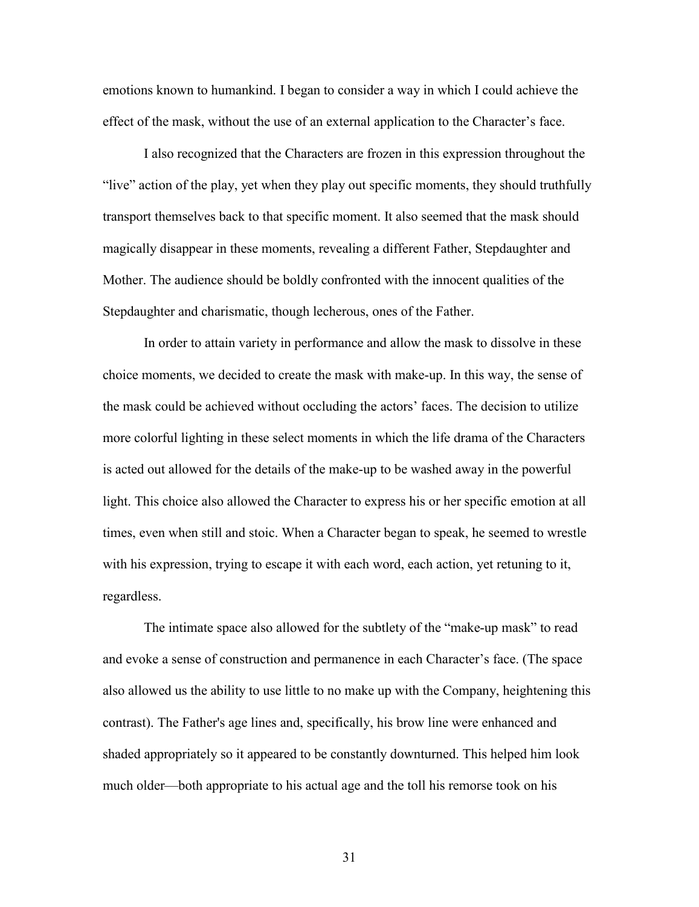emotions known to humankind. I began to consider a way in which I could achieve the effect of the mask, without the use of an external application to the Character's face.

I also recognized that the Characters are frozen in this expression throughout the "live" action of the play, yet when they play out specific moments, they should truthfully transport themselves back to that specific moment. It also seemed that the mask should magically disappear in these moments, revealing a different Father, Stepdaughter and Mother. The audience should be boldly confronted with the innocent qualities of the Stepdaughter and charismatic, though lecherous, ones of the Father.

In order to attain variety in performance and allow the mask to dissolve in these choice moments, we decided to create the mask with make-up. In this way, the sense of the mask could be achieved without occluding the actors' faces. The decision to utilize more colorful lighting in these select moments in which the life drama of the Characters is acted out allowed for the details of the make-up to be washed away in the powerful light. This choice also allowed the Character to express his or her specific emotion at all times, even when still and stoic. When a Character began to speak, he seemed to wrestle with his expression, trying to escape it with each word, each action, yet retuning to it, regardless.

The intimate space also allowed for the subtlety of the "make-up mask" to read and evoke a sense of construction and permanence in each Character's face. (The space also allowed us the ability to use little to no make up with the Company, heightening this contrast). The Father's age lines and, specifically, his brow line were enhanced and shaded appropriately so it appeared to be constantly downturned. This helped him look much older—both appropriate to his actual age and the toll his remorse took on his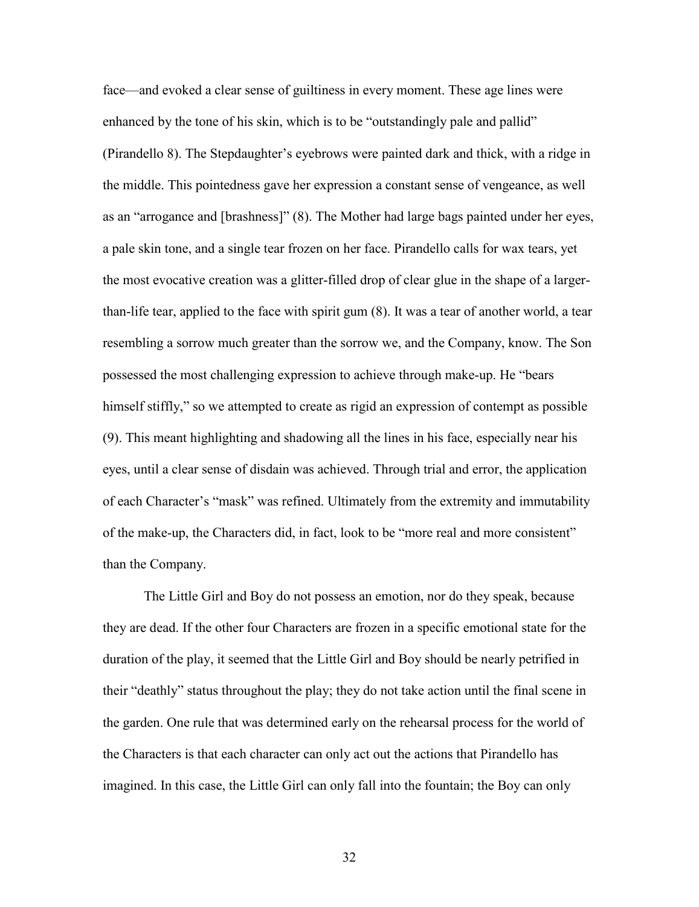face—and evoked a clear sense of guiltiness in every moment. These age lines were enhanced by the tone of his skin, which is to be "outstandingly pale and pallid" (Pirandello 8). The Stepdaughter's eyebrows were painted dark and thick, with a ridge in the middle. This pointedness gave her expression a constant sense of vengeance, as well as an "arrogance and [brashness]" (8). The Mother had large bags painted under her eyes, a pale skin tone, and a single tear frozen on her face. Pirandello calls for wax tears, yet the most evocative creation was a glitter-filled drop of clear glue in the shape of a largerthan-life tear, applied to the face with spirit gum (8). It was a tear of another world, a tear resembling a sorrow much greater than the sorrow we, and the Company, know. The Son possessed the most challenging expression to achieve through make-up. He "bears himself stiffly," so we attempted to create as rigid an expression of contempt as possible (9). This meant highlighting and shadowing all the lines in his face, especially near his eyes, until a clear sense of disdain was achieved. Through trial and error, the application of each Character's "mask" was refined. Ultimately from the extremity and immutability of the make-up, the Characters did, in fact, look to be "more real and more consistent" than the Company.

The Little Girl and Boy do not possess an emotion, nor do they speak, because they are dead. If the other four Characters are frozen in a specific emotional state for the duration of the play, it seemed that the Little Girl and Boy should be nearly petrified in their "deathly" status throughout the play; they do not take action until the final scene in the garden. One rule that was determined early on the rehearsal process for the world of the Characters is that each character can only act out the actions that Pirandello has imagined. In this case, the Little Girl can only fall into the fountain; the Boy can only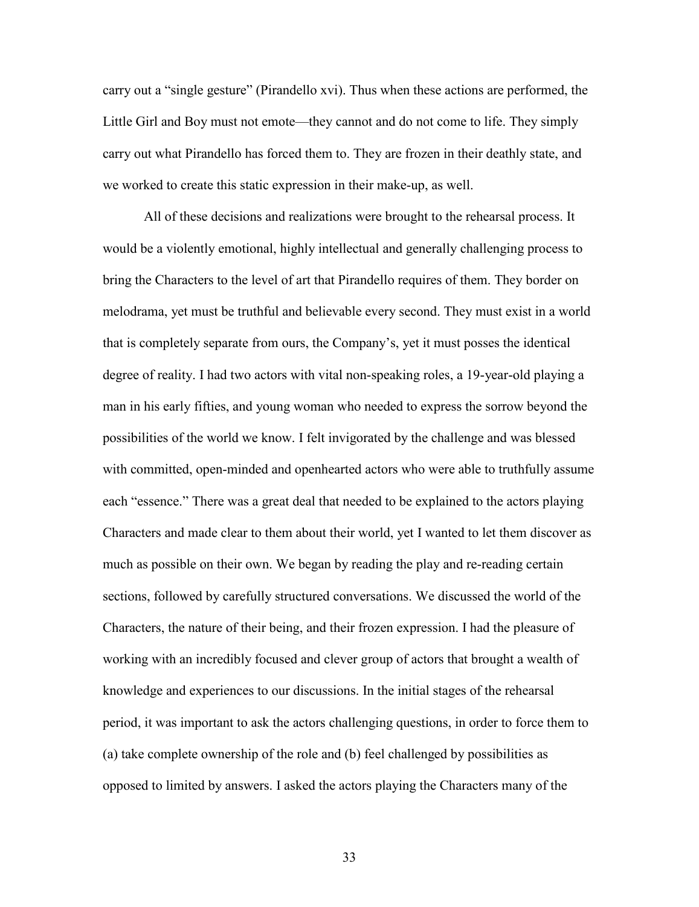carry out a "single gesture" (Pirandello xvi). Thus when these actions are performed, the Little Girl and Boy must not emote—they cannot and do not come to life. They simply carry out what Pirandello has forced them to. They are frozen in their deathly state, and we worked to create this static expression in their make-up, as well.

All of these decisions and realizations were brought to the rehearsal process. It would be a violently emotional, highly intellectual and generally challenging process to bring the Characters to the level of art that Pirandello requires of them. They border on melodrama, yet must be truthful and believable every second. They must exist in a world that is completely separate from ours, the Company's, yet it must posses the identical degree of reality. I had two actors with vital non-speaking roles, a 19-year-old playing a man in his early fifties, and young woman who needed to express the sorrow beyond the possibilities of the world we know. I felt invigorated by the challenge and was blessed with committed, open-minded and openhearted actors who were able to truthfully assume each "essence." There was a great deal that needed to be explained to the actors playing Characters and made clear to them about their world, yet I wanted to let them discover as much as possible on their own. We began by reading the play and re-reading certain sections, followed by carefully structured conversations. We discussed the world of the Characters, the nature of their being, and their frozen expression. I had the pleasure of working with an incredibly focused and clever group of actors that brought a wealth of knowledge and experiences to our discussions. In the initial stages of the rehearsal period, it was important to ask the actors challenging questions, in order to force them to (a) take complete ownership of the role and (b) feel challenged by possibilities as opposed to limited by answers. I asked the actors playing the Characters many of the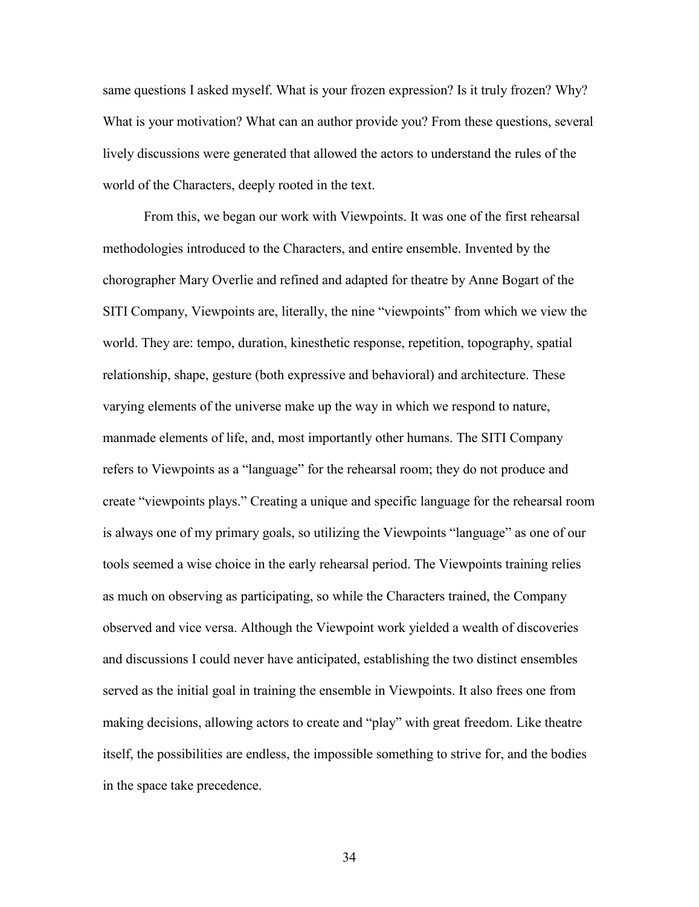same questions I asked myself. What is your frozen expression? Is it truly frozen? Why? What is your motivation? What can an author provide you? From these questions, several lively discussions were generated that allowed the actors to understand the rules of the world of the Characters, deeply rooted in the text.

From this, we began our work with Viewpoints. It was one of the first rehearsal methodologies introduced to the Characters, and entire ensemble. Invented by the chorographer Mary Overlie and refined and adapted for theatre by Anne Bogart of the SITI Company, Viewpoints are, literally, the nine "viewpoints" from which we view the world. They are: tempo, duration, kinesthetic response, repetition, topography, spatial relationship, shape, gesture (both expressive and behavioral) and architecture. These varying elements of the universe make up the way in which we respond to nature, manmade elements of life, and, most importantly other humans. The SITI Company refers to Viewpoints as a "language" for the rehearsal room; they do not produce and create "viewpoints plays." Creating a unique and specific language for the rehearsal room is always one of my primary goals, so utilizing the Viewpoints "language" as one of our tools seemed a wise choice in the early rehearsal period. The Viewpoints training relies as much on observing as participating, so while the Characters trained, the Company observed and vice versa. Although the Viewpoint work yielded a wealth of discoveries and discussions I could never have anticipated, establishing the two distinct ensembles served as the initial goal in training the ensemble in Viewpoints. It also frees one from making decisions, allowing actors to create and "play" with great freedom. Like theatre itself, the possibilities are endless, the impossible something to strive for, and the bodies in the space take precedence.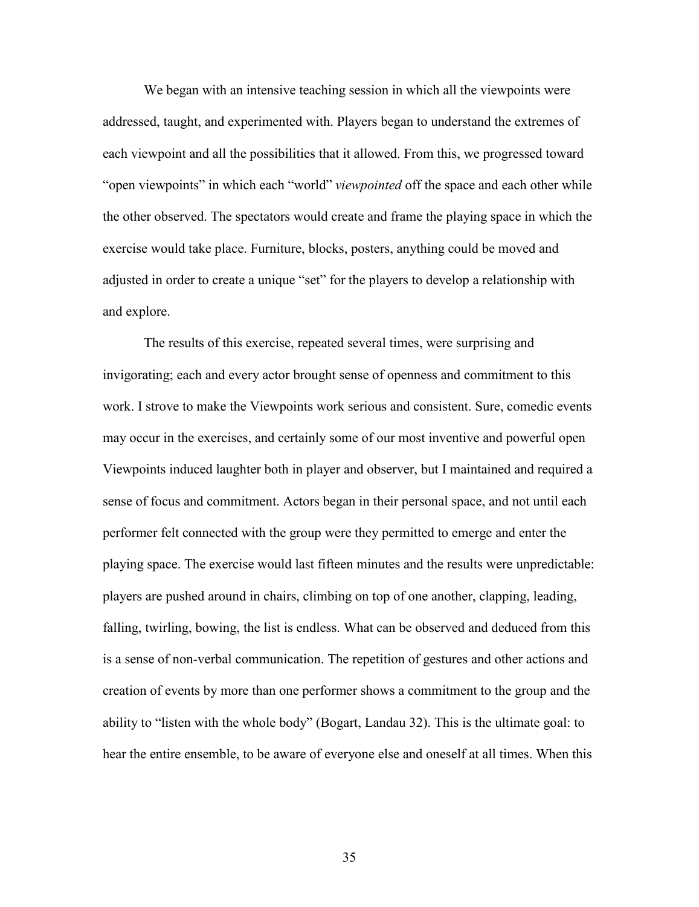We began with an intensive teaching session in which all the viewpoints were addressed, taught, and experimented with. Players began to understand the extremes of each viewpoint and all the possibilities that it allowed. From this, we progressed toward "open viewpoints" in which each "world" *viewpointed* off the space and each other while the other observed. The spectators would create and frame the playing space in which the exercise would take place. Furniture, blocks, posters, anything could be moved and adjusted in order to create a unique "set" for the players to develop a relationship with and explore.

The results of this exercise, repeated several times, were surprising and invigorating; each and every actor brought sense of openness and commitment to this work. I strove to make the Viewpoints work serious and consistent. Sure, comedic events may occur in the exercises, and certainly some of our most inventive and powerful open Viewpoints induced laughter both in player and observer, but I maintained and required a sense of focus and commitment. Actors began in their personal space, and not until each performer felt connected with the group were they permitted to emerge and enter the playing space. The exercise would last fifteen minutes and the results were unpredictable: players are pushed around in chairs, climbing on top of one another, clapping, leading, falling, twirling, bowing, the list is endless. What can be observed and deduced from this is a sense of non-verbal communication. The repetition of gestures and other actions and creation of events by more than one performer shows a commitment to the group and the ability to "listen with the whole body" (Bogart, Landau 32). This is the ultimate goal: to hear the entire ensemble, to be aware of everyone else and oneself at all times. When this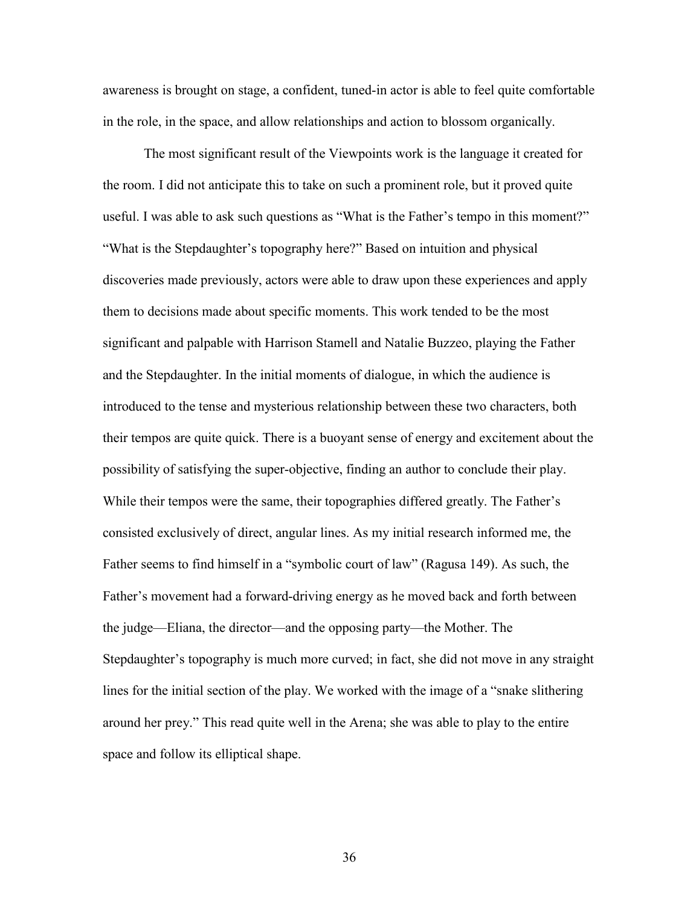awareness is brought on stage, a confident, tuned-in actor is able to feel quite comfortable in the role, in the space, and allow relationships and action to blossom organically.

The most significant result of the Viewpoints work is the language it created for the room. I did not anticipate this to take on such a prominent role, but it proved quite useful. I was able to ask such questions as "What is the Father's tempo in this moment?" "What is the Stepdaughter's topography here?" Based on intuition and physical discoveries made previously, actors were able to draw upon these experiences and apply them to decisions made about specific moments. This work tended to be the most significant and palpable with Harrison Stamell and Natalie Buzzeo, playing the Father and the Stepdaughter. In the initial moments of dialogue, in which the audience is introduced to the tense and mysterious relationship between these two characters, both their tempos are quite quick. There is a buoyant sense of energy and excitement about the possibility of satisfying the super-objective, finding an author to conclude their play. While their tempos were the same, their topographies differed greatly. The Father's consisted exclusively of direct, angular lines. As my initial research informed me, the Father seems to find himself in a "symbolic court of law" (Ragusa 149). As such, the Father's movement had a forward-driving energy as he moved back and forth between the judge—Eliana, the director—and the opposing party—the Mother. The Stepdaughter's topography is much more curved; in fact, she did not move in any straight lines for the initial section of the play. We worked with the image of a "snake slithering around her prey." This read quite well in the Arena; she was able to play to the entire space and follow its elliptical shape.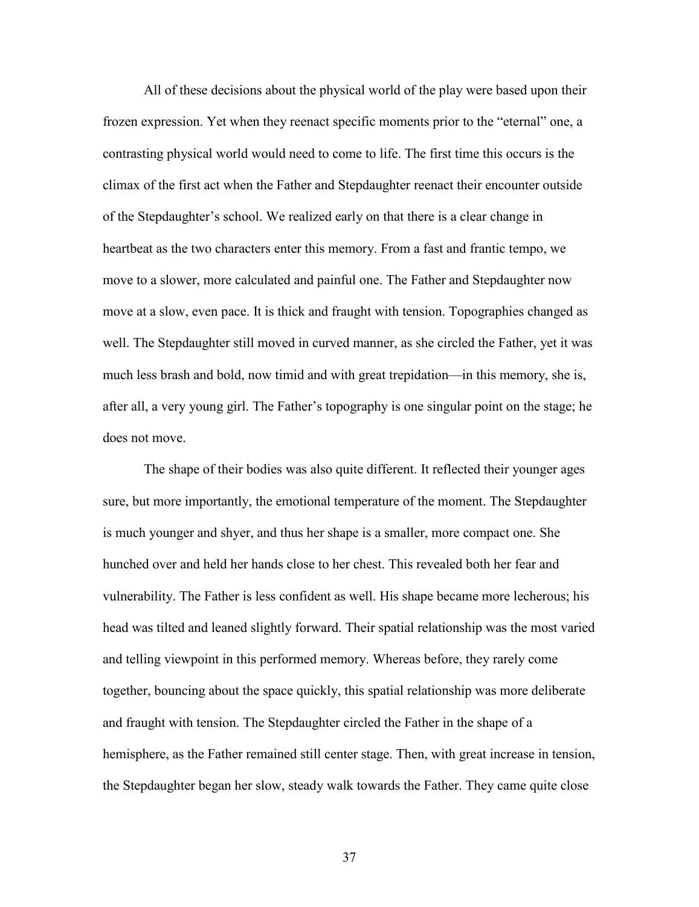All of these decisions about the physical world of the play were based upon their frozen expression. Yet when they reenact specific moments prior to the "eternal" one, a contrasting physical world would need to come to life. The first time this occurs is the climax of the first act when the Father and Stepdaughter reenact their encounter outside of the Stepdaughter's school. We realized early on that there is a clear change in heartbeat as the two characters enter this memory. From a fast and frantic tempo, we move to a slower, more calculated and painful one. The Father and Stepdaughter now move at a slow, even pace. It is thick and fraught with tension. Topographies changed as well. The Stepdaughter still moved in curved manner, as she circled the Father, yet it was much less brash and bold, now timid and with great trepidation—in this memory, she is, after all, a very young girl. The Father's topography is one singular point on the stage; he does not move.

The shape of their bodies was also quite different. It reflected their younger ages sure, but more importantly, the emotional temperature of the moment. The Stepdaughter is much younger and shyer, and thus her shape is a smaller, more compact one. She hunched over and held her hands close to her chest. This revealed both her fear and vulnerability. The Father is less confident as well. His shape became more lecherous; his head was tilted and leaned slightly forward. Their spatial relationship was the most varied and telling viewpoint in this performed memory. Whereas before, they rarely come together, bouncing about the space quickly, this spatial relationship was more deliberate and fraught with tension. The Stepdaughter circled the Father in the shape of a hemisphere, as the Father remained still center stage. Then, with great increase in tension, the Stepdaughter began her slow, steady walk towards the Father. They came quite close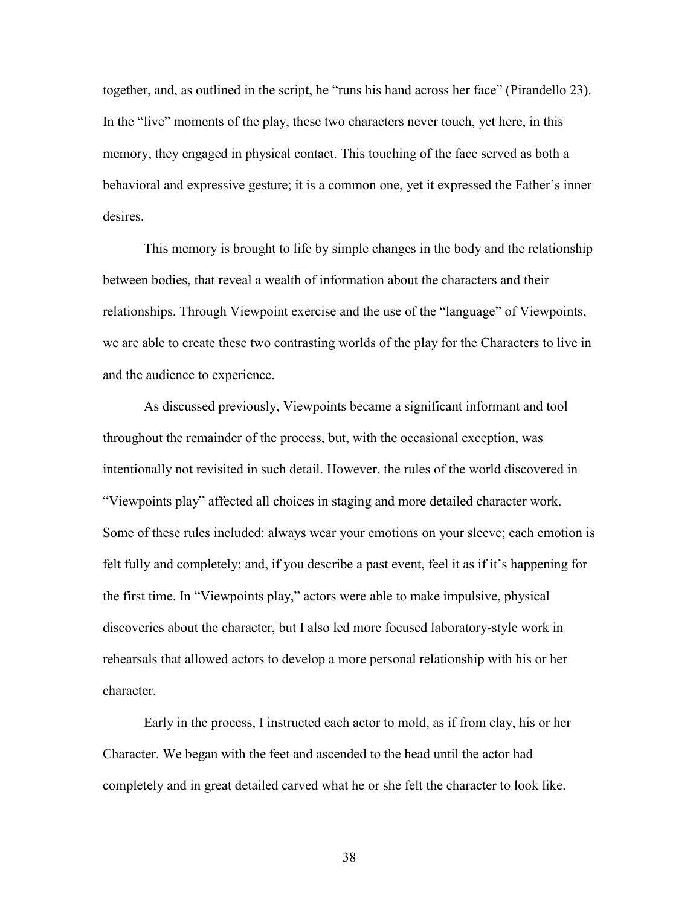together, and, as outlined in the script, he "runs his hand across her face" (Pirandello 23). In the "live" moments of the play, these two characters never touch, yet here, in this memory, they engaged in physical contact. This touching of the face served as both a behavioral and expressive gesture; it is a common one, yet it expressed the Father's inner desires.

This memory is brought to life by simple changes in the body and the relationship between bodies, that reveal a wealth of information about the characters and their relationships. Through Viewpoint exercise and the use of the "language" of Viewpoints, we are able to create these two contrasting worlds of the play for the Characters to live in and the audience to experience.

As discussed previously, Viewpoints became a significant informant and tool throughout the remainder of the process, but, with the occasional exception, was intentionally not revisited in such detail. However, the rules of the world discovered in "Viewpoints play" affected all choices in staging and more detailed character work. Some of these rules included: always wear your emotions on your sleeve; each emotion is felt fully and completely; and, if you describe a past event, feel it as if it's happening for the first time. In "Viewpoints play," actors were able to make impulsive, physical discoveries about the character, but I also led more focused laboratory-style work in rehearsals that allowed actors to develop a more personal relationship with his or her character.

Early in the process, I instructed each actor to mold, as if from clay, his or her Character. We began with the feet and ascended to the head until the actor had completely and in great detailed carved what he or she felt the character to look like.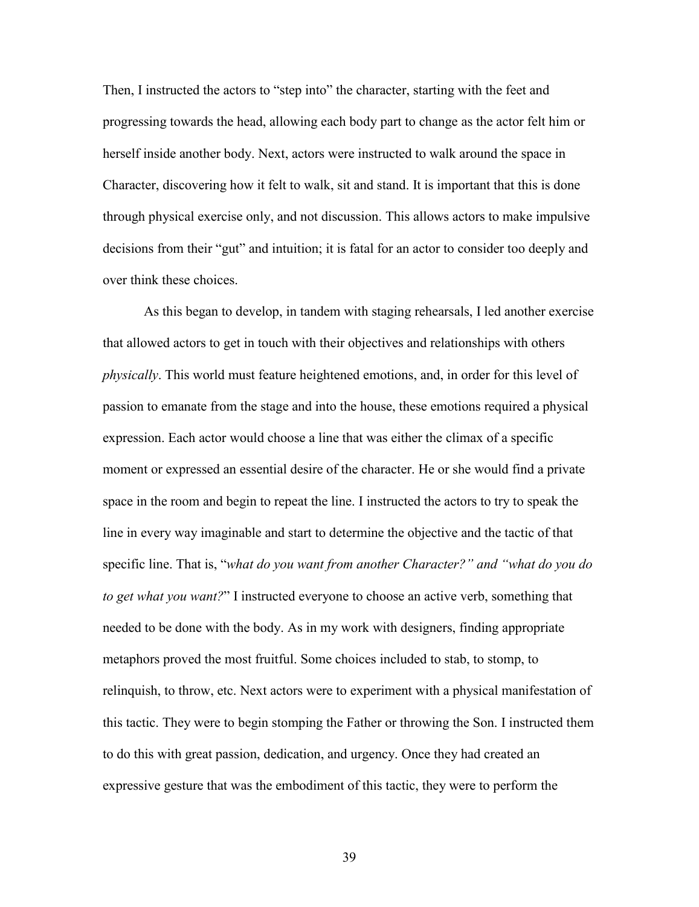Then, I instructed the actors to "step into" the character, starting with the feet and progressing towards the head, allowing each body part to change as the actor felt him or herself inside another body. Next, actors were instructed to walk around the space in Character, discovering how it felt to walk, sit and stand. It is important that this is done through physical exercise only, and not discussion. This allows actors to make impulsive decisions from their "gut" and intuition; it is fatal for an actor to consider too deeply and over think these choices.

As this began to develop, in tandem with staging rehearsals, I led another exercise that allowed actors to get in touch with their objectives and relationships with others *physically*. This world must feature heightened emotions, and, in order for this level of passion to emanate from the stage and into the house, these emotions required a physical expression. Each actor would choose a line that was either the climax of a specific moment or expressed an essential desire of the character. He or she would find a private space in the room and begin to repeat the line. I instructed the actors to try to speak the line in every way imaginable and start to determine the objective and the tactic of that specific line. That is, "*what do you want from another Character?" and "what do you do to get what you want?*" I instructed everyone to choose an active verb, something that needed to be done with the body. As in my work with designers, finding appropriate metaphors proved the most fruitful. Some choices included to stab, to stomp, to relinquish, to throw, etc. Next actors were to experiment with a physical manifestation of this tactic. They were to begin stomping the Father or throwing the Son. I instructed them to do this with great passion, dedication, and urgency. Once they had created an expressive gesture that was the embodiment of this tactic, they were to perform the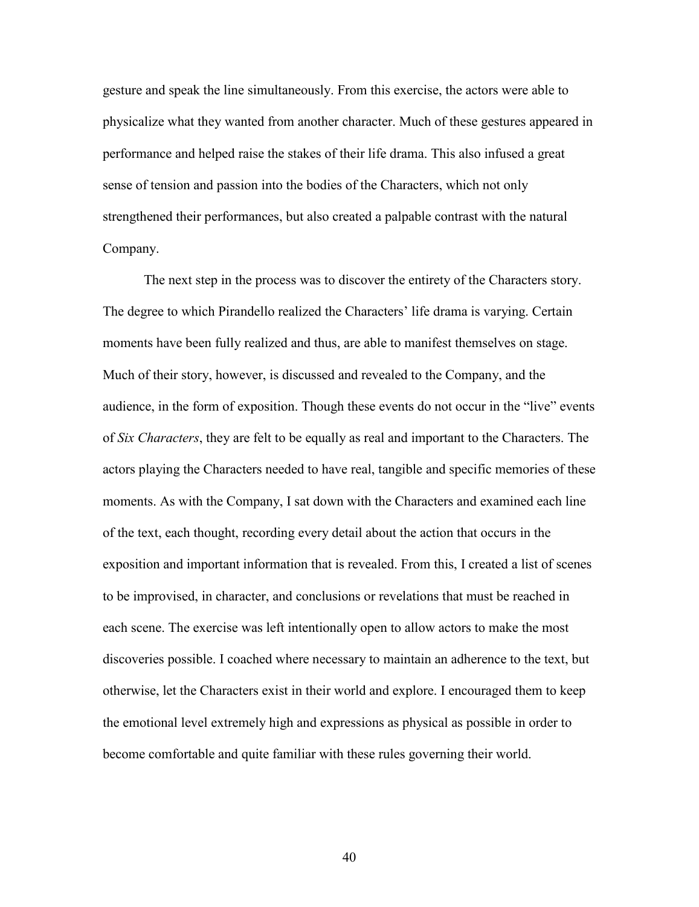gesture and speak the line simultaneously. From this exercise, the actors were able to physicalize what they wanted from another character. Much of these gestures appeared in performance and helped raise the stakes of their life drama. This also infused a great sense of tension and passion into the bodies of the Characters, which not only strengthened their performances, but also created a palpable contrast with the natural Company.

The next step in the process was to discover the entirety of the Characters story. The degree to which Pirandello realized the Characters' life drama is varying. Certain moments have been fully realized and thus, are able to manifest themselves on stage. Much of their story, however, is discussed and revealed to the Company, and the audience, in the form of exposition. Though these events do not occur in the "live" events of *Six Characters*, they are felt to be equally as real and important to the Characters. The actors playing the Characters needed to have real, tangible and specific memories of these moments. As with the Company, I sat down with the Characters and examined each line of the text, each thought, recording every detail about the action that occurs in the exposition and important information that is revealed. From this, I created a list of scenes to be improvised, in character, and conclusions or revelations that must be reached in each scene. The exercise was left intentionally open to allow actors to make the most discoveries possible. I coached where necessary to maintain an adherence to the text, but otherwise, let the Characters exist in their world and explore. I encouraged them to keep the emotional level extremely high and expressions as physical as possible in order to become comfortable and quite familiar with these rules governing their world.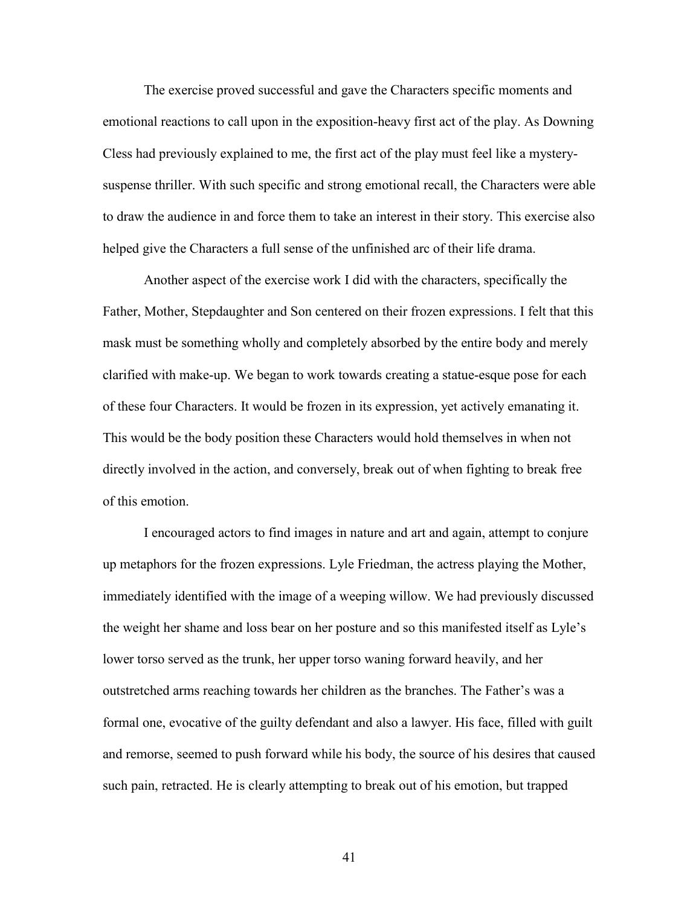The exercise proved successful and gave the Characters specific moments and emotional reactions to call upon in the exposition-heavy first act of the play. As Downing Cless had previously explained to me, the first act of the play must feel like a mysterysuspense thriller. With such specific and strong emotional recall, the Characters were able to draw the audience in and force them to take an interest in their story. This exercise also helped give the Characters a full sense of the unfinished arc of their life drama.

Another aspect of the exercise work I did with the characters, specifically the Father, Mother, Stepdaughter and Son centered on their frozen expressions. I felt that this mask must be something wholly and completely absorbed by the entire body and merely clarified with make-up. We began to work towards creating a statue-esque pose for each of these four Characters. It would be frozen in its expression, yet actively emanating it. This would be the body position these Characters would hold themselves in when not directly involved in the action, and conversely, break out of when fighting to break free of this emotion.

I encouraged actors to find images in nature and art and again, attempt to conjure up metaphors for the frozen expressions. Lyle Friedman, the actress playing the Mother, immediately identified with the image of a weeping willow. We had previously discussed the weight her shame and loss bear on her posture and so this manifested itself as Lyle's lower torso served as the trunk, her upper torso waning forward heavily, and her outstretched arms reaching towards her children as the branches. The Father's was a formal one, evocative of the guilty defendant and also a lawyer. His face, filled with guilt and remorse, seemed to push forward while his body, the source of his desires that caused such pain, retracted. He is clearly attempting to break out of his emotion, but trapped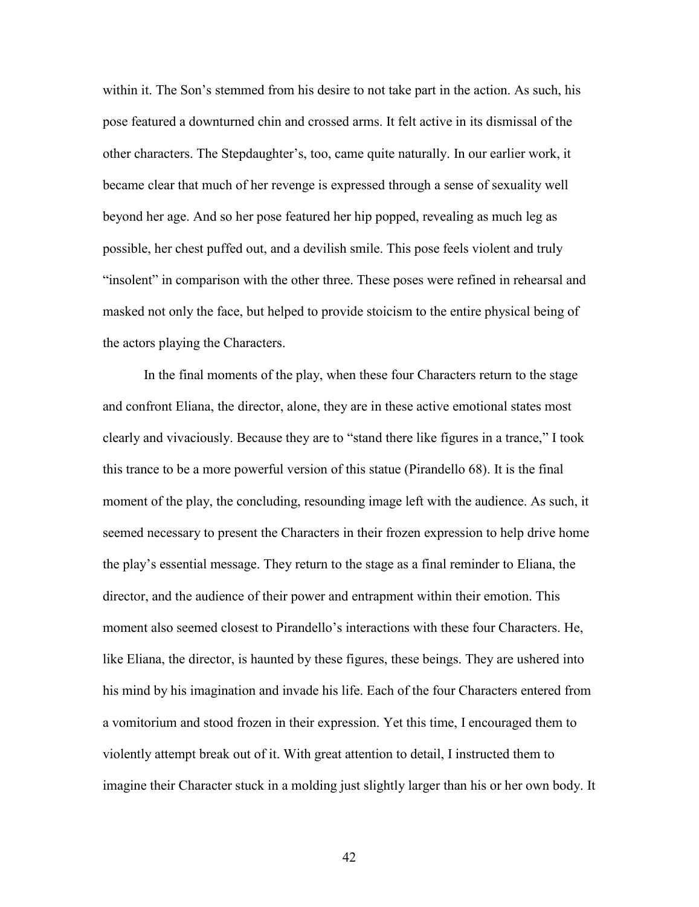within it. The Son's stemmed from his desire to not take part in the action. As such, his pose featured a downturned chin and crossed arms. It felt active in its dismissal of the other characters. The Stepdaughter's, too, came quite naturally. In our earlier work, it became clear that much of her revenge is expressed through a sense of sexuality well beyond her age. And so her pose featured her hip popped, revealing as much leg as possible, her chest puffed out, and a devilish smile. This pose feels violent and truly "insolent" in comparison with the other three. These poses were refined in rehearsal and masked not only the face, but helped to provide stoicism to the entire physical being of the actors playing the Characters.

In the final moments of the play, when these four Characters return to the stage and confront Eliana, the director, alone, they are in these active emotional states most clearly and vivaciously. Because they are to "stand there like figures in a trance," I took this trance to be a more powerful version of this statue (Pirandello 68). It is the final moment of the play, the concluding, resounding image left with the audience. As such, it seemed necessary to present the Characters in their frozen expression to help drive home the play's essential message. They return to the stage as a final reminder to Eliana, the director, and the audience of their power and entrapment within their emotion. This moment also seemed closest to Pirandello's interactions with these four Characters. He, like Eliana, the director, is haunted by these figures, these beings. They are ushered into his mind by his imagination and invade his life. Each of the four Characters entered from a vomitorium and stood frozen in their expression. Yet this time, I encouraged them to violently attempt break out of it. With great attention to detail, I instructed them to imagine their Character stuck in a molding just slightly larger than his or her own body. It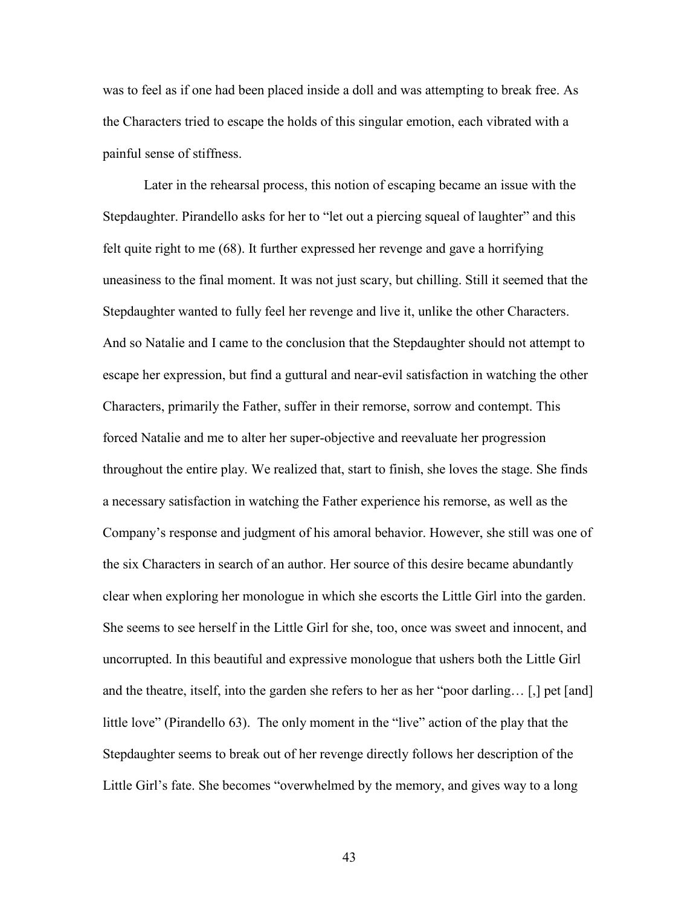was to feel as if one had been placed inside a doll and was attempting to break free. As the Characters tried to escape the holds of this singular emotion, each vibrated with a painful sense of stiffness.

Later in the rehearsal process, this notion of escaping became an issue with the Stepdaughter. Pirandello asks for her to "let out a piercing squeal of laughter" and this felt quite right to me (68). It further expressed her revenge and gave a horrifying uneasiness to the final moment. It was not just scary, but chilling. Still it seemed that the Stepdaughter wanted to fully feel her revenge and live it, unlike the other Characters. And so Natalie and I came to the conclusion that the Stepdaughter should not attempt to escape her expression, but find a guttural and near-evil satisfaction in watching the other Characters, primarily the Father, suffer in their remorse, sorrow and contempt. This forced Natalie and me to alter her super-objective and reevaluate her progression throughout the entire play. We realized that, start to finish, she loves the stage. She finds a necessary satisfaction in watching the Father experience his remorse, as well as the Company's response and judgment of his amoral behavior. However, she still was one of the six Characters in search of an author. Her source of this desire became abundantly clear when exploring her monologue in which she escorts the Little Girl into the garden. She seems to see herself in the Little Girl for she, too, once was sweet and innocent, and uncorrupted. In this beautiful and expressive monologue that ushers both the Little Girl and the theatre, itself, into the garden she refers to her as her "poor darling… [,] pet [and] little love" (Pirandello 63). The only moment in the "live" action of the play that the Stepdaughter seems to break out of her revenge directly follows her description of the Little Girl's fate. She becomes "overwhelmed by the memory, and gives way to a long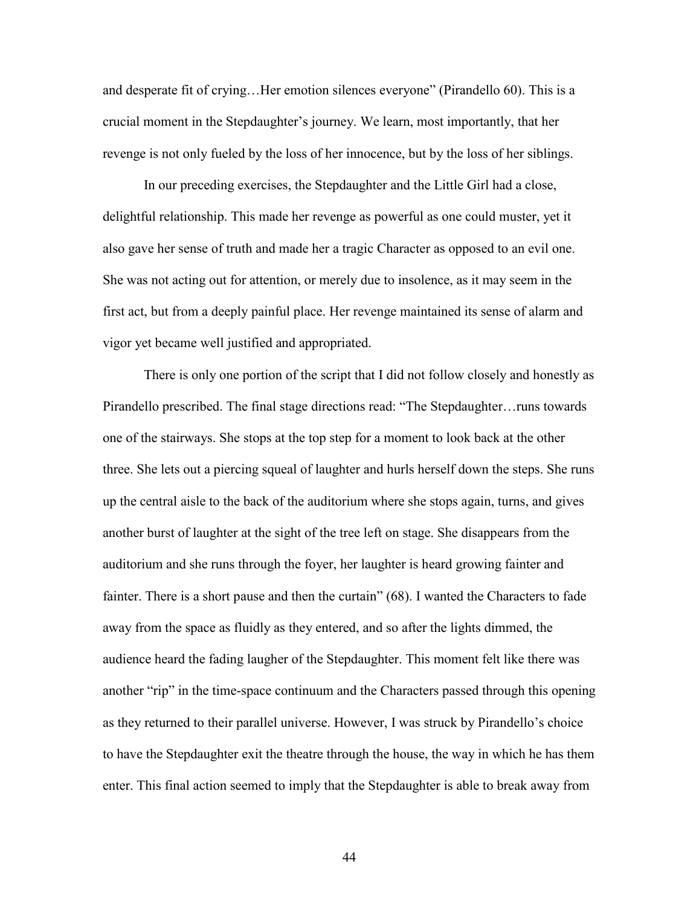and desperate fit of crying…Her emotion silences everyone" (Pirandello 60). This is a crucial moment in the Stepdaughter's journey. We learn, most importantly, that her revenge is not only fueled by the loss of her innocence, but by the loss of her siblings.

In our preceding exercises, the Stepdaughter and the Little Girl had a close, delightful relationship. This made her revenge as powerful as one could muster, yet it also gave her sense of truth and made her a tragic Character as opposed to an evil one. She was not acting out for attention, or merely due to insolence, as it may seem in the first act, but from a deeply painful place. Her revenge maintained its sense of alarm and vigor yet became well justified and appropriated.

There is only one portion of the script that I did not follow closely and honestly as Pirandello prescribed. The final stage directions read: "The Stepdaughter…runs towards one of the stairways. She stops at the top step for a moment to look back at the other three. She lets out a piercing squeal of laughter and hurls herself down the steps. She runs up the central aisle to the back of the auditorium where she stops again, turns, and gives another burst of laughter at the sight of the tree left on stage. She disappears from the auditorium and she runs through the foyer, her laughter is heard growing fainter and fainter. There is a short pause and then the curtain" (68). I wanted the Characters to fade away from the space as fluidly as they entered, and so after the lights dimmed, the audience heard the fading laugher of the Stepdaughter. This moment felt like there was another "rip" in the time-space continuum and the Characters passed through this opening as they returned to their parallel universe. However, I was struck by Pirandello's choice to have the Stepdaughter exit the theatre through the house, the way in which he has them enter. This final action seemed to imply that the Stepdaughter is able to break away from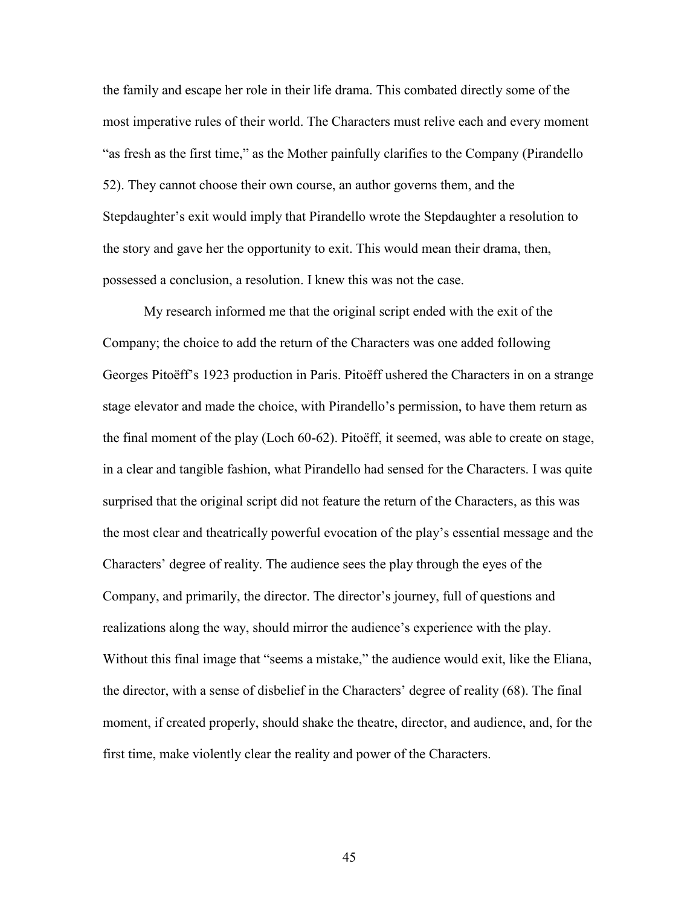the family and escape her role in their life drama. This combated directly some of the most imperative rules of their world. The Characters must relive each and every moment "as fresh as the first time," as the Mother painfully clarifies to the Company (Pirandello 52). They cannot choose their own course, an author governs them, and the Stepdaughter's exit would imply that Pirandello wrote the Stepdaughter a resolution to the story and gave her the opportunity to exit. This would mean their drama, then, possessed a conclusion, a resolution. I knew this was not the case.

My research informed me that the original script ended with the exit of the Company; the choice to add the return of the Characters was one added following Georges Pitoëff's 1923 production in Paris. Pitoëff ushered the Characters in on a strange stage elevator and made the choice, with Pirandello's permission, to have them return as the final moment of the play (Loch 60-62). Pitoëff, it seemed, was able to create on stage, in a clear and tangible fashion, what Pirandello had sensed for the Characters. I was quite surprised that the original script did not feature the return of the Characters, as this was the most clear and theatrically powerful evocation of the play's essential message and the Characters' degree of reality. The audience sees the play through the eyes of the Company, and primarily, the director. The director's journey, full of questions and realizations along the way, should mirror the audience's experience with the play. Without this final image that "seems a mistake," the audience would exit, like the Eliana, the director, with a sense of disbelief in the Characters' degree of reality (68). The final moment, if created properly, should shake the theatre, director, and audience, and, for the first time, make violently clear the reality and power of the Characters.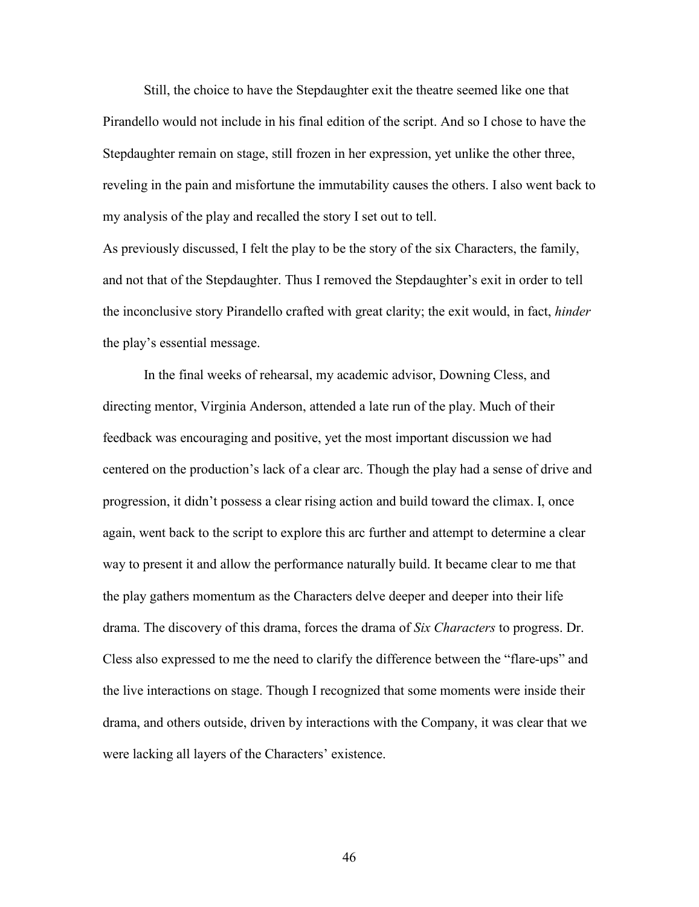Still, the choice to have the Stepdaughter exit the theatre seemed like one that Pirandello would not include in his final edition of the script. And so I chose to have the Stepdaughter remain on stage, still frozen in her expression, yet unlike the other three, reveling in the pain and misfortune the immutability causes the others. I also went back to my analysis of the play and recalled the story I set out to tell.

As previously discussed, I felt the play to be the story of the six Characters, the family, and not that of the Stepdaughter. Thus I removed the Stepdaughter's exit in order to tell the inconclusive story Pirandello crafted with great clarity; the exit would, in fact, *hinder* the play's essential message.

In the final weeks of rehearsal, my academic advisor, Downing Cless, and directing mentor, Virginia Anderson, attended a late run of the play. Much of their feedback was encouraging and positive, yet the most important discussion we had centered on the production's lack of a clear arc. Though the play had a sense of drive and progression, it didn't possess a clear rising action and build toward the climax. I, once again, went back to the script to explore this arc further and attempt to determine a clear way to present it and allow the performance naturally build. It became clear to me that the play gathers momentum as the Characters delve deeper and deeper into their life drama. The discovery of this drama, forces the drama of *Six Characters* to progress. Dr. Cless also expressed to me the need to clarify the difference between the "flare-ups" and the live interactions on stage. Though I recognized that some moments were inside their drama, and others outside, driven by interactions with the Company, it was clear that we were lacking all layers of the Characters' existence.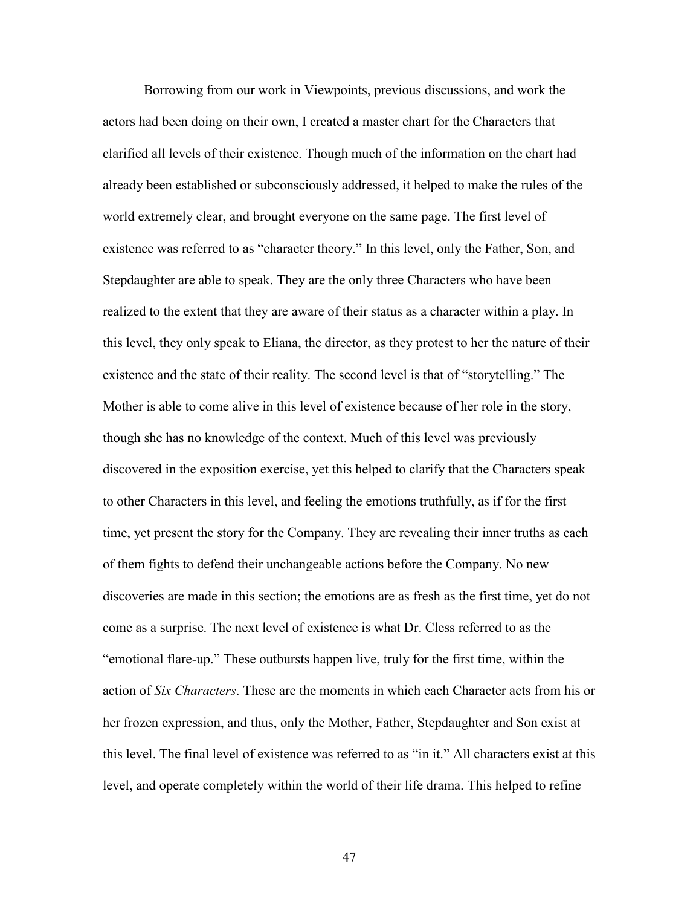Borrowing from our work in Viewpoints, previous discussions, and work the actors had been doing on their own, I created a master chart for the Characters that clarified all levels of their existence. Though much of the information on the chart had already been established or subconsciously addressed, it helped to make the rules of the world extremely clear, and brought everyone on the same page. The first level of existence was referred to as "character theory." In this level, only the Father, Son, and Stepdaughter are able to speak. They are the only three Characters who have been realized to the extent that they are aware of their status as a character within a play. In this level, they only speak to Eliana, the director, as they protest to her the nature of their existence and the state of their reality. The second level is that of "storytelling." The Mother is able to come alive in this level of existence because of her role in the story, though she has no knowledge of the context. Much of this level was previously discovered in the exposition exercise, yet this helped to clarify that the Characters speak to other Characters in this level, and feeling the emotions truthfully, as if for the first time, yet present the story for the Company. They are revealing their inner truths as each of them fights to defend their unchangeable actions before the Company. No new discoveries are made in this section; the emotions are as fresh as the first time, yet do not come as a surprise. The next level of existence is what Dr. Cless referred to as the "emotional flare-up." These outbursts happen live, truly for the first time, within the action of *Six Characters*. These are the moments in which each Character acts from his or her frozen expression, and thus, only the Mother, Father, Stepdaughter and Son exist at this level. The final level of existence was referred to as "in it." All characters exist at this level, and operate completely within the world of their life drama. This helped to refine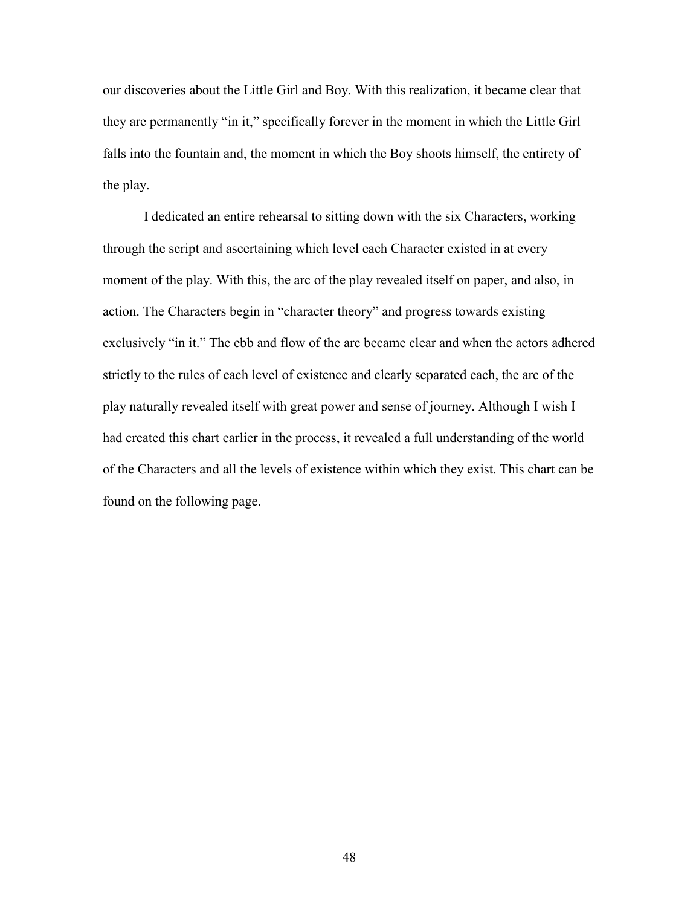our discoveries about the Little Girl and Boy. With this realization, it became clear that they are permanently "in it," specifically forever in the moment in which the Little Girl falls into the fountain and, the moment in which the Boy shoots himself, the entirety of the play.

I dedicated an entire rehearsal to sitting down with the six Characters, working through the script and ascertaining which level each Character existed in at every moment of the play. With this, the arc of the play revealed itself on paper, and also, in action. The Characters begin in "character theory" and progress towards existing exclusively "in it." The ebb and flow of the arc became clear and when the actors adhered strictly to the rules of each level of existence and clearly separated each, the arc of the play naturally revealed itself with great power and sense of journey. Although I wish I had created this chart earlier in the process, it revealed a full understanding of the world of the Characters and all the levels of existence within which they exist. This chart can be found on the following page.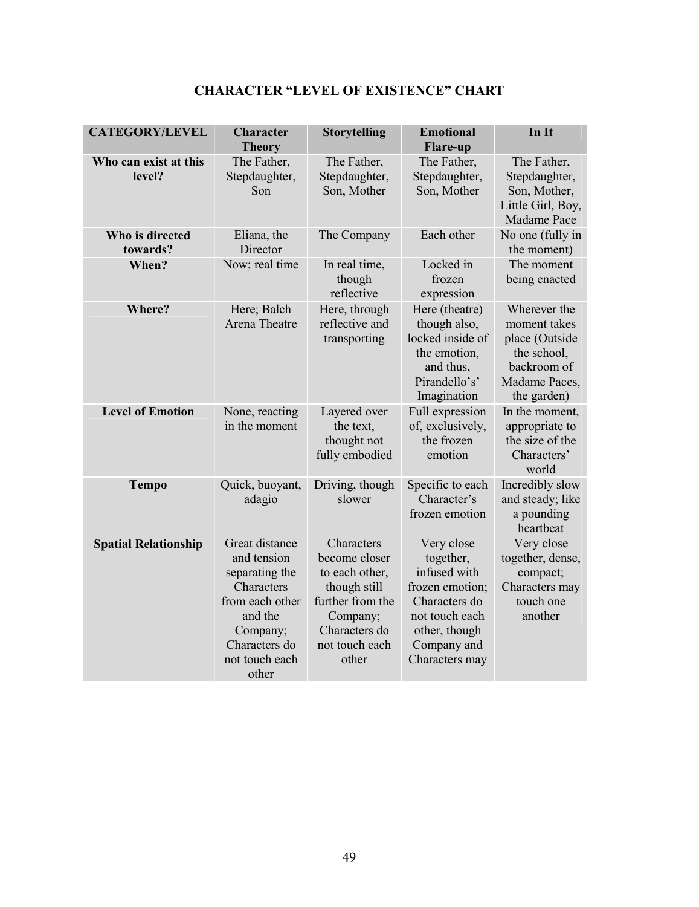| <b>CATEGORY/LEVEL</b>           | <b>Character</b><br><b>Theory</b>                                                                                                                   | <b>Storytelling</b>                                                                                                                       | <b>Emotional</b><br><b>Flare-up</b>                                                                                                             | In It                                                                                                        |
|---------------------------------|-----------------------------------------------------------------------------------------------------------------------------------------------------|-------------------------------------------------------------------------------------------------------------------------------------------|-------------------------------------------------------------------------------------------------------------------------------------------------|--------------------------------------------------------------------------------------------------------------|
| Who can exist at this<br>level? | The Father,<br>Stepdaughter,<br>Son                                                                                                                 | The Father,<br>Stepdaughter,<br>Son, Mother                                                                                               | The Father,<br>Stepdaughter,<br>Son, Mother                                                                                                     | The Father,<br>Stepdaughter,<br>Son, Mother,<br>Little Girl, Boy,<br>Madame Pace                             |
| Who is directed<br>towards?     | Eliana, the<br>Director                                                                                                                             | The Company                                                                                                                               | Each other                                                                                                                                      | No one (fully in<br>the moment)                                                                              |
| When?                           | Now; real time                                                                                                                                      | In real time,<br>though<br>reflective                                                                                                     | Locked in<br>frozen<br>expression                                                                                                               | The moment<br>being enacted                                                                                  |
| Where?                          | Here; Balch<br>Arena Theatre                                                                                                                        | Here, through<br>reflective and<br>transporting                                                                                           | Here (theatre)<br>though also,<br>locked inside of<br>the emotion,<br>and thus,<br>Pirandello's'<br>Imagination                                 | Wherever the<br>moment takes<br>place (Outside<br>the school,<br>backroom of<br>Madame Paces,<br>the garden) |
| <b>Level of Emotion</b>         | None, reacting<br>in the moment                                                                                                                     | Layered over<br>the text,<br>thought not<br>fully embodied                                                                                | Full expression<br>of, exclusively,<br>the frozen<br>emotion                                                                                    | In the moment,<br>appropriate to<br>the size of the<br>Characters'<br>world                                  |
| <b>Tempo</b>                    | Quick, buoyant,<br>adagio                                                                                                                           | Driving, though<br>slower                                                                                                                 | Specific to each<br>Character's<br>frozen emotion                                                                                               | Incredibly slow<br>and steady; like<br>a pounding<br>heartbeat                                               |
| <b>Spatial Relationship</b>     | Great distance<br>and tension<br>separating the<br>Characters<br>from each other<br>and the<br>Company;<br>Characters do<br>not touch each<br>other | Characters<br>become closer<br>to each other,<br>though still<br>further from the<br>Company;<br>Characters do<br>not touch each<br>other | Very close<br>together,<br>infused with<br>frozen emotion;<br>Characters do<br>not touch each<br>other, though<br>Company and<br>Characters may | Very close<br>together, dense,<br>compact;<br>Characters may<br>touch one<br>another                         |

## **CHARACTER "LEVEL OF EXISTENCE" CHART**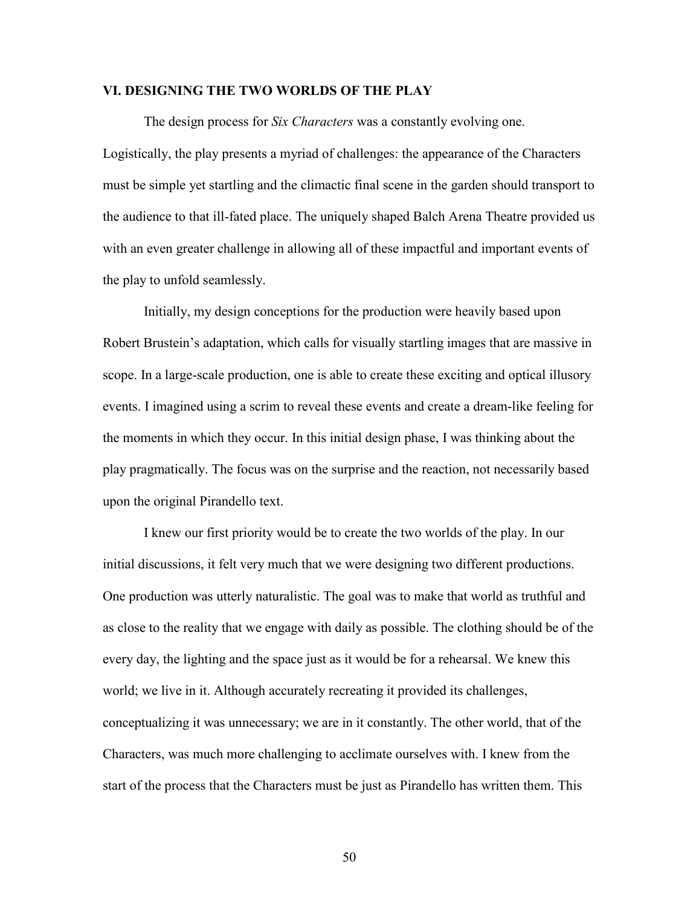#### **VI. DESIGNING THE TWO WORLDS OF THE PLAY**

The design process for *Six Characters* was a constantly evolving one. Logistically, the play presents a myriad of challenges: the appearance of the Characters must be simple yet startling and the climactic final scene in the garden should transport to the audience to that ill-fated place. The uniquely shaped Balch Arena Theatre provided us with an even greater challenge in allowing all of these impactful and important events of the play to unfold seamlessly.

Initially, my design conceptions for the production were heavily based upon Robert Brustein's adaptation, which calls for visually startling images that are massive in scope. In a large-scale production, one is able to create these exciting and optical illusory events. I imagined using a scrim to reveal these events and create a dream-like feeling for the moments in which they occur. In this initial design phase, I was thinking about the play pragmatically. The focus was on the surprise and the reaction, not necessarily based upon the original Pirandello text.

I knew our first priority would be to create the two worlds of the play. In our initial discussions, it felt very much that we were designing two different productions. One production was utterly naturalistic. The goal was to make that world as truthful and as close to the reality that we engage with daily as possible. The clothing should be of the every day, the lighting and the space just as it would be for a rehearsal. We knew this world; we live in it. Although accurately recreating it provided its challenges, conceptualizing it was unnecessary; we are in it constantly. The other world, that of the Characters, was much more challenging to acclimate ourselves with. I knew from the start of the process that the Characters must be just as Pirandello has written them. This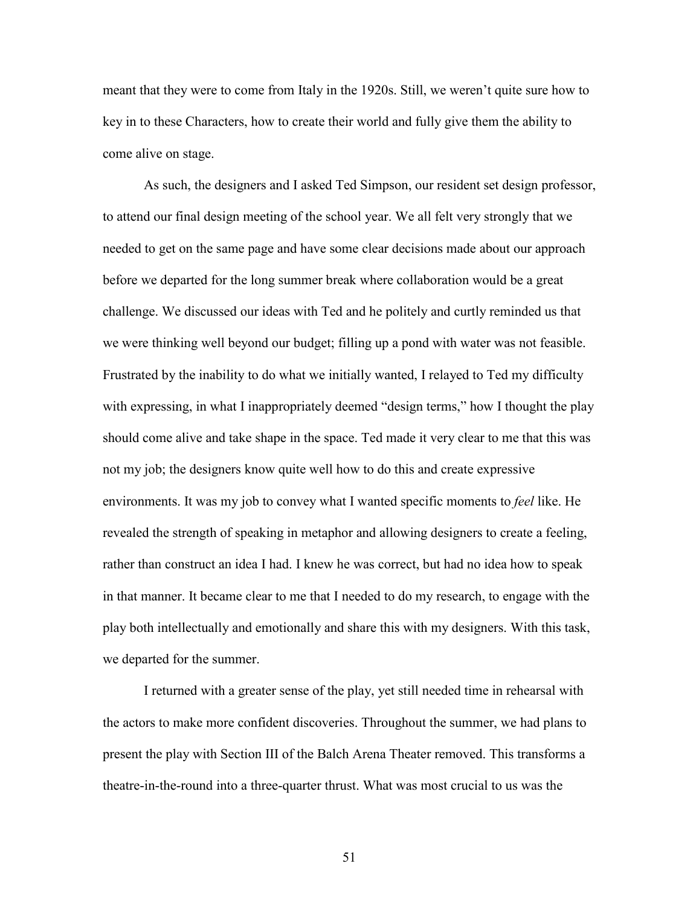meant that they were to come from Italy in the 1920s. Still, we weren't quite sure how to key in to these Characters, how to create their world and fully give them the ability to come alive on stage.

As such, the designers and I asked Ted Simpson, our resident set design professor, to attend our final design meeting of the school year. We all felt very strongly that we needed to get on the same page and have some clear decisions made about our approach before we departed for the long summer break where collaboration would be a great challenge. We discussed our ideas with Ted and he politely and curtly reminded us that we were thinking well beyond our budget; filling up a pond with water was not feasible. Frustrated by the inability to do what we initially wanted, I relayed to Ted my difficulty with expressing, in what I inappropriately deemed "design terms," how I thought the play should come alive and take shape in the space. Ted made it very clear to me that this was not my job; the designers know quite well how to do this and create expressive environments. It was my job to convey what I wanted specific moments to *feel* like. He revealed the strength of speaking in metaphor and allowing designers to create a feeling, rather than construct an idea I had. I knew he was correct, but had no idea how to speak in that manner. It became clear to me that I needed to do my research, to engage with the play both intellectually and emotionally and share this with my designers. With this task, we departed for the summer.

I returned with a greater sense of the play, yet still needed time in rehearsal with the actors to make more confident discoveries. Throughout the summer, we had plans to present the play with Section III of the Balch Arena Theater removed. This transforms a theatre-in-the-round into a three-quarter thrust. What was most crucial to us was the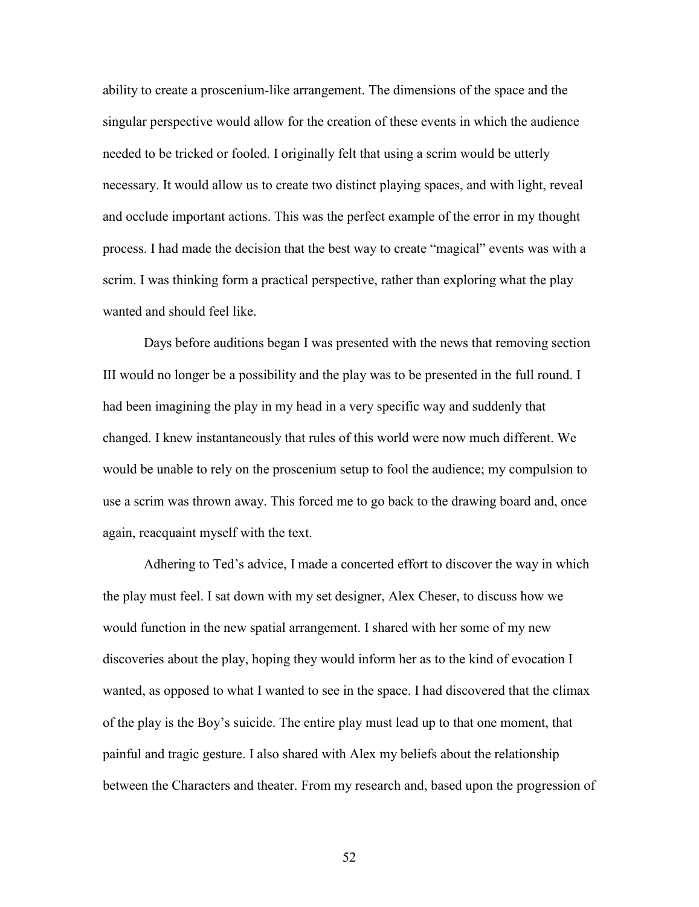ability to create a proscenium-like arrangement. The dimensions of the space and the singular perspective would allow for the creation of these events in which the audience needed to be tricked or fooled. I originally felt that using a scrim would be utterly necessary. It would allow us to create two distinct playing spaces, and with light, reveal and occlude important actions. This was the perfect example of the error in my thought process. I had made the decision that the best way to create "magical" events was with a scrim. I was thinking form a practical perspective, rather than exploring what the play wanted and should feel like.

Days before auditions began I was presented with the news that removing section III would no longer be a possibility and the play was to be presented in the full round. I had been imagining the play in my head in a very specific way and suddenly that changed. I knew instantaneously that rules of this world were now much different. We would be unable to rely on the proscenium setup to fool the audience; my compulsion to use a scrim was thrown away. This forced me to go back to the drawing board and, once again, reacquaint myself with the text.

Adhering to Ted's advice, I made a concerted effort to discover the way in which the play must feel. I sat down with my set designer, Alex Cheser, to discuss how we would function in the new spatial arrangement. I shared with her some of my new discoveries about the play, hoping they would inform her as to the kind of evocation I wanted, as opposed to what I wanted to see in the space. I had discovered that the climax of the play is the Boy's suicide. The entire play must lead up to that one moment, that painful and tragic gesture. I also shared with Alex my beliefs about the relationship between the Characters and theater. From my research and, based upon the progression of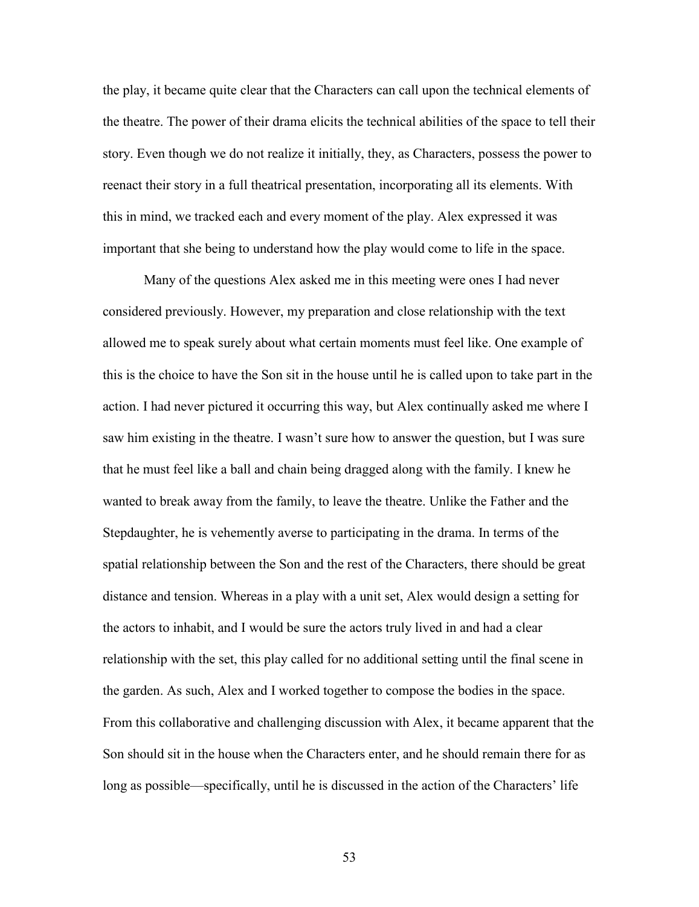the play, it became quite clear that the Characters can call upon the technical elements of the theatre. The power of their drama elicits the technical abilities of the space to tell their story. Even though we do not realize it initially, they, as Characters, possess the power to reenact their story in a full theatrical presentation, incorporating all its elements. With this in mind, we tracked each and every moment of the play. Alex expressed it was important that she being to understand how the play would come to life in the space.

Many of the questions Alex asked me in this meeting were ones I had never considered previously. However, my preparation and close relationship with the text allowed me to speak surely about what certain moments must feel like. One example of this is the choice to have the Son sit in the house until he is called upon to take part in the action. I had never pictured it occurring this way, but Alex continually asked me where I saw him existing in the theatre. I wasn't sure how to answer the question, but I was sure that he must feel like a ball and chain being dragged along with the family. I knew he wanted to break away from the family, to leave the theatre. Unlike the Father and the Stepdaughter, he is vehemently averse to participating in the drama. In terms of the spatial relationship between the Son and the rest of the Characters, there should be great distance and tension. Whereas in a play with a unit set, Alex would design a setting for the actors to inhabit, and I would be sure the actors truly lived in and had a clear relationship with the set, this play called for no additional setting until the final scene in the garden. As such, Alex and I worked together to compose the bodies in the space. From this collaborative and challenging discussion with Alex, it became apparent that the Son should sit in the house when the Characters enter, and he should remain there for as long as possible—specifically, until he is discussed in the action of the Characters' life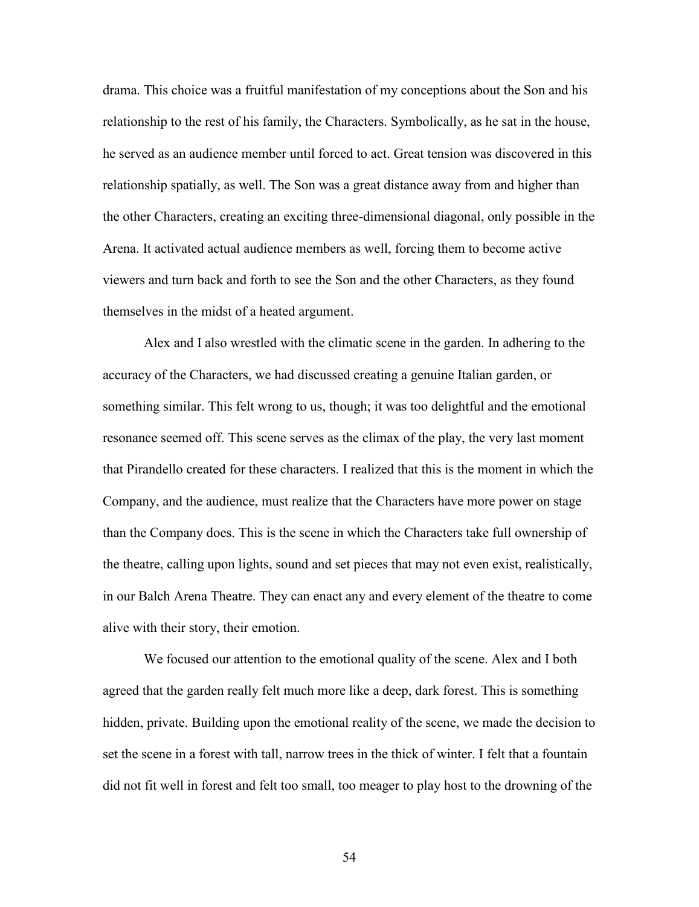drama. This choice was a fruitful manifestation of my conceptions about the Son and his relationship to the rest of his family, the Characters. Symbolically, as he sat in the house, he served as an audience member until forced to act. Great tension was discovered in this relationship spatially, as well. The Son was a great distance away from and higher than the other Characters, creating an exciting three-dimensional diagonal, only possible in the Arena. It activated actual audience members as well, forcing them to become active viewers and turn back and forth to see the Son and the other Characters, as they found themselves in the midst of a heated argument.

Alex and I also wrestled with the climatic scene in the garden. In adhering to the accuracy of the Characters, we had discussed creating a genuine Italian garden, or something similar. This felt wrong to us, though; it was too delightful and the emotional resonance seemed off. This scene serves as the climax of the play, the very last moment that Pirandello created for these characters. I realized that this is the moment in which the Company, and the audience, must realize that the Characters have more power on stage than the Company does. This is the scene in which the Characters take full ownership of the theatre, calling upon lights, sound and set pieces that may not even exist, realistically, in our Balch Arena Theatre. They can enact any and every element of the theatre to come alive with their story, their emotion.

We focused our attention to the emotional quality of the scene. Alex and I both agreed that the garden really felt much more like a deep, dark forest. This is something hidden, private. Building upon the emotional reality of the scene, we made the decision to set the scene in a forest with tall, narrow trees in the thick of winter. I felt that a fountain did not fit well in forest and felt too small, too meager to play host to the drowning of the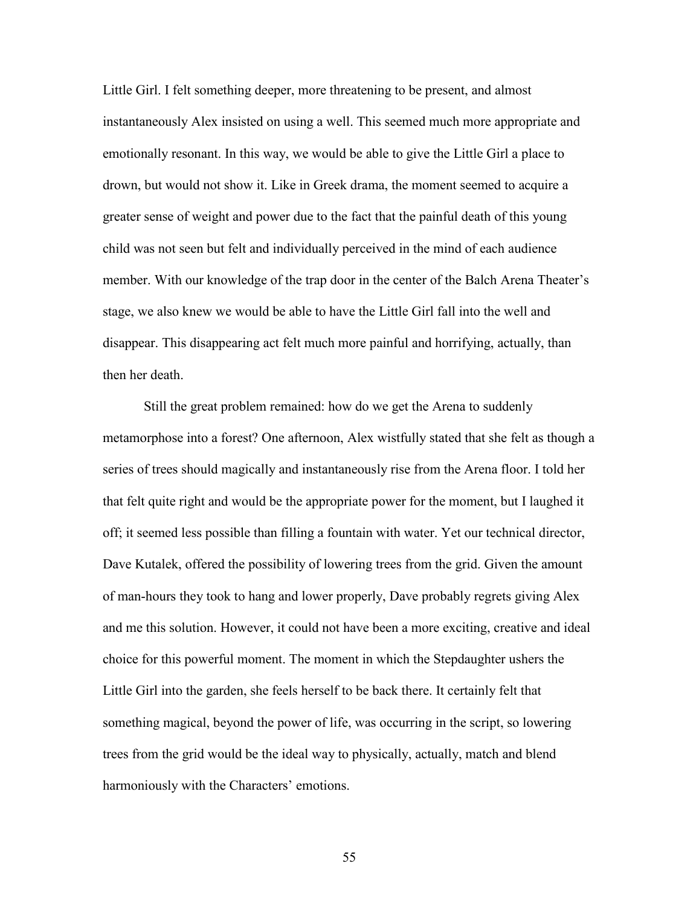Little Girl. I felt something deeper, more threatening to be present, and almost instantaneously Alex insisted on using a well. This seemed much more appropriate and emotionally resonant. In this way, we would be able to give the Little Girl a place to drown, but would not show it. Like in Greek drama, the moment seemed to acquire a greater sense of weight and power due to the fact that the painful death of this young child was not seen but felt and individually perceived in the mind of each audience member. With our knowledge of the trap door in the center of the Balch Arena Theater's stage, we also knew we would be able to have the Little Girl fall into the well and disappear. This disappearing act felt much more painful and horrifying, actually, than then her death.

Still the great problem remained: how do we get the Arena to suddenly metamorphose into a forest? One afternoon, Alex wistfully stated that she felt as though a series of trees should magically and instantaneously rise from the Arena floor. I told her that felt quite right and would be the appropriate power for the moment, but I laughed it off; it seemed less possible than filling a fountain with water. Yet our technical director, Dave Kutalek, offered the possibility of lowering trees from the grid. Given the amount of man-hours they took to hang and lower properly, Dave probably regrets giving Alex and me this solution. However, it could not have been a more exciting, creative and ideal choice for this powerful moment. The moment in which the Stepdaughter ushers the Little Girl into the garden, she feels herself to be back there. It certainly felt that something magical, beyond the power of life, was occurring in the script, so lowering trees from the grid would be the ideal way to physically, actually, match and blend harmoniously with the Characters' emotions.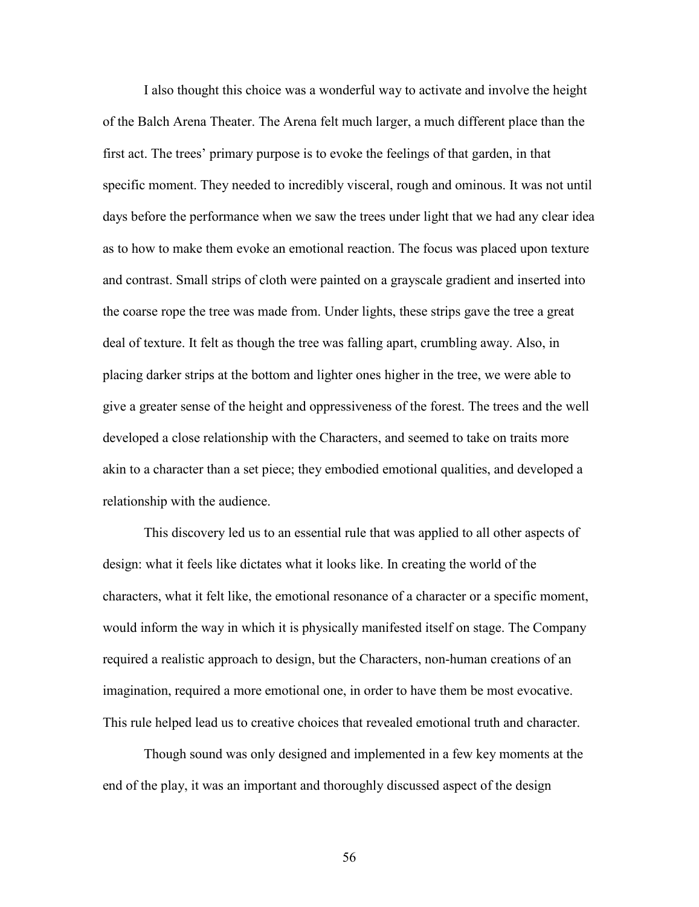I also thought this choice was a wonderful way to activate and involve the height of the Balch Arena Theater. The Arena felt much larger, a much different place than the first act. The trees' primary purpose is to evoke the feelings of that garden, in that specific moment. They needed to incredibly visceral, rough and ominous. It was not until days before the performance when we saw the trees under light that we had any clear idea as to how to make them evoke an emotional reaction. The focus was placed upon texture and contrast. Small strips of cloth were painted on a grayscale gradient and inserted into the coarse rope the tree was made from. Under lights, these strips gave the tree a great deal of texture. It felt as though the tree was falling apart, crumbling away. Also, in placing darker strips at the bottom and lighter ones higher in the tree, we were able to give a greater sense of the height and oppressiveness of the forest. The trees and the well developed a close relationship with the Characters, and seemed to take on traits more akin to a character than a set piece; they embodied emotional qualities, and developed a relationship with the audience.

This discovery led us to an essential rule that was applied to all other aspects of design: what it feels like dictates what it looks like. In creating the world of the characters, what it felt like, the emotional resonance of a character or a specific moment, would inform the way in which it is physically manifested itself on stage. The Company required a realistic approach to design, but the Characters, non-human creations of an imagination, required a more emotional one, in order to have them be most evocative. This rule helped lead us to creative choices that revealed emotional truth and character.

Though sound was only designed and implemented in a few key moments at the end of the play, it was an important and thoroughly discussed aspect of the design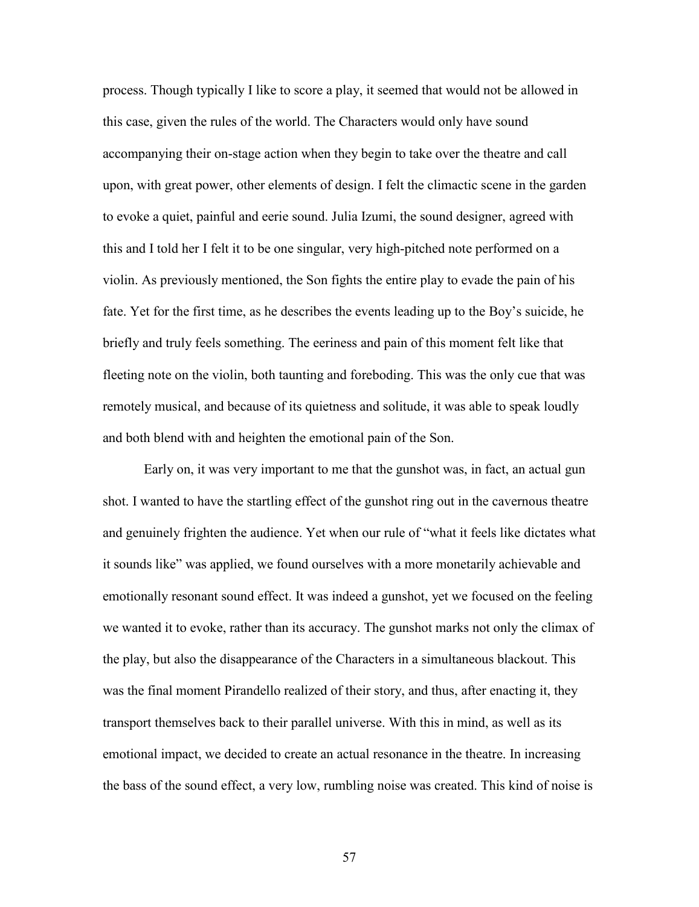process. Though typically I like to score a play, it seemed that would not be allowed in this case, given the rules of the world. The Characters would only have sound accompanying their on-stage action when they begin to take over the theatre and call upon, with great power, other elements of design. I felt the climactic scene in the garden to evoke a quiet, painful and eerie sound. Julia Izumi, the sound designer, agreed with this and I told her I felt it to be one singular, very high-pitched note performed on a violin. As previously mentioned, the Son fights the entire play to evade the pain of his fate. Yet for the first time, as he describes the events leading up to the Boy's suicide, he briefly and truly feels something. The eeriness and pain of this moment felt like that fleeting note on the violin, both taunting and foreboding. This was the only cue that was remotely musical, and because of its quietness and solitude, it was able to speak loudly and both blend with and heighten the emotional pain of the Son.

Early on, it was very important to me that the gunshot was, in fact, an actual gun shot. I wanted to have the startling effect of the gunshot ring out in the cavernous theatre and genuinely frighten the audience. Yet when our rule of "what it feels like dictates what it sounds like" was applied, we found ourselves with a more monetarily achievable and emotionally resonant sound effect. It was indeed a gunshot, yet we focused on the feeling we wanted it to evoke, rather than its accuracy. The gunshot marks not only the climax of the play, but also the disappearance of the Characters in a simultaneous blackout. This was the final moment Pirandello realized of their story, and thus, after enacting it, they transport themselves back to their parallel universe. With this in mind, as well as its emotional impact, we decided to create an actual resonance in the theatre. In increasing the bass of the sound effect, a very low, rumbling noise was created. This kind of noise is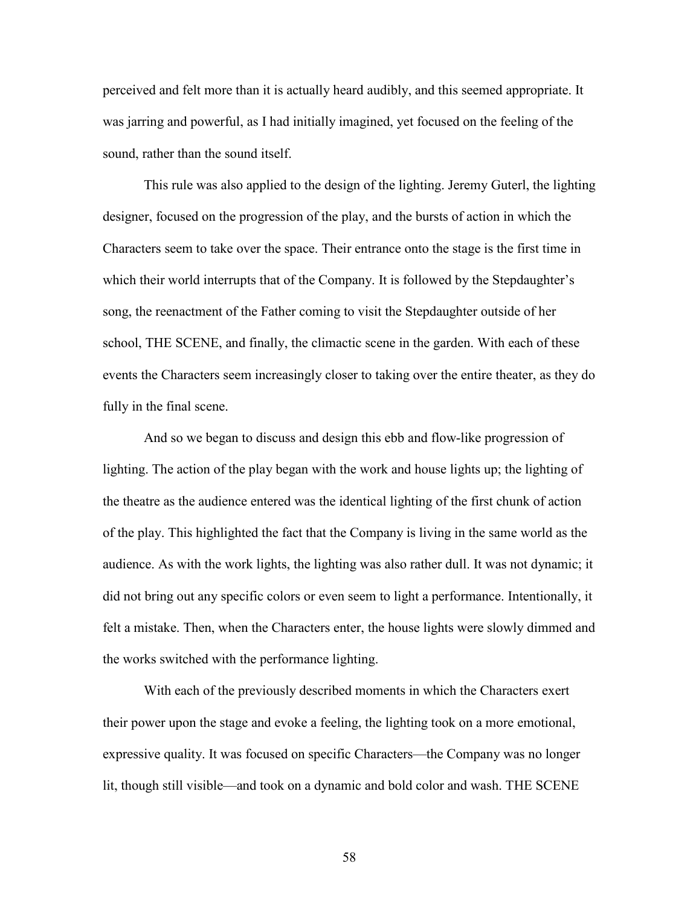perceived and felt more than it is actually heard audibly, and this seemed appropriate. It was jarring and powerful, as I had initially imagined, yet focused on the feeling of the sound, rather than the sound itself.

This rule was also applied to the design of the lighting. Jeremy Guterl, the lighting designer, focused on the progression of the play, and the bursts of action in which the Characters seem to take over the space. Their entrance onto the stage is the first time in which their world interrupts that of the Company. It is followed by the Stepdaughter's song, the reenactment of the Father coming to visit the Stepdaughter outside of her school, THE SCENE, and finally, the climactic scene in the garden. With each of these events the Characters seem increasingly closer to taking over the entire theater, as they do fully in the final scene.

And so we began to discuss and design this ebb and flow-like progression of lighting. The action of the play began with the work and house lights up; the lighting of the theatre as the audience entered was the identical lighting of the first chunk of action of the play. This highlighted the fact that the Company is living in the same world as the audience. As with the work lights, the lighting was also rather dull. It was not dynamic; it did not bring out any specific colors or even seem to light a performance. Intentionally, it felt a mistake. Then, when the Characters enter, the house lights were slowly dimmed and the works switched with the performance lighting.

With each of the previously described moments in which the Characters exert their power upon the stage and evoke a feeling, the lighting took on a more emotional, expressive quality. It was focused on specific Characters—the Company was no longer lit, though still visible—and took on a dynamic and bold color and wash. THE SCENE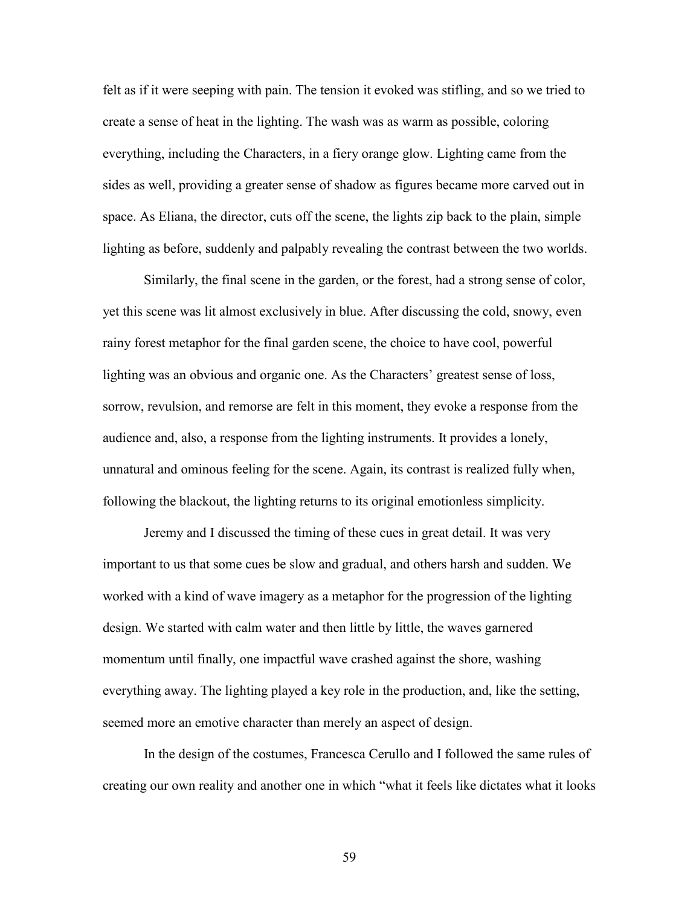felt as if it were seeping with pain. The tension it evoked was stifling, and so we tried to create a sense of heat in the lighting. The wash was as warm as possible, coloring everything, including the Characters, in a fiery orange glow. Lighting came from the sides as well, providing a greater sense of shadow as figures became more carved out in space. As Eliana, the director, cuts off the scene, the lights zip back to the plain, simple lighting as before, suddenly and palpably revealing the contrast between the two worlds.

Similarly, the final scene in the garden, or the forest, had a strong sense of color, yet this scene was lit almost exclusively in blue. After discussing the cold, snowy, even rainy forest metaphor for the final garden scene, the choice to have cool, powerful lighting was an obvious and organic one. As the Characters' greatest sense of loss, sorrow, revulsion, and remorse are felt in this moment, they evoke a response from the audience and, also, a response from the lighting instruments. It provides a lonely, unnatural and ominous feeling for the scene. Again, its contrast is realized fully when, following the blackout, the lighting returns to its original emotionless simplicity.

Jeremy and I discussed the timing of these cues in great detail. It was very important to us that some cues be slow and gradual, and others harsh and sudden. We worked with a kind of wave imagery as a metaphor for the progression of the lighting design. We started with calm water and then little by little, the waves garnered momentum until finally, one impactful wave crashed against the shore, washing everything away. The lighting played a key role in the production, and, like the setting, seemed more an emotive character than merely an aspect of design.

In the design of the costumes, Francesca Cerullo and I followed the same rules of creating our own reality and another one in which "what it feels like dictates what it looks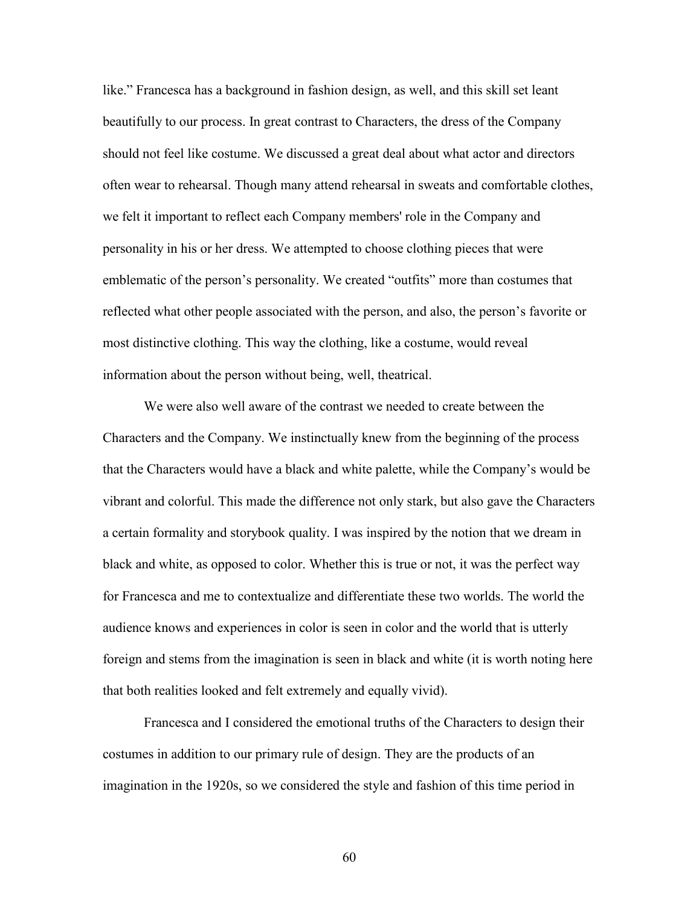like." Francesca has a background in fashion design, as well, and this skill set leant beautifully to our process. In great contrast to Characters, the dress of the Company should not feel like costume. We discussed a great deal about what actor and directors often wear to rehearsal. Though many attend rehearsal in sweats and comfortable clothes, we felt it important to reflect each Company members' role in the Company and personality in his or her dress. We attempted to choose clothing pieces that were emblematic of the person's personality. We created "outfits" more than costumes that reflected what other people associated with the person, and also, the person's favorite or most distinctive clothing. This way the clothing, like a costume, would reveal information about the person without being, well, theatrical.

We were also well aware of the contrast we needed to create between the Characters and the Company. We instinctually knew from the beginning of the process that the Characters would have a black and white palette, while the Company's would be vibrant and colorful. This made the difference not only stark, but also gave the Characters a certain formality and storybook quality. I was inspired by the notion that we dream in black and white, as opposed to color. Whether this is true or not, it was the perfect way for Francesca and me to contextualize and differentiate these two worlds. The world the audience knows and experiences in color is seen in color and the world that is utterly foreign and stems from the imagination is seen in black and white (it is worth noting here that both realities looked and felt extremely and equally vivid).

Francesca and I considered the emotional truths of the Characters to design their costumes in addition to our primary rule of design. They are the products of an imagination in the 1920s, so we considered the style and fashion of this time period in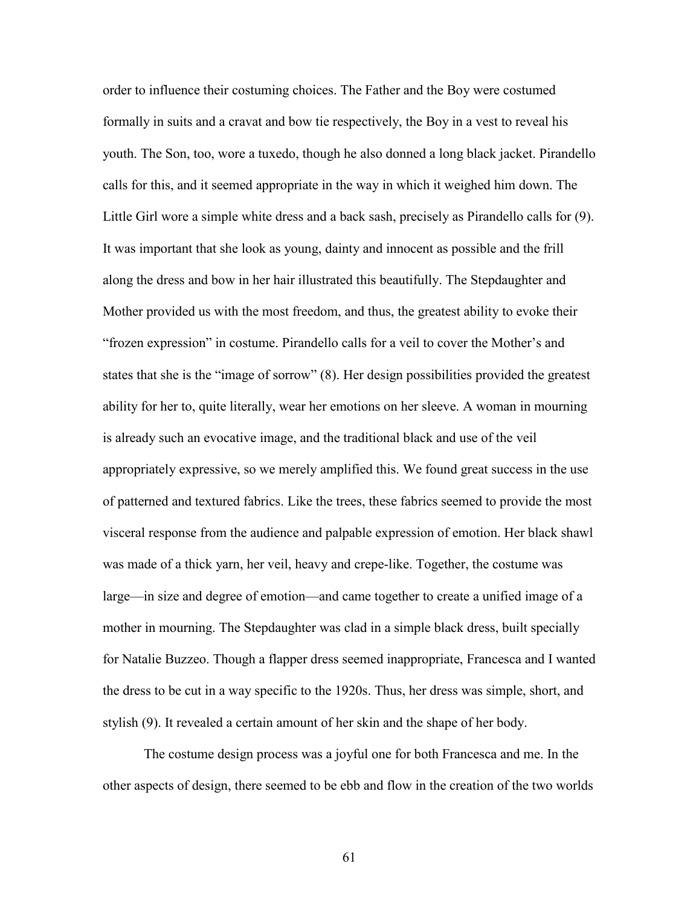order to influence their costuming choices. The Father and the Boy were costumed formally in suits and a cravat and bow tie respectively, the Boy in a vest to reveal his youth. The Son, too, wore a tuxedo, though he also donned a long black jacket. Pirandello calls for this, and it seemed appropriate in the way in which it weighed him down. The Little Girl wore a simple white dress and a back sash, precisely as Pirandello calls for (9). It was important that she look as young, dainty and innocent as possible and the frill along the dress and bow in her hair illustrated this beautifully. The Stepdaughter and Mother provided us with the most freedom, and thus, the greatest ability to evoke their "frozen expression" in costume. Pirandello calls for a veil to cover the Mother's and states that she is the "image of sorrow" (8). Her design possibilities provided the greatest ability for her to, quite literally, wear her emotions on her sleeve. A woman in mourning is already such an evocative image, and the traditional black and use of the veil appropriately expressive, so we merely amplified this. We found great success in the use of patterned and textured fabrics. Like the trees, these fabrics seemed to provide the most visceral response from the audience and palpable expression of emotion. Her black shawl was made of a thick yarn, her veil, heavy and crepe-like. Together, the costume was large—in size and degree of emotion—and came together to create a unified image of a mother in mourning. The Stepdaughter was clad in a simple black dress, built specially for Natalie Buzzeo. Though a flapper dress seemed inappropriate, Francesca and I wanted the dress to be cut in a way specific to the 1920s. Thus, her dress was simple, short, and stylish (9). It revealed a certain amount of her skin and the shape of her body.

The costume design process was a joyful one for both Francesca and me. In the other aspects of design, there seemed to be ebb and flow in the creation of the two worlds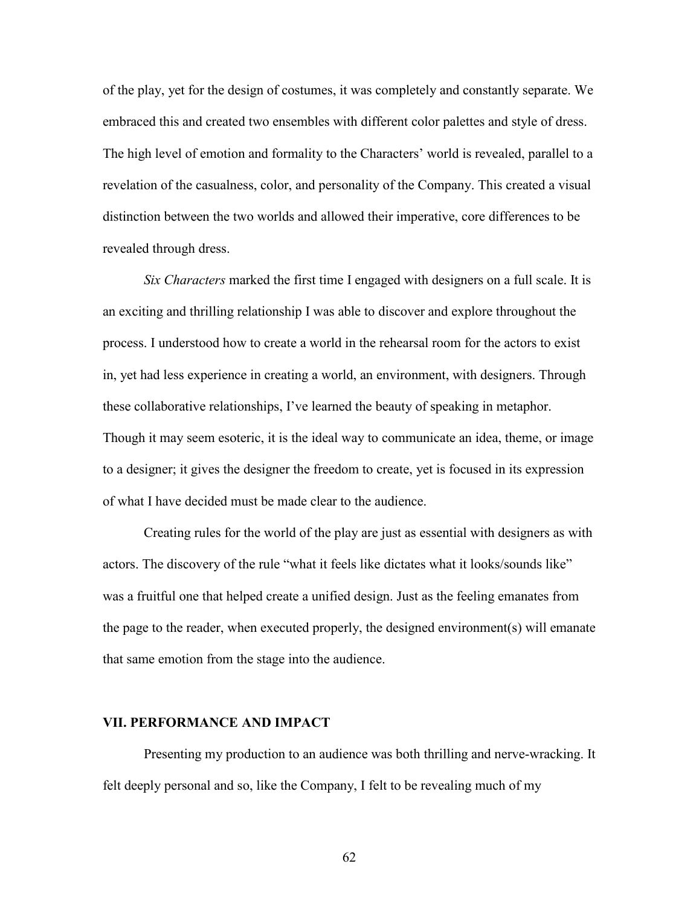of the play, yet for the design of costumes, it was completely and constantly separate. We embraced this and created two ensembles with different color palettes and style of dress. The high level of emotion and formality to the Characters' world is revealed, parallel to a revelation of the casualness, color, and personality of the Company. This created a visual distinction between the two worlds and allowed their imperative, core differences to be revealed through dress.

*Six Characters* marked the first time I engaged with designers on a full scale. It is an exciting and thrilling relationship I was able to discover and explore throughout the process. I understood how to create a world in the rehearsal room for the actors to exist in, yet had less experience in creating a world, an environment, with designers. Through these collaborative relationships, I've learned the beauty of speaking in metaphor. Though it may seem esoteric, it is the ideal way to communicate an idea, theme, or image to a designer; it gives the designer the freedom to create, yet is focused in its expression of what I have decided must be made clear to the audience.

Creating rules for the world of the play are just as essential with designers as with actors. The discovery of the rule "what it feels like dictates what it looks/sounds like" was a fruitful one that helped create a unified design. Just as the feeling emanates from the page to the reader, when executed properly, the designed environment(s) will emanate that same emotion from the stage into the audience.

#### **VII. PERFORMANCE AND IMPACT**

Presenting my production to an audience was both thrilling and nerve-wracking. It felt deeply personal and so, like the Company, I felt to be revealing much of my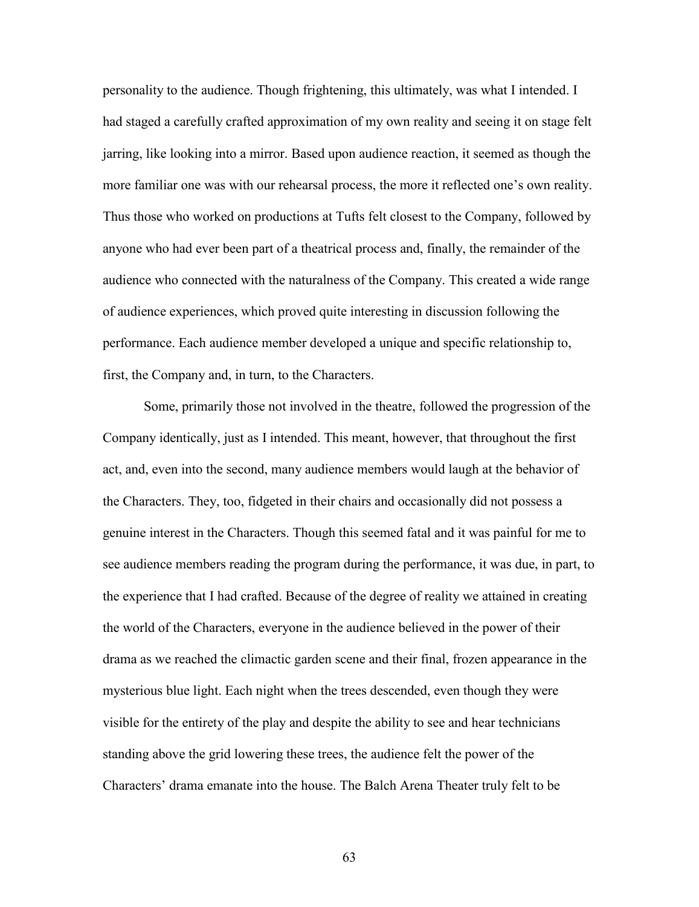personality to the audience. Though frightening, this ultimately, was what I intended. I had staged a carefully crafted approximation of my own reality and seeing it on stage felt jarring, like looking into a mirror. Based upon audience reaction, it seemed as though the more familiar one was with our rehearsal process, the more it reflected one's own reality. Thus those who worked on productions at Tufts felt closest to the Company, followed by anyone who had ever been part of a theatrical process and, finally, the remainder of the audience who connected with the naturalness of the Company. This created a wide range of audience experiences, which proved quite interesting in discussion following the performance. Each audience member developed a unique and specific relationship to, first, the Company and, in turn, to the Characters.

Some, primarily those not involved in the theatre, followed the progression of the Company identically, just as I intended. This meant, however, that throughout the first act, and, even into the second, many audience members would laugh at the behavior of the Characters. They, too, fidgeted in their chairs and occasionally did not possess a genuine interest in the Characters. Though this seemed fatal and it was painful for me to see audience members reading the program during the performance, it was due, in part, to the experience that I had crafted. Because of the degree of reality we attained in creating the world of the Characters, everyone in the audience believed in the power of their drama as we reached the climactic garden scene and their final, frozen appearance in the mysterious blue light. Each night when the trees descended, even though they were visible for the entirety of the play and despite the ability to see and hear technicians standing above the grid lowering these trees, the audience felt the power of the Characters' drama emanate into the house. The Balch Arena Theater truly felt to be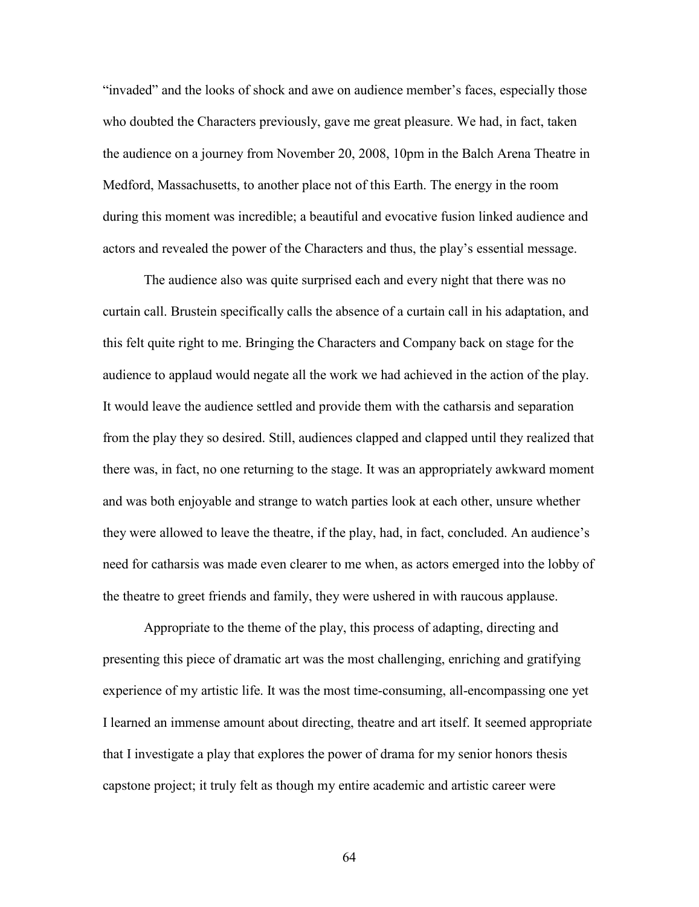"invaded" and the looks of shock and awe on audience member's faces, especially those who doubted the Characters previously, gave me great pleasure. We had, in fact, taken the audience on a journey from November 20, 2008, 10pm in the Balch Arena Theatre in Medford, Massachusetts, to another place not of this Earth. The energy in the room during this moment was incredible; a beautiful and evocative fusion linked audience and actors and revealed the power of the Characters and thus, the play's essential message.

The audience also was quite surprised each and every night that there was no curtain call. Brustein specifically calls the absence of a curtain call in his adaptation, and this felt quite right to me. Bringing the Characters and Company back on stage for the audience to applaud would negate all the work we had achieved in the action of the play. It would leave the audience settled and provide them with the catharsis and separation from the play they so desired. Still, audiences clapped and clapped until they realized that there was, in fact, no one returning to the stage. It was an appropriately awkward moment and was both enjoyable and strange to watch parties look at each other, unsure whether they were allowed to leave the theatre, if the play, had, in fact, concluded. An audience's need for catharsis was made even clearer to me when, as actors emerged into the lobby of the theatre to greet friends and family, they were ushered in with raucous applause.

Appropriate to the theme of the play, this process of adapting, directing and presenting this piece of dramatic art was the most challenging, enriching and gratifying experience of my artistic life. It was the most time-consuming, all-encompassing one yet I learned an immense amount about directing, theatre and art itself. It seemed appropriate that I investigate a play that explores the power of drama for my senior honors thesis capstone project; it truly felt as though my entire academic and artistic career were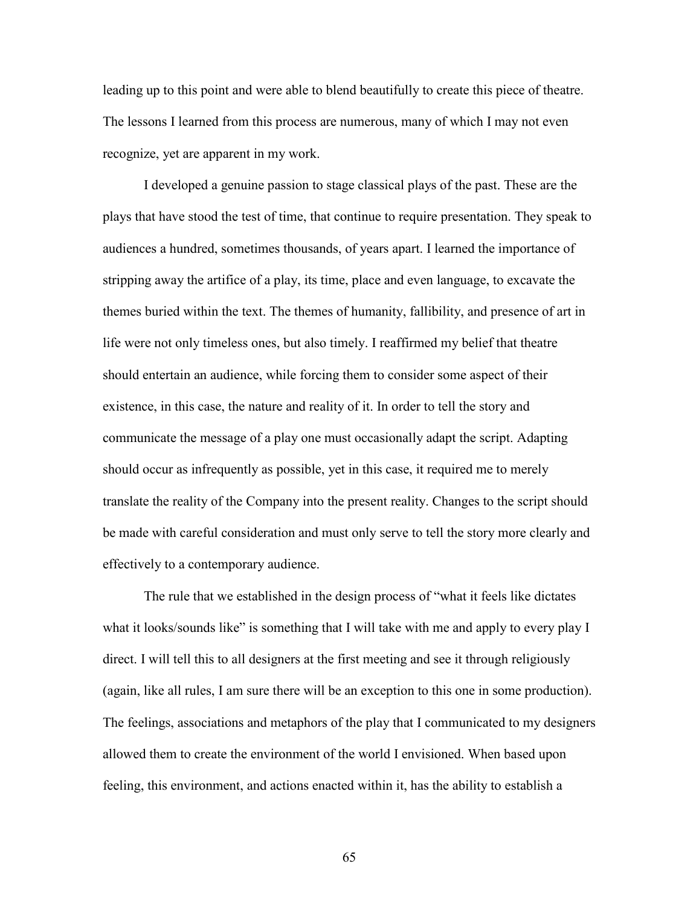leading up to this point and were able to blend beautifully to create this piece of theatre. The lessons I learned from this process are numerous, many of which I may not even recognize, yet are apparent in my work.

I developed a genuine passion to stage classical plays of the past. These are the plays that have stood the test of time, that continue to require presentation. They speak to audiences a hundred, sometimes thousands, of years apart. I learned the importance of stripping away the artifice of a play, its time, place and even language, to excavate the themes buried within the text. The themes of humanity, fallibility, and presence of art in life were not only timeless ones, but also timely. I reaffirmed my belief that theatre should entertain an audience, while forcing them to consider some aspect of their existence, in this case, the nature and reality of it. In order to tell the story and communicate the message of a play one must occasionally adapt the script. Adapting should occur as infrequently as possible, yet in this case, it required me to merely translate the reality of the Company into the present reality. Changes to the script should be made with careful consideration and must only serve to tell the story more clearly and effectively to a contemporary audience.

The rule that we established in the design process of "what it feels like dictates what it looks/sounds like" is something that I will take with me and apply to every play I direct. I will tell this to all designers at the first meeting and see it through religiously (again, like all rules, I am sure there will be an exception to this one in some production). The feelings, associations and metaphors of the play that I communicated to my designers allowed them to create the environment of the world I envisioned. When based upon feeling, this environment, and actions enacted within it, has the ability to establish a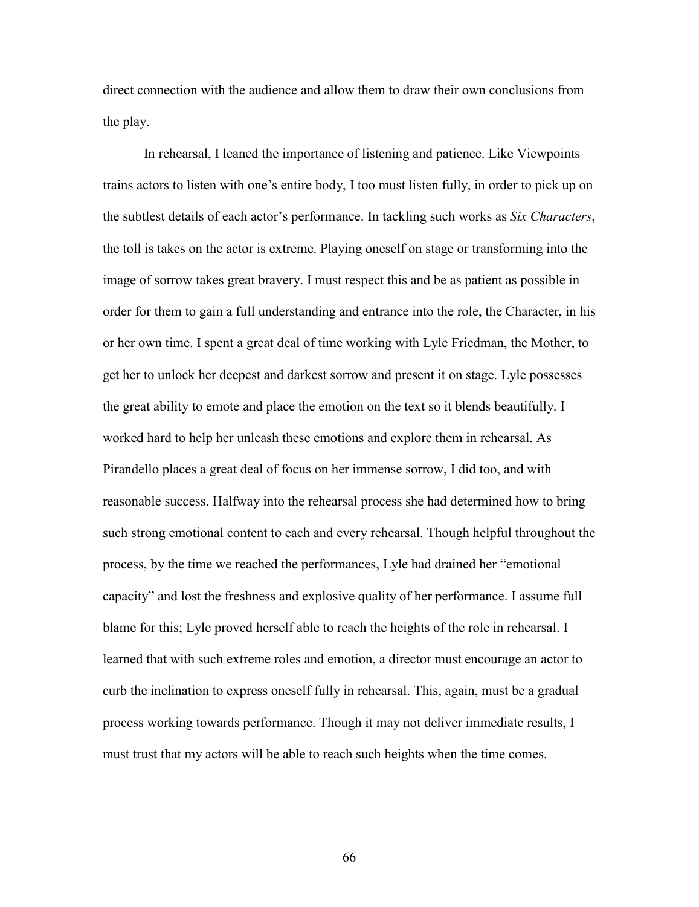direct connection with the audience and allow them to draw their own conclusions from the play.

In rehearsal, I leaned the importance of listening and patience. Like Viewpoints trains actors to listen with one's entire body, I too must listen fully, in order to pick up on the subtlest details of each actor's performance. In tackling such works as *Six Characters*, the toll is takes on the actor is extreme. Playing oneself on stage or transforming into the image of sorrow takes great bravery. I must respect this and be as patient as possible in order for them to gain a full understanding and entrance into the role, the Character, in his or her own time. I spent a great deal of time working with Lyle Friedman, the Mother, to get her to unlock her deepest and darkest sorrow and present it on stage. Lyle possesses the great ability to emote and place the emotion on the text so it blends beautifully. I worked hard to help her unleash these emotions and explore them in rehearsal. As Pirandello places a great deal of focus on her immense sorrow, I did too, and with reasonable success. Halfway into the rehearsal process she had determined how to bring such strong emotional content to each and every rehearsal. Though helpful throughout the process, by the time we reached the performances, Lyle had drained her "emotional capacity" and lost the freshness and explosive quality of her performance. I assume full blame for this; Lyle proved herself able to reach the heights of the role in rehearsal. I learned that with such extreme roles and emotion, a director must encourage an actor to curb the inclination to express oneself fully in rehearsal. This, again, must be a gradual process working towards performance. Though it may not deliver immediate results, I must trust that my actors will be able to reach such heights when the time comes.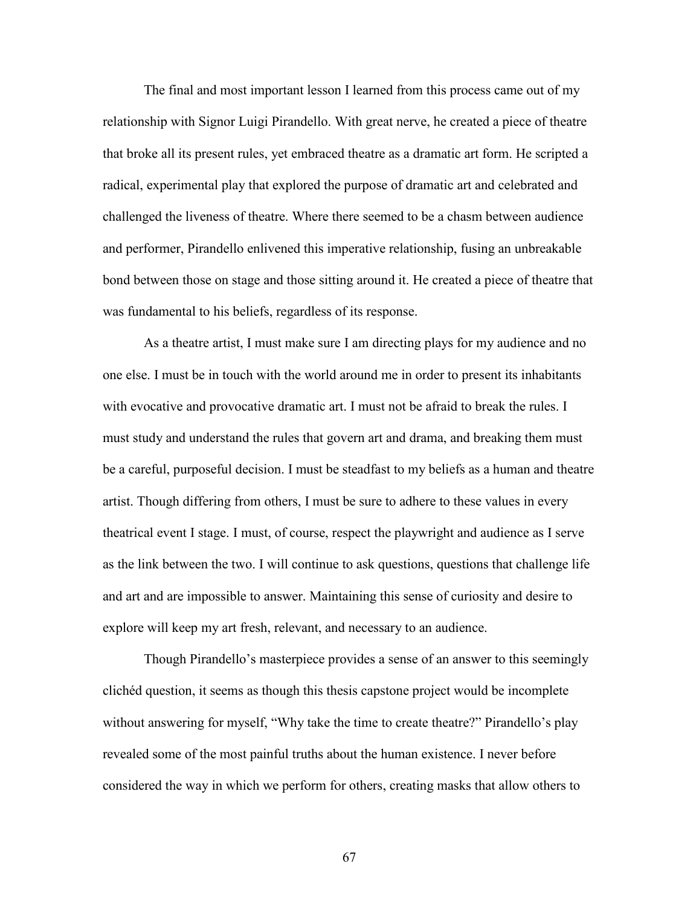The final and most important lesson I learned from this process came out of my relationship with Signor Luigi Pirandello. With great nerve, he created a piece of theatre that broke all its present rules, yet embraced theatre as a dramatic art form. He scripted a radical, experimental play that explored the purpose of dramatic art and celebrated and challenged the liveness of theatre. Where there seemed to be a chasm between audience and performer, Pirandello enlivened this imperative relationship, fusing an unbreakable bond between those on stage and those sitting around it. He created a piece of theatre that was fundamental to his beliefs, regardless of its response.

As a theatre artist, I must make sure I am directing plays for my audience and no one else. I must be in touch with the world around me in order to present its inhabitants with evocative and provocative dramatic art. I must not be afraid to break the rules. I must study and understand the rules that govern art and drama, and breaking them must be a careful, purposeful decision. I must be steadfast to my beliefs as a human and theatre artist. Though differing from others, I must be sure to adhere to these values in every theatrical event I stage. I must, of course, respect the playwright and audience as I serve as the link between the two. I will continue to ask questions, questions that challenge life and art and are impossible to answer. Maintaining this sense of curiosity and desire to explore will keep my art fresh, relevant, and necessary to an audience.

Though Pirandello's masterpiece provides a sense of an answer to this seemingly clichéd question, it seems as though this thesis capstone project would be incomplete without answering for myself, "Why take the time to create theatre?" Pirandello's play revealed some of the most painful truths about the human existence. I never before considered the way in which we perform for others, creating masks that allow others to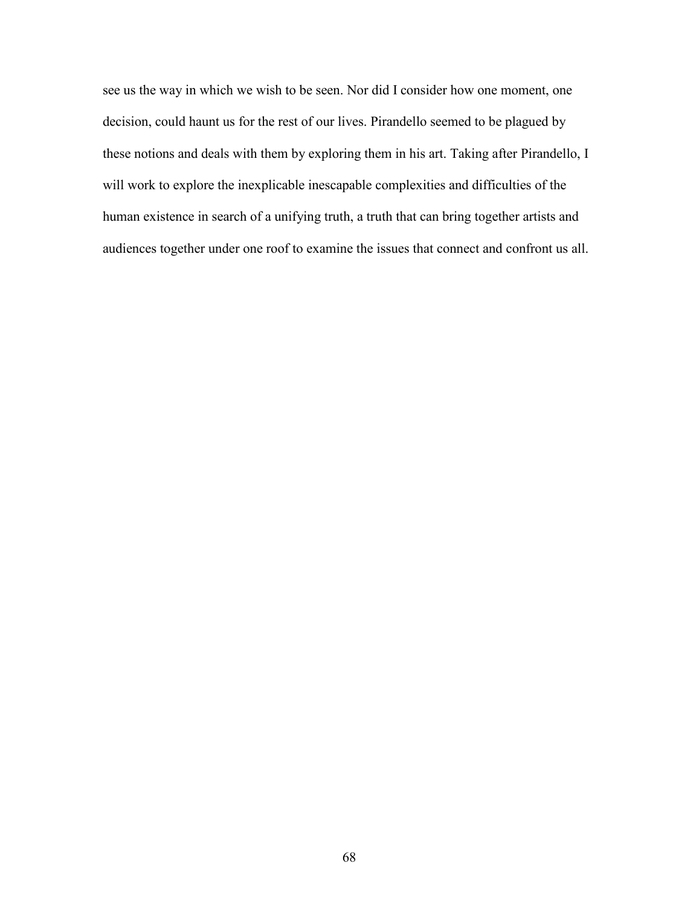see us the way in which we wish to be seen. Nor did I consider how one moment, one decision, could haunt us for the rest of our lives. Pirandello seemed to be plagued by these notions and deals with them by exploring them in his art. Taking after Pirandello, I will work to explore the inexplicable inescapable complexities and difficulties of the human existence in search of a unifying truth, a truth that can bring together artists and audiences together under one roof to examine the issues that connect and confront us all.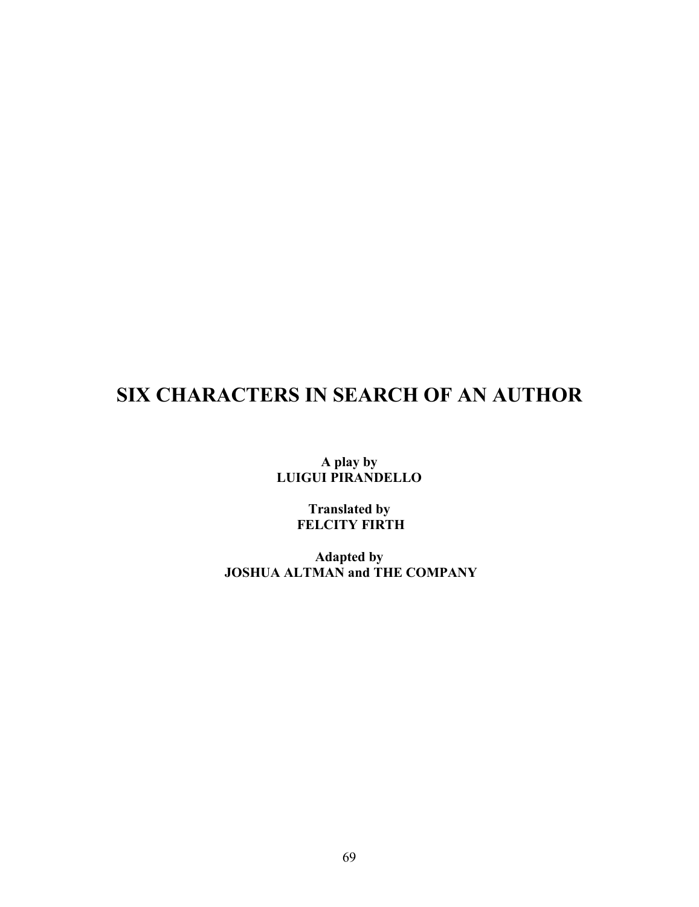# **SIX CHARACTERS IN SEARCH OF AN AUTHOR**

**A play by LUIGUI PIRANDELLO**

> **Translated by FELCITY FIRTH**

**Adapted by JOSHUA ALTMAN and THE COMPANY**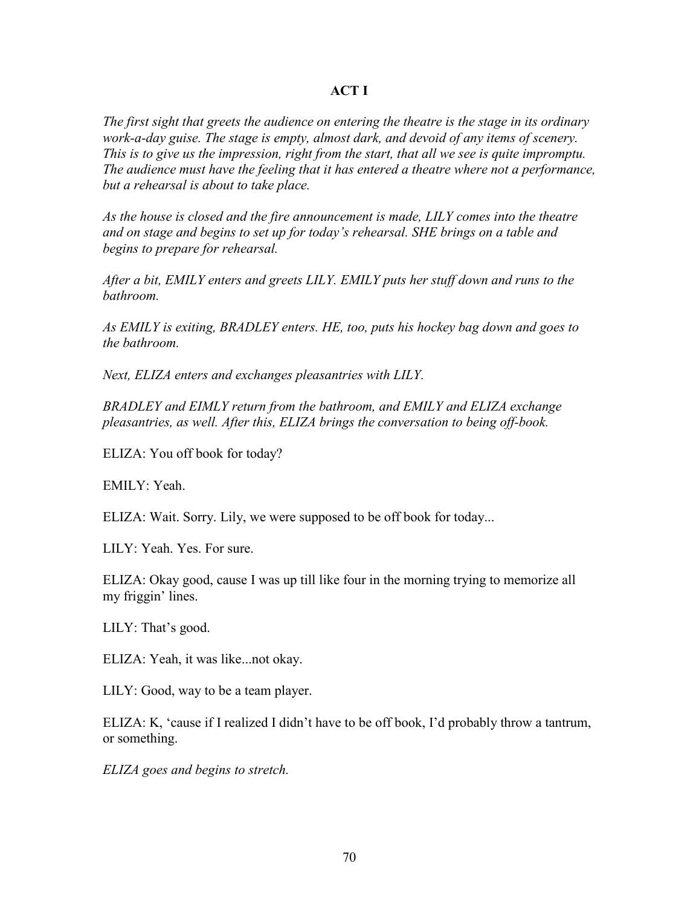### **ACT I**

*The first sight that greets the audience on entering the theatre is the stage in its ordinary work-a-day guise. The stage is empty, almost dark, and devoid of any items of scenery. This is to give us the impression, right from the start, that all we see is quite impromptu. The audience must have the feeling that it has entered a theatre where not a performance, but a rehearsal is about to take place.*

*As the house is closed and the fire announcement is made, LILY comes into the theatre and on stage and begins to set up for today's rehearsal. SHE brings on a table and begins to prepare for rehearsal.*

*After a bit, EMILY enters and greets LILY. EMILY puts her stuff down and runs to the bathroom.*

*As EMILY is exiting, BRADLEY enters. HE, too, puts his hockey bag down and goes to the bathroom.*

*Next, ELIZA enters and exchanges pleasantries with LILY.*

*BRADLEY and EIMLY return from the bathroom, and EMILY and ELIZA exchange pleasantries, as well. After this, ELIZA brings the conversation to being off-book.*

ELIZA: You off book for today?

EMILY: Yeah.

ELIZA: Wait. Sorry. Lily, we were supposed to be off book for today...

LILY: Yeah. Yes. For sure.

ELIZA: Okay good, cause I was up till like four in the morning trying to memorize all my friggin' lines.

LILY: That's good.

ELIZA: Yeah, it was like...not okay.

LILY: Good, way to be a team player.

ELIZA: K, 'cause if I realized I didn't have to be off book, I'd probably throw a tantrum, or something.

*ELIZA goes and begins to stretch.*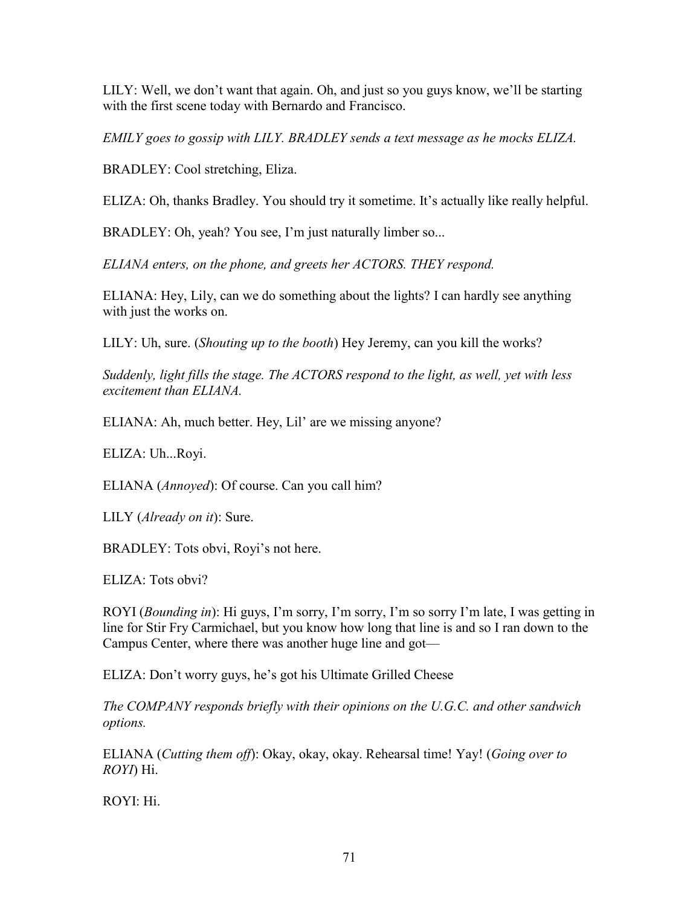LILY: Well, we don't want that again. Oh, and just so you guys know, we'll be starting with the first scene today with Bernardo and Francisco.

*EMILY goes to gossip with LILY. BRADLEY sends a text message as he mocks ELIZA.*

BRADLEY: Cool stretching, Eliza.

ELIZA: Oh, thanks Bradley. You should try it sometime. It's actually like really helpful.

BRADLEY: Oh, yeah? You see, I'm just naturally limber so...

*ELIANA enters, on the phone, and greets her ACTORS. THEY respond.*

ELIANA: Hey, Lily, can we do something about the lights? I can hardly see anything with just the works on.

LILY: Uh, sure. (*Shouting up to the booth*) Hey Jeremy, can you kill the works?

*Suddenly, light fills the stage. The ACTORS respond to the light, as well, yet with less excitement than ELIANA.*

ELIANA: Ah, much better. Hey, Lil' are we missing anyone?

ELIZA: Uh...Royi.

ELIANA (*Annoyed*): Of course. Can you call him?

LILY (*Already on it*): Sure.

BRADLEY: Tots obvi, Royi's not here.

ELIZA: Tots obvi?

ROYI (*Bounding in*): Hi guys, I'm sorry, I'm sorry, I'm so sorry I'm late, I was getting in line for Stir Fry Carmichael, but you know how long that line is and so I ran down to the Campus Center, where there was another huge line and got—

ELIZA: Don't worry guys, he's got his Ultimate Grilled Cheese

*The COMPANY responds briefly with their opinions on the U.G.C. and other sandwich options.*

ELIANA (*Cutting them off*): Okay, okay, okay. Rehearsal time! Yay! (*Going over to ROYI*) Hi.

ROYI: Hi.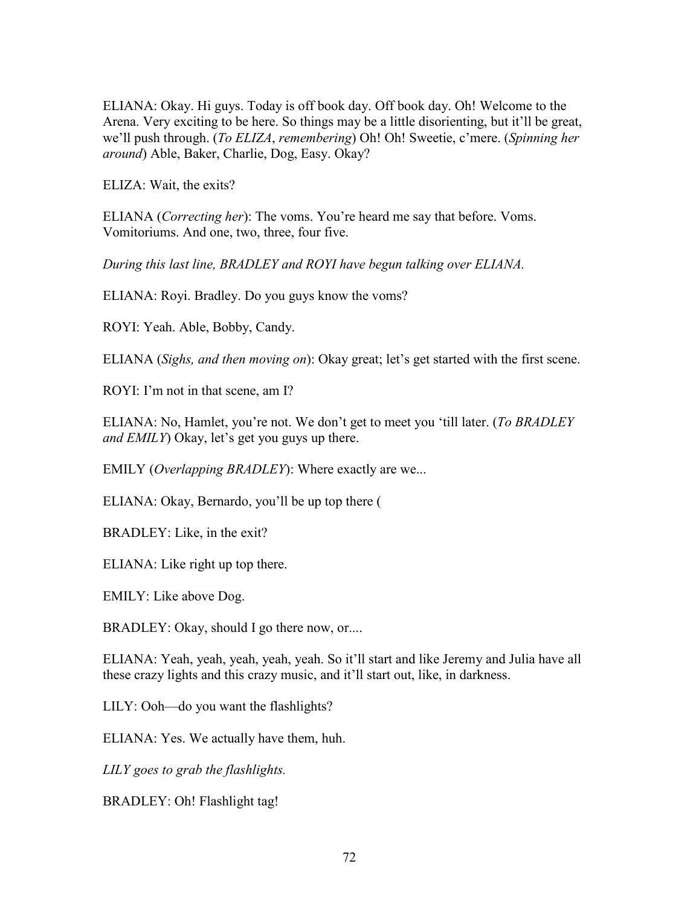ELIANA: Okay. Hi guys. Today is off book day. Off book day. Oh! Welcome to the Arena. Very exciting to be here. So things may be a little disorienting, but it'll be great, we'll push through. (*To ELIZA*, *remembering*) Oh! Oh! Sweetie, c'mere. (*Spinning her around*) Able, Baker, Charlie, Dog, Easy. Okay?

ELIZA: Wait, the exits?

ELIANA (*Correcting her*): The voms. You're heard me say that before. Voms. Vomitoriums. And one, two, three, four five.

*During this last line, BRADLEY and ROYI have begun talking over ELIANA.*

ELIANA: Royi. Bradley. Do you guys know the voms?

ROYI: Yeah. Able, Bobby, Candy.

ELIANA (*Sighs, and then moving on*): Okay great; let's get started with the first scene.

ROYI: I'm not in that scene, am I?

ELIANA: No, Hamlet, you're not. We don't get to meet you 'till later. (*To BRADLEY and EMILY*) Okay, let's get you guys up there.

EMILY (*Overlapping BRADLEY*): Where exactly are we...

ELIANA: Okay, Bernardo, you'll be up top there (

BRADLEY: Like, in the exit?

ELIANA: Like right up top there.

EMILY: Like above Dog.

BRADLEY: Okay, should I go there now, or....

ELIANA: Yeah, yeah, yeah, yeah, yeah. So it'll start and like Jeremy and Julia have all these crazy lights and this crazy music, and it'll start out, like, in darkness.

LILY: Ooh—do you want the flashlights?

ELIANA: Yes. We actually have them, huh.

*LILY goes to grab the flashlights.*

BRADLEY: Oh! Flashlight tag!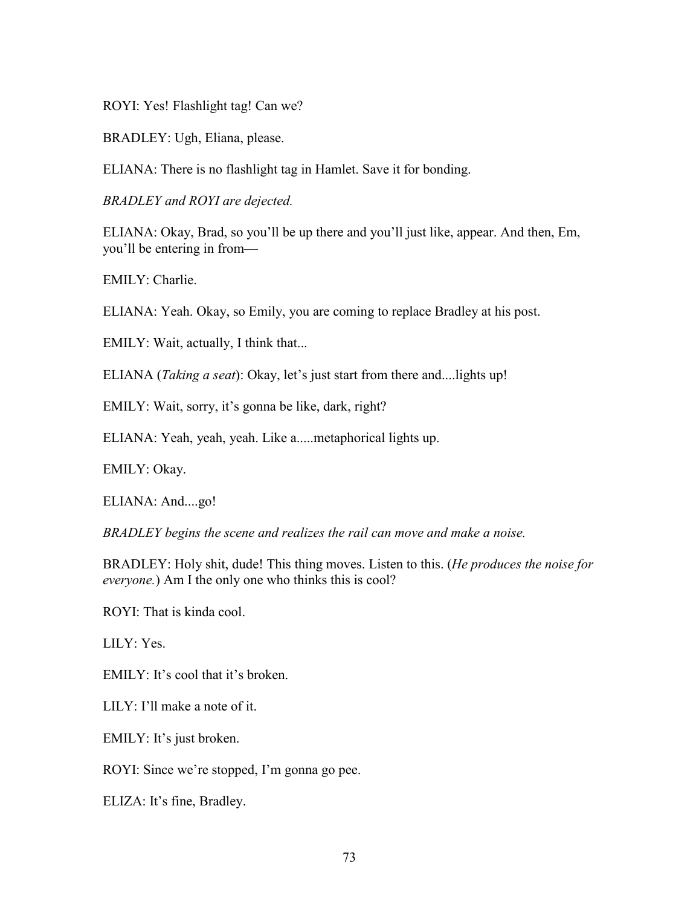ROYI: Yes! Flashlight tag! Can we?

BRADLEY: Ugh, Eliana, please.

ELIANA: There is no flashlight tag in Hamlet. Save it for bonding.

*BRADLEY and ROYI are dejected.*

ELIANA: Okay, Brad, so you'll be up there and you'll just like, appear. And then, Em, you'll be entering in from—

EMILY: Charlie.

ELIANA: Yeah. Okay, so Emily, you are coming to replace Bradley at his post.

EMILY: Wait, actually, I think that...

ELIANA (*Taking a seat*): Okay, let's just start from there and....lights up!

EMILY: Wait, sorry, it's gonna be like, dark, right?

ELIANA: Yeah, yeah, yeah. Like a.....metaphorical lights up.

EMILY: Okay.

ELIANA: And....go!

*BRADLEY begins the scene and realizes the rail can move and make a noise.*

BRADLEY: Holy shit, dude! This thing moves. Listen to this. (*He produces the noise for everyone.*) Am I the only one who thinks this is cool?

ROYI: That is kinda cool.

LILY: Yes.

EMILY: It's cool that it's broken.

LILY: I'll make a note of it.

EMILY: It's just broken.

ROYI: Since we're stopped, I'm gonna go pee.

ELIZA: It's fine, Bradley.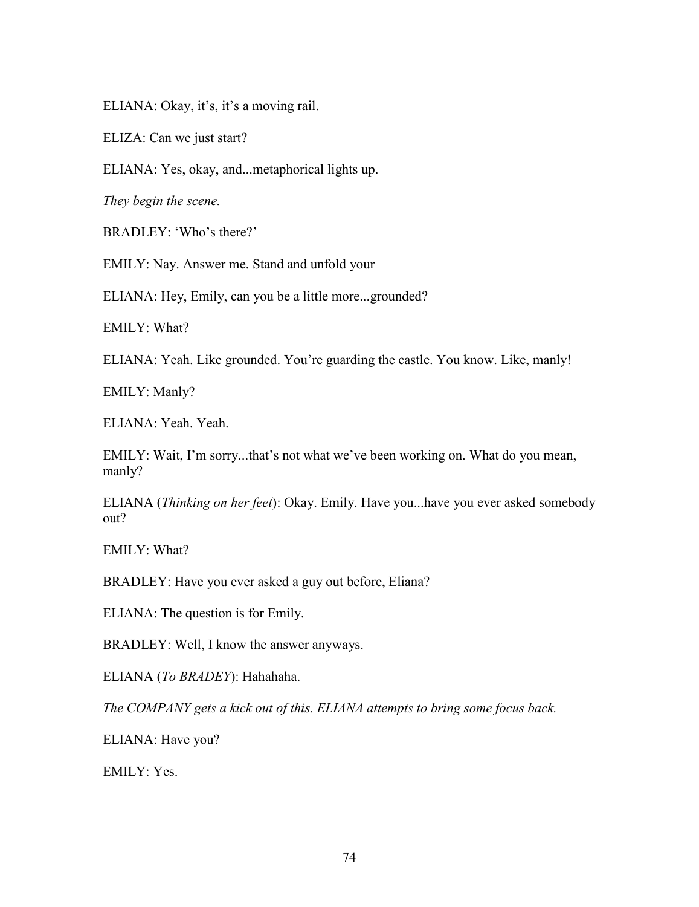ELIANA: Okay, it's, it's a moving rail.

ELIZA: Can we just start?

ELIANA: Yes, okay, and...metaphorical lights up.

*They begin the scene.*

BRADLEY: 'Who's there?'

EMILY: Nay. Answer me. Stand and unfold your—

ELIANA: Hey, Emily, can you be a little more...grounded?

EMILY: What?

ELIANA: Yeah. Like grounded. You're guarding the castle. You know. Like, manly!

EMILY: Manly?

ELIANA: Yeah. Yeah.

EMILY: Wait, I'm sorry...that's not what we've been working on. What do you mean, manly?

ELIANA (*Thinking on her feet*): Okay. Emily. Have you...have you ever asked somebody out?

EMILY: What?

BRADLEY: Have you ever asked a guy out before, Eliana?

ELIANA: The question is for Emily.

BRADLEY: Well, I know the answer anyways.

ELIANA (*To BRADEY*): Hahahaha.

*The COMPANY gets a kick out of this. ELIANA attempts to bring some focus back.*

ELIANA: Have you?

EMILY: Yes.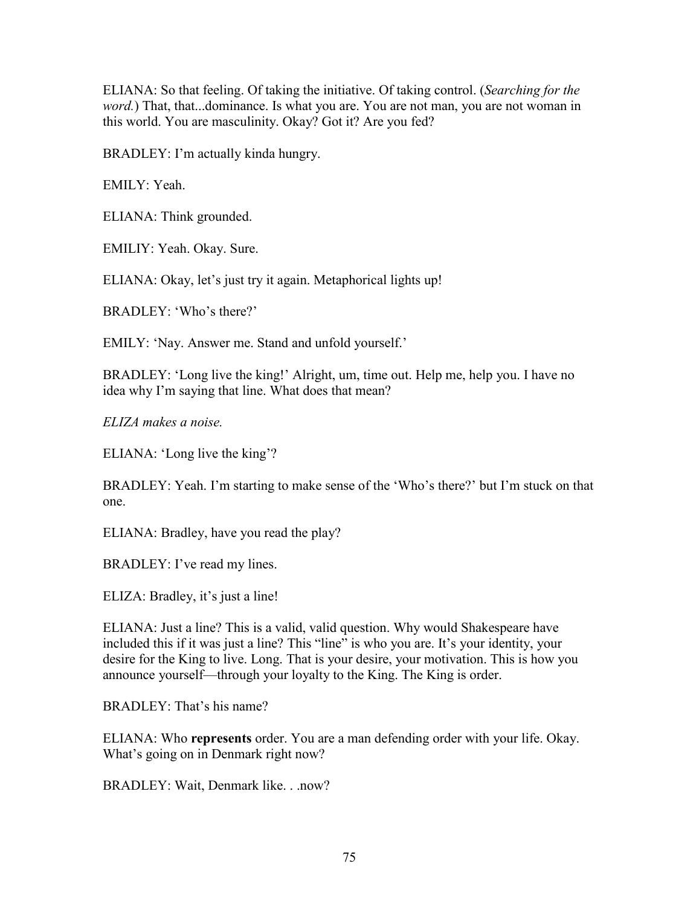ELIANA: So that feeling. Of taking the initiative. Of taking control. (*Searching for the word.*) That, that...dominance. Is what you are. You are not man, you are not woman in this world. You are masculinity. Okay? Got it? Are you fed?

BRADLEY: I'm actually kinda hungry.

EMILY: Yeah.

ELIANA: Think grounded.

EMILIY: Yeah. Okay. Sure.

ELIANA: Okay, let's just try it again. Metaphorical lights up!

BRADLEY: 'Who's there?'

EMILY: 'Nay. Answer me. Stand and unfold yourself.'

BRADLEY: 'Long live the king!' Alright, um, time out. Help me, help you. I have no idea why I'm saying that line. What does that mean?

*ELIZA makes a noise.*

ELIANA: 'Long live the king'?

BRADLEY: Yeah. I'm starting to make sense of the 'Who's there?' but I'm stuck on that one.

ELIANA: Bradley, have you read the play?

BRADLEY: I've read my lines.

ELIZA: Bradley, it's just a line!

ELIANA: Just a line? This is a valid, valid question. Why would Shakespeare have included this if it was just a line? This "line" is who you are. It's your identity, your desire for the King to live. Long. That is your desire, your motivation. This is how you announce yourself—through your loyalty to the King. The King is order.

BRADLEY: That's his name?

ELIANA: Who **represents** order. You are a man defending order with your life. Okay. What's going on in Denmark right now?

BRADLEY: Wait, Denmark like. . .now?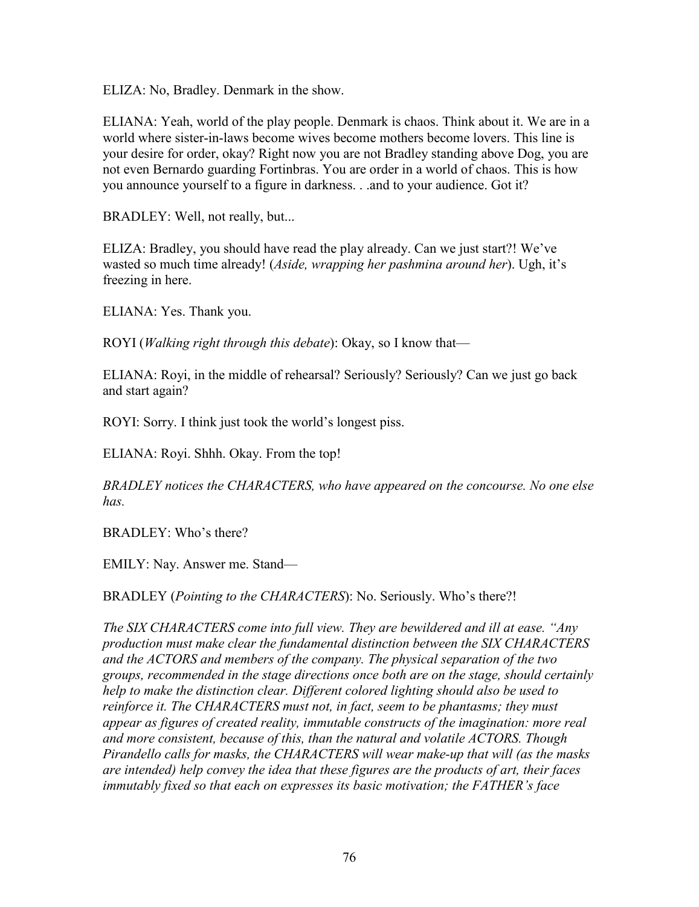ELIZA: No, Bradley. Denmark in the show.

ELIANA: Yeah, world of the play people. Denmark is chaos. Think about it. We are in a world where sister-in-laws become wives become mothers become lovers. This line is your desire for order, okay? Right now you are not Bradley standing above Dog, you are not even Bernardo guarding Fortinbras. You are order in a world of chaos. This is how you announce yourself to a figure in darkness. . .and to your audience. Got it?

BRADLEY: Well, not really, but...

ELIZA: Bradley, you should have read the play already. Can we just start?! We've wasted so much time already! (*Aside, wrapping her pashmina around her*). Ugh, it's freezing in here.

ELIANA: Yes. Thank you.

ROYI (*Walking right through this debate*): Okay, so I know that—

ELIANA: Royi, in the middle of rehearsal? Seriously? Seriously? Can we just go back and start again?

ROYI: Sorry. I think just took the world's longest piss.

ELIANA: Royi. Shhh. Okay. From the top!

*BRADLEY notices the CHARACTERS, who have appeared on the concourse. No one else has.*

BRADLEY: Who's there?

EMILY: Nay. Answer me. Stand—

BRADLEY (*Pointing to the CHARACTERS*): No. Seriously. Who's there?!

*The SIX CHARACTERS come into full view. They are bewildered and ill at ease. "Any production must make clear the fundamental distinction between the SIX CHARACTERS and the ACTORS and members of the company. The physical separation of the two groups, recommended in the stage directions once both are on the stage, should certainly help to make the distinction clear. Different colored lighting should also be used to reinforce it. The CHARACTERS must not, in fact, seem to be phantasms; they must appear as figures of created reality, immutable constructs of the imagination: more real and more consistent, because of this, than the natural and volatile ACTORS. Though Pirandello calls for masks, the CHARACTERS will wear make-up that will (as the masks are intended) help convey the idea that these figures are the products of art, their faces immutably fixed so that each on expresses its basic motivation; the FATHER's face*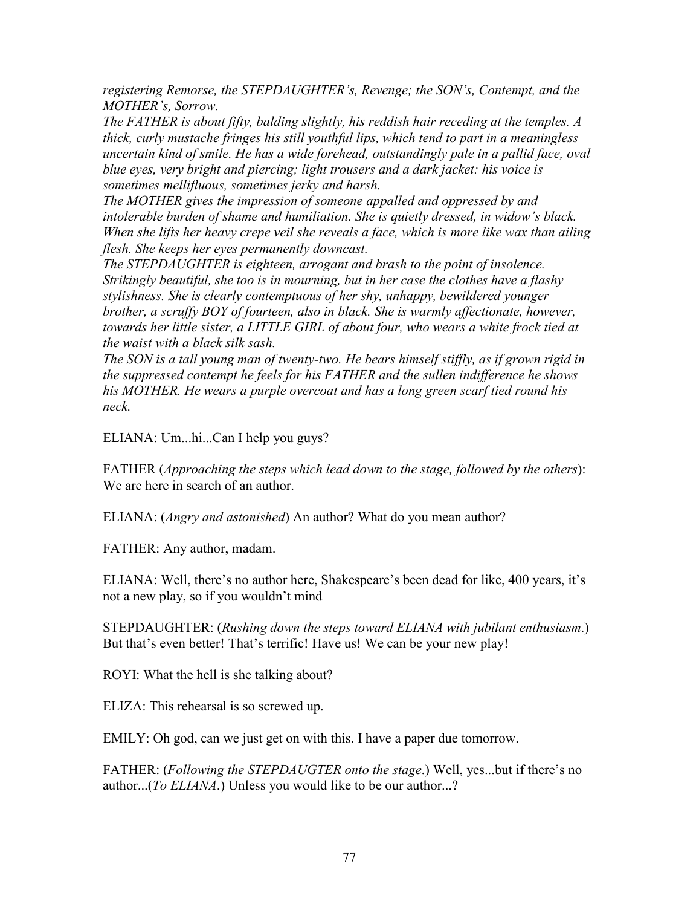*registering Remorse, the STEPDAUGHTER's, Revenge; the SON's, Contempt, and the MOTHER's, Sorrow.*

*The FATHER is about fifty, balding slightly, his reddish hair receding at the temples. A thick, curly mustache fringes his still youthful lips, which tend to part in a meaningless uncertain kind of smile. He has a wide forehead, outstandingly pale in a pallid face, oval blue eyes, very bright and piercing; light trousers and a dark jacket: his voice is sometimes mellifluous, sometimes jerky and harsh.*

*The MOTHER gives the impression of someone appalled and oppressed by and intolerable burden of shame and humiliation. She is quietly dressed, in widow's black. When she lifts her heavy crepe veil she reveals a face, which is more like wax than ailing flesh. She keeps her eyes permanently downcast.*

*The STEPDAUGHTER is eighteen, arrogant and brash to the point of insolence. Strikingly beautiful, she too is in mourning, but in her case the clothes have a flashy stylishness. She is clearly contemptuous of her shy, unhappy, bewildered younger brother, a scruffy BOY of fourteen, also in black. She is warmly affectionate, however, towards her little sister, a LITTLE GIRL of about four, who wears a white frock tied at the waist with a black silk sash.*

*The SON is a tall young man of twenty-two. He bears himself stiffly, as if grown rigid in the suppressed contempt he feels for his FATHER and the sullen indifference he shows his MOTHER. He wears a purple overcoat and has a long green scarf tied round his neck.*

ELIANA: Um...hi...Can I help you guys?

FATHER (*Approaching the steps which lead down to the stage, followed by the others*): We are here in search of an author.

ELIANA: (*Angry and astonished*) An author? What do you mean author?

FATHER: Any author, madam.

ELIANA: Well, there's no author here, Shakespeare's been dead for like, 400 years, it's not a new play, so if you wouldn't mind—

STEPDAUGHTER: (*Rushing down the steps toward ELIANA with jubilant enthusiasm*.) But that's even better! That's terrific! Have us! We can be your new play!

ROYI: What the hell is she talking about?

ELIZA: This rehearsal is so screwed up.

EMILY: Oh god, can we just get on with this. I have a paper due tomorrow.

FATHER: (*Following the STEPDAUGTER onto the stage*.) Well, yes...but if there's no author...(*To ELIANA*.) Unless you would like to be our author...?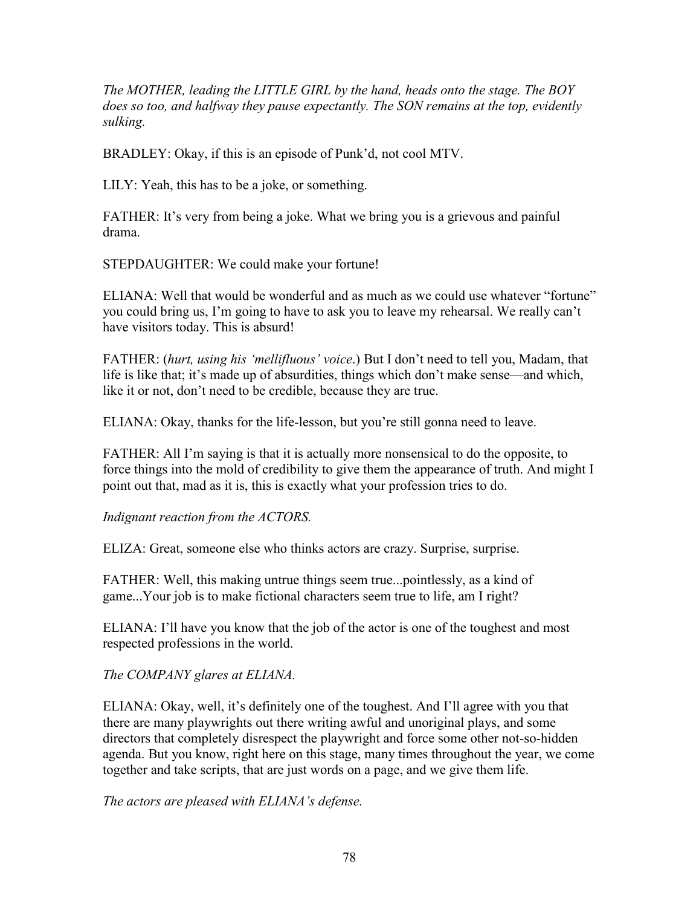*The MOTHER, leading the LITTLE GIRL by the hand, heads onto the stage. The BOY does so too, and halfway they pause expectantly. The SON remains at the top, evidently sulking.*

BRADLEY: Okay, if this is an episode of Punk'd, not cool MTV.

LILY: Yeah, this has to be a joke, or something.

FATHER: It's very from being a joke. What we bring you is a grievous and painful drama.

STEPDAUGHTER: We could make your fortune!

ELIANA: Well that would be wonderful and as much as we could use whatever "fortune" you could bring us, I'm going to have to ask you to leave my rehearsal. We really can't have visitors today. This is absurd!

FATHER: (*hurt, using his 'mellifluous' voice*.) But I don't need to tell you, Madam, that life is like that; it's made up of absurdities, things which don't make sense—and which, like it or not, don't need to be credible, because they are true.

ELIANA: Okay, thanks for the life-lesson, but you're still gonna need to leave.

FATHER: All I'm saying is that it is actually more nonsensical to do the opposite, to force things into the mold of credibility to give them the appearance of truth. And might I point out that, mad as it is, this is exactly what your profession tries to do.

*Indignant reaction from the ACTORS.*

ELIZA: Great, someone else who thinks actors are crazy. Surprise, surprise.

FATHER: Well, this making untrue things seem true...pointlessly, as a kind of game...Your job is to make fictional characters seem true to life, am I right?

ELIANA: I'll have you know that the job of the actor is one of the toughest and most respected professions in the world.

*The COMPANY glares at ELIANA.*

ELIANA: Okay, well, it's definitely one of the toughest. And I'll agree with you that there are many playwrights out there writing awful and unoriginal plays, and some directors that completely disrespect the playwright and force some other not-so-hidden agenda. But you know, right here on this stage, many times throughout the year, we come together and take scripts, that are just words on a page, and we give them life.

*The actors are pleased with ELIANA's defense.*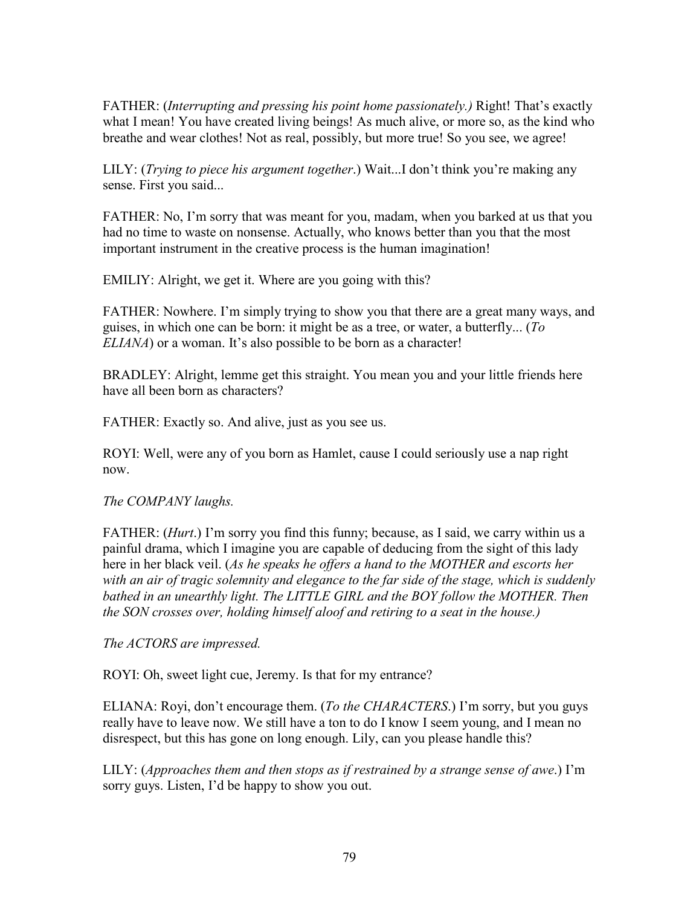FATHER: (*Interrupting and pressing his point home passionately.)* Right! That's exactly what I mean! You have created living beings! As much alive, or more so, as the kind who breathe and wear clothes! Not as real, possibly, but more true! So you see, we agree!

LILY: (*Trying to piece his argument together*.) Wait...I don't think you're making any sense. First you said...

FATHER: No, I'm sorry that was meant for you, madam, when you barked at us that you had no time to waste on nonsense. Actually, who knows better than you that the most important instrument in the creative process is the human imagination!

EMILIY: Alright, we get it. Where are you going with this?

FATHER: Nowhere. I'm simply trying to show you that there are a great many ways, and guises, in which one can be born: it might be as a tree, or water, a butterfly... (*To ELIANA*) or a woman. It's also possible to be born as a character!

BRADLEY: Alright, lemme get this straight. You mean you and your little friends here have all been born as characters?

FATHER: Exactly so. And alive, just as you see us.

ROYI: Well, were any of you born as Hamlet, cause I could seriously use a nap right now.

# *The COMPANY laughs.*

FATHER: (*Hurt*.) I'm sorry you find this funny; because, as I said, we carry within us a painful drama, which I imagine you are capable of deducing from the sight of this lady here in her black veil. (*As he speaks he offers a hand to the MOTHER and escorts her with an air of tragic solemnity and elegance to the far side of the stage, which is suddenly bathed in an unearthly light. The LITTLE GIRL and the BOY follow the MOTHER. Then the SON crosses over, holding himself aloof and retiring to a seat in the house.)*

*The ACTORS are impressed.*

ROYI: Oh, sweet light cue, Jeremy. Is that for my entrance?

ELIANA: Royi, don't encourage them. (*To the CHARACTERS*.) I'm sorry, but you guys really have to leave now. We still have a ton to do I know I seem young, and I mean no disrespect, but this has gone on long enough. Lily, can you please handle this?

LILY: (*Approaches them and then stops as if restrained by a strange sense of awe*.) I'm sorry guys. Listen, I'd be happy to show you out.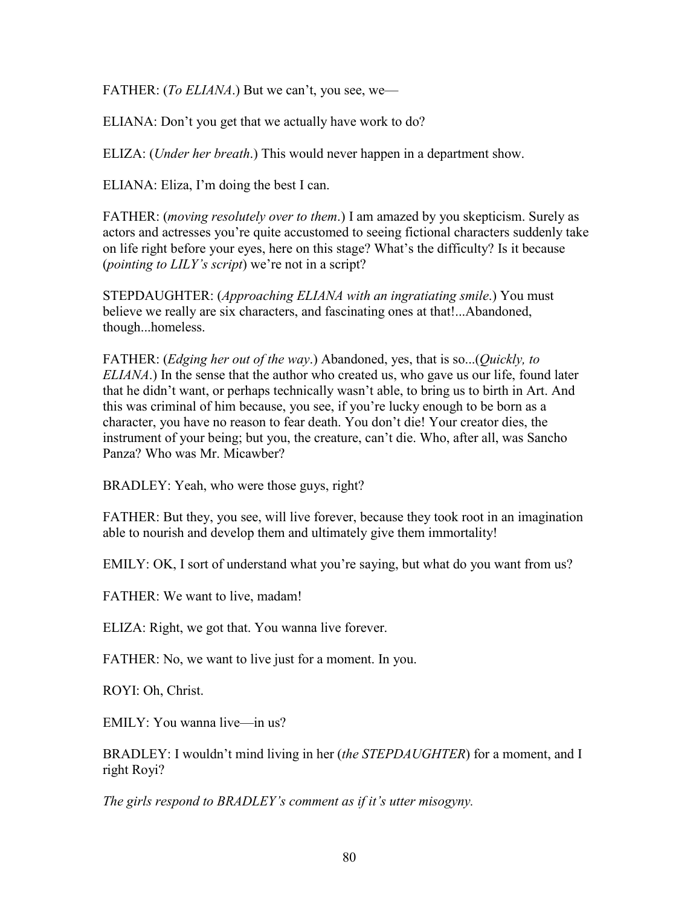FATHER: (*To ELIANA*.) But we can't, you see, we—

ELIANA: Don't you get that we actually have work to do?

ELIZA: (*Under her breath*.) This would never happen in a department show.

ELIANA: Eliza, I'm doing the best I can.

FATHER: (*moving resolutely over to them*.) I am amazed by you skepticism. Surely as actors and actresses you're quite accustomed to seeing fictional characters suddenly take on life right before your eyes, here on this stage? What's the difficulty? Is it because (*pointing to LILY's script*) we're not in a script?

STEPDAUGHTER: (*Approaching ELIANA with an ingratiating smile*.) You must believe we really are six characters, and fascinating ones at that!...Abandoned, though...homeless.

FATHER: (*Edging her out of the way*.) Abandoned, yes, that is so...(*Quickly, to ELIANA*.) In the sense that the author who created us, who gave us our life, found later that he didn't want, or perhaps technically wasn't able, to bring us to birth in Art. And this was criminal of him because, you see, if you're lucky enough to be born as a character, you have no reason to fear death. You don't die! Your creator dies, the instrument of your being; but you, the creature, can't die. Who, after all, was Sancho Panza? Who was Mr. Micawber?

BRADLEY: Yeah, who were those guys, right?

FATHER: But they, you see, will live forever, because they took root in an imagination able to nourish and develop them and ultimately give them immortality!

EMILY: OK, I sort of understand what you're saying, but what do you want from us?

FATHER: We want to live, madam!

ELIZA: Right, we got that. You wanna live forever.

FATHER: No, we want to live just for a moment. In you.

ROYI: Oh, Christ.

EMILY: You wanna live—in us?

BRADLEY: I wouldn't mind living in her (*the STEPDAUGHTER*) for a moment, and I right Royi?

*The girls respond to BRADLEY's comment as if it's utter misogyny.*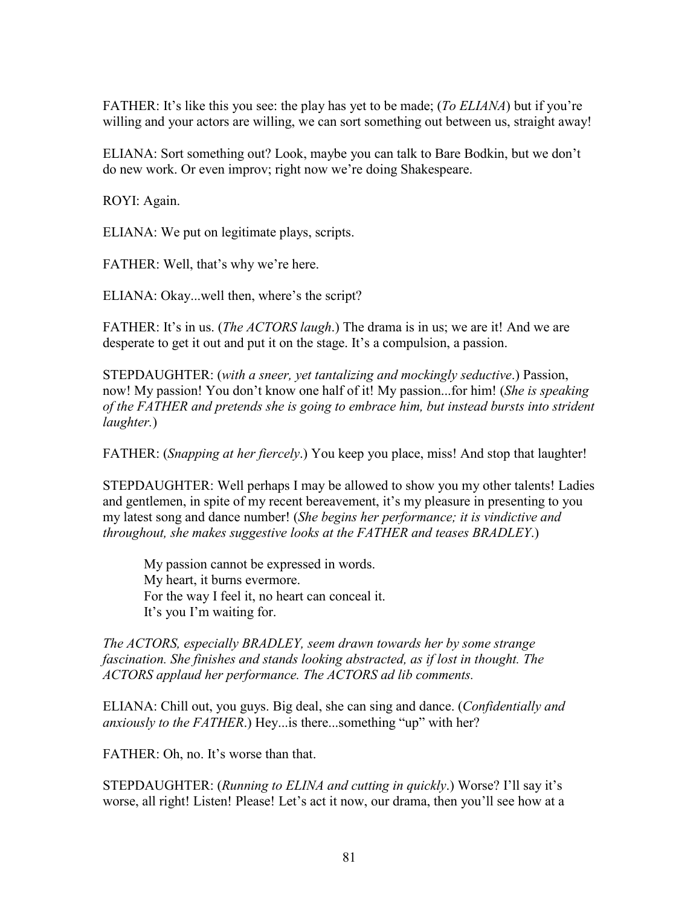FATHER: It's like this you see: the play has yet to be made; (*To ELIANA*) but if you're willing and your actors are willing, we can sort something out between us, straight away!

ELIANA: Sort something out? Look, maybe you can talk to Bare Bodkin, but we don't do new work. Or even improv; right now we're doing Shakespeare.

ROYI: Again.

ELIANA: We put on legitimate plays, scripts.

FATHER: Well, that's why we're here.

ELIANA: Okay...well then, where's the script?

FATHER: It's in us. (*The ACTORS laugh*.) The drama is in us; we are it! And we are desperate to get it out and put it on the stage. It's a compulsion, a passion.

STEPDAUGHTER: (*with a sneer, yet tantalizing and mockingly seductive*.) Passion, now! My passion! You don't know one half of it! My passion...for him! (*She is speaking of the FATHER and pretends she is going to embrace him, but instead bursts into strident laughter.*)

FATHER: (*Snapping at her fiercely*.) You keep you place, miss! And stop that laughter!

STEPDAUGHTER: Well perhaps I may be allowed to show you my other talents! Ladies and gentlemen, in spite of my recent bereavement, it's my pleasure in presenting to you my latest song and dance number! (*She begins her performance; it is vindictive and throughout, she makes suggestive looks at the FATHER and teases BRADLEY*.)

My passion cannot be expressed in words. My heart, it burns evermore. For the way I feel it, no heart can conceal it. It's you I'm waiting for.

*The ACTORS, especially BRADLEY, seem drawn towards her by some strange fascination. She finishes and stands looking abstracted, as if lost in thought. The ACTORS applaud her performance. The ACTORS ad lib comments.*

ELIANA: Chill out, you guys. Big deal, she can sing and dance. (*Confidentially and anxiously to the FATHER*.) Hey...is there...something "up" with her?

FATHER: Oh, no. It's worse than that.

STEPDAUGHTER: (*Running to ELINA and cutting in quickly*.) Worse? I'll say it's worse, all right! Listen! Please! Let's act it now, our drama, then you'll see how at a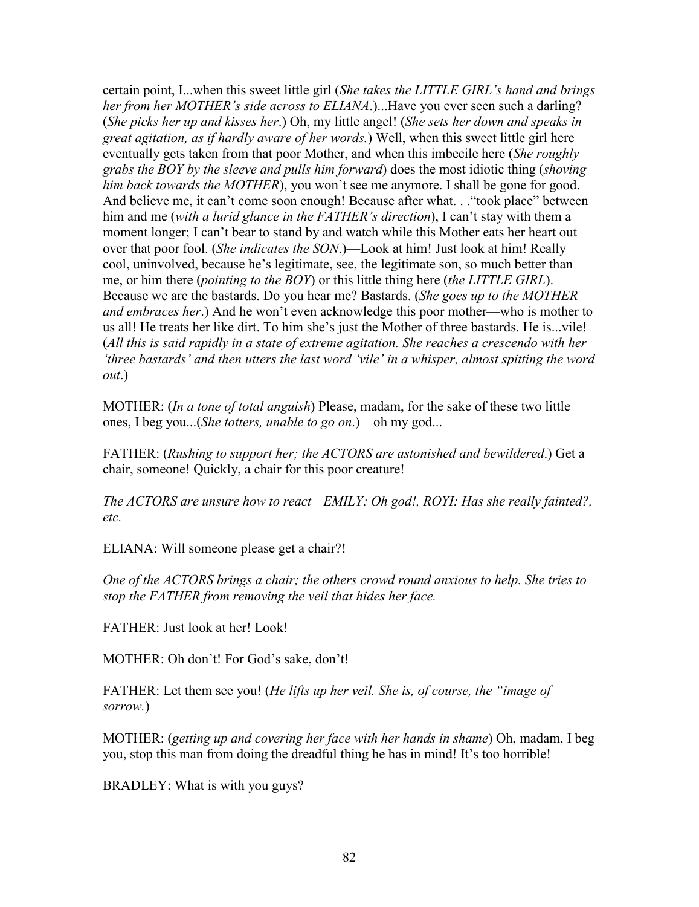certain point, I...when this sweet little girl (*She takes the LITTLE GIRL's hand and brings her from her MOTHER's side across to ELIANA*.)...Have you ever seen such a darling? (*She picks her up and kisses her*.) Oh, my little angel! (*She sets her down and speaks in great agitation, as if hardly aware of her words.*) Well, when this sweet little girl here eventually gets taken from that poor Mother, and when this imbecile here (*She roughly grabs the BOY by the sleeve and pulls him forward*) does the most idiotic thing (*shoving him back towards the MOTHER*), you won't see me anymore. I shall be gone for good. And believe me, it can't come soon enough! Because after what. . ."took place" between him and me (*with a lurid glance in the FATHER's direction*), I can't stay with them a moment longer; I can't bear to stand by and watch while this Mother eats her heart out over that poor fool. (*She indicates the SON*.)—Look at him! Just look at him! Really cool, uninvolved, because he's legitimate, see, the legitimate son, so much better than me, or him there (*pointing to the BOY*) or this little thing here (*the LITTLE GIRL*). Because we are the bastards. Do you hear me? Bastards. (*She goes up to the MOTHER and embraces her*.) And he won't even acknowledge this poor mother—who is mother to us all! He treats her like dirt. To him she's just the Mother of three bastards. He is...vile! (*All this is said rapidly in a state of extreme agitation. She reaches a crescendo with her 'three bastards' and then utters the last word 'vile' in a whisper, almost spitting the word out*.)

MOTHER: (*In a tone of total anguish*) Please, madam, for the sake of these two little ones, I beg you...(*She totters, unable to go on*.)—oh my god...

FATHER: (*Rushing to support her; the ACTORS are astonished and bewildered*.) Get a chair, someone! Quickly, a chair for this poor creature!

*The ACTORS are unsure how to react—EMILY: Oh god!, ROYI: Has she really fainted?, etc.*

ELIANA: Will someone please get a chair?!

*One of the ACTORS brings a chair; the others crowd round anxious to help. She tries to stop the FATHER from removing the veil that hides her face.*

FATHER: Just look at her! Look!

MOTHER: Oh don't! For God's sake, don't!

FATHER: Let them see you! (*He lifts up her veil. She is, of course, the "image of sorrow.*)

MOTHER: (*getting up and covering her face with her hands in shame*) Oh, madam, I beg you, stop this man from doing the dreadful thing he has in mind! It's too horrible!

BRADLEY: What is with you guys?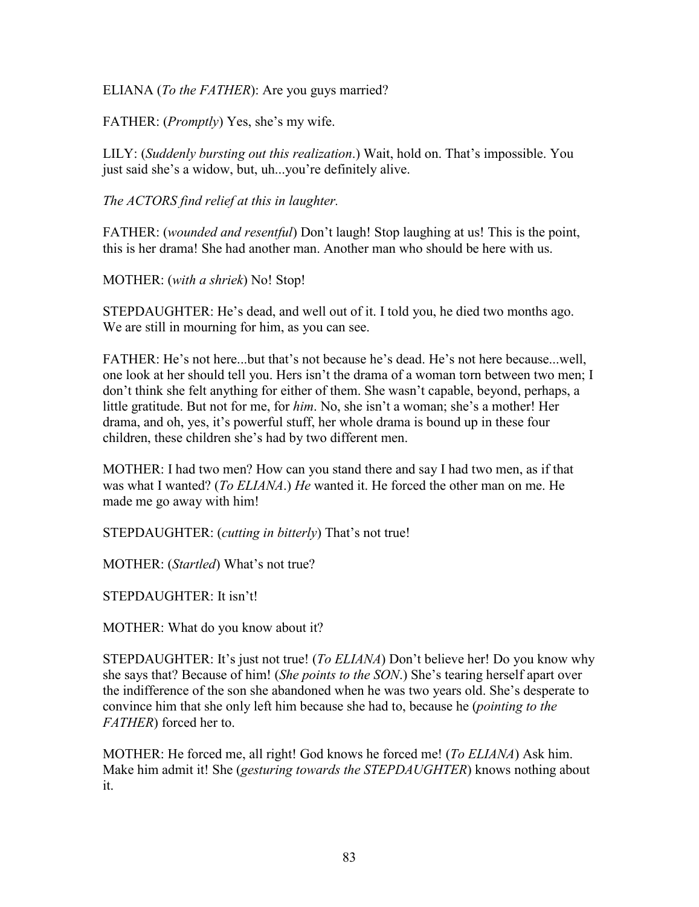ELIANA (*To the FATHER*): Are you guys married?

FATHER: (*Promptly*) Yes, she's my wife.

LILY: (*Suddenly bursting out this realization*.) Wait, hold on. That's impossible. You just said she's a widow, but, uh...you're definitely alive.

*The ACTORS find relief at this in laughter.*

FATHER: *(wounded and resentful*) Don't laugh! Stop laughing at us! This is the point, this is her drama! She had another man. Another man who should be here with us.

MOTHER: (*with a shriek*) No! Stop!

STEPDAUGHTER: He's dead, and well out of it. I told you, he died two months ago. We are still in mourning for him, as you can see.

FATHER: He's not here...but that's not because he's dead. He's not here because...well, one look at her should tell you. Hers isn't the drama of a woman torn between two men; I don't think she felt anything for either of them. She wasn't capable, beyond, perhaps, a little gratitude. But not for me, for *him*. No, she isn't a woman; she's a mother! Her drama, and oh, yes, it's powerful stuff, her whole drama is bound up in these four children, these children she's had by two different men.

MOTHER: I had two men? How can you stand there and say I had two men, as if that was what I wanted? (*To ELIANA*.) *He* wanted it. He forced the other man on me. He made me go away with him!

STEPDAUGHTER: (*cutting in bitterly*) That's not true!

MOTHER: (*Startled*) What's not true?

STEPDAUGHTER: It isn't!

MOTHER: What do you know about it?

STEPDAUGHTER: It's just not true! (*To ELIANA*) Don't believe her! Do you know why she says that? Because of him! (*She points to the SON*.) She's tearing herself apart over the indifference of the son she abandoned when he was two years old. She's desperate to convince him that she only left him because she had to, because he (*pointing to the FATHER*) forced her to.

MOTHER: He forced me, all right! God knows he forced me! (*To ELIANA*) Ask him. Make him admit it! She (*gesturing towards the STEPDAUGHTER*) knows nothing about it.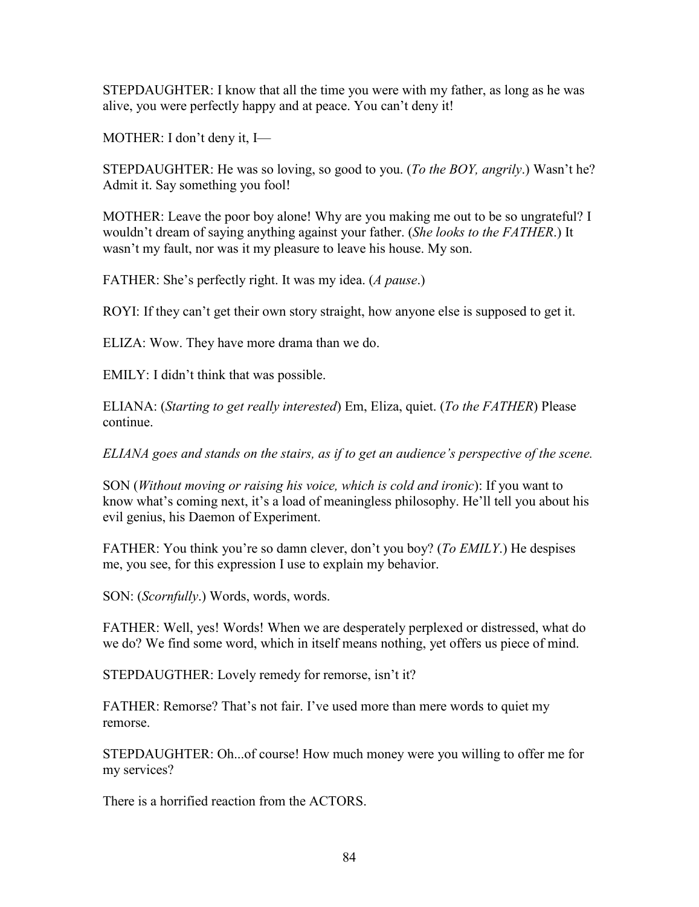STEPDAUGHTER: I know that all the time you were with my father, as long as he was alive, you were perfectly happy and at peace. You can't deny it!

MOTHER: I don't deny it, I—

STEPDAUGHTER: He was so loving, so good to you. (*To the BOY, angrily*.) Wasn't he? Admit it. Say something you fool!

MOTHER: Leave the poor boy alone! Why are you making me out to be so ungrateful? I wouldn't dream of saying anything against your father. (*She looks to the FATHER*.) It wasn't my fault, nor was it my pleasure to leave his house. My son.

FATHER: She's perfectly right. It was my idea. (*A pause*.)

ROYI: If they can't get their own story straight, how anyone else is supposed to get it.

ELIZA: Wow. They have more drama than we do.

EMILY: I didn't think that was possible.

ELIANA: (*Starting to get really interested*) Em, Eliza, quiet. (*To the FATHER*) Please continue.

*ELIANA goes and stands on the stairs, as if to get an audience's perspective of the scene.*

SON (*Without moving or raising his voice, which is cold and ironic*): If you want to know what's coming next, it's a load of meaningless philosophy. He'll tell you about his evil genius, his Daemon of Experiment.

FATHER: You think you're so damn clever, don't you boy? (*To EMILY*.) He despises me, you see, for this expression I use to explain my behavior.

SON: (*Scornfully*.) Words, words, words.

FATHER: Well, yes! Words! When we are desperately perplexed or distressed, what do we do? We find some word, which in itself means nothing, yet offers us piece of mind.

STEPDAUGTHER: Lovely remedy for remorse, isn't it?

FATHER: Remorse? That's not fair. I've used more than mere words to quiet my remorse.

STEPDAUGHTER: Oh...of course! How much money were you willing to offer me for my services?

There is a horrified reaction from the ACTORS.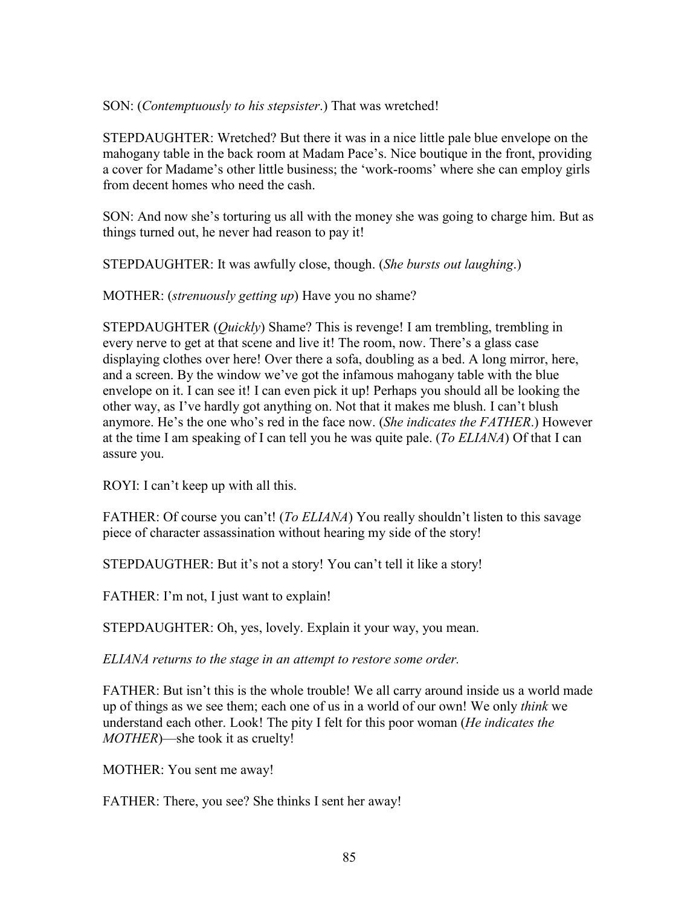### SON: (*Contemptuously to his stepsister*.) That was wretched!

STEPDAUGHTER: Wretched? But there it was in a nice little pale blue envelope on the mahogany table in the back room at Madam Pace's. Nice boutique in the front, providing a cover for Madame's other little business; the 'work-rooms' where she can employ girls from decent homes who need the cash.

SON: And now she's torturing us all with the money she was going to charge him. But as things turned out, he never had reason to pay it!

STEPDAUGHTER: It was awfully close, though. (*She bursts out laughing*.)

MOTHER: (*strenuously getting up*) Have you no shame?

STEPDAUGHTER (*Quickly*) Shame? This is revenge! I am trembling, trembling in every nerve to get at that scene and live it! The room, now. There's a glass case displaying clothes over here! Over there a sofa, doubling as a bed. A long mirror, here, and a screen. By the window we've got the infamous mahogany table with the blue envelope on it. I can see it! I can even pick it up! Perhaps you should all be looking the other way, as I've hardly got anything on. Not that it makes me blush. I can't blush anymore. He's the one who's red in the face now. (*She indicates the FATHER*.) However at the time I am speaking of I can tell you he was quite pale. (*To ELIANA*) Of that I can assure you.

ROYI: I can't keep up with all this.

FATHER: Of course you can't! (*To ELIANA*) You really shouldn't listen to this savage piece of character assassination without hearing my side of the story!

STEPDAUGTHER: But it's not a story! You can't tell it like a story!

FATHER: I'm not, I just want to explain!

STEPDAUGHTER: Oh, yes, lovely. Explain it your way, you mean.

*ELIANA returns to the stage in an attempt to restore some order.*

FATHER: But isn't this is the whole trouble! We all carry around inside us a world made up of things as we see them; each one of us in a world of our own! We only *think* we understand each other. Look! The pity I felt for this poor woman (*He indicates the MOTHER*)—she took it as cruelty!

MOTHER: You sent me away!

FATHER: There, you see? She thinks I sent her away!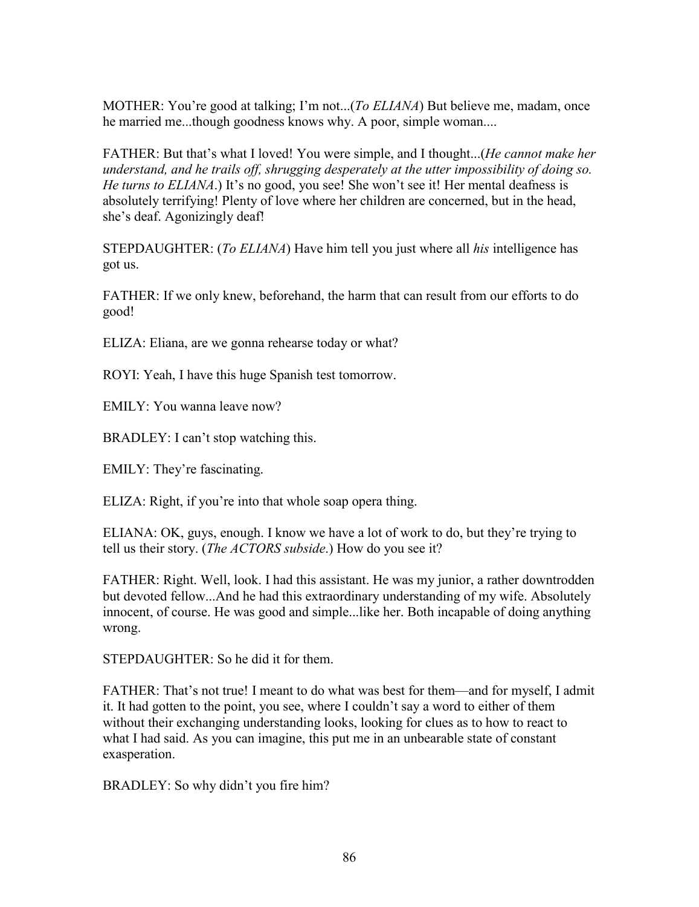MOTHER: You're good at talking; I'm not...(*To ELIANA*) But believe me, madam, once he married me...though goodness knows why. A poor, simple woman....

FATHER: But that's what I loved! You were simple, and I thought...(*He cannot make her understand, and he trails off, shrugging desperately at the utter impossibility of doing so. He turns to ELIANA*.) It's no good, you see! She won't see it! Her mental deafness is absolutely terrifying! Plenty of love where her children are concerned, but in the head, she's deaf. Agonizingly deaf!

STEPDAUGHTER: (*To ELIANA*) Have him tell you just where all *his* intelligence has got us.

FATHER: If we only knew, beforehand, the harm that can result from our efforts to do good!

ELIZA: Eliana, are we gonna rehearse today or what?

ROYI: Yeah, I have this huge Spanish test tomorrow.

EMILY: You wanna leave now?

BRADLEY: I can't stop watching this.

EMILY: They're fascinating.

ELIZA: Right, if you're into that whole soap opera thing.

ELIANA: OK, guys, enough. I know we have a lot of work to do, but they're trying to tell us their story. (*The ACTORS subside*.) How do you see it?

FATHER: Right. Well, look. I had this assistant. He was my junior, a rather downtrodden but devoted fellow...And he had this extraordinary understanding of my wife. Absolutely innocent, of course. He was good and simple...like her. Both incapable of doing anything wrong.

STEPDAUGHTER: So he did it for them.

FATHER: That's not true! I meant to do what was best for them—and for myself, I admit it. It had gotten to the point, you see, where I couldn't say a word to either of them without their exchanging understanding looks, looking for clues as to how to react to what I had said. As you can imagine, this put me in an unbearable state of constant exasperation.

BRADLEY: So why didn't you fire him?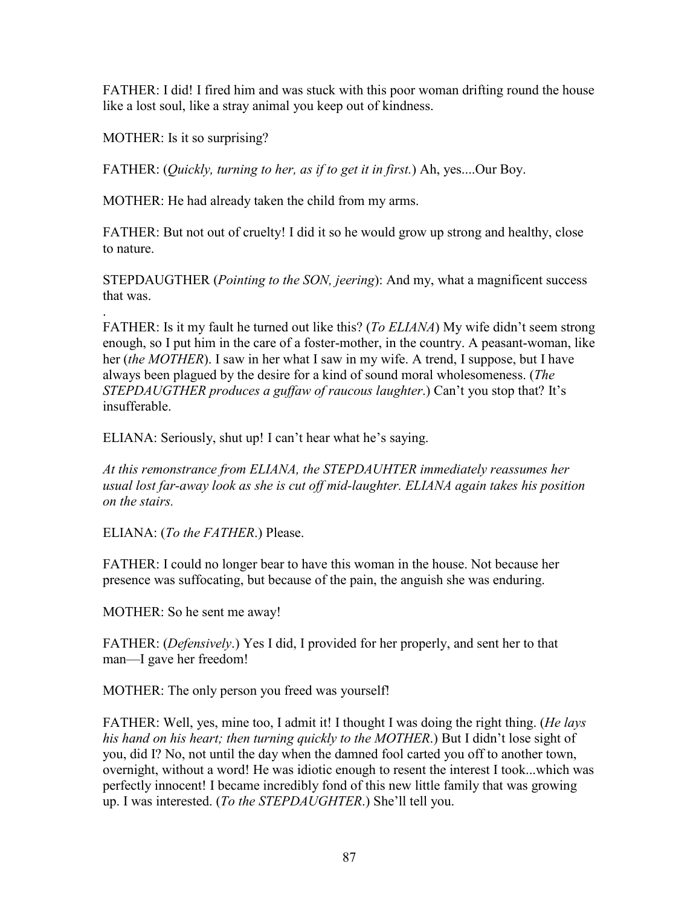FATHER: I did! I fired him and was stuck with this poor woman drifting round the house like a lost soul, like a stray animal you keep out of kindness.

MOTHER: Is it so surprising?

FATHER: (*Quickly, turning to her, as if to get it in first.*) Ah, yes....Our Boy.

MOTHER: He had already taken the child from my arms.

FATHER: But not out of cruelty! I did it so he would grow up strong and healthy, close to nature.

STEPDAUGTHER (*Pointing to the SON, jeering*): And my, what a magnificent success that was.

. FATHER: Is it my fault he turned out like this? (*To ELIANA*) My wife didn't seem strong enough, so I put him in the care of a foster-mother, in the country. A peasant-woman, like her (*the MOTHER*). I saw in her what I saw in my wife. A trend, I suppose, but I have always been plagued by the desire for a kind of sound moral wholesomeness. (*The STEPDAUGTHER produces a guffaw of raucous laughter*.) Can't you stop that? It's insufferable.

ELIANA: Seriously, shut up! I can't hear what he's saying.

*At this remonstrance from ELIANA, the STEPDAUHTER immediately reassumes her usual lost far-away look as she is cut off mid-laughter. ELIANA again takes his position on the stairs.*

ELIANA: (*To the FATHER*.) Please.

FATHER: I could no longer bear to have this woman in the house. Not because her presence was suffocating, but because of the pain, the anguish she was enduring.

MOTHER: So he sent me away!

FATHER: (*Defensively*.) Yes I did, I provided for her properly, and sent her to that man—I gave her freedom!

MOTHER: The only person you freed was yourself!

FATHER: Well, yes, mine too, I admit it! I thought I was doing the right thing. (*He lays his hand on his heart; then turning quickly to the MOTHER*.) But I didn't lose sight of you, did I? No, not until the day when the damned fool carted you off to another town, overnight, without a word! He was idiotic enough to resent the interest I took...which was perfectly innocent! I became incredibly fond of this new little family that was growing up. I was interested. (*To the STEPDAUGHTER*.) She'll tell you.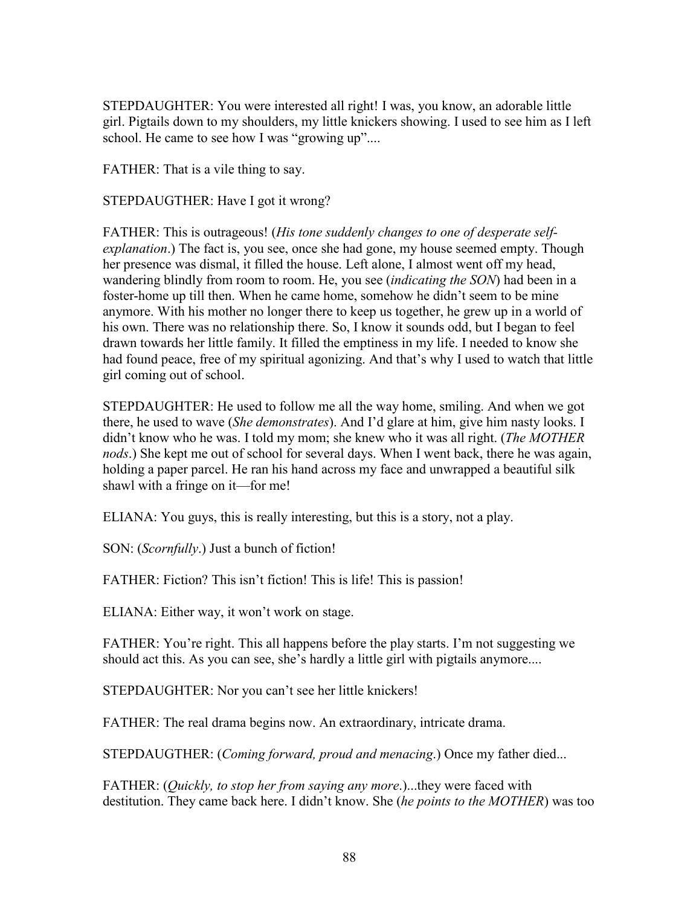STEPDAUGHTER: You were interested all right! I was, you know, an adorable little girl. Pigtails down to my shoulders, my little knickers showing. I used to see him as I left school. He came to see how I was "growing up"....

FATHER: That is a vile thing to say.

STEPDAUGTHER: Have I got it wrong?

FATHER: This is outrageous! (*His tone suddenly changes to one of desperate selfexplanation*.) The fact is, you see, once she had gone, my house seemed empty. Though her presence was dismal, it filled the house. Left alone, I almost went off my head, wandering blindly from room to room. He, you see (*indicating the SON*) had been in a foster-home up till then. When he came home, somehow he didn't seem to be mine anymore. With his mother no longer there to keep us together, he grew up in a world of his own. There was no relationship there. So, I know it sounds odd, but I began to feel drawn towards her little family. It filled the emptiness in my life. I needed to know she had found peace, free of my spiritual agonizing. And that's why I used to watch that little girl coming out of school.

STEPDAUGHTER: He used to follow me all the way home, smiling. And when we got there, he used to wave (*She demonstrates*). And I'd glare at him, give him nasty looks. I didn't know who he was. I told my mom; she knew who it was all right. (*The MOTHER nods*.) She kept me out of school for several days. When I went back, there he was again, holding a paper parcel. He ran his hand across my face and unwrapped a beautiful silk shawl with a fringe on it—for me!

ELIANA: You guys, this is really interesting, but this is a story, not a play.

SON: (*Scornfully*.) Just a bunch of fiction!

FATHER: Fiction? This isn't fiction! This is life! This is passion!

ELIANA: Either way, it won't work on stage.

FATHER: You're right. This all happens before the play starts. I'm not suggesting we should act this. As you can see, she's hardly a little girl with pigtails anymore....

STEPDAUGHTER: Nor you can't see her little knickers!

FATHER: The real drama begins now. An extraordinary, intricate drama.

STEPDAUGTHER: (*Coming forward, proud and menacing*.) Once my father died...

FATHER: (*Quickly, to stop her from saying any more*.)...they were faced with destitution. They came back here. I didn't know. She (*he points to the MOTHER*) was too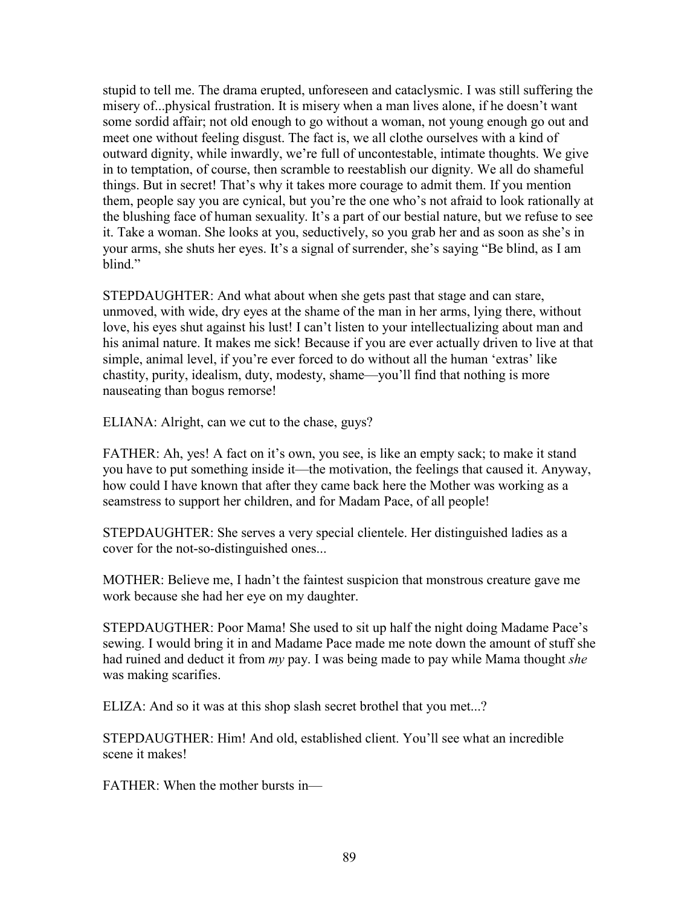stupid to tell me. The drama erupted, unforeseen and cataclysmic. I was still suffering the misery of...physical frustration. It is misery when a man lives alone, if he doesn't want some sordid affair; not old enough to go without a woman, not young enough go out and meet one without feeling disgust. The fact is, we all clothe ourselves with a kind of outward dignity, while inwardly, we're full of uncontestable, intimate thoughts. We give in to temptation, of course, then scramble to reestablish our dignity. We all do shameful things. But in secret! That's why it takes more courage to admit them. If you mention them, people say you are cynical, but you're the one who's not afraid to look rationally at the blushing face of human sexuality. It's a part of our bestial nature, but we refuse to see it. Take a woman. She looks at you, seductively, so you grab her and as soon as she's in your arms, she shuts her eyes. It's a signal of surrender, she's saying "Be blind, as I am blind<sup>"</sup>

STEPDAUGHTER: And what about when she gets past that stage and can stare, unmoved, with wide, dry eyes at the shame of the man in her arms, lying there, without love, his eyes shut against his lust! I can't listen to your intellectualizing about man and his animal nature. It makes me sick! Because if you are ever actually driven to live at that simple, animal level, if you're ever forced to do without all the human 'extras' like chastity, purity, idealism, duty, modesty, shame—you'll find that nothing is more nauseating than bogus remorse!

ELIANA: Alright, can we cut to the chase, guys?

FATHER: Ah, yes! A fact on it's own, you see, is like an empty sack; to make it stand you have to put something inside it—the motivation, the feelings that caused it. Anyway, how could I have known that after they came back here the Mother was working as a seamstress to support her children, and for Madam Pace, of all people!

STEPDAUGHTER: She serves a very special clientele. Her distinguished ladies as a cover for the not-so-distinguished ones...

MOTHER: Believe me, I hadn't the faintest suspicion that monstrous creature gave me work because she had her eye on my daughter.

STEPDAUGTHER: Poor Mama! She used to sit up half the night doing Madame Pace's sewing. I would bring it in and Madame Pace made me note down the amount of stuff she had ruined and deduct it from *my* pay. I was being made to pay while Mama thought *she* was making scarifies.

ELIZA: And so it was at this shop slash secret brothel that you met...?

STEPDAUGTHER: Him! And old, established client. You'll see what an incredible scene it makes!

FATHER: When the mother bursts in—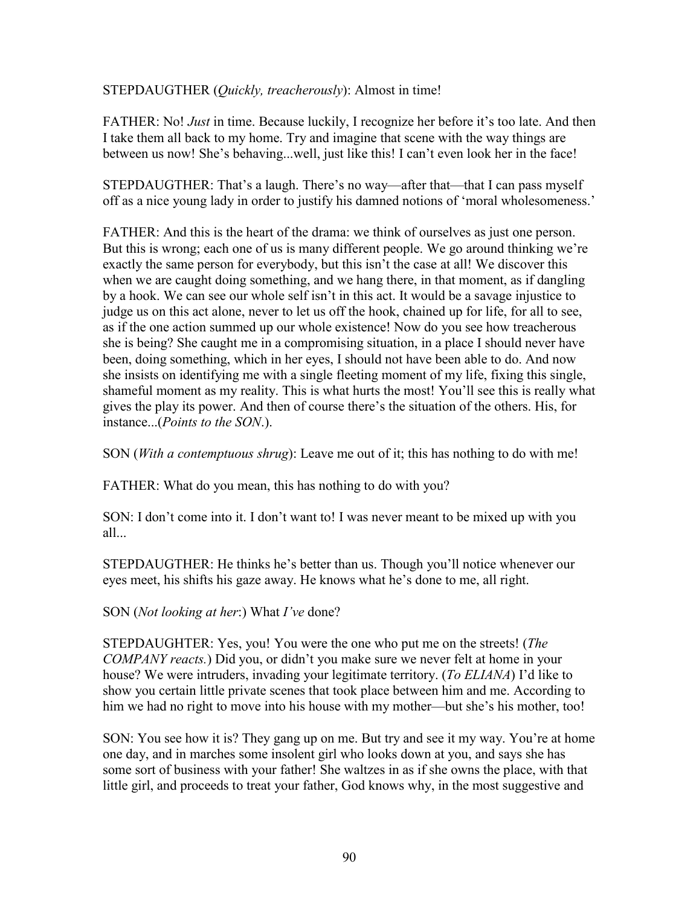STEPDAUGTHER (*Quickly, treacherously*): Almost in time!

FATHER: No! *Just* in time. Because luckily, I recognize her before it's too late. And then I take them all back to my home. Try and imagine that scene with the way things are between us now! She's behaving...well, just like this! I can't even look her in the face!

STEPDAUGTHER: That's a laugh. There's no way—after that—that I can pass myself off as a nice young lady in order to justify his damned notions of 'moral wholesomeness.'

FATHER: And this is the heart of the drama: we think of ourselves as just one person. But this is wrong; each one of us is many different people. We go around thinking we're exactly the same person for everybody, but this isn't the case at all! We discover this when we are caught doing something, and we hang there, in that moment, as if dangling by a hook. We can see our whole self isn't in this act. It would be a savage injustice to judge us on this act alone, never to let us off the hook, chained up for life, for all to see, as if the one action summed up our whole existence! Now do you see how treacherous she is being? She caught me in a compromising situation, in a place I should never have been, doing something, which in her eyes, I should not have been able to do. And now she insists on identifying me with a single fleeting moment of my life, fixing this single, shameful moment as my reality. This is what hurts the most! You'll see this is really what gives the play its power. And then of course there's the situation of the others. His, for instance...(*Points to the SON*.).

SON (*With a contemptuous shrug*): Leave me out of it; this has nothing to do with me!

FATHER: What do you mean, this has nothing to do with you?

SON: I don't come into it. I don't want to! I was never meant to be mixed up with you all...

STEPDAUGTHER: He thinks he's better than us. Though you'll notice whenever our eyes meet, his shifts his gaze away. He knows what he's done to me, all right.

#### SON (*Not looking at her*:) What *I've* done?

STEPDAUGHTER: Yes, you! You were the one who put me on the streets! (*The COMPANY reacts.*) Did you, or didn't you make sure we never felt at home in your house? We were intruders, invading your legitimate territory. (*To ELIANA*) I'd like to show you certain little private scenes that took place between him and me. According to him we had no right to move into his house with my mother—but she's his mother, too!

SON: You see how it is? They gang up on me. But try and see it my way. You're at home one day, and in marches some insolent girl who looks down at you, and says she has some sort of business with your father! She waltzes in as if she owns the place, with that little girl, and proceeds to treat your father, God knows why, in the most suggestive and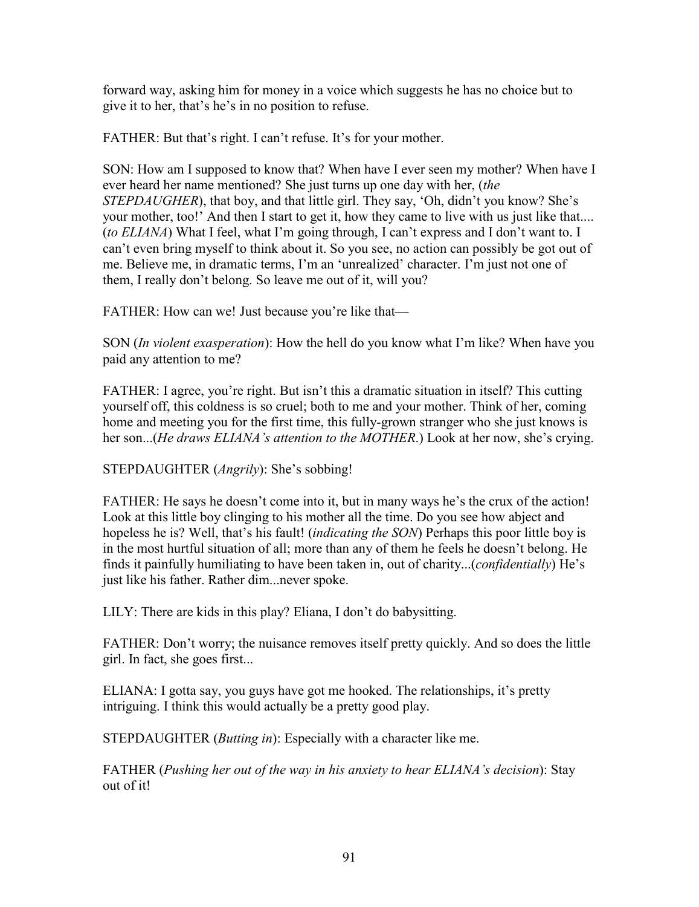forward way, asking him for money in a voice which suggests he has no choice but to give it to her, that's he's in no position to refuse.

FATHER: But that's right. I can't refuse. It's for your mother.

SON: How am I supposed to know that? When have I ever seen my mother? When have I ever heard her name mentioned? She just turns up one day with her, (*the STEPDAUGHER*), that boy, and that little girl. They say, 'Oh, didn't you know? She's your mother, too!' And then I start to get it, how they came to live with us just like that.... (*to ELIANA*) What I feel, what I'm going through, I can't express and I don't want to. I can't even bring myself to think about it. So you see, no action can possibly be got out of me. Believe me, in dramatic terms, I'm an 'unrealized' character. I'm just not one of them, I really don't belong. So leave me out of it, will you?

FATHER: How can we! Just because you're like that—

SON (*In violent exasperation*): How the hell do you know what I'm like? When have you paid any attention to me?

FATHER: I agree, you're right. But isn't this a dramatic situation in itself? This cutting yourself off, this coldness is so cruel; both to me and your mother. Think of her, coming home and meeting you for the first time, this fully-grown stranger who she just knows is her son...(*He draws ELIANA's attention to the MOTHER*.) Look at her now, she's crying.

STEPDAUGHTER (*Angrily*): She's sobbing!

FATHER: He says he doesn't come into it, but in many ways he's the crux of the action! Look at this little boy clinging to his mother all the time. Do you see how abject and hopeless he is? Well, that's his fault! (*indicating the SON*) Perhaps this poor little boy is in the most hurtful situation of all; more than any of them he feels he doesn't belong. He finds it painfully humiliating to have been taken in, out of charity...(*confidentially*) He's just like his father. Rather dim...never spoke.

LILY: There are kids in this play? Eliana, I don't do babysitting.

FATHER: Don't worry; the nuisance removes itself pretty quickly. And so does the little girl. In fact, she goes first...

ELIANA: I gotta say, you guys have got me hooked. The relationships, it's pretty intriguing. I think this would actually be a pretty good play.

STEPDAUGHTER (*Butting in*): Especially with a character like me.

FATHER (*Pushing her out of the way in his anxiety to hear ELIANA's decision*): Stay out of it!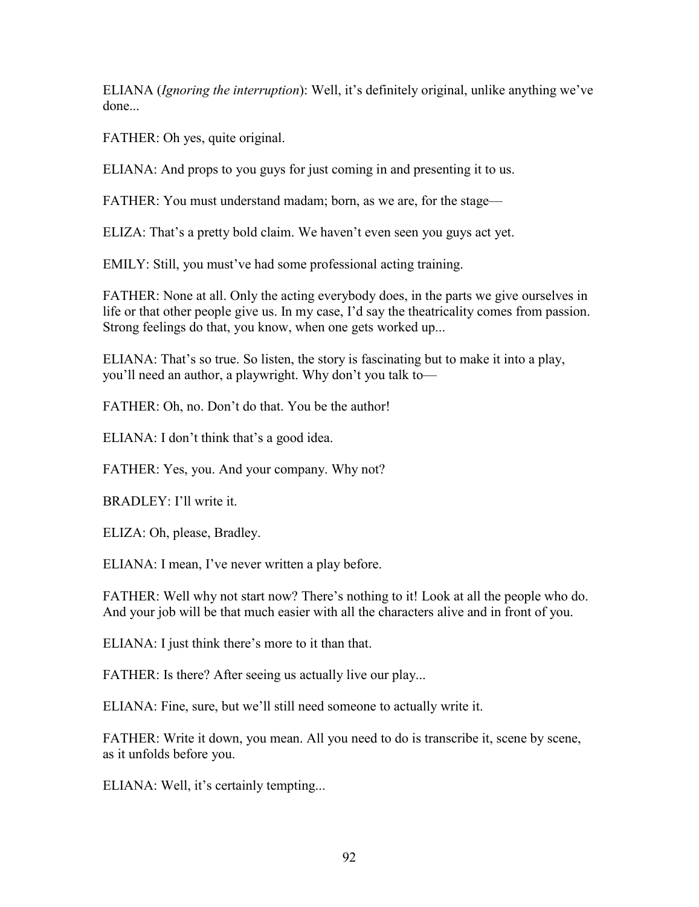ELIANA (*Ignoring the interruption*): Well, it's definitely original, unlike anything we've done.

FATHER: Oh yes, quite original.

ELIANA: And props to you guys for just coming in and presenting it to us.

FATHER: You must understand madam; born, as we are, for the stage—

ELIZA: That's a pretty bold claim. We haven't even seen you guys act yet.

EMILY: Still, you must've had some professional acting training.

FATHER: None at all. Only the acting everybody does, in the parts we give ourselves in life or that other people give us. In my case, I'd say the theatricality comes from passion. Strong feelings do that, you know, when one gets worked up...

ELIANA: That's so true. So listen, the story is fascinating but to make it into a play, you'll need an author, a playwright. Why don't you talk to—

FATHER: Oh, no. Don't do that. You be the author!

ELIANA: I don't think that's a good idea.

FATHER: Yes, you. And your company. Why not?

BRADLEY: I'll write it.

ELIZA: Oh, please, Bradley.

ELIANA: I mean, I've never written a play before.

FATHER: Well why not start now? There's nothing to it! Look at all the people who do. And your job will be that much easier with all the characters alive and in front of you.

ELIANA: I just think there's more to it than that.

FATHER: Is there? After seeing us actually live our play...

ELIANA: Fine, sure, but we'll still need someone to actually write it.

FATHER: Write it down, you mean. All you need to do is transcribe it, scene by scene, as it unfolds before you.

ELIANA: Well, it's certainly tempting...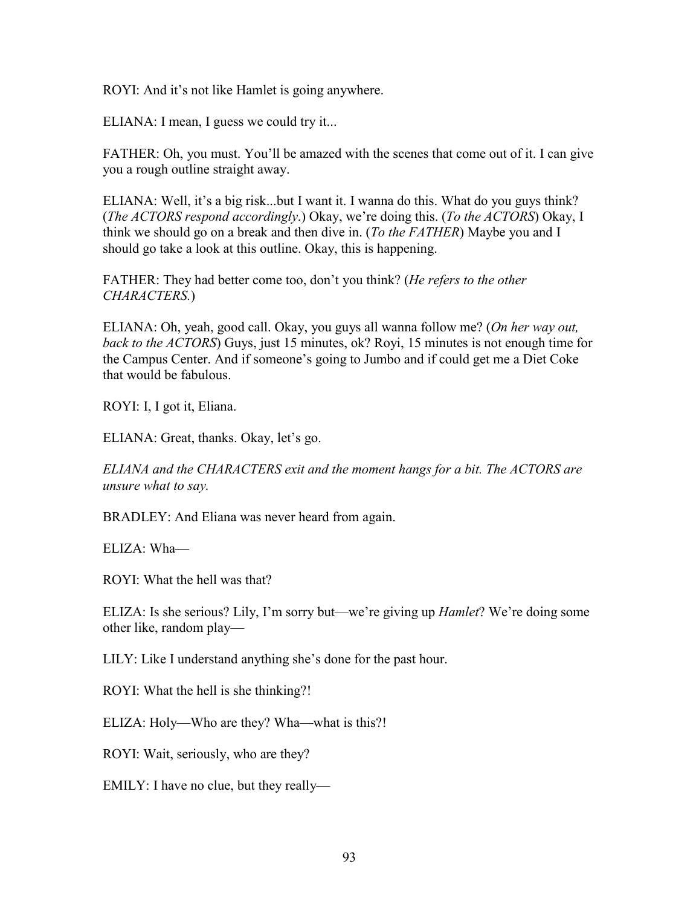ROYI: And it's not like Hamlet is going anywhere.

ELIANA: I mean, I guess we could try it...

FATHER: Oh, you must. You'll be amazed with the scenes that come out of it. I can give you a rough outline straight away.

ELIANA: Well, it's a big risk...but I want it. I wanna do this. What do you guys think? (*The ACTORS respond accordingly*.) Okay, we're doing this. (*To the ACTORS*) Okay, I think we should go on a break and then dive in. (*To the FATHER*) Maybe you and I should go take a look at this outline. Okay, this is happening.

FATHER: They had better come too, don't you think? (*He refers to the other CHARACTERS.*)

ELIANA: Oh, yeah, good call. Okay, you guys all wanna follow me? (*On her way out, back to the ACTORS*) Guys, just 15 minutes, ok? Royi, 15 minutes is not enough time for the Campus Center. And if someone's going to Jumbo and if could get me a Diet Coke that would be fabulous.

ROYI: I, I got it, Eliana.

ELIANA: Great, thanks. Okay, let's go.

*ELIANA and the CHARACTERS exit and the moment hangs for a bit. The ACTORS are unsure what to say.*

BRADLEY: And Eliana was never heard from again.

ELIZA: Wha—

ROYI: What the hell was that?

ELIZA: Is she serious? Lily, I'm sorry but—we're giving up *Hamlet*? We're doing some other like, random play—

LILY: Like I understand anything she's done for the past hour.

ROYI: What the hell is she thinking?!

ELIZA: Holy—Who are they? Wha—what is this?!

ROYI: Wait, seriously, who are they?

EMILY: I have no clue, but they really—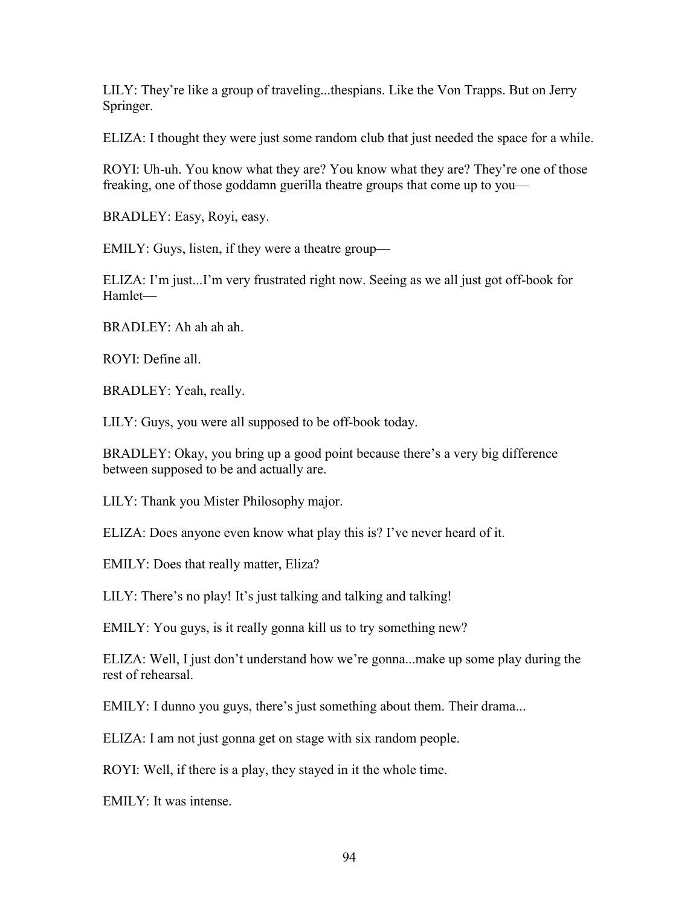LILY: They're like a group of traveling...thespians. Like the Von Trapps. But on Jerry Springer.

ELIZA: I thought they were just some random club that just needed the space for a while.

ROYI: Uh-uh. You know what they are? You know what they are? They're one of those freaking, one of those goddamn guerilla theatre groups that come up to you—

BRADLEY: Easy, Royi, easy.

EMILY: Guys, listen, if they were a theatre group—

ELIZA: I'm just...I'm very frustrated right now. Seeing as we all just got off-book for Hamlet—

BRADLEY: Ah ah ah ah.

ROYI: Define all.

BRADLEY: Yeah, really.

LILY: Guys, you were all supposed to be off-book today.

BRADLEY: Okay, you bring up a good point because there's a very big difference between supposed to be and actually are.

LILY: Thank you Mister Philosophy major.

ELIZA: Does anyone even know what play this is? I've never heard of it.

EMILY: Does that really matter, Eliza?

LILY: There's no play! It's just talking and talking and talking!

EMILY: You guys, is it really gonna kill us to try something new?

ELIZA: Well, I just don't understand how we're gonna...make up some play during the rest of rehearsal.

EMILY: I dunno you guys, there's just something about them. Their drama...

ELIZA: I am not just gonna get on stage with six random people.

ROYI: Well, if there is a play, they stayed in it the whole time.

EMILY: It was intense.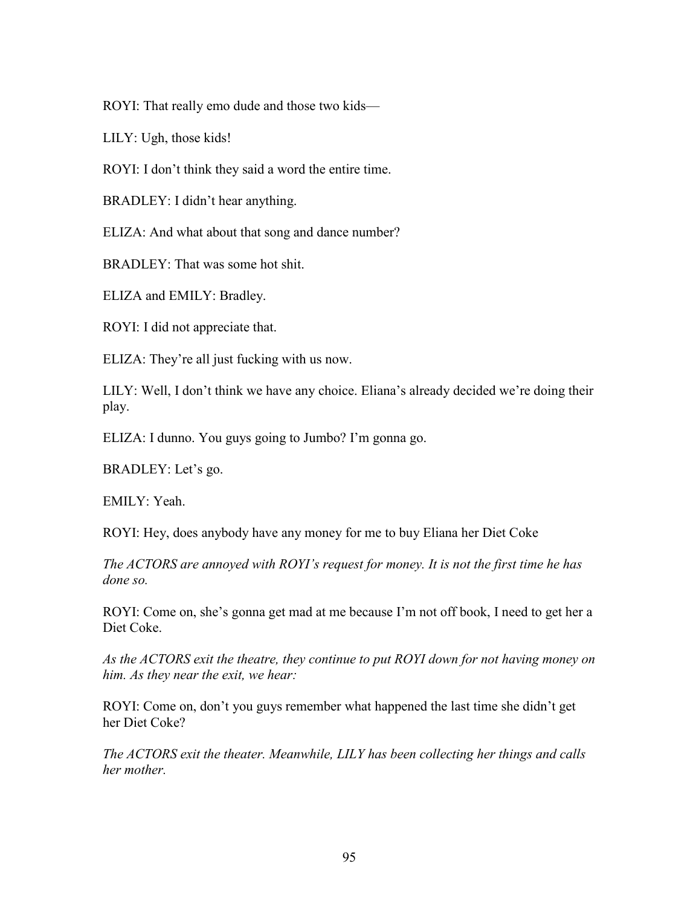ROYI: That really emo dude and those two kids—

LILY: Ugh, those kids!

ROYI: I don't think they said a word the entire time.

BRADLEY: I didn't hear anything.

ELIZA: And what about that song and dance number?

BRADLEY: That was some hot shit.

ELIZA and EMILY: Bradley.

ROYI: I did not appreciate that.

ELIZA: They're all just fucking with us now.

LILY: Well, I don't think we have any choice. Eliana's already decided we're doing their play.

ELIZA: I dunno. You guys going to Jumbo? I'm gonna go.

BRADLEY: Let's go.

EMILY: Yeah.

ROYI: Hey, does anybody have any money for me to buy Eliana her Diet Coke

*The ACTORS are annoyed with ROYI's request for money. It is not the first time he has done so.*

ROYI: Come on, she's gonna get mad at me because I'm not off book, I need to get her a Diet Coke.

*As the ACTORS exit the theatre, they continue to put ROYI down for not having money on him. As they near the exit, we hear:*

ROYI: Come on, don't you guys remember what happened the last time she didn't get her Diet Coke?

*The ACTORS exit the theater. Meanwhile, LILY has been collecting her things and calls her mother.*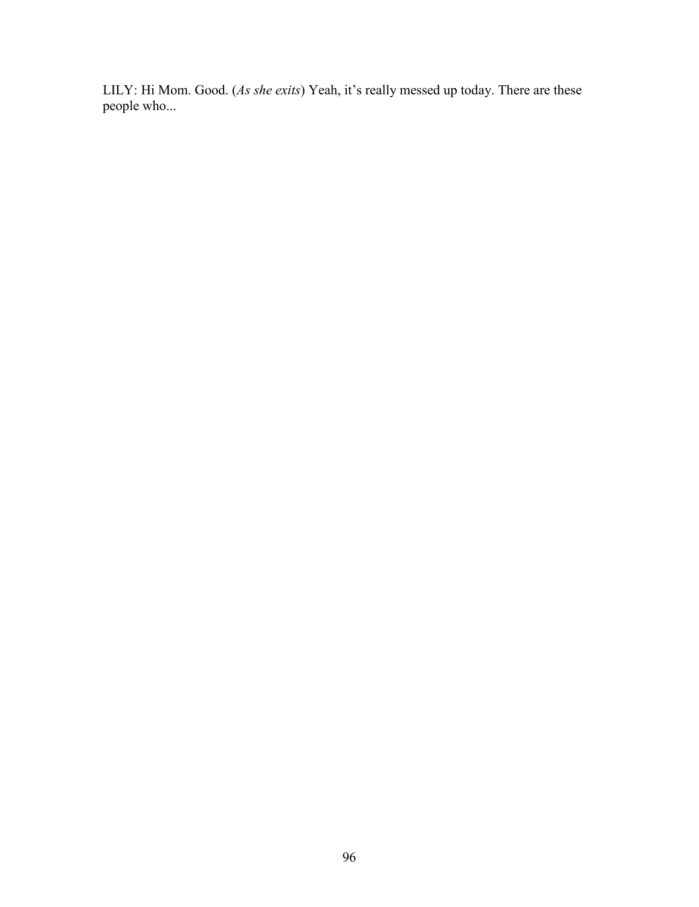LILY: Hi Mom. Good. (*As she exits*) Yeah, it's really messed up today. There are these people who...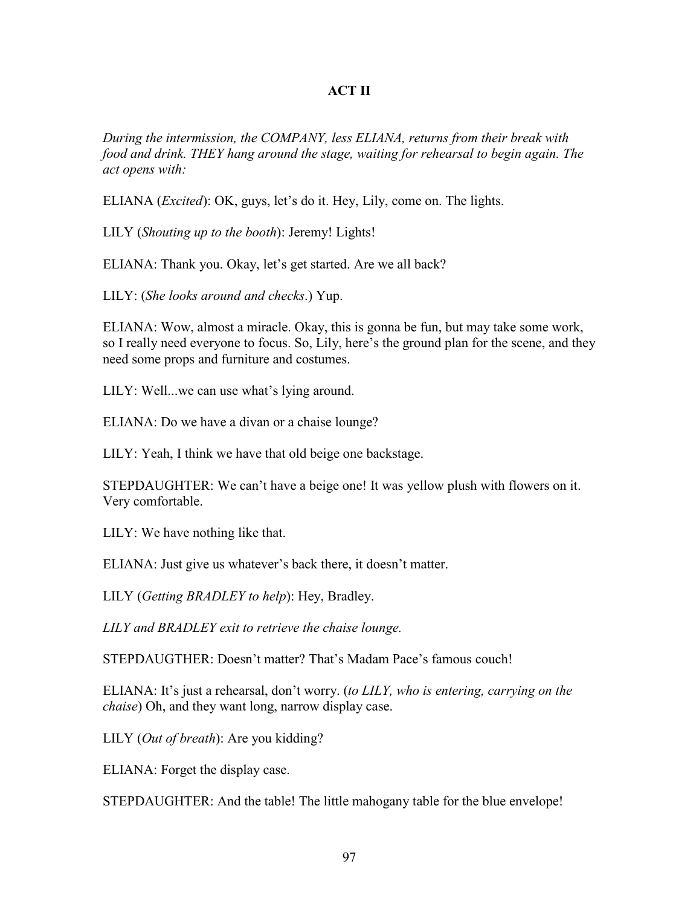### **ACT II**

*During the intermission, the COMPANY, less ELIANA, returns from their break with food and drink. THEY hang around the stage, waiting for rehearsal to begin again. The act opens with:*

ELIANA (*Excited*): OK, guys, let's do it. Hey, Lily, come on. The lights.

LILY (*Shouting up to the booth*): Jeremy! Lights!

ELIANA: Thank you. Okay, let's get started. Are we all back?

LILY: (*She looks around and checks*.) Yup.

ELIANA: Wow, almost a miracle. Okay, this is gonna be fun, but may take some work, so I really need everyone to focus. So, Lily, here's the ground plan for the scene, and they need some props and furniture and costumes.

LILY: Well...we can use what's lying around.

ELIANA: Do we have a divan or a chaise lounge?

LILY: Yeah, I think we have that old beige one backstage.

STEPDAUGHTER: We can't have a beige one! It was yellow plush with flowers on it. Very comfortable.

LILY: We have nothing like that.

ELIANA: Just give us whatever's back there, it doesn't matter.

LILY (*Getting BRADLEY to help*): Hey, Bradley.

*LILY and BRADLEY exit to retrieve the chaise lounge.*

STEPDAUGTHER: Doesn't matter? That's Madam Pace's famous couch!

ELIANA: It's just a rehearsal, don't worry. (*to LILY, who is entering, carrying on the chaise*) Oh, and they want long, narrow display case.

LILY (*Out of breath*): Are you kidding?

ELIANA: Forget the display case.

STEPDAUGHTER: And the table! The little mahogany table for the blue envelope!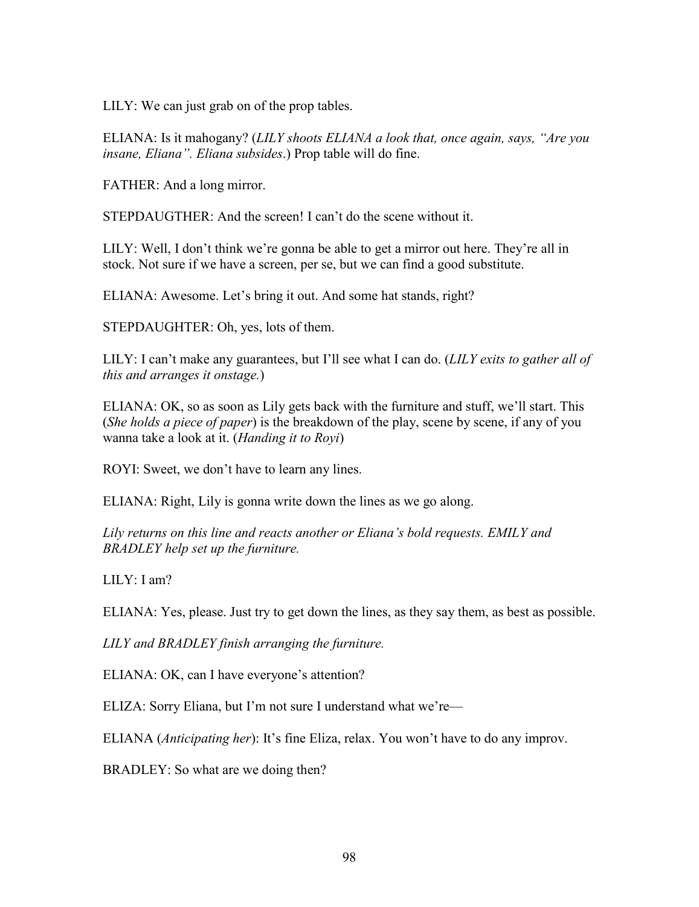LILY: We can just grab on of the prop tables.

ELIANA: Is it mahogany? (*LILY shoots ELIANA a look that, once again, says, "Are you insane, Eliana". Eliana subsides*.) Prop table will do fine.

FATHER: And a long mirror.

STEPDAUGTHER: And the screen! I can't do the scene without it.

LILY: Well, I don't think we're gonna be able to get a mirror out here. They're all in stock. Not sure if we have a screen, per se, but we can find a good substitute.

ELIANA: Awesome. Let's bring it out. And some hat stands, right?

STEPDAUGHTER: Oh, yes, lots of them.

LILY: I can't make any guarantees, but I'll see what I can do. (*LILY exits to gather all of this and arranges it onstage.*)

ELIANA: OK, so as soon as Lily gets back with the furniture and stuff, we'll start. This (*She holds a piece of paper*) is the breakdown of the play, scene by scene, if any of you wanna take a look at it. (*Handing it to Royi*)

ROYI: Sweet, we don't have to learn any lines.

ELIANA: Right, Lily is gonna write down the lines as we go along.

*Lily returns on this line and reacts another or Eliana's bold requests. EMILY and BRADLEY help set up the furniture.*

LILY: I am?

ELIANA: Yes, please. Just try to get down the lines, as they say them, as best as possible.

*LILY and BRADLEY finish arranging the furniture.*

ELIANA: OK, can I have everyone's attention?

ELIZA: Sorry Eliana, but I'm not sure I understand what we're—

ELIANA (*Anticipating her*): It's fine Eliza, relax. You won't have to do any improv.

BRADLEY: So what are we doing then?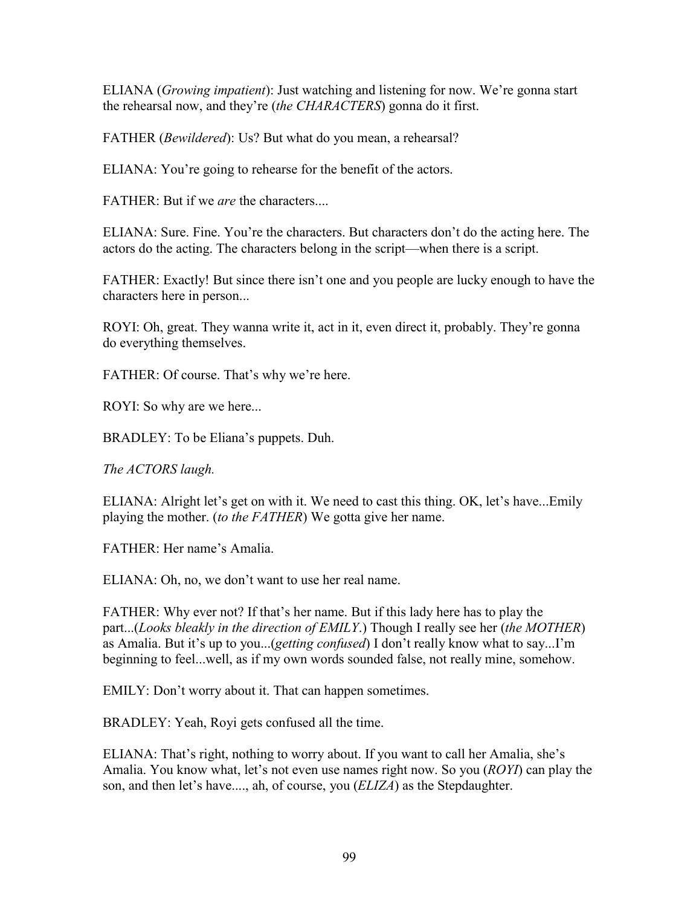ELIANA (*Growing impatient*): Just watching and listening for now. We're gonna start the rehearsal now, and they're (*the CHARACTERS*) gonna do it first.

FATHER (*Bewildered*): Us? But what do you mean, a rehearsal?

ELIANA: You're going to rehearse for the benefit of the actors.

 $FATHER: But if we are the characters.$ 

ELIANA: Sure. Fine. You're the characters. But characters don't do the acting here. The actors do the acting. The characters belong in the script—when there is a script.

FATHER: Exactly! But since there isn't one and you people are lucky enough to have the characters here in person...

ROYI: Oh, great. They wanna write it, act in it, even direct it, probably. They're gonna do everything themselves.

FATHER: Of course. That's why we're here.

ROYI: So why are we here...

BRADLEY: To be Eliana's puppets. Duh.

*The ACTORS laugh.*

ELIANA: Alright let's get on with it. We need to cast this thing. OK, let's have...Emily playing the mother. (*to the FATHER*) We gotta give her name.

FATHER: Her name's Amalia.

ELIANA: Oh, no, we don't want to use her real name.

FATHER: Why ever not? If that's her name. But if this lady here has to play the part...(*Looks bleakly in the direction of EMILY*.) Though I really see her (*the MOTHER*) as Amalia. But it's up to you...(*getting confused*) I don't really know what to say...I'm beginning to feel...well, as if my own words sounded false, not really mine, somehow.

EMILY: Don't worry about it. That can happen sometimes.

BRADLEY: Yeah, Royi gets confused all the time.

ELIANA: That's right, nothing to worry about. If you want to call her Amalia, she's Amalia. You know what, let's not even use names right now. So you (*ROYI*) can play the son, and then let's have...., ah, of course, you (*ELIZA*) as the Stepdaughter.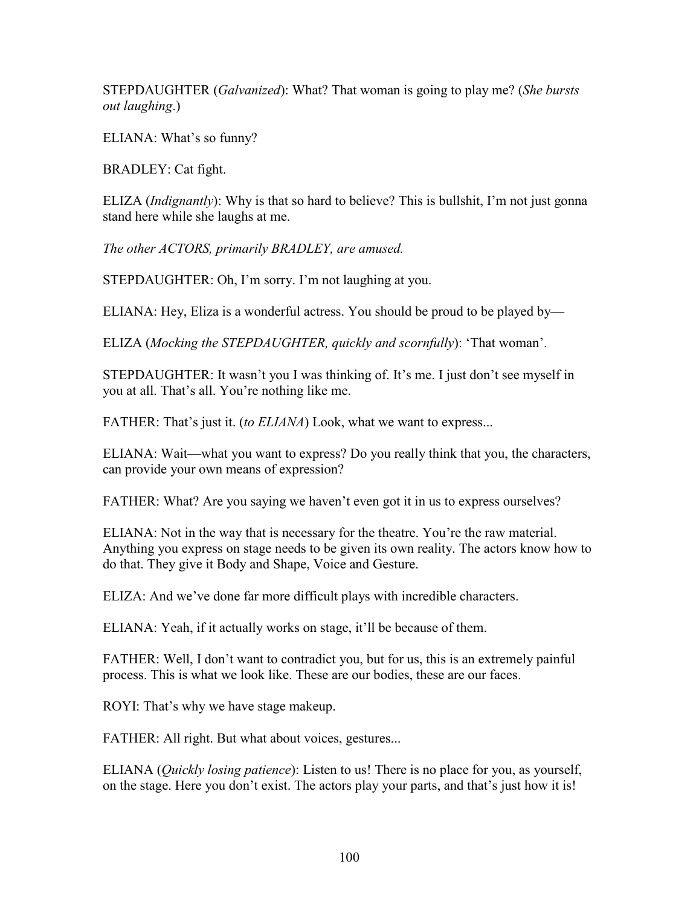STEPDAUGHTER (*Galvanized*): What? That woman is going to play me? (*She bursts out laughing*.)

ELIANA: What's so funny?

BRADLEY: Cat fight.

ELIZA (*Indignantly*): Why is that so hard to believe? This is bullshit, I'm not just gonna stand here while she laughs at me.

*The other ACTORS, primarily BRADLEY, are amused.*

STEPDAUGHTER: Oh, I'm sorry. I'm not laughing at you.

ELIANA: Hey, Eliza is a wonderful actress. You should be proud to be played by—

ELIZA (*Mocking the STEPDAUGHTER, quickly and scornfully*): 'That woman'.

STEPDAUGHTER: It wasn't you I was thinking of. It's me. I just don't see myself in you at all. That's all. You're nothing like me.

FATHER: That's just it. (*to ELIANA*) Look, what we want to express...

ELIANA: Wait—what you want to express? Do you really think that you, the characters, can provide your own means of expression?

FATHER: What? Are you saying we haven't even got it in us to express ourselves?

ELIANA: Not in the way that is necessary for the theatre. You're the raw material. Anything you express on stage needs to be given its own reality. The actors know how to do that. They give it Body and Shape, Voice and Gesture.

ELIZA: And we've done far more difficult plays with incredible characters.

ELIANA: Yeah, if it actually works on stage, it'll be because of them.

FATHER: Well, I don't want to contradict you, but for us, this is an extremely painful process. This is what we look like. These are our bodies, these are our faces.

ROYI: That's why we have stage makeup.

FATHER: All right. But what about voices, gestures...

ELIANA (*Quickly losing patience*): Listen to us! There is no place for you, as yourself, on the stage. Here you don't exist. The actors play your parts, and that's just how it is!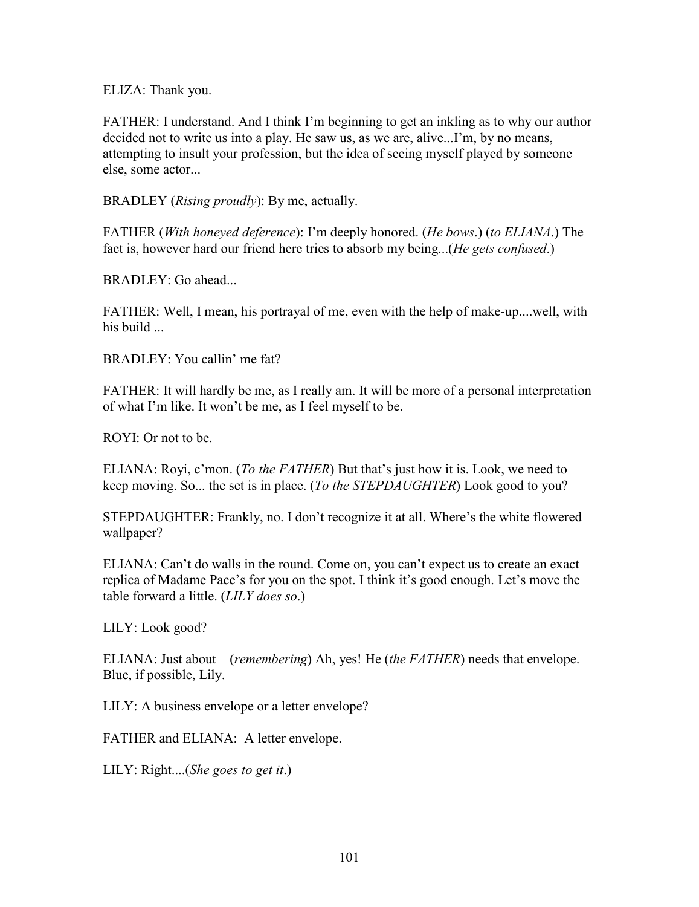ELIZA: Thank you.

FATHER: I understand. And I think I'm beginning to get an inkling as to why our author decided not to write us into a play. He saw us, as we are, alive...I'm, by no means, attempting to insult your profession, but the idea of seeing myself played by someone else, some actor...

BRADLEY (*Rising proudly*): By me, actually.

FATHER (*With honeyed deference*): I'm deeply honored. (*He bows*.) (*to ELIANA*.) The fact is, however hard our friend here tries to absorb my being...(*He gets confused*.)

BRADLEY: Go ahead...

FATHER: Well, I mean, his portrayal of me, even with the help of make-up....well, with his build ...

BRADLEY: You callin' me fat?

FATHER: It will hardly be me, as I really am. It will be more of a personal interpretation of what I'm like. It won't be me, as I feel myself to be.

ROYI: Or not to be.

ELIANA: Royi, c'mon. (*To the FATHER*) But that's just how it is. Look, we need to keep moving. So... the set is in place. (*To the STEPDAUGHTER*) Look good to you?

STEPDAUGHTER: Frankly, no. I don't recognize it at all. Where's the white flowered wallpaper?

ELIANA: Can't do walls in the round. Come on, you can't expect us to create an exact replica of Madame Pace's for you on the spot. I think it's good enough. Let's move the table forward a little. (*LILY does so*.)

LILY: Look good?

ELIANA: Just about—(*remembering*) Ah, yes! He (*the FATHER*) needs that envelope. Blue, if possible, Lily.

LILY: A business envelope or a letter envelope?

FATHER and ELIANA: A letter envelope.

LILY: Right....(*She goes to get it*.)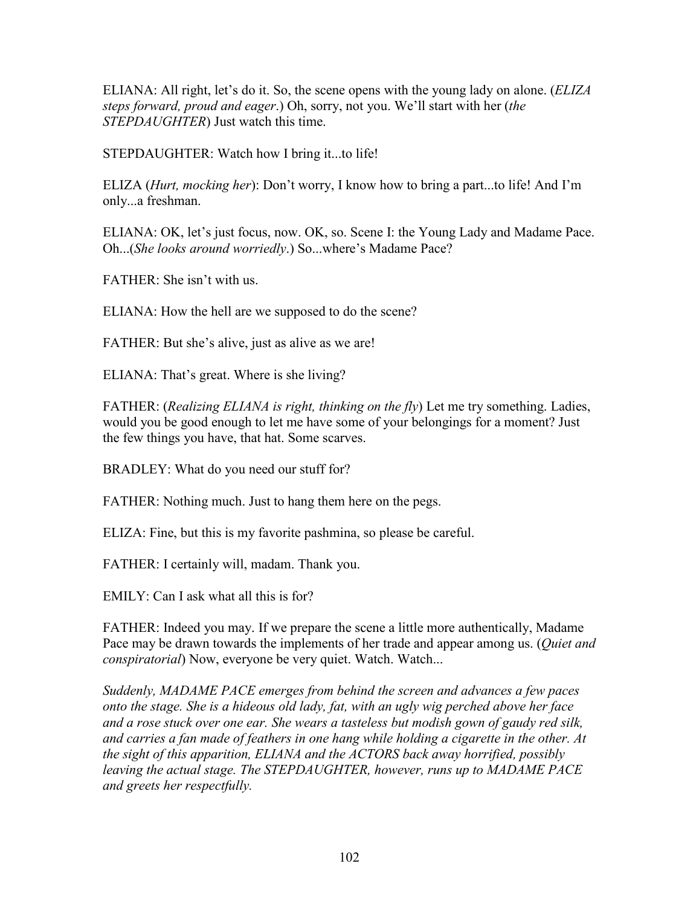ELIANA: All right, let's do it. So, the scene opens with the young lady on alone. (*ELIZA steps forward, proud and eager*.) Oh, sorry, not you. We'll start with her (*the STEPDAUGHTER*) Just watch this time.

STEPDAUGHTER: Watch how I bring it...to life!

ELIZA (*Hurt, mocking her*): Don't worry, I know how to bring a part...to life! And I'm only...a freshman.

ELIANA: OK, let's just focus, now. OK, so. Scene I: the Young Lady and Madame Pace. Oh...(*She looks around worriedly*.) So...where's Madame Pace?

FATHER: She isn't with us.

ELIANA: How the hell are we supposed to do the scene?

FATHER: But she's alive, just as alive as we are!

ELIANA: That's great. Where is she living?

FATHER: (*Realizing ELIANA is right, thinking on the fly*) Let me try something. Ladies, would you be good enough to let me have some of your belongings for a moment? Just the few things you have, that hat. Some scarves.

BRADLEY: What do you need our stuff for?

FATHER: Nothing much. Just to hang them here on the pegs.

ELIZA: Fine, but this is my favorite pashmina, so please be careful.

FATHER: I certainly will, madam. Thank you.

EMILY: Can I ask what all this is for?

FATHER: Indeed you may. If we prepare the scene a little more authentically, Madame Pace may be drawn towards the implements of her trade and appear among us. (*Quiet and conspiratorial*) Now, everyone be very quiet. Watch. Watch...

*Suddenly, MADAME PACE emerges from behind the screen and advances a few paces onto the stage. She is a hideous old lady, fat, with an ugly wig perched above her face and a rose stuck over one ear. She wears a tasteless but modish gown of gaudy red silk, and carries a fan made of feathers in one hang while holding a cigarette in the other. At the sight of this apparition, ELIANA and the ACTORS back away horrified, possibly leaving the actual stage. The STEPDAUGHTER, however, runs up to MADAME PACE and greets her respectfully.*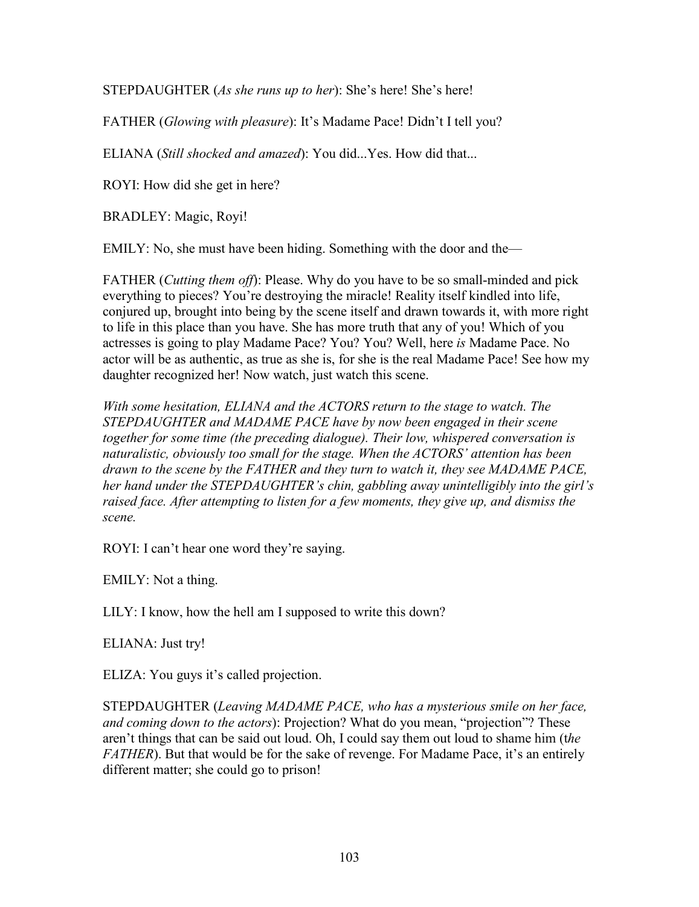STEPDAUGHTER (*As she runs up to her*): She's here! She's here!

FATHER (*Glowing with pleasure*): It's Madame Pace! Didn't I tell you?

ELIANA (*Still shocked and amazed*): You did...Yes. How did that...

ROYI: How did she get in here?

BRADLEY: Magic, Royi!

EMILY: No, she must have been hiding. Something with the door and the—

FATHER (*Cutting them off*): Please. Why do you have to be so small-minded and pick everything to pieces? You're destroying the miracle! Reality itself kindled into life, conjured up, brought into being by the scene itself and drawn towards it, with more right to life in this place than you have. She has more truth that any of you! Which of you actresses is going to play Madame Pace? You? You? Well, here *is* Madame Pace. No actor will be as authentic, as true as she is, for she is the real Madame Pace! See how my daughter recognized her! Now watch, just watch this scene.

*With some hesitation, ELIANA and the ACTORS return to the stage to watch. The STEPDAUGHTER and MADAME PACE have by now been engaged in their scene together for some time (the preceding dialogue). Their low, whispered conversation is naturalistic, obviously too small for the stage. When the ACTORS' attention has been drawn to the scene by the FATHER and they turn to watch it, they see MADAME PACE, her hand under the STEPDAUGHTER's chin, gabbling away unintelligibly into the girl's raised face. After attempting to listen for a few moments, they give up, and dismiss the scene.*

ROYI: I can't hear one word they're saying.

EMILY: Not a thing.

LILY: I know, how the hell am I supposed to write this down?

ELIANA: Just try!

ELIZA: You guys it's called projection.

STEPDAUGHTER (*Leaving MADAME PACE, who has a mysterious smile on her face, and coming down to the actors*): Projection? What do you mean, "projection"? These aren't things that can be said out loud. Oh, I could say them out loud to shame him (t*he FATHER*). But that would be for the sake of revenge. For Madame Pace, it's an entirely different matter; she could go to prison!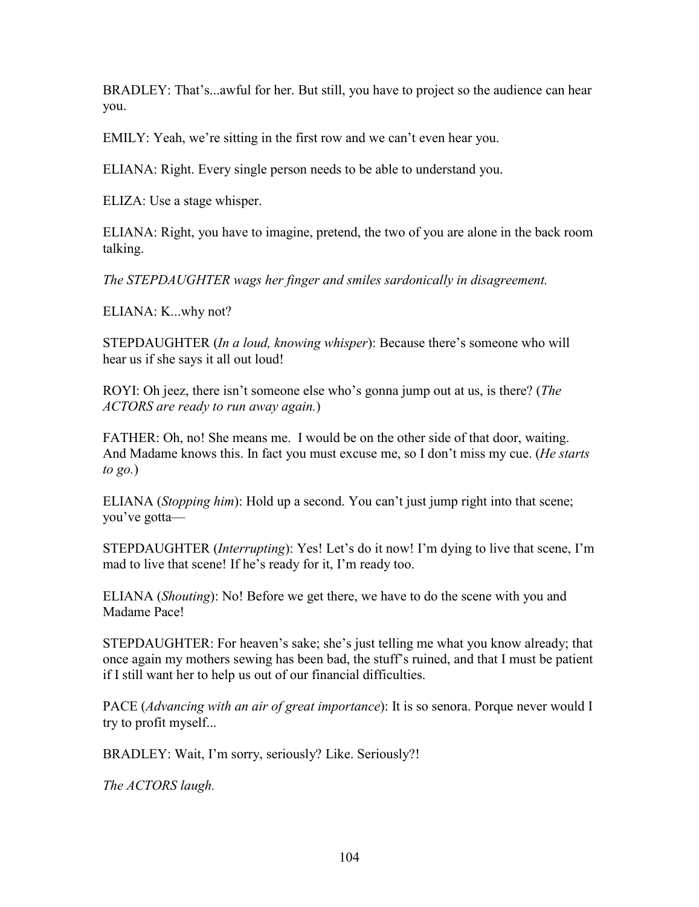BRADLEY: That's...awful for her. But still, you have to project so the audience can hear you.

EMILY: Yeah, we're sitting in the first row and we can't even hear you.

ELIANA: Right. Every single person needs to be able to understand you.

ELIZA: Use a stage whisper.

ELIANA: Right, you have to imagine, pretend, the two of you are alone in the back room talking.

*The STEPDAUGHTER wags her finger and smiles sardonically in disagreement.*

ELIANA: K...why not?

STEPDAUGHTER (*In a loud, knowing whisper*): Because there's someone who will hear us if she says it all out loud!

ROYI: Oh jeez, there isn't someone else who's gonna jump out at us, is there? (*The ACTORS are ready to run away again.*)

FATHER: Oh, no! She means me. I would be on the other side of that door, waiting. And Madame knows this. In fact you must excuse me, so I don't miss my cue. (*He starts to go.*)

ELIANA (*Stopping him*): Hold up a second. You can't just jump right into that scene; you've gotta—

STEPDAUGHTER (*Interrupting*): Yes! Let's do it now! I'm dying to live that scene, I'm mad to live that scene! If he's ready for it, I'm ready too.

ELIANA (*Shouting*): No! Before we get there, we have to do the scene with you and Madame Pace!

STEPDAUGHTER: For heaven's sake; she's just telling me what you know already; that once again my mothers sewing has been bad, the stuff's ruined, and that I must be patient if I still want her to help us out of our financial difficulties.

PACE (*Advancing with an air of great importance*): It is so senora. Porque never would I try to profit myself...

BRADLEY: Wait, I'm sorry, seriously? Like. Seriously?!

*The ACTORS laugh.*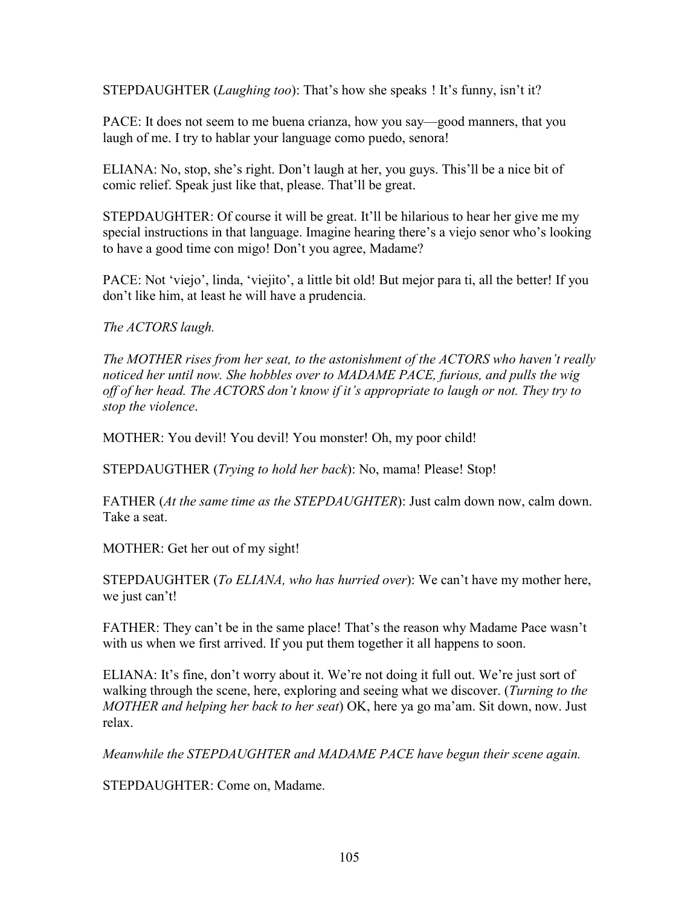STEPDAUGHTER (*Laughing too*): That's how she speaks ! It's funny, isn't it?

PACE: It does not seem to me buena crianza, how you say—good manners, that you laugh of me. I try to hablar your language como puedo, senora!

ELIANA: No, stop, she's right. Don't laugh at her, you guys. This'll be a nice bit of comic relief. Speak just like that, please. That'll be great.

STEPDAUGHTER: Of course it will be great. It'll be hilarious to hear her give me my special instructions in that language. Imagine hearing there's a viejo senor who's looking to have a good time con migo! Don't you agree, Madame?

PACE: Not 'viejo', linda, 'viejito', a little bit old! But mejor para ti, all the better! If you don't like him, at least he will have a prudencia.

*The ACTORS laugh.*

*The MOTHER rises from her seat, to the astonishment of the ACTORS who haven't really noticed her until now. She hobbles over to MADAME PACE, furious, and pulls the wig off of her head. The ACTORS don't know if it's appropriate to laugh or not. They try to stop the violence*.

MOTHER: You devil! You devil! You monster! Oh, my poor child!

STEPDAUGTHER (*Trying to hold her back*): No, mama! Please! Stop!

FATHER (*At the same time as the STEPDAUGHTER*): Just calm down now, calm down. Take a seat.

MOTHER: Get her out of my sight!

STEPDAUGHTER (*To ELIANA, who has hurried over*): We can't have my mother here, we just can't!

FATHER: They can't be in the same place! That's the reason why Madame Pace wasn't with us when we first arrived. If you put them together it all happens to soon.

ELIANA: It's fine, don't worry about it. We're not doing it full out. We're just sort of walking through the scene, here, exploring and seeing what we discover. (*Turning to the MOTHER and helping her back to her seat*) OK, here ya go ma'am. Sit down, now. Just relax.

*Meanwhile the STEPDAUGHTER and MADAME PACE have begun their scene again.*

STEPDAUGHTER: Come on, Madame.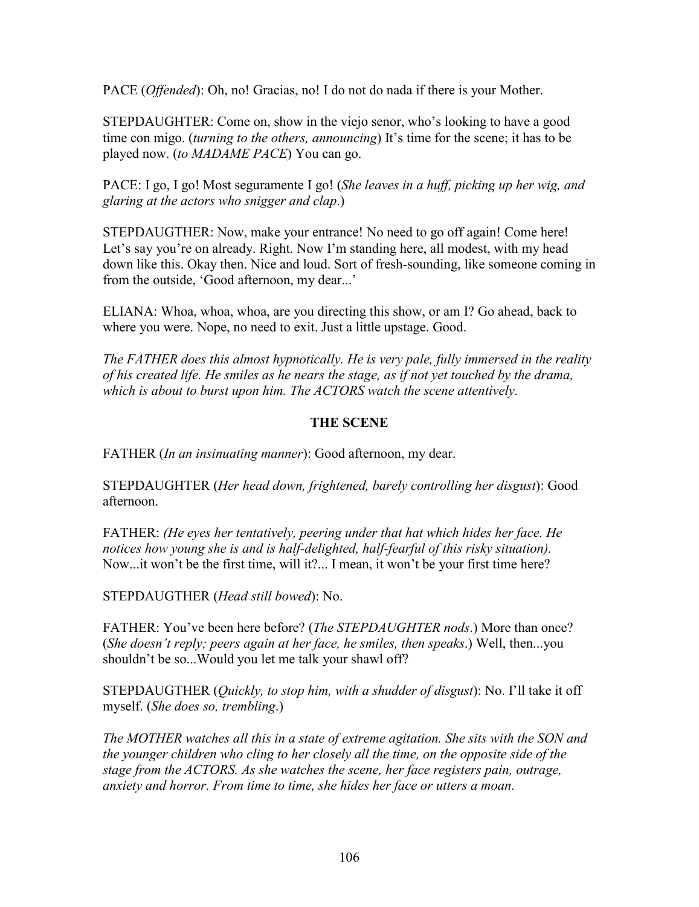PACE (*Offended*): Oh, no! Gracias, no! I do not do nada if there is your Mother.

STEPDAUGHTER: Come on, show in the viejo senor, who's looking to have a good time con migo. (*turning to the others, announcing*) It's time for the scene; it has to be played now. (*to MADAME PACE*) You can go.

PACE: I go, I go! Most seguramente I go! (*She leaves in a huff, picking up her wig, and glaring at the actors who snigger and clap*.)

STEPDAUGTHER: Now, make your entrance! No need to go off again! Come here! Let's say you're on already. Right. Now I'm standing here, all modest, with my head down like this. Okay then. Nice and loud. Sort of fresh-sounding, like someone coming in from the outside, 'Good afternoon, my dear...'

ELIANA: Whoa, whoa, whoa, are you directing this show, or am I? Go ahead, back to where you were. Nope, no need to exit. Just a little upstage. Good.

*The FATHER does this almost hypnotically. He is very pale, fully immersed in the reality of his created life. He smiles as he nears the stage, as if not yet touched by the drama, which is about to burst upon him. The ACTORS watch the scene attentively.*

# **THE SCENE**

FATHER (*In an insinuating manner*): Good afternoon, my dear.

STEPDAUGHTER (*Her head down, frightened, barely controlling her disgust*): Good afternoon.

FATHER: *(He eyes her tentatively, peering under that hat which hides her face. He notices how young she is and is half-delighted, half-fearful of this risky situation).* Now...it won't be the first time, will it?... I mean, it won't be your first time here?

STEPDAUGTHER (*Head still bowed*): No.

FATHER: You've been here before? (*The STEPDAUGHTER nods*.) More than once? (*She doesn't reply; peers again at her face, he smiles, then speaks*.) Well, then...you shouldn't be so...Would you let me talk your shawl off?

STEPDAUGTHER (*Quickly, to stop him, with a shudder of disgust*): No. I'll take it off myself. (*She does so, trembling*.)

*The MOTHER watches all this in a state of extreme agitation. She sits with the SON and the younger children who cling to her closely all the time, on the opposite side of the stage from the ACTORS. As she watches the scene, her face registers pain, outrage, anxiety and horror. From time to time, she hides her face or utters a moan.*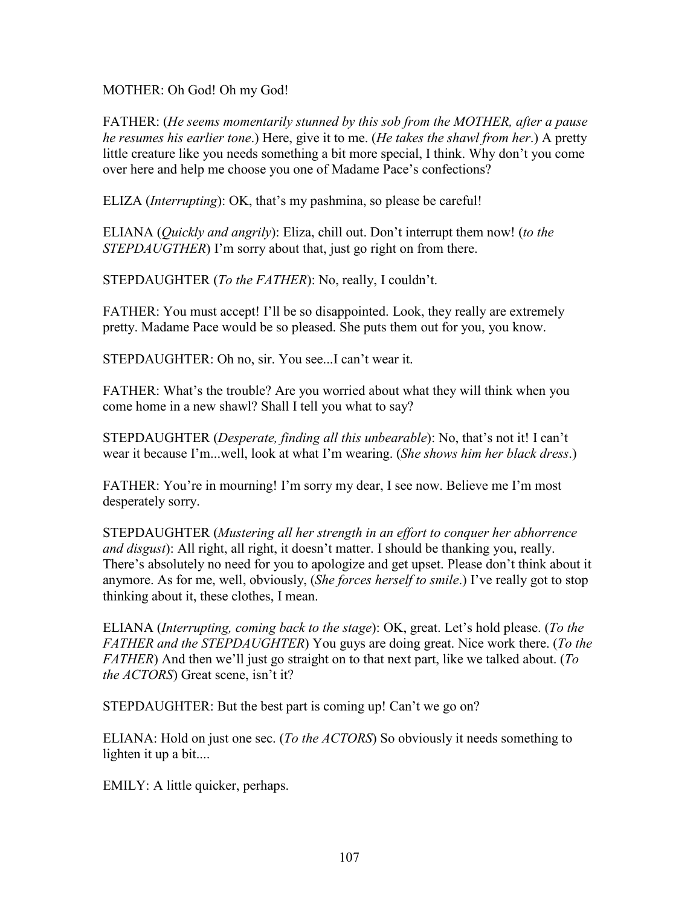MOTHER: Oh God! Oh my God!

FATHER: (*He seems momentarily stunned by this sob from the MOTHER, after a pause he resumes his earlier tone*.) Here, give it to me. (*He takes the shawl from her*.) A pretty little creature like you needs something a bit more special, I think. Why don't you come over here and help me choose you one of Madame Pace's confections?

ELIZA (*Interrupting*): OK, that's my pashmina, so please be careful!

ELIANA (*Quickly and angrily*): Eliza, chill out. Don't interrupt them now! (*to the STEPDAUGTHER*) I'm sorry about that, just go right on from there.

STEPDAUGHTER (*To the FATHER*): No, really, I couldn't.

FATHER: You must accept! I'll be so disappointed. Look, they really are extremely pretty. Madame Pace would be so pleased. She puts them out for you, you know.

STEPDAUGHTER: Oh no, sir. You see...I can't wear it.

FATHER: What's the trouble? Are you worried about what they will think when you come home in a new shawl? Shall I tell you what to say?

STEPDAUGHTER (*Desperate, finding all this unbearable*): No, that's not it! I can't wear it because I'm...well, look at what I'm wearing. (*She shows him her black dress*.)

FATHER: You're in mourning! I'm sorry my dear, I see now. Believe me I'm most desperately sorry.

STEPDAUGHTER (*Mustering all her strength in an effort to conquer her abhorrence and disgust*): All right, all right, it doesn't matter. I should be thanking you, really. There's absolutely no need for you to apologize and get upset. Please don't think about it anymore. As for me, well, obviously, (*She forces herself to smile*.) I've really got to stop thinking about it, these clothes, I mean.

ELIANA (*Interrupting, coming back to the stage*): OK, great. Let's hold please. (*To the FATHER and the STEPDAUGHTER*) You guys are doing great. Nice work there. (*To the FATHER*) And then we'll just go straight on to that next part, like we talked about. (*To the ACTORS*) Great scene, isn't it?

STEPDAUGHTER: But the best part is coming up! Can't we go on?

ELIANA: Hold on just one sec. (*To the ACTORS*) So obviously it needs something to lighten it up a bit....

EMILY: A little quicker, perhaps.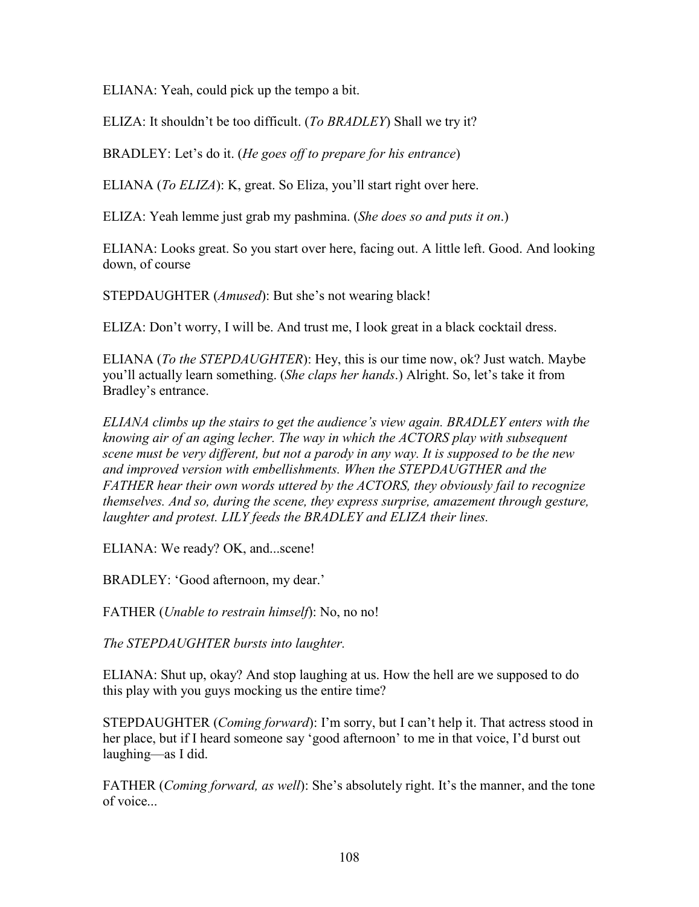ELIANA: Yeah, could pick up the tempo a bit.

ELIZA: It shouldn't be too difficult. (*To BRADLEY*) Shall we try it?

BRADLEY: Let's do it. (*He goes off to prepare for his entrance*)

ELIANA (*To ELIZA*): K, great. So Eliza, you'll start right over here.

ELIZA: Yeah lemme just grab my pashmina. (*She does so and puts it on*.)

ELIANA: Looks great. So you start over here, facing out. A little left. Good. And looking down, of course

STEPDAUGHTER (*Amused*): But she's not wearing black!

ELIZA: Don't worry, I will be. And trust me, I look great in a black cocktail dress.

ELIANA (*To the STEPDAUGHTER*): Hey, this is our time now, ok? Just watch. Maybe you'll actually learn something. (*She claps her hands*.) Alright. So, let's take it from Bradley's entrance.

*ELIANA climbs up the stairs to get the audience's view again. BRADLEY enters with the knowing air of an aging lecher. The way in which the ACTORS play with subsequent scene must be very different, but not a parody in any way. It is supposed to be the new and improved version with embellishments. When the STEPDAUGTHER and the FATHER hear their own words uttered by the ACTORS, they obviously fail to recognize themselves. And so, during the scene, they express surprise, amazement through gesture, laughter and protest. LILY feeds the BRADLEY and ELIZA their lines.*

ELIANA: We ready? OK, and...scene!

BRADLEY: 'Good afternoon, my dear.'

FATHER (*Unable to restrain himself*): No, no no!

*The STEPDAUGHTER bursts into laughter.*

ELIANA: Shut up, okay? And stop laughing at us. How the hell are we supposed to do this play with you guys mocking us the entire time?

STEPDAUGHTER (*Coming forward*): I'm sorry, but I can't help it. That actress stood in her place, but if I heard someone say 'good afternoon' to me in that voice, I'd burst out laughing—as I did.

FATHER (*Coming forward, as well*): She's absolutely right. It's the manner, and the tone of voice...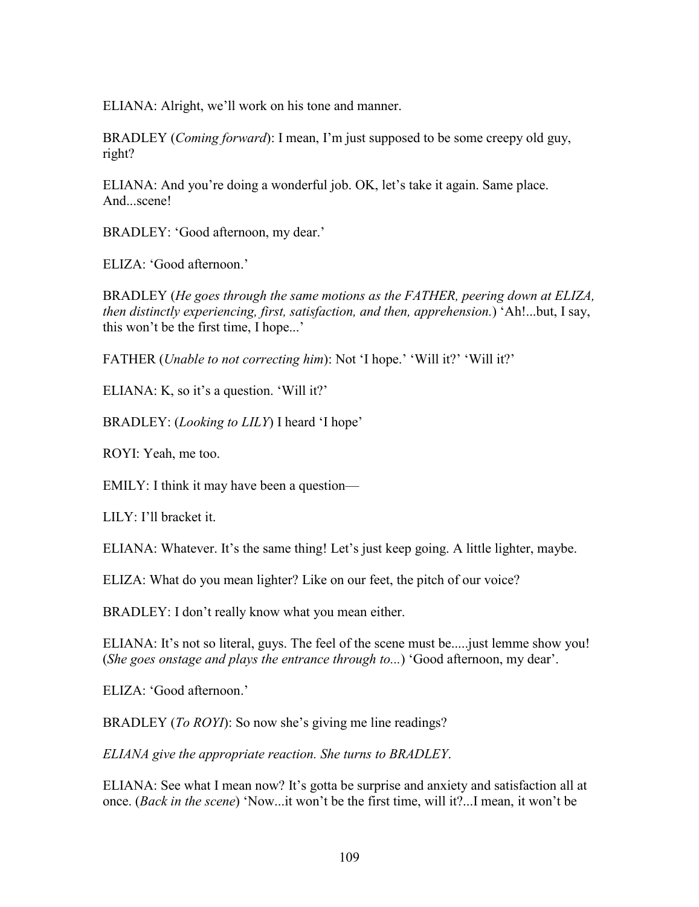ELIANA: Alright, we'll work on his tone and manner.

BRADLEY (*Coming forward*): I mean, I'm just supposed to be some creepy old guy, right?

ELIANA: And you're doing a wonderful job. OK, let's take it again. Same place. And...scene!

BRADLEY: 'Good afternoon, my dear.'

ELIZA: 'Good afternoon.'

BRADLEY (*He goes through the same motions as the FATHER, peering down at ELIZA, then distinctly experiencing, first, satisfaction, and then, apprehension.*) 'Ah!...but, I say, this won't be the first time, I hope...'

FATHER (*Unable to not correcting him*): Not 'I hope.' 'Will it?' 'Will it?'

ELIANA: K, so it's a question. 'Will it?'

BRADLEY: (*Looking to LILY*) I heard 'I hope'

ROYI: Yeah, me too.

EMILY: I think it may have been a question—

LILY: I'll bracket it.

ELIANA: Whatever. It's the same thing! Let's just keep going. A little lighter, maybe.

ELIZA: What do you mean lighter? Like on our feet, the pitch of our voice?

BRADLEY: I don't really know what you mean either.

ELIANA: It's not so literal, guys. The feel of the scene must be.....just lemme show you! (*She goes onstage and plays the entrance through to...*) 'Good afternoon, my dear'.

ELIZA: 'Good afternoon.'

BRADLEY (*To ROYI*): So now she's giving me line readings?

*ELIANA give the appropriate reaction. She turns to BRADLEY*.

ELIANA: See what I mean now? It's gotta be surprise and anxiety and satisfaction all at once. (*Back in the scene*) 'Now...it won't be the first time, will it?...I mean, it won't be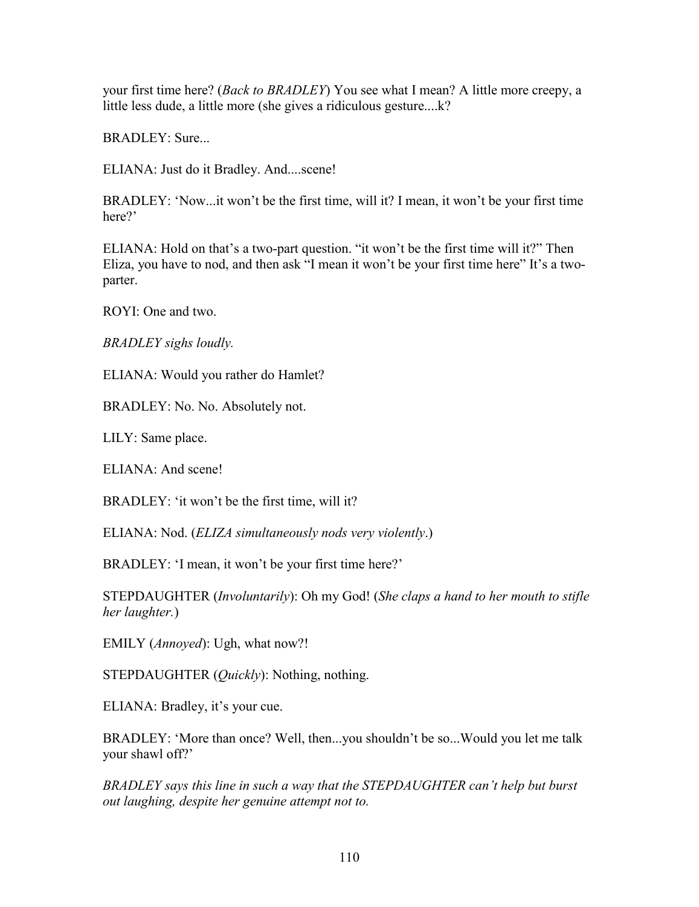your first time here? (*Back to BRADLEY*) You see what I mean? A little more creepy, a little less dude, a little more (she gives a ridiculous gesture....k?

BRADLEY: Sure...

ELIANA: Just do it Bradley. And....scene!

BRADLEY: 'Now...it won't be the first time, will it? I mean, it won't be your first time here?'

ELIANA: Hold on that's a two-part question. "it won't be the first time will it?" Then Eliza, you have to nod, and then ask "I mean it won't be your first time here" It's a twoparter.

ROYI: One and two.

*BRADLEY sighs loudly.*

ELIANA: Would you rather do Hamlet?

BRADLEY: No. No. Absolutely not.

LILY: Same place.

ELIANA: And scene!

BRADLEY: 'it won't be the first time, will it?

ELIANA: Nod. (*ELIZA simultaneously nods very violently*.)

BRADLEY: 'I mean, it won't be your first time here?'

STEPDAUGHTER (*Involuntarily*): Oh my God! (*She claps a hand to her mouth to stifle her laughter.*)

EMILY (*Annoyed*): Ugh, what now?!

STEPDAUGHTER (*Quickly*): Nothing, nothing.

ELIANA: Bradley, it's your cue.

BRADLEY: 'More than once? Well, then...you shouldn't be so...Would you let me talk your shawl off?'

*BRADLEY says this line in such a way that the STEPDAUGHTER can't help but burst out laughing, despite her genuine attempt not to.*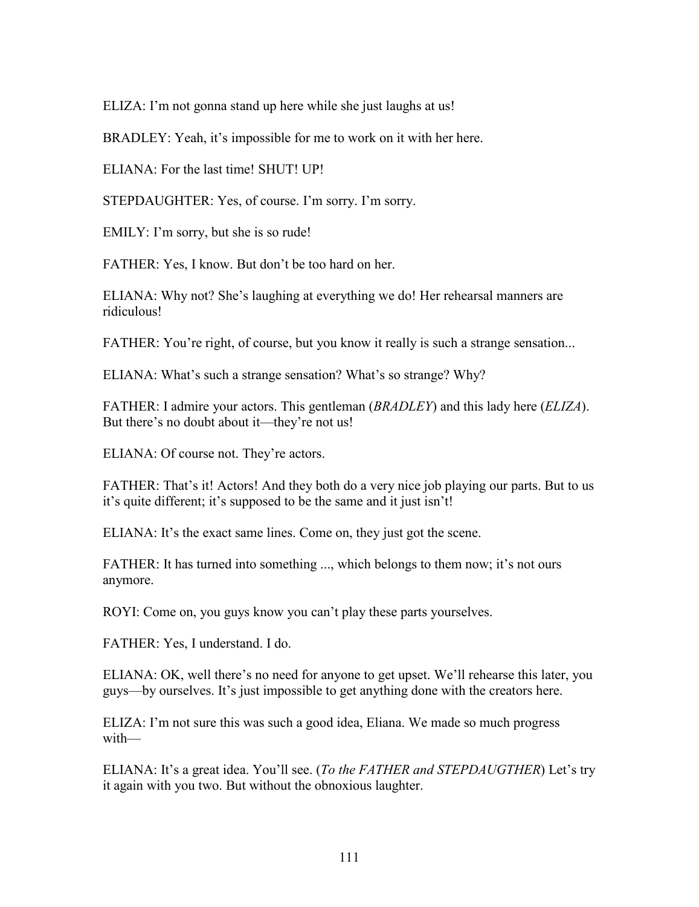ELIZA: I'm not gonna stand up here while she just laughs at us!

BRADLEY: Yeah, it's impossible for me to work on it with her here.

 $ELIANA \cdot For the last time!  $SHUIT!$   $UP!$$ 

STEPDAUGHTER: Yes, of course. I'm sorry. I'm sorry.

EMILY: I'm sorry, but she is so rude!

FATHER: Yes, I know. But don't be too hard on her.

ELIANA: Why not? She's laughing at everything we do! Her rehearsal manners are ridiculous!

FATHER: You're right, of course, but you know it really is such a strange sensation...

ELIANA: What's such a strange sensation? What's so strange? Why?

FATHER: I admire your actors. This gentleman (*BRADLEY*) and this lady here (*ELIZA*). But there's no doubt about it—they're not us!

ELIANA: Of course not. They're actors.

FATHER: That's it! Actors! And they both do a very nice job playing our parts. But to us it's quite different; it's supposed to be the same and it just isn't!

ELIANA: It's the exact same lines. Come on, they just got the scene.

FATHER: It has turned into something ..., which belongs to them now; it's not ours anymore.

ROYI: Come on, you guys know you can't play these parts yourselves.

FATHER: Yes, I understand. I do.

ELIANA: OK, well there's no need for anyone to get upset. We'll rehearse this later, you guys—by ourselves. It's just impossible to get anything done with the creators here.

ELIZA: I'm not sure this was such a good idea, Eliana. We made so much progress with—

ELIANA: It's a great idea. You'll see. (*To the FATHER and STEPDAUGTHER*) Let's try it again with you two. But without the obnoxious laughter.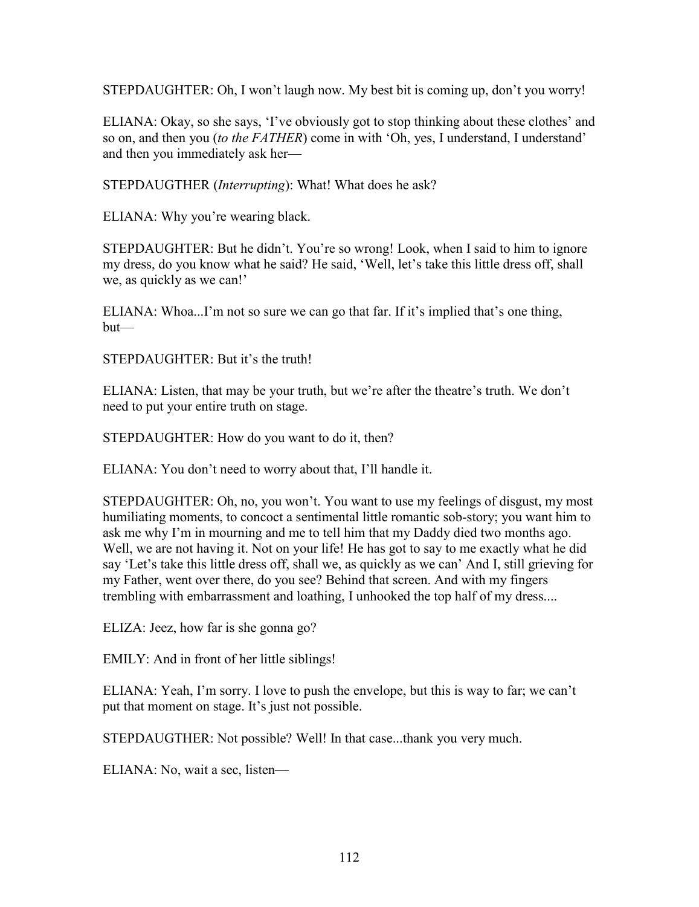STEPDAUGHTER: Oh, I won't laugh now. My best bit is coming up, don't you worry!

ELIANA: Okay, so she says, 'I've obviously got to stop thinking about these clothes' and so on, and then you (*to the FATHER*) come in with 'Oh, yes, I understand, I understand' and then you immediately ask her—

STEPDAUGTHER (*Interrupting*): What! What does he ask?

ELIANA: Why you're wearing black.

STEPDAUGHTER: But he didn't. You're so wrong! Look, when I said to him to ignore my dress, do you know what he said? He said, 'Well, let's take this little dress off, shall we, as quickly as we can!'

ELIANA: Whoa...I'm not so sure we can go that far. If it's implied that's one thing, but—

STEPDAUGHTER: But it's the truth!

ELIANA: Listen, that may be your truth, but we're after the theatre's truth. We don't need to put your entire truth on stage.

STEPDAUGHTER: How do you want to do it, then?

ELIANA: You don't need to worry about that, I'll handle it.

STEPDAUGHTER: Oh, no, you won't. You want to use my feelings of disgust, my most humiliating moments, to concoct a sentimental little romantic sob-story; you want him to ask me why I'm in mourning and me to tell him that my Daddy died two months ago. Well, we are not having it. Not on your life! He has got to say to me exactly what he did say 'Let's take this little dress off, shall we, as quickly as we can' And I, still grieving for my Father, went over there, do you see? Behind that screen. And with my fingers trembling with embarrassment and loathing, I unhooked the top half of my dress....

ELIZA: Jeez, how far is she gonna go?

EMILY: And in front of her little siblings!

ELIANA: Yeah, I'm sorry. I love to push the envelope, but this is way to far; we can't put that moment on stage. It's just not possible.

STEPDAUGTHER: Not possible? Well! In that case...thank you very much.

ELIANA: No, wait a sec, listen—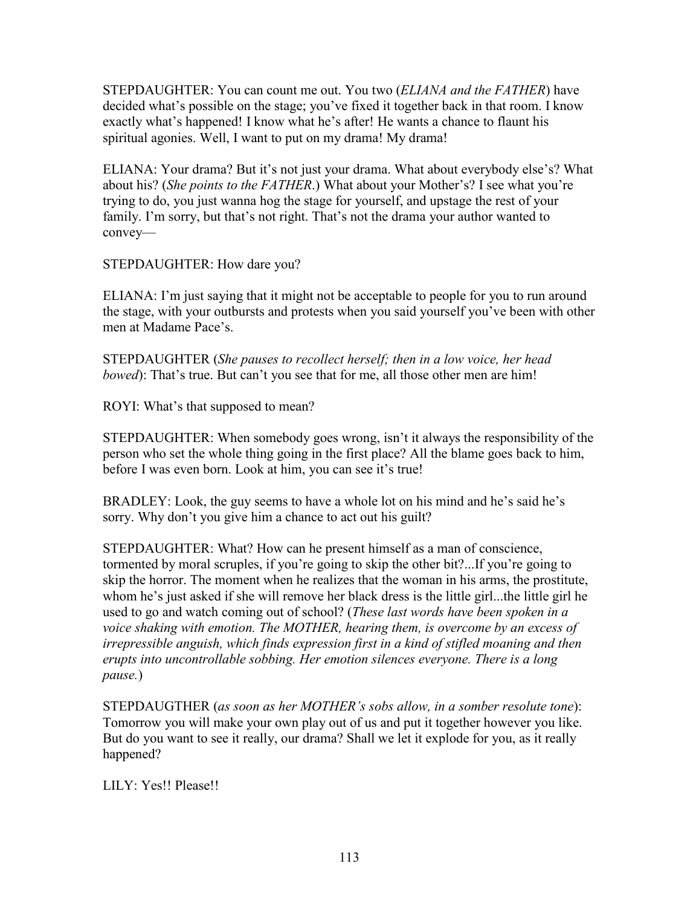STEPDAUGHTER: You can count me out. You two (*ELIANA and the FATHER*) have decided what's possible on the stage; you've fixed it together back in that room. I know exactly what's happened! I know what he's after! He wants a chance to flaunt his spiritual agonies. Well, I want to put on my drama! My drama!

ELIANA: Your drama? But it's not just your drama. What about everybody else's? What about his? (*She points to the FATHER*.) What about your Mother's? I see what you're trying to do, you just wanna hog the stage for yourself, and upstage the rest of your family. I'm sorry, but that's not right. That's not the drama your author wanted to convey—

STEPDAUGHTER: How dare you?

ELIANA: I'm just saying that it might not be acceptable to people for you to run around the stage, with your outbursts and protests when you said yourself you've been with other men at Madame Pace's.

STEPDAUGHTER (*She pauses to recollect herself; then in a low voice, her head bowed*): That's true. But can't you see that for me, all those other men are him!

ROYI: What's that supposed to mean?

STEPDAUGHTER: When somebody goes wrong, isn't it always the responsibility of the person who set the whole thing going in the first place? All the blame goes back to him, before I was even born. Look at him, you can see it's true!

BRADLEY: Look, the guy seems to have a whole lot on his mind and he's said he's sorry. Why don't you give him a chance to act out his guilt?

STEPDAUGHTER: What? How can he present himself as a man of conscience, tormented by moral scruples, if you're going to skip the other bit?...If you're going to skip the horror. The moment when he realizes that the woman in his arms, the prostitute, whom he's just asked if she will remove her black dress is the little girl...the little girl he used to go and watch coming out of school? (*These last words have been spoken in a voice shaking with emotion. The MOTHER, hearing them, is overcome by an excess of irrepressible anguish, which finds expression first in a kind of stifled moaning and then erupts into uncontrollable sobbing. Her emotion silences everyone. There is a long pause.*)

STEPDAUGTHER (*as soon as her MOTHER's sobs allow, in a somber resolute tone*): Tomorrow you will make your own play out of us and put it together however you like. But do you want to see it really, our drama? Shall we let it explode for you, as it really happened?

LILY: Yes!! Please!!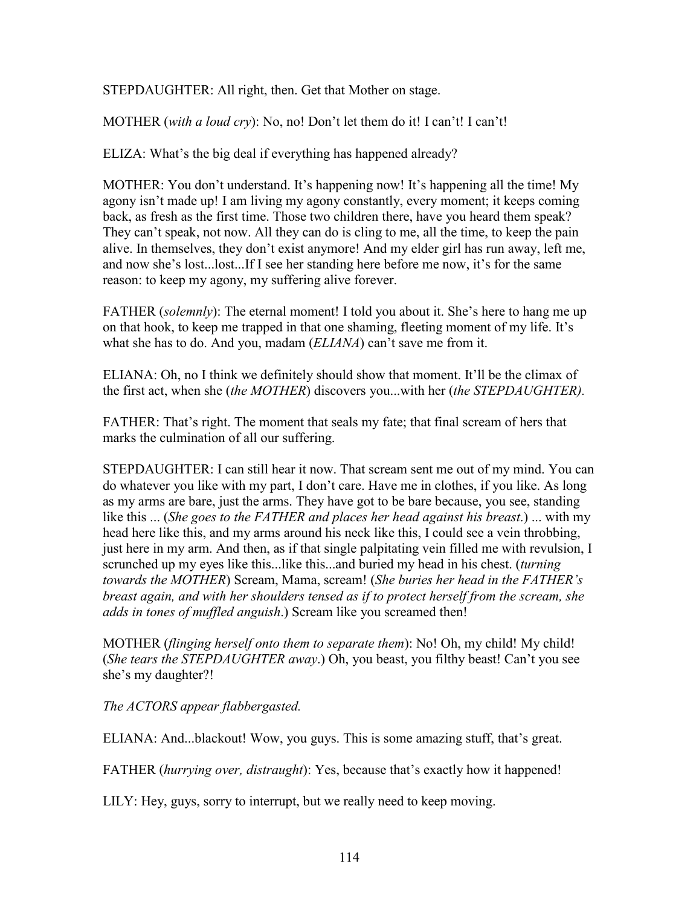STEPDAUGHTER: All right, then. Get that Mother on stage.

MOTHER (*with a loud cry*): No, no! Don't let them do it! I can't! I can't!

ELIZA: What's the big deal if everything has happened already?

MOTHER: You don't understand. It's happening now! It's happening all the time! My agony isn't made up! I am living my agony constantly, every moment; it keeps coming back, as fresh as the first time. Those two children there, have you heard them speak? They can't speak, not now. All they can do is cling to me, all the time, to keep the pain alive. In themselves, they don't exist anymore! And my elder girl has run away, left me, and now she's lost...lost...If I see her standing here before me now, it's for the same reason: to keep my agony, my suffering alive forever.

FATHER *(solemnly)*: The eternal moment! I told you about it. She's here to hang me up on that hook, to keep me trapped in that one shaming, fleeting moment of my life. It's what she has to do. And you, madam (*ELIANA*) can't save me from it.

ELIANA: Oh, no I think we definitely should show that moment. It'll be the climax of the first act, when she (*the MOTHER*) discovers you...with her (*the STEPDAUGHTER).*

FATHER: That's right. The moment that seals my fate; that final scream of hers that marks the culmination of all our suffering.

STEPDAUGHTER: I can still hear it now. That scream sent me out of my mind. You can do whatever you like with my part, I don't care. Have me in clothes, if you like. As long as my arms are bare, just the arms. They have got to be bare because, you see, standing like this ... (*She goes to the FATHER and places her head against his breast*.) ... with my head here like this, and my arms around his neck like this, I could see a vein throbbing, just here in my arm. And then, as if that single palpitating vein filled me with revulsion, I scrunched up my eyes like this...like this...and buried my head in his chest. (*turning towards the MOTHER*) Scream, Mama, scream! (*She buries her head in the FATHER's breast again, and with her shoulders tensed as if to protect herself from the scream, she adds in tones of muffled anguish*.) Scream like you screamed then!

MOTHER (*flinging herself onto them to separate them*): No! Oh, my child! My child! (*She tears the STEPDAUGHTER away*.) Oh, you beast, you filthy beast! Can't you see she's my daughter?!

*The ACTORS appear flabbergasted.*

ELIANA: And...blackout! Wow, you guys. This is some amazing stuff, that's great.

FATHER (*hurrying over, distraught*): Yes, because that's exactly how it happened!

LILY: Hey, guys, sorry to interrupt, but we really need to keep moving.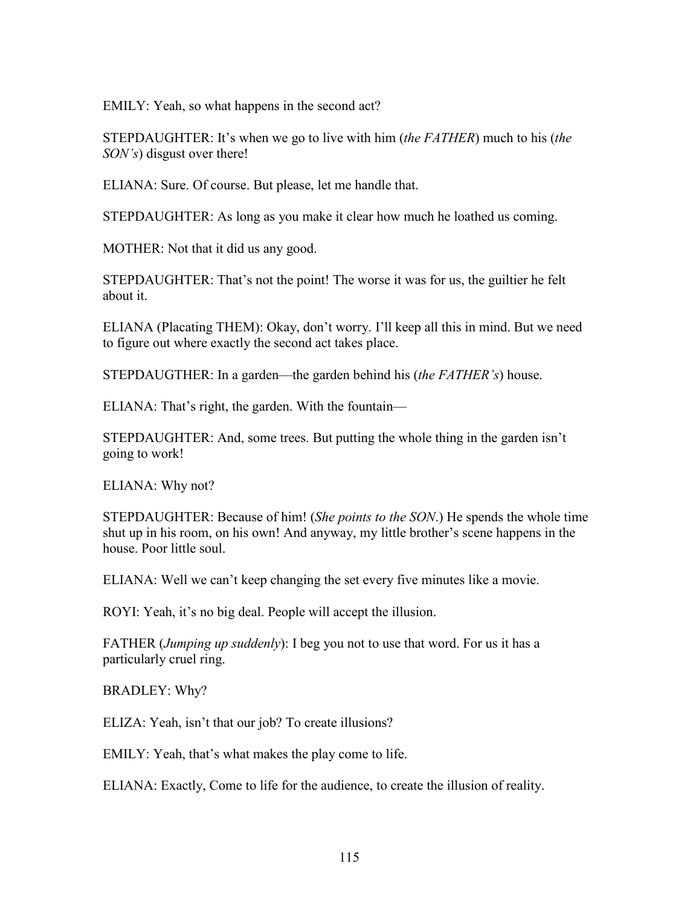EMILY: Yeah, so what happens in the second act?

STEPDAUGHTER: It's when we go to live with him (*the FATHER*) much to his (*the SON's*) disgust over there!

ELIANA: Sure. Of course. But please, let me handle that.

STEPDAUGHTER: As long as you make it clear how much he loathed us coming.

MOTHER: Not that it did us any good.

STEPDAUGHTER: That's not the point! The worse it was for us, the guiltier he felt about it.

ELIANA (Placating THEM): Okay, don't worry. I'll keep all this in mind. But we need to figure out where exactly the second act takes place.

STEPDAUGTHER: In a garden—the garden behind his (*the FATHER's*) house.

ELIANA: That's right, the garden. With the fountain—

STEPDAUGHTER: And, some trees. But putting the whole thing in the garden isn't going to work!

ELIANA: Why not?

STEPDAUGHTER: Because of him! (*She points to the SON*.) He spends the whole time shut up in his room, on his own! And anyway, my little brother's scene happens in the house. Poor little soul.

ELIANA: Well we can't keep changing the set every five minutes like a movie.

ROYI: Yeah, it's no big deal. People will accept the illusion.

FATHER (*Jumping up suddenly*): I beg you not to use that word. For us it has a particularly cruel ring.

BRADLEY: Why?

ELIZA: Yeah, isn't that our job? To create illusions?

EMILY: Yeah, that's what makes the play come to life.

ELIANA: Exactly, Come to life for the audience, to create the illusion of reality.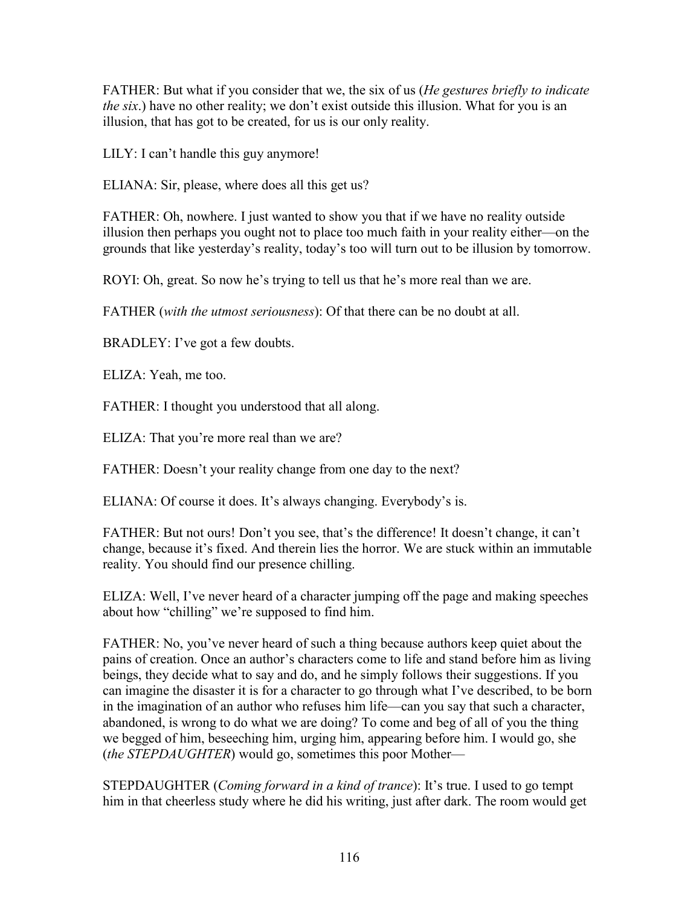FATHER: But what if you consider that we, the six of us (*He gestures briefly to indicate the six.*) have no other reality; we don't exist outside this illusion. What for you is an illusion, that has got to be created, for us is our only reality.

LILY: I can't handle this guy anymore!

ELIANA: Sir, please, where does all this get us?

FATHER: Oh, nowhere. I just wanted to show you that if we have no reality outside illusion then perhaps you ought not to place too much faith in your reality either—on the grounds that like yesterday's reality, today's too will turn out to be illusion by tomorrow.

ROYI: Oh, great. So now he's trying to tell us that he's more real than we are.

FATHER (*with the utmost seriousness*): Of that there can be no doubt at all.

BRADLEY: I've got a few doubts.

ELIZA: Yeah, me too.

FATHER: I thought you understood that all along.

ELIZA: That you're more real than we are?

FATHER: Doesn't your reality change from one day to the next?

ELIANA: Of course it does. It's always changing. Everybody's is.

FATHER: But not ours! Don't you see, that's the difference! It doesn't change, it can't change, because it's fixed. And therein lies the horror. We are stuck within an immutable reality. You should find our presence chilling.

ELIZA: Well, I've never heard of a character jumping off the page and making speeches about how "chilling" we're supposed to find him.

FATHER: No, you've never heard of such a thing because authors keep quiet about the pains of creation. Once an author's characters come to life and stand before him as living beings, they decide what to say and do, and he simply follows their suggestions. If you can imagine the disaster it is for a character to go through what I've described, to be born in the imagination of an author who refuses him life—can you say that such a character, abandoned, is wrong to do what we are doing? To come and beg of all of you the thing we begged of him, beseeching him, urging him, appearing before him. I would go, she (*the STEPDAUGHTER*) would go, sometimes this poor Mother—

STEPDAUGHTER (*Coming forward in a kind of trance*): It's true. I used to go tempt him in that cheerless study where he did his writing, just after dark. The room would get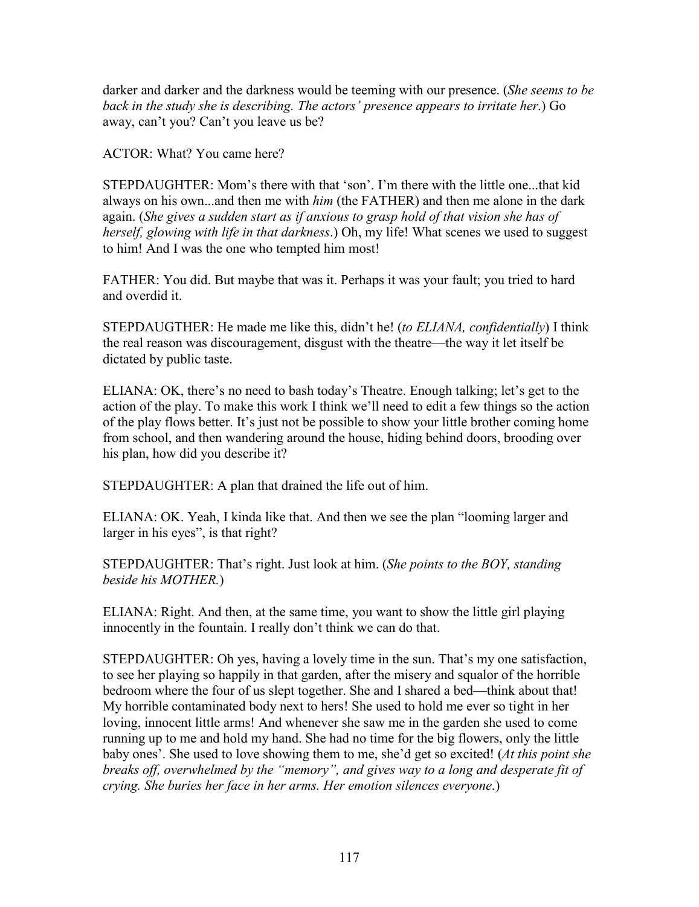darker and darker and the darkness would be teeming with our presence. (*She seems to be back in the study she is describing. The actors' presence appears to irritate her*.) Go away, can't you? Can't you leave us be?

ACTOR: What? You came here?

STEPDAUGHTER: Mom's there with that 'son'. I'm there with the little one...that kid always on his own...and then me with *him* (the FATHER) and then me alone in the dark again. (*She gives a sudden start as if anxious to grasp hold of that vision she has of herself, glowing with life in that darkness*.) Oh, my life! What scenes we used to suggest to him! And I was the one who tempted him most!

FATHER: You did. But maybe that was it. Perhaps it was your fault; you tried to hard and overdid it.

STEPDAUGTHER: He made me like this, didn't he! (*to ELIANA, confidentially*) I think the real reason was discouragement, disgust with the theatre—the way it let itself be dictated by public taste.

ELIANA: OK, there's no need to bash today's Theatre. Enough talking; let's get to the action of the play. To make this work I think we'll need to edit a few things so the action of the play flows better. It's just not be possible to show your little brother coming home from school, and then wandering around the house, hiding behind doors, brooding over his plan, how did you describe it?

STEPDAUGHTER: A plan that drained the life out of him.

ELIANA: OK. Yeah, I kinda like that. And then we see the plan "looming larger and larger in his eyes", is that right?

STEPDAUGHTER: That's right. Just look at him. (*She points to the BOY, standing beside his MOTHER.*)

ELIANA: Right. And then, at the same time, you want to show the little girl playing innocently in the fountain. I really don't think we can do that.

STEPDAUGHTER: Oh yes, having a lovely time in the sun. That's my one satisfaction, to see her playing so happily in that garden, after the misery and squalor of the horrible bedroom where the four of us slept together. She and I shared a bed—think about that! My horrible contaminated body next to hers! She used to hold me ever so tight in her loving, innocent little arms! And whenever she saw me in the garden she used to come running up to me and hold my hand. She had no time for the big flowers, only the little baby ones'. She used to love showing them to me, she'd get so excited! (*At this point she breaks off, overwhelmed by the "memory", and gives way to a long and desperate fit of crying. She buries her face in her arms. Her emotion silences everyone*.)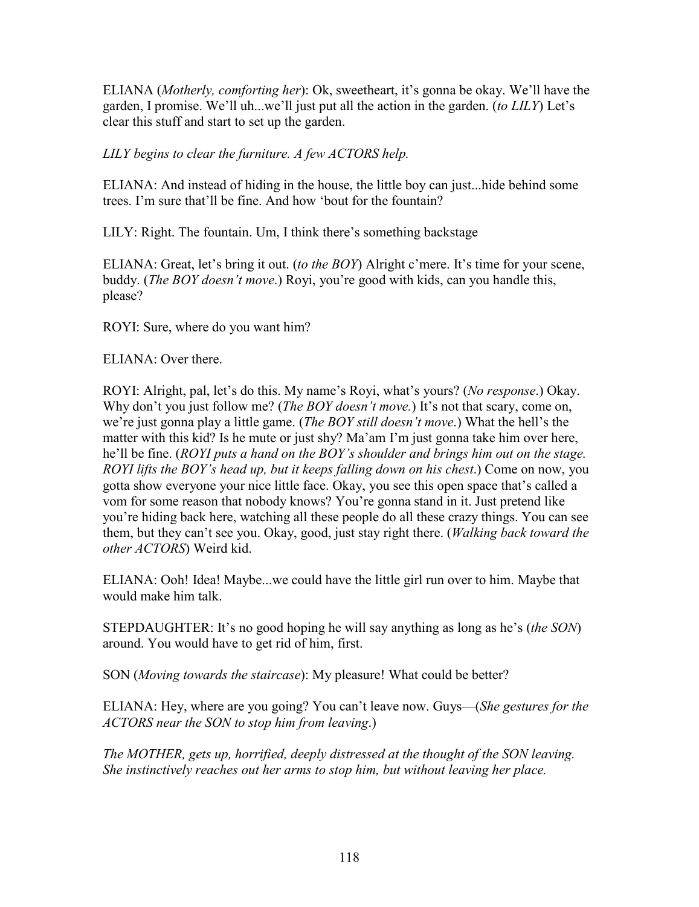ELIANA (*Motherly, comforting her*): Ok, sweetheart, it's gonna be okay. We'll have the garden, I promise. We'll uh...we'll just put all the action in the garden. (*to LILY*) Let's clear this stuff and start to set up the garden.

## *LILY begins to clear the furniture. A few ACTORS help.*

ELIANA: And instead of hiding in the house, the little boy can just...hide behind some trees. I'm sure that'll be fine. And how 'bout for the fountain?

LILY: Right. The fountain. Um, I think there's something backstage

ELIANA: Great, let's bring it out. (*to the BOY*) Alright c'mere. It's time for your scene, buddy. (*The BOY doesn't move*.) Royi, you're good with kids, can you handle this, please?

ROYI: Sure, where do you want him?

ELIANA: Over there.

ROYI: Alright, pal, let's do this. My name's Royi, what's yours? (*No response*.) Okay. Why don't you just follow me? (*The BOY doesn't move*.) It's not that scary, come on, we're just gonna play a little game. (*The BOY still doesn't move*.) What the hell's the matter with this kid? Is he mute or just shy? Ma'am I'm just gonna take him over here, he'll be fine. (*ROYI puts a hand on the BOY's shoulder and brings him out on the stage. ROYI lifts the BOY's head up, but it keeps falling down on his chest*.) Come on now, you gotta show everyone your nice little face. Okay, you see this open space that's called a vom for some reason that nobody knows? You're gonna stand in it. Just pretend like you're hiding back here, watching all these people do all these crazy things. You can see them, but they can't see you. Okay, good, just stay right there. (*Walking back toward the other ACTORS*) Weird kid.

ELIANA: Ooh! Idea! Maybe...we could have the little girl run over to him. Maybe that would make him talk.

STEPDAUGHTER: It's no good hoping he will say anything as long as he's (*the SON*) around. You would have to get rid of him, first.

SON (*Moving towards the staircase*): My pleasure! What could be better?

ELIANA: Hey, where are you going? You can't leave now. Guys—(*She gestures for the ACTORS near the SON to stop him from leaving*.)

*The MOTHER, gets up, horrified, deeply distressed at the thought of the SON leaving. She instinctively reaches out her arms to stop him, but without leaving her place.*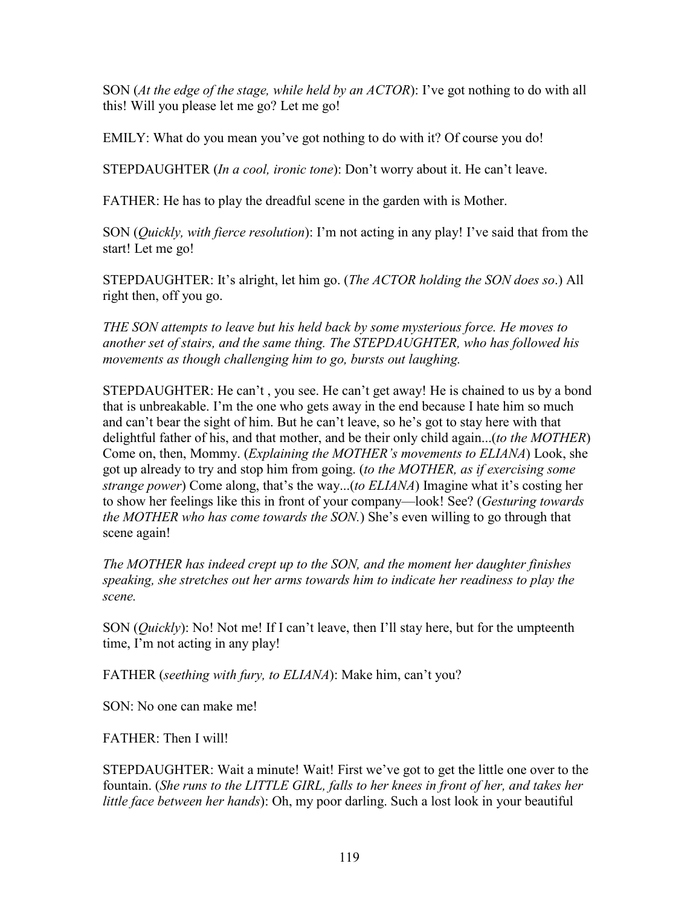SON (*At the edge of the stage, while held by an ACTOR*): I've got nothing to do with all this! Will you please let me go? Let me go!

EMILY: What do you mean you've got nothing to do with it? Of course you do!

STEPDAUGHTER (*In a cool, ironic tone*): Don't worry about it. He can't leave.

FATHER: He has to play the dreadful scene in the garden with is Mother.

SON (*Quickly, with fierce resolution*): I'm not acting in any play! I've said that from the start! Let me go!

STEPDAUGHTER: It's alright, let him go. (*The ACTOR holding the SON does so*.) All right then, off you go.

*THE SON attempts to leave but his held back by some mysterious force. He moves to another set of stairs, and the same thing. The STEPDAUGHTER, who has followed his movements as though challenging him to go, bursts out laughing.*

STEPDAUGHTER: He can't , you see. He can't get away! He is chained to us by a bond that is unbreakable. I'm the one who gets away in the end because I hate him so much and can't bear the sight of him. But he can't leave, so he's got to stay here with that delightful father of his, and that mother, and be their only child again...(*to the MOTHER*) Come on, then, Mommy. (*Explaining the MOTHER's movements to ELIANA*) Look, she got up already to try and stop him from going. (*to the MOTHER, as if exercising some strange power*) Come along, that's the way...(*to ELIANA*) Imagine what it's costing her to show her feelings like this in front of your company—look! See? (*Gesturing towards the MOTHER who has come towards the SON.*) She's even willing to go through that scene again!

*The MOTHER has indeed crept up to the SON, and the moment her daughter finishes speaking, she stretches out her arms towards him to indicate her readiness to play the scene.*

SON (*Quickly*): No! Not me! If I can't leave, then I'll stay here, but for the umpteenth time, I'm not acting in any play!

FATHER (*seething with fury, to ELIANA*): Make him, can't you?

SON: No one can make me!

FATHER: Then I will!

STEPDAUGHTER: Wait a minute! Wait! First we've got to get the little one over to the fountain. (*She runs to the LITTLE GIRL, falls to her knees in front of her, and takes her little face between her hands*): Oh, my poor darling. Such a lost look in your beautiful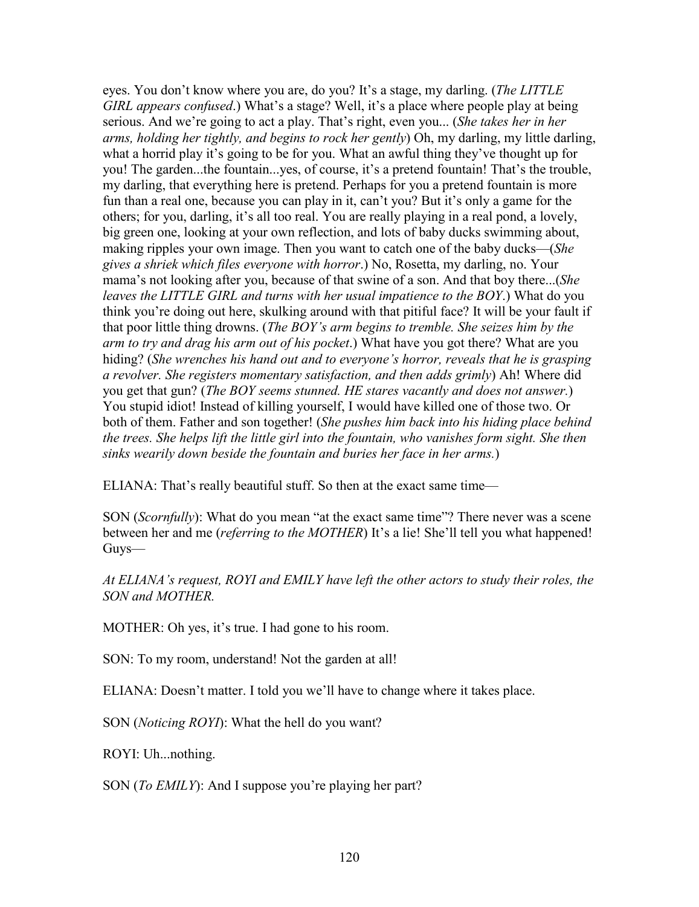eyes. You don't know where you are, do you? It's a stage, my darling. (*The LITTLE GIRL appears confused.*) What's a stage? Well, it's a place where people play at being serious. And we're going to act a play. That's right, even you... (*She takes her in her arms, holding her tightly, and begins to rock her gently*) Oh, my darling, my little darling, what a horrid play it's going to be for you. What an awful thing they've thought up for you! The garden...the fountain...yes, of course, it's a pretend fountain! That's the trouble, my darling, that everything here is pretend. Perhaps for you a pretend fountain is more fun than a real one, because you can play in it, can't you? But it's only a game for the others; for you, darling, it's all too real. You are really playing in a real pond, a lovely, big green one, looking at your own reflection, and lots of baby ducks swimming about, making ripples your own image. Then you want to catch one of the baby ducks—(*She gives a shriek which files everyone with horror*.) No, Rosetta, my darling, no. Your mama's not looking after you, because of that swine of a son. And that boy there...(*She leaves the LITTLE GIRL and turns with her usual impatience to the BOY*.) What do you think you're doing out here, skulking around with that pitiful face? It will be your fault if that poor little thing drowns. (*The BOY's arm begins to tremble. She seizes him by the arm to try and drag his arm out of his pocket*.) What have you got there? What are you hiding? (*She wrenches his hand out and to everyone's horror, reveals that he is grasping a revolver. She registers momentary satisfaction, and then adds grimly*) Ah! Where did you get that gun? (*The BOY seems stunned. HE stares vacantly and does not answer.*) You stupid idiot! Instead of killing yourself, I would have killed one of those two. Or both of them. Father and son together! (*She pushes him back into his hiding place behind the trees. She helps lift the little girl into the fountain, who vanishes form sight. She then sinks wearily down beside the fountain and buries her face in her arms.*)

ELIANA: That's really beautiful stuff. So then at the exact same time—

SON (*Scornfully*): What do you mean "at the exact same time"? There never was a scene between her and me (*referring to the MOTHER*) It's a lie! She'll tell you what happened! Guys—

*At ELIANA's request, ROYI and EMILY have left the other actors to study their roles, the SON and MOTHER.*

MOTHER: Oh yes, it's true. I had gone to his room.

SON: To my room, understand! Not the garden at all!

ELIANA: Doesn't matter. I told you we'll have to change where it takes place.

SON (*Noticing ROYI*): What the hell do you want?

ROYI: Uh...nothing.

SON (*To EMILY*): And I suppose you're playing her part?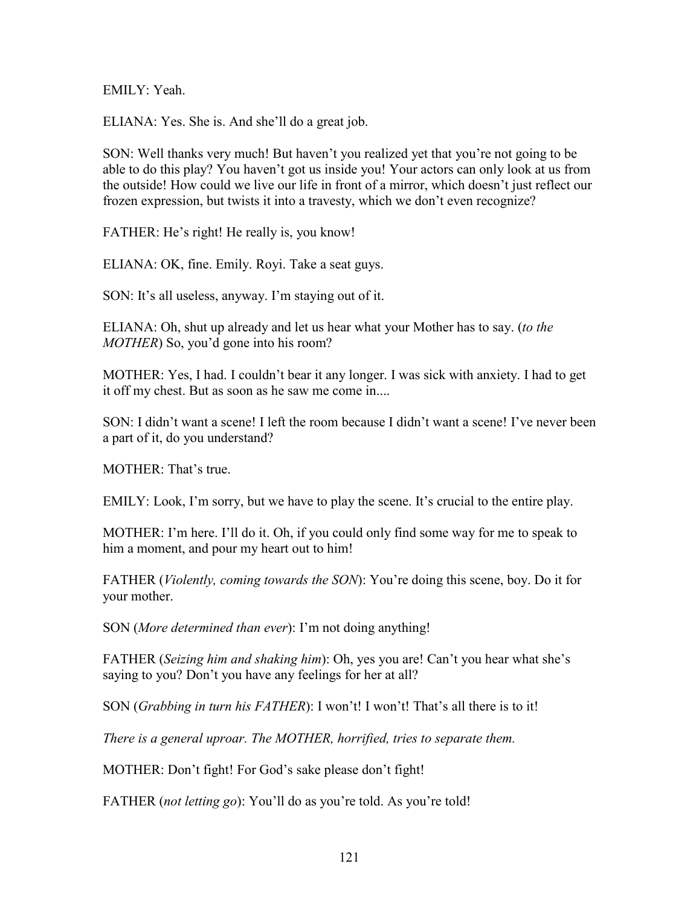EMILY: Yeah.

ELIANA: Yes. She is. And she'll do a great job.

SON: Well thanks very much! But haven't you realized yet that you're not going to be able to do this play? You haven't got us inside you! Your actors can only look at us from the outside! How could we live our life in front of a mirror, which doesn't just reflect our frozen expression, but twists it into a travesty, which we don't even recognize?

FATHER: He's right! He really is, you know!

ELIANA: OK, fine. Emily. Royi. Take a seat guys.

SON: It's all useless, anyway. I'm staying out of it.

ELIANA: Oh, shut up already and let us hear what your Mother has to say. (*to the MOTHER*) So, you'd gone into his room?

MOTHER: Yes, I had. I couldn't bear it any longer. I was sick with anxiety. I had to get it off my chest. But as soon as he saw me come in....

SON: I didn't want a scene! I left the room because I didn't want a scene! I've never been a part of it, do you understand?

MOTHER: That's true.

EMILY: Look, I'm sorry, but we have to play the scene. It's crucial to the entire play.

MOTHER: I'm here. I'll do it. Oh, if you could only find some way for me to speak to him a moment, and pour my heart out to him!

FATHER (*Violently, coming towards the SON*): You're doing this scene, boy. Do it for your mother.

SON (*More determined than ever*): I'm not doing anything!

FATHER (*Seizing him and shaking him*): Oh, yes you are! Can't you hear what she's saying to you? Don't you have any feelings for her at all?

SON (*Grabbing in turn his FATHER*): I won't! I won't! That's all there is to it!

*There is a general uproar. The MOTHER, horrified, tries to separate them.*

MOTHER: Don't fight! For God's sake please don't fight!

FATHER (*not letting go*): You'll do as you're told. As you're told!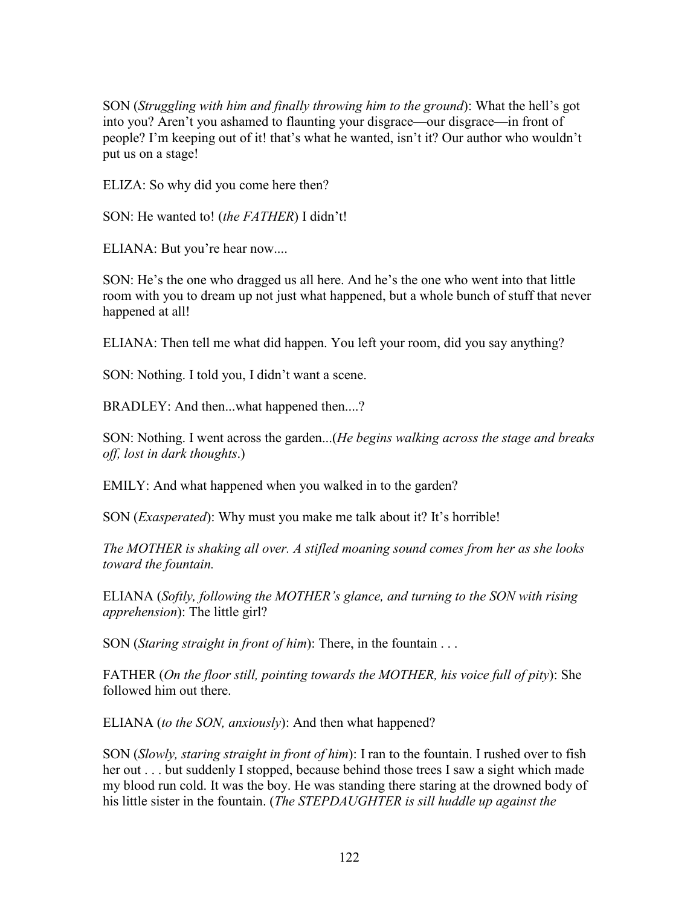SON (*Struggling with him and finally throwing him to the ground*): What the hell's got into you? Aren't you ashamed to flaunting your disgrace—our disgrace—in front of people? I'm keeping out of it! that's what he wanted, isn't it? Our author who wouldn't put us on a stage!

ELIZA: So why did you come here then?

SON: He wanted to! (*the FATHER*) I didn't!

ELIANA: But you're hear now....

SON: He's the one who dragged us all here. And he's the one who went into that little room with you to dream up not just what happened, but a whole bunch of stuff that never happened at all!

ELIANA: Then tell me what did happen. You left your room, did you say anything?

SON: Nothing. I told you, I didn't want a scene.

BRADLEY: And then...what happened then....?

SON: Nothing. I went across the garden...(*He begins walking across the stage and breaks off, lost in dark thoughts*.)

EMILY: And what happened when you walked in to the garden?

SON (*Exasperated*): Why must you make me talk about it? It's horrible!

*The MOTHER is shaking all over. A stifled moaning sound comes from her as she looks toward the fountain.*

ELIANA (*Softly, following the MOTHER's glance, and turning to the SON with rising apprehension*): The little girl?

SON (*Staring straight in front of him*): There, in the fountain . . .

FATHER (*On the floor still, pointing towards the MOTHER, his voice full of pity*): She followed him out there.

ELIANA (*to the SON, anxiously*): And then what happened?

SON (*Slowly, staring straight in front of him*): I ran to the fountain. I rushed over to fish her out . . . but suddenly I stopped, because behind those trees I saw a sight which made my blood run cold. It was the boy. He was standing there staring at the drowned body of his little sister in the fountain. (*The STEPDAUGHTER is sill huddle up against the*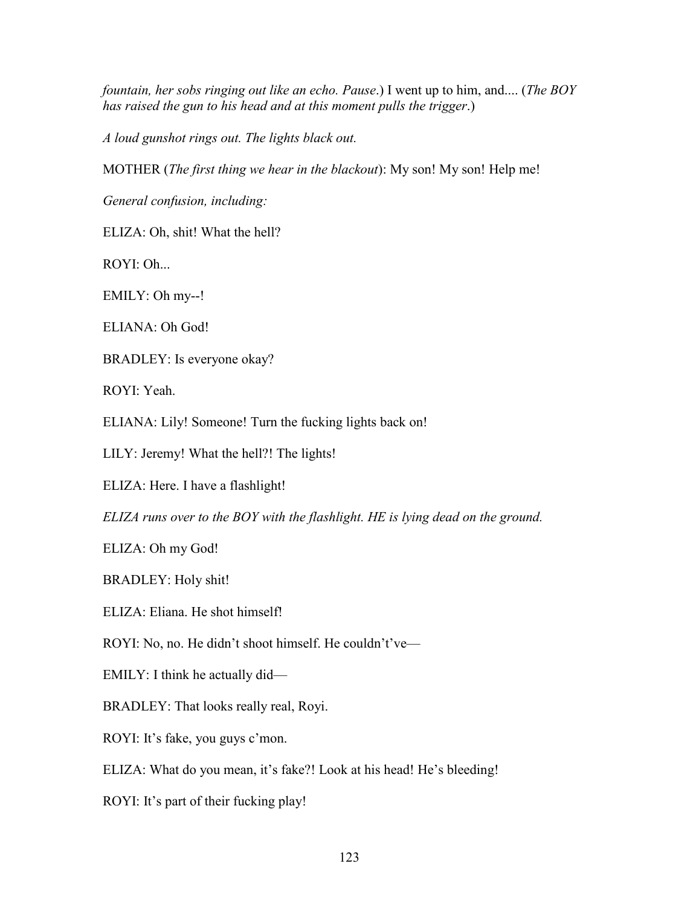*fountain, her sobs ringing out like an echo. Pause*.) I went up to him, and.... (*The BOY has raised the gun to his head and at this moment pulls the trigger*.)

*A loud gunshot rings out. The lights black out.*

MOTHER (*The first thing we hear in the blackout*): My son! My son! Help me!

*General confusion, including:*

ELIZA: Oh, shit! What the hell?

ROYI: Oh...

EMILY: Oh my--!

ELIANA: Oh God!

BRADLEY: Is everyone okay?

ROYI: Yeah.

ELIANA: Lily! Someone! Turn the fucking lights back on!

LILY: Jeremy! What the hell?! The lights!

ELIZA: Here. I have a flashlight!

*ELIZA runs over to the BOY with the flashlight. HE is lying dead on the ground.*

ELIZA: Oh my God!

BRADLEY: Holy shit!

ELIZA: Eliana. He shot himself!

ROYI: No, no. He didn't shoot himself. He couldn't've—

EMILY: I think he actually did—

BRADLEY: That looks really real, Royi.

ROYI: It's fake, you guys c'mon.

ELIZA: What do you mean, it's fake?! Look at his head! He's bleeding!

ROYI: It's part of their fucking play!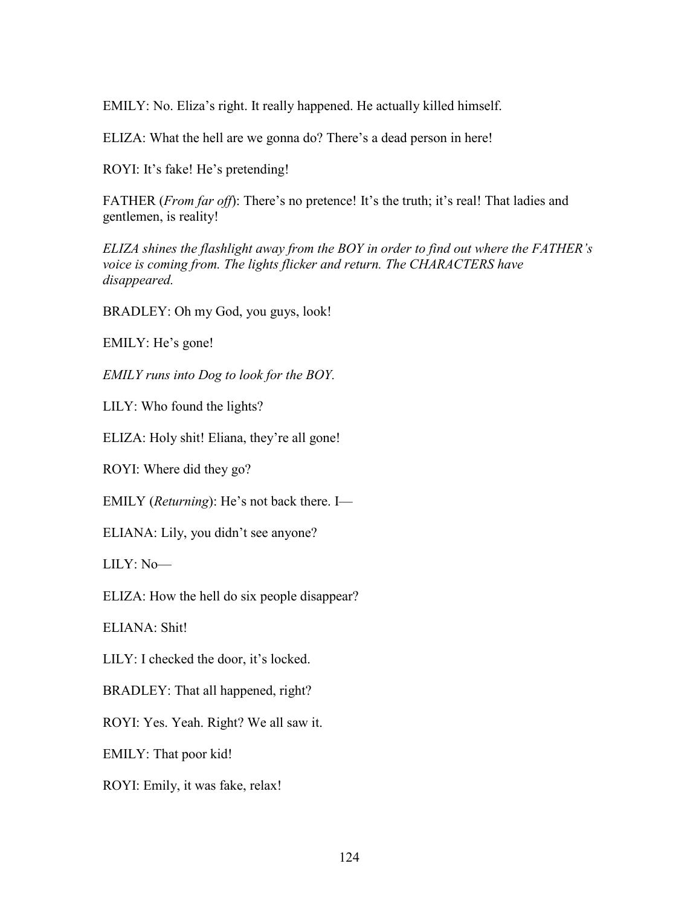EMILY: No. Eliza's right. It really happened. He actually killed himself.

ELIZA: What the hell are we gonna do? There's a dead person in here!

ROYI: It's fake! He's pretending!

FATHER (*From far off*): There's no pretence! It's the truth; it's real! That ladies and gentlemen, is reality!

*ELIZA shines the flashlight away from the BOY in order to find out where the FATHER's voice is coming from. The lights flicker and return. The CHARACTERS have disappeared.*

BRADLEY: Oh my God, you guys, look!

EMILY: He's gone!

*EMILY runs into Dog to look for the BOY.*

LILY: Who found the lights?

ELIZA: Holy shit! Eliana, they're all gone!

ROYI: Where did they go?

EMILY (*Returning*): He's not back there. I—

ELIANA: Lily, you didn't see anyone?

LILY: No—

ELIZA: How the hell do six people disappear?

ELIANA: Shit!

LILY: I checked the door, it's locked.

BRADLEY: That all happened, right?

ROYI: Yes. Yeah. Right? We all saw it.

EMILY: That poor kid!

ROYI: Emily, it was fake, relax!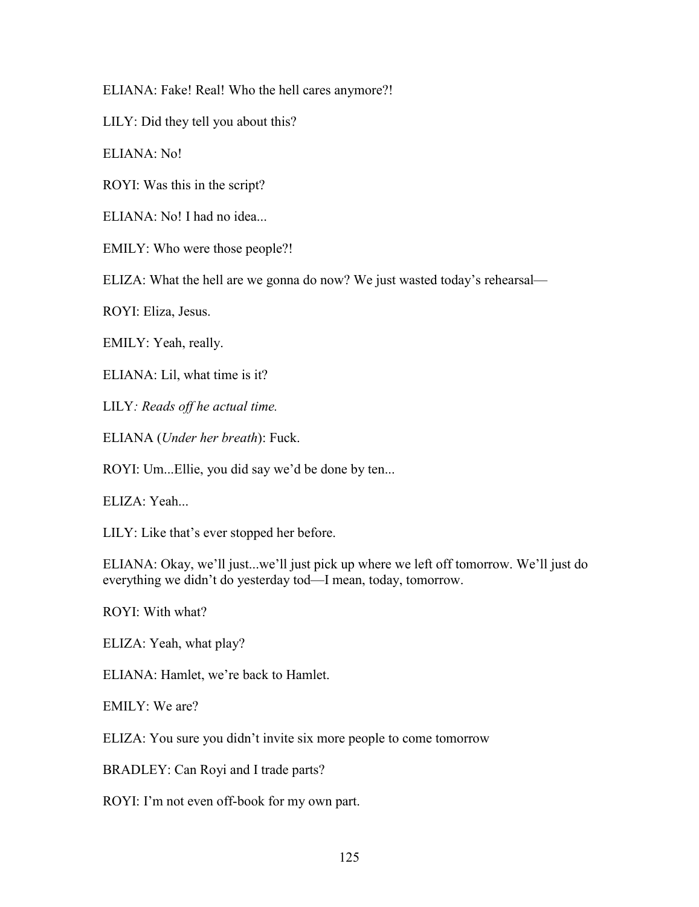ELIANA: Fake! Real! Who the hell cares anymore?!

LILY: Did they tell you about this?

ELIANA: No!

ROYI: Was this in the script?

ELIANA: No! I had no idea...

EMILY: Who were those people?!

ELIZA: What the hell are we gonna do now? We just wasted today's rehearsal—

ROYI: Eliza, Jesus.

EMILY: Yeah, really.

ELIANA: Lil, what time is it?

LILY*: Reads off he actual time.*

ELIANA (*Under her breath*): Fuck.

ROYI: Um...Ellie, you did say we'd be done by ten...

ELIZA: Yeah...

LILY: Like that's ever stopped her before.

ELIANA: Okay, we'll just...we'll just pick up where we left off tomorrow. We'll just do everything we didn't do yesterday tod—I mean, today, tomorrow.

ROYI: With what?

ELIZA: Yeah, what play?

ELIANA: Hamlet, we're back to Hamlet.

EMILY: We are?

ELIZA: You sure you didn't invite six more people to come tomorrow

BRADLEY: Can Royi and I trade parts?

ROYI: I'm not even off-book for my own part.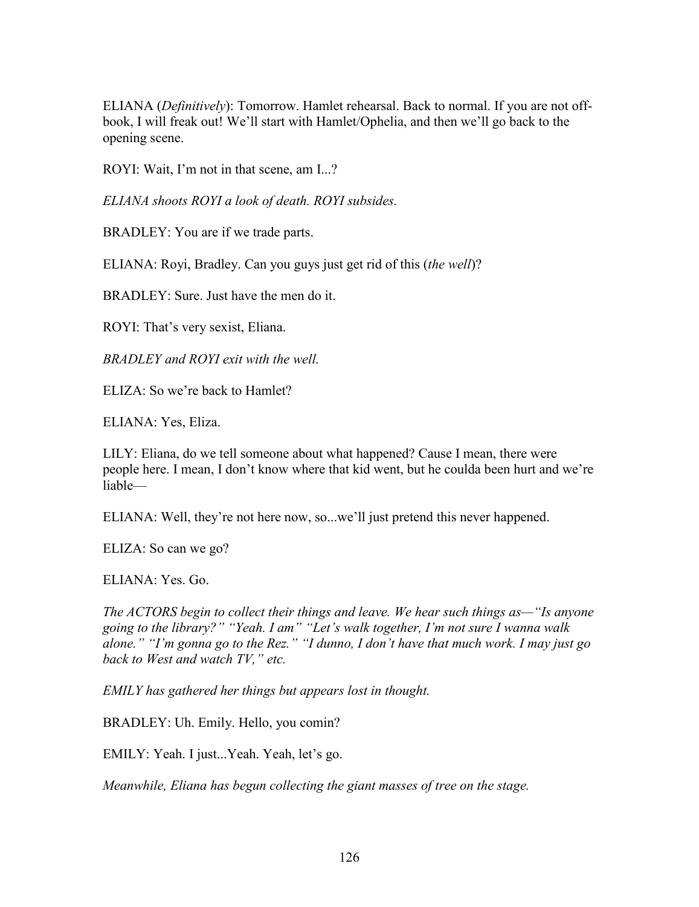ELIANA (*Definitively*): Tomorrow. Hamlet rehearsal. Back to normal. If you are not offbook, I will freak out! We'll start with Hamlet/Ophelia, and then we'll go back to the opening scene.

ROYI: Wait, I'm not in that scene, am I...?

*ELIANA shoots ROYI a look of death. ROYI subsides.*

BRADLEY: You are if we trade parts.

ELIANA: Royi, Bradley. Can you guys just get rid of this (*the well*)?

BRADLEY: Sure. Just have the men do it.

ROYI: That's very sexist, Eliana.

*BRADLEY and ROYI exit with the well.*

ELIZA: So we're back to Hamlet?

ELIANA: Yes, Eliza.

LILY: Eliana, do we tell someone about what happened? Cause I mean, there were people here. I mean, I don't know where that kid went, but he coulda been hurt and we're liable—

ELIANA: Well, they're not here now, so...we'll just pretend this never happened.

ELIZA: So can we go?

ELIANA: Yes. Go.

*The ACTORS begin to collect their things and leave. We hear such things as—"Is anyone going to the library?" "Yeah. I am" "Let's walk together, I'm not sure I wanna walk alone." "I'm gonna go to the Rez." "I dunno, I don't have that much work. I may just go back to West and watch TV," etc.*

*EMILY has gathered her things but appears lost in thought.*

BRADLEY: Uh. Emily. Hello, you comin?

EMILY: Yeah. I just...Yeah. Yeah, let's go.

*Meanwhile, Eliana has begun collecting the giant masses of tree on the stage.*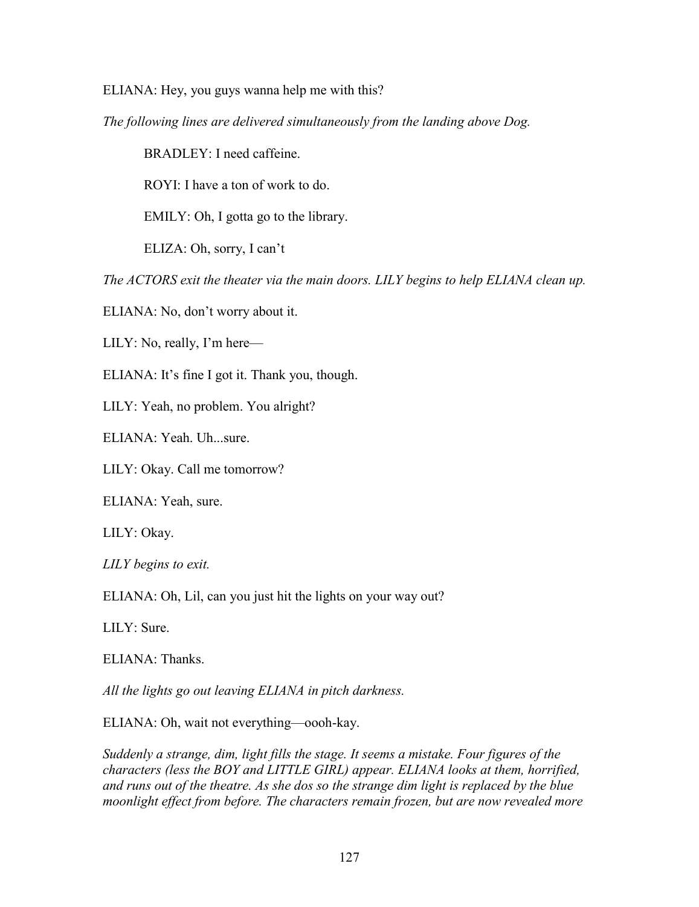ELIANA: Hey, you guys wanna help me with this?

*The following lines are delivered simultaneously from the landing above Dog.*

BRADLEY: I need caffeine.

ROYI: I have a ton of work to do.

EMILY: Oh, I gotta go to the library.

ELIZA: Oh, sorry, I can't

*The ACTORS exit the theater via the main doors. LILY begins to help ELIANA clean up.*

ELIANA: No, don't worry about it.

LILY: No, really, I'm here—

ELIANA: It's fine I got it. Thank you, though.

LILY: Yeah, no problem. You alright?

ELIANA: Yeah. Uh...sure.

LILY: Okay. Call me tomorrow?

ELIANA: Yeah, sure.

LILY: Okay.

*LILY begins to exit.*

ELIANA: Oh, Lil, can you just hit the lights on your way out?

LILY: Sure.

ELIANA: Thanks.

*All the lights go out leaving ELIANA in pitch darkness.*

ELIANA: Oh, wait not everything—oooh-kay.

*Suddenly a strange, dim, light fills the stage. It seems a mistake. Four figures of the characters (less the BOY and LITTLE GIRL) appear. ELIANA looks at them, horrified, and runs out of the theatre. As she dos so the strange dim light is replaced by the blue moonlight effect from before. The characters remain frozen, but are now revealed more*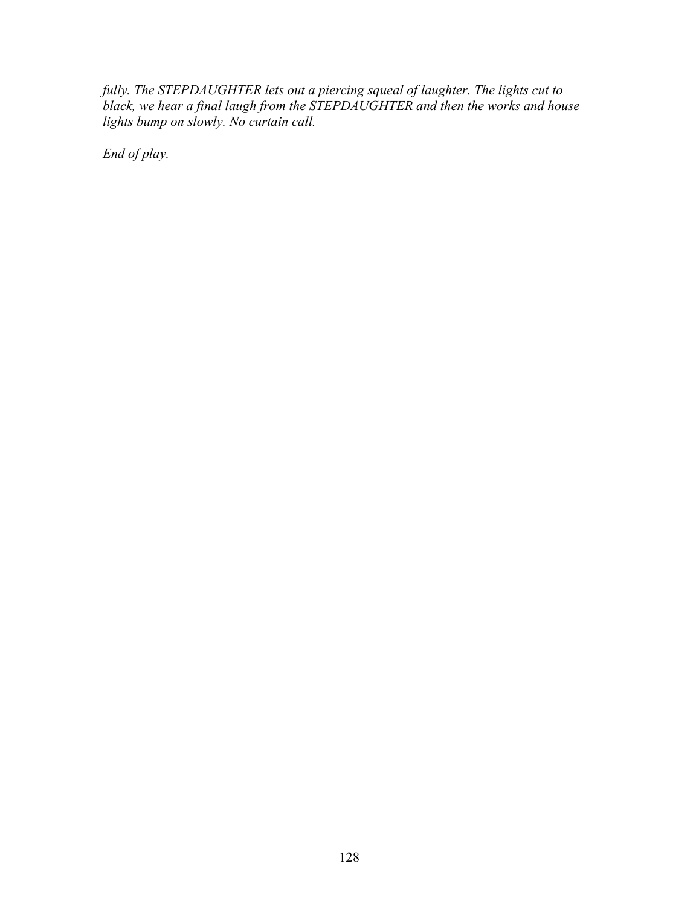*fully. The STEPDAUGHTER lets out a piercing squeal of laughter. The lights cut to black, we hear a final laugh from the STEPDAUGHTER and then the works and house lights bump on slowly. No curtain call.*

*End of play.*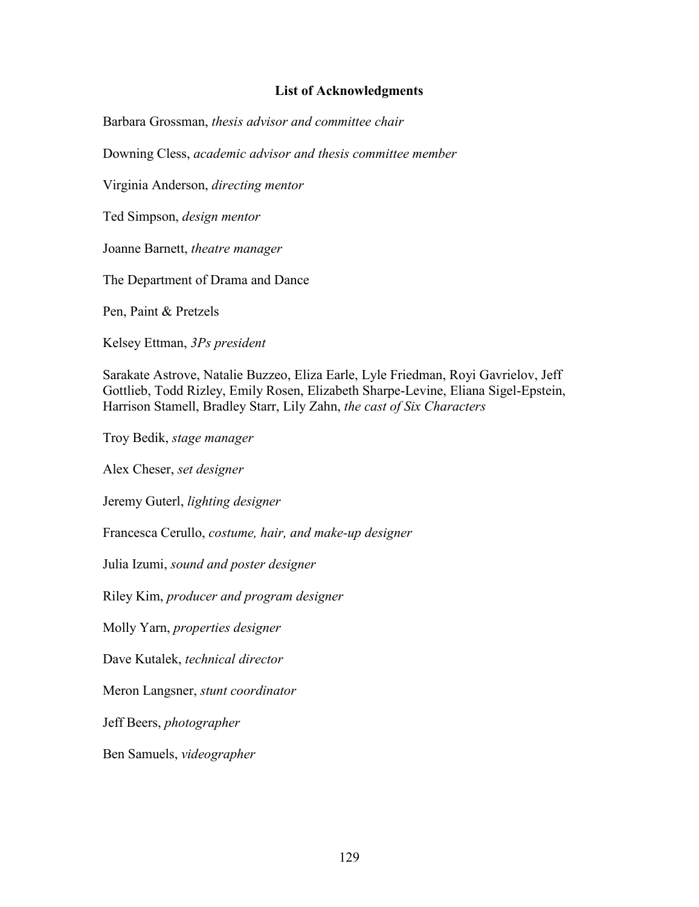## **List of Acknowledgments**

Barbara Grossman, *thesis advisor and committee chair*

Downing Cless, *academic advisor and thesis committee member*

Virginia Anderson, *directing mentor*

Ted Simpson, *design mentor*

Joanne Barnett, *theatre manager*

The Department of Drama and Dance

Pen, Paint & Pretzels

Kelsey Ettman, *3Ps president*

Sarakate Astrove, Natalie Buzzeo, Eliza Earle, Lyle Friedman, Royi Gavrielov, Jeff Gottlieb, Todd Rizley, Emily Rosen, Elizabeth Sharpe-Levine, Eliana Sigel-Epstein, Harrison Stamell, Bradley Starr, Lily Zahn, *the cast of Six Characters*

Troy Bedik, *stage manager*

Alex Cheser, *set designer*

Jeremy Guterl, *lighting designer*

Francesca Cerullo, *costume, hair, and make-up designer*

Julia Izumi, *sound and poster designer*

Riley Kim, *producer and program designer*

Molly Yarn, *properties designer*

Dave Kutalek, *technical director*

Meron Langsner, *stunt coordinator*

Jeff Beers, *photographer*

Ben Samuels, *videographer*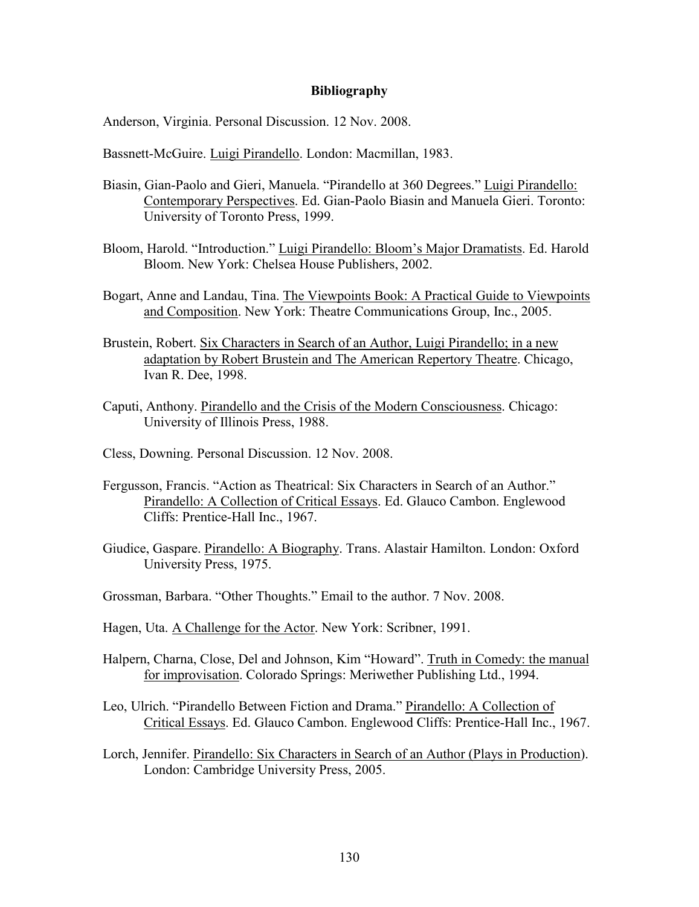## **Bibliography**

Anderson, Virginia. Personal Discussion. 12 Nov. 2008.

Bassnett-McGuire. Luigi Pirandello. London: Macmillan, 1983.

- Biasin, Gian-Paolo and Gieri, Manuela. "Pirandello at 360 Degrees." Luigi Pirandello: Contemporary Perspectives. Ed. Gian-Paolo Biasin and Manuela Gieri. Toronto: University of Toronto Press, 1999.
- Bloom, Harold. "Introduction." Luigi Pirandello: Bloom's Major Dramatists. Ed. Harold Bloom. New York: Chelsea House Publishers, 2002.
- Bogart, Anne and Landau, Tina. The Viewpoints Book: A Practical Guide to Viewpoints and Composition. New York: Theatre Communications Group, Inc., 2005.
- Brustein, Robert. Six Characters in Search of an Author, Luigi Pirandello; in a new adaptation by Robert Brustein and The American Repertory Theatre. Chicago, Ivan R. Dee, 1998.
- Caputi, Anthony. Pirandello and the Crisis of the Modern Consciousness. Chicago: University of Illinois Press, 1988.
- Cless, Downing. Personal Discussion. 12 Nov. 2008.
- Fergusson, Francis. "Action as Theatrical: Six Characters in Search of an Author." Pirandello: A Collection of Critical Essays. Ed. Glauco Cambon. Englewood Cliffs: Prentice-Hall Inc., 1967.
- Giudice, Gaspare. Pirandello: A Biography. Trans. Alastair Hamilton. London: Oxford University Press, 1975.
- Grossman, Barbara. "Other Thoughts." Email to the author. 7 Nov. 2008.
- Hagen, Uta. A Challenge for the Actor. New York: Scribner, 1991.
- Halpern, Charna, Close, Del and Johnson, Kim "Howard". Truth in Comedy: the manual for improvisation. Colorado Springs: Meriwether Publishing Ltd., 1994.
- Leo, Ulrich. "Pirandello Between Fiction and Drama." Pirandello: A Collection of Critical Essays. Ed. Glauco Cambon. Englewood Cliffs: Prentice-Hall Inc., 1967.
- Lorch, Jennifer. Pirandello: Six Characters in Search of an Author (Plays in Production). London: Cambridge University Press, 2005.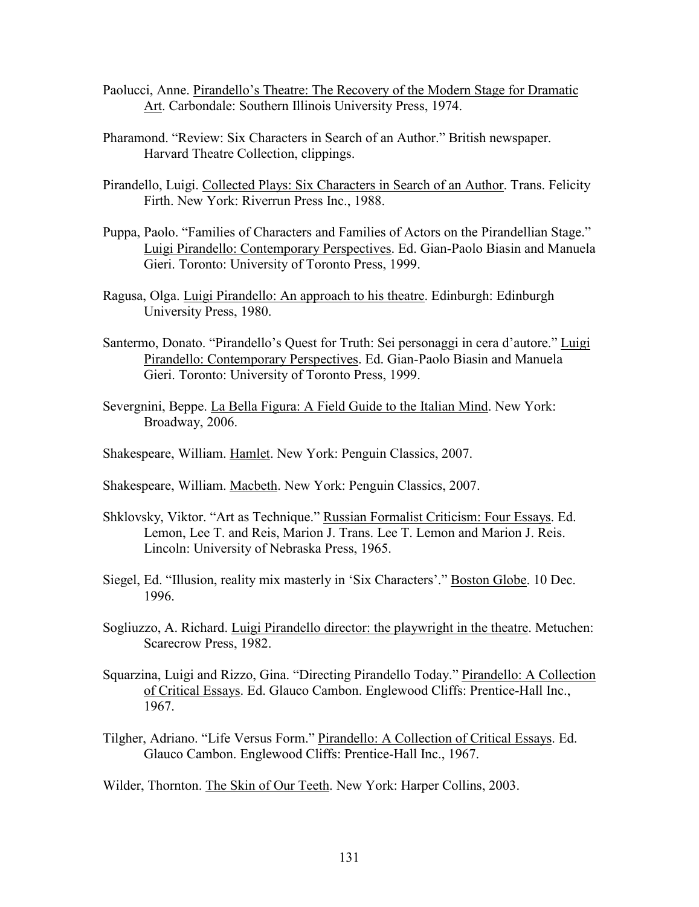- Paolucci, Anne. Pirandello's Theatre: The Recovery of the Modern Stage for Dramatic Art. Carbondale: Southern Illinois University Press, 1974.
- Pharamond. "Review: Six Characters in Search of an Author." British newspaper. Harvard Theatre Collection, clippings.
- Pirandello, Luigi. Collected Plays: Six Characters in Search of an Author. Trans. Felicity Firth. New York: Riverrun Press Inc., 1988.
- Puppa, Paolo. "Families of Characters and Families of Actors on the Pirandellian Stage." Luigi Pirandello: Contemporary Perspectives. Ed. Gian-Paolo Biasin and Manuela Gieri. Toronto: University of Toronto Press, 1999.
- Ragusa, Olga. Luigi Pirandello: An approach to his theatre. Edinburgh: Edinburgh University Press, 1980.
- Santermo, Donato. "Pirandello's Quest for Truth: Sei personaggi in cera d'autore." Luigi Pirandello: Contemporary Perspectives. Ed. Gian-Paolo Biasin and Manuela Gieri. Toronto: University of Toronto Press, 1999.
- Severgnini, Beppe. La Bella Figura: A Field Guide to the Italian Mind. New York: Broadway, 2006.
- Shakespeare, William. Hamlet. New York: Penguin Classics, 2007.
- Shakespeare, William. Macbeth. New York: Penguin Classics, 2007.
- Shklovsky, Viktor. "Art as Technique." Russian Formalist Criticism: Four Essays. Ed. Lemon, Lee T. and Reis, Marion J. Trans. Lee T. Lemon and Marion J. Reis. Lincoln: University of Nebraska Press, 1965.
- Siegel, Ed. "Illusion, reality mix masterly in 'Six Characters'." Boston Globe. 10 Dec. 1996.
- Sogliuzzo, A. Richard. Luigi Pirandello director: the playwright in the theatre. Metuchen: Scarecrow Press, 1982.
- Squarzina, Luigi and Rizzo, Gina. "Directing Pirandello Today." Pirandello: A Collection of Critical Essays. Ed. Glauco Cambon. Englewood Cliffs: Prentice-Hall Inc., 1967.
- Tilgher, Adriano. "Life Versus Form." Pirandello: A Collection of Critical Essays. Ed. Glauco Cambon. Englewood Cliffs: Prentice-Hall Inc., 1967.

Wilder, Thornton. The Skin of Our Teeth. New York: Harper Collins, 2003.